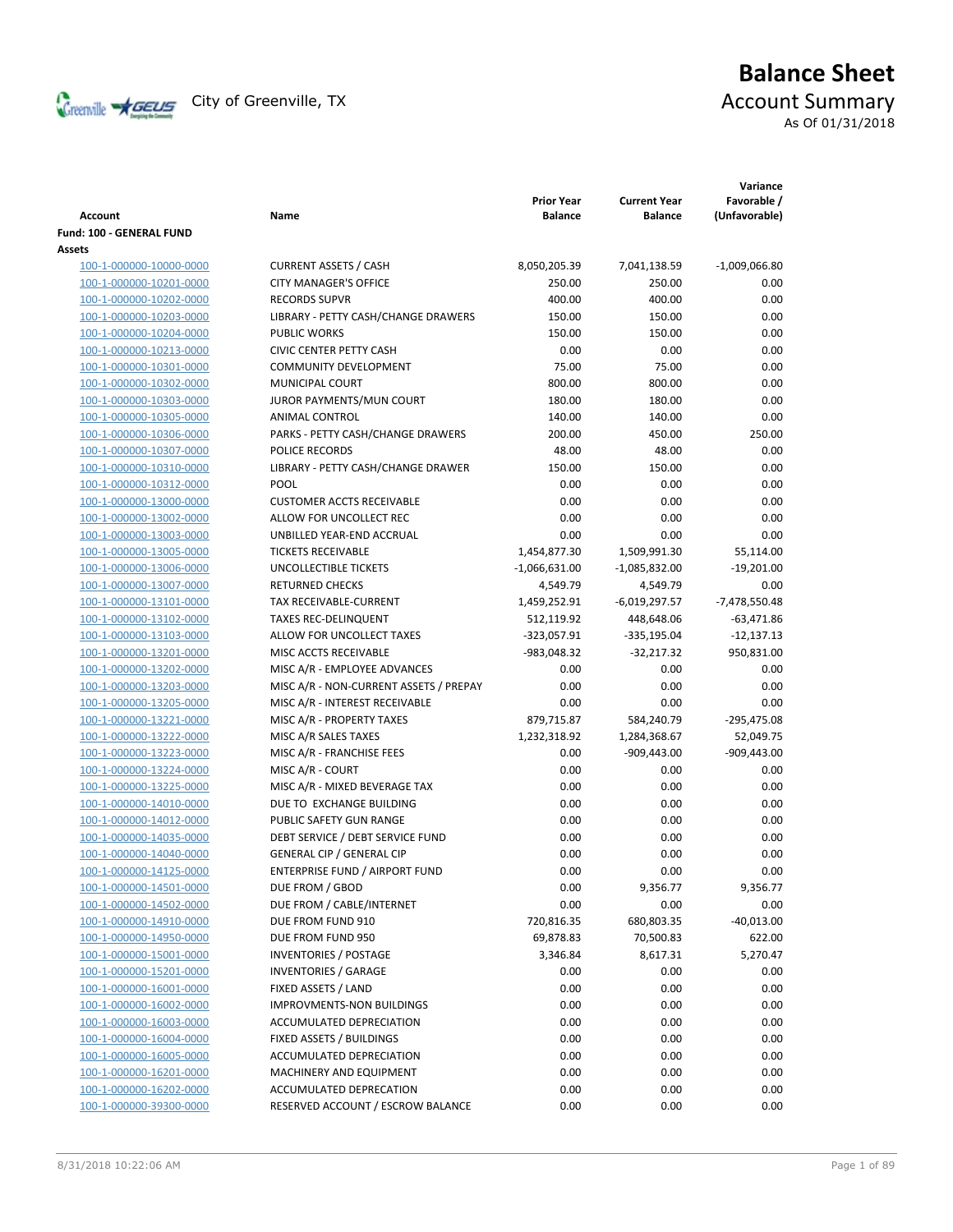

# **Balance Sheet** Creenville  $\star$  GEUS</del> City of Greenville, TX **ACCOUNT** Summary As Of 01/31/2018

| <b>Account</b>           | Name                                   | <b>Prior Year</b><br><b>Balance</b> | <b>Current Year</b><br><b>Balance</b> | Variance<br>Favorable /<br>(Unfavorable) |
|--------------------------|----------------------------------------|-------------------------------------|---------------------------------------|------------------------------------------|
| Fund: 100 - GENERAL FUND |                                        |                                     |                                       |                                          |
| <b>Assets</b>            |                                        |                                     |                                       |                                          |
| 100-1-000000-10000-0000  | <b>CURRENT ASSETS / CASH</b>           | 8,050,205.39                        | 7,041,138.59                          | $-1,009,066.80$                          |
| 100-1-000000-10201-0000  | <b>CITY MANAGER'S OFFICE</b>           | 250.00                              | 250.00                                | 0.00                                     |
| 100-1-000000-10202-0000  | <b>RECORDS SUPVR</b>                   | 400.00                              | 400.00                                | 0.00                                     |
| 100-1-000000-10203-0000  | LIBRARY - PETTY CASH/CHANGE DRAWERS    | 150.00                              | 150.00                                | 0.00                                     |
| 100-1-000000-10204-0000  | <b>PUBLIC WORKS</b>                    | 150.00                              | 150.00                                | 0.00                                     |
| 100-1-000000-10213-0000  | <b>CIVIC CENTER PETTY CASH</b>         | 0.00                                | 0.00                                  | 0.00                                     |
| 100-1-000000-10301-0000  | <b>COMMUNITY DEVELOPMENT</b>           | 75.00                               | 75.00                                 | 0.00                                     |
| 100-1-000000-10302-0000  | MUNICIPAL COURT                        | 800.00                              | 800.00                                | 0.00                                     |
| 100-1-000000-10303-0000  | JUROR PAYMENTS/MUN COURT               | 180.00                              | 180.00                                | 0.00                                     |
| 100-1-000000-10305-0000  | ANIMAL CONTROL                         | 140.00                              | 140.00                                | 0.00                                     |
| 100-1-000000-10306-0000  | PARKS - PETTY CASH/CHANGE DRAWERS      | 200.00                              | 450.00                                | 250.00                                   |
| 100-1-000000-10307-0000  | POLICE RECORDS                         | 48.00                               | 48.00                                 | 0.00                                     |
| 100-1-000000-10310-0000  | LIBRARY - PETTY CASH/CHANGE DRAWER     | 150.00                              | 150.00                                | 0.00                                     |
| 100-1-000000-10312-0000  | POOL                                   | 0.00                                | 0.00                                  | 0.00                                     |
| 100-1-000000-13000-0000  | <b>CUSTOMER ACCTS RECEIVABLE</b>       | 0.00                                | 0.00                                  | 0.00                                     |
| 100-1-000000-13002-0000  | ALLOW FOR UNCOLLECT REC                | 0.00                                | 0.00                                  | 0.00                                     |
| 100-1-000000-13003-0000  | UNBILLED YEAR-END ACCRUAL              | 0.00                                | 0.00                                  | 0.00                                     |
| 100-1-000000-13005-0000  | <b>TICKETS RECEIVABLE</b>              | 1,454,877.30                        | 1,509,991.30                          | 55,114.00                                |
| 100-1-000000-13006-0000  | UNCOLLECTIBLE TICKETS                  | $-1,066,631.00$                     | -1,085,832.00                         | $-19,201.00$                             |
| 100-1-000000-13007-0000  | <b>RETURNED CHECKS</b>                 | 4,549.79                            | 4,549.79                              | 0.00                                     |
| 100-1-000000-13101-0000  | TAX RECEIVABLE-CURRENT                 | 1,459,252.91                        | $-6,019,297.57$                       | -7,478,550.48                            |
| 100-1-000000-13102-0000  | <b>TAXES REC-DELINQUENT</b>            | 512,119.92                          | 448,648.06                            | $-63,471.86$                             |
| 100-1-000000-13103-0000  | ALLOW FOR UNCOLLECT TAXES              | $-323,057.91$                       | $-335,195.04$                         | $-12,137.13$                             |
| 100-1-000000-13201-0000  | MISC ACCTS RECEIVABLE                  | -983,048.32                         | $-32,217.32$                          | 950,831.00                               |
| 100-1-000000-13202-0000  | MISC A/R - EMPLOYEE ADVANCES           | 0.00                                | 0.00                                  | 0.00                                     |
| 100-1-000000-13203-0000  | MISC A/R - NON-CURRENT ASSETS / PREPAY | 0.00                                | 0.00                                  | 0.00                                     |
| 100-1-000000-13205-0000  | MISC A/R - INTEREST RECEIVABLE         | 0.00                                | 0.00                                  | 0.00                                     |
| 100-1-000000-13221-0000  | MISC A/R - PROPERTY TAXES              | 879,715.87                          | 584,240.79                            | $-295,475.08$                            |
| 100-1-000000-13222-0000  | MISC A/R SALES TAXES                   | 1,232,318.92                        | 1,284,368.67                          | 52,049.75                                |
| 100-1-000000-13223-0000  | MISC A/R - FRANCHISE FEES              | 0.00                                | $-909,443.00$                         | $-909,443.00$                            |
| 100-1-000000-13224-0000  | MISC A/R - COURT                       | 0.00                                | 0.00                                  | 0.00                                     |
| 100-1-000000-13225-0000  | MISC A/R - MIXED BEVERAGE TAX          | 0.00                                | 0.00                                  | 0.00                                     |
| 100-1-000000-14010-0000  | DUE TO EXCHANGE BUILDING               | 0.00                                | 0.00                                  | 0.00                                     |
| 100-1-000000-14012-0000  | PUBLIC SAFETY GUN RANGE                | 0.00                                | 0.00                                  | 0.00                                     |
| 100-1-000000-14035-0000  | DEBT SERVICE / DEBT SERVICE FUND       | 0.00                                | 0.00                                  | 0.00                                     |
| 100-1-000000-14040-0000  | <b>GENERAL CIP / GENERAL CIP</b>       | 0.00                                | 0.00                                  | 0.00                                     |
| 100-1-000000-14125-0000  | <b>ENTERPRISE FUND / AIRPORT FUND</b>  | 0.00                                | 0.00                                  | 0.00                                     |
| 100-1-000000-14501-0000  | DUE FROM / GBOD                        | 0.00                                | 9,356.77                              | 9,356.77                                 |
| 100-1-000000-14502-0000  | DUE FROM / CABLE/INTERNET              | 0.00                                | 0.00                                  | 0.00                                     |
| 100-1-000000-14910-0000  | DUE FROM FUND 910                      | 720,816.35                          | 680,803.35                            | $-40,013.00$                             |
| 100-1-000000-14950-0000  | DUE FROM FUND 950                      | 69,878.83                           | 70,500.83                             | 622.00                                   |
| 100-1-000000-15001-0000  | <b>INVENTORIES / POSTAGE</b>           | 3,346.84                            | 8,617.31                              | 5,270.47                                 |
| 100-1-000000-15201-0000  | <b>INVENTORIES / GARAGE</b>            | 0.00                                | 0.00                                  | 0.00                                     |
| 100-1-000000-16001-0000  | FIXED ASSETS / LAND                    | 0.00                                | 0.00                                  | 0.00                                     |
| 100-1-000000-16002-0000  | <b>IMPROVMENTS-NON BUILDINGS</b>       | 0.00                                | 0.00                                  | 0.00                                     |
| 100-1-000000-16003-0000  | ACCUMULATED DEPRECIATION               | 0.00                                | 0.00                                  | 0.00                                     |
| 100-1-000000-16004-0000  | FIXED ASSETS / BUILDINGS               | 0.00                                | 0.00                                  | 0.00                                     |
| 100-1-000000-16005-0000  | ACCUMULATED DEPRECIATION               | 0.00                                | 0.00                                  | 0.00                                     |
| 100-1-000000-16201-0000  | MACHINERY AND EQUIPMENT                | 0.00                                | 0.00                                  | 0.00                                     |
| 100-1-000000-16202-0000  | ACCUMULATED DEPRECATION                | 0.00                                | 0.00                                  | 0.00                                     |
| 100-1-000000-39300-0000  | RESERVED ACCOUNT / ESCROW BALANCE      | 0.00                                | 0.00                                  | 0.00                                     |
|                          |                                        |                                     |                                       |                                          |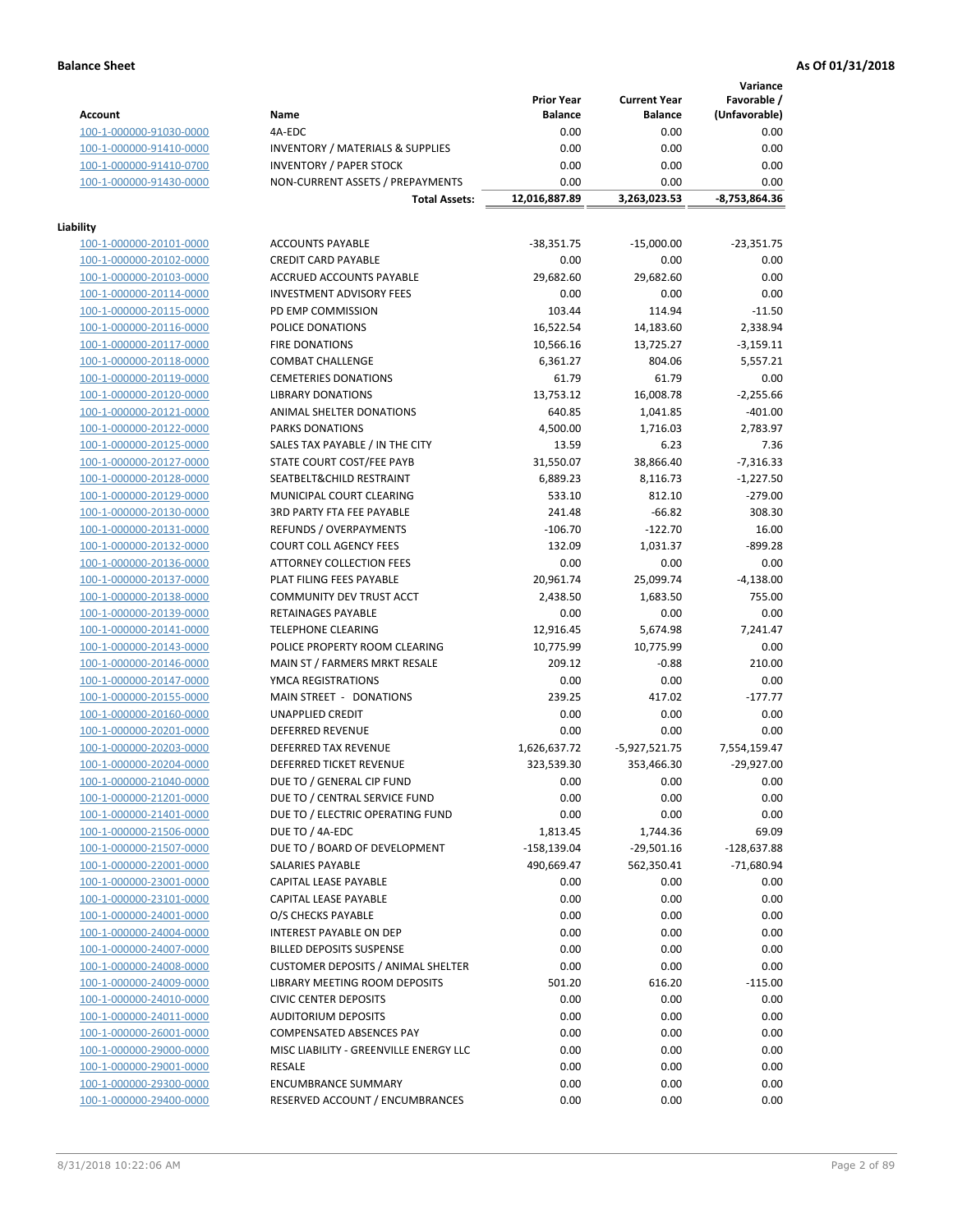**Variance**

|                         |                                             | <b>Prior Year</b> | <b>Current Year</b> | Favorable /   |
|-------------------------|---------------------------------------------|-------------------|---------------------|---------------|
| <b>Account</b>          | Name                                        | <b>Balance</b>    | <b>Balance</b>      | (Unfavorable) |
| 100-1-000000-91030-0000 | 4A-EDC                                      | 0.00              | 0.00                | 0.00          |
| 100-1-000000-91410-0000 | <b>INVENTORY / MATERIALS &amp; SUPPLIES</b> | 0.00              | 0.00                | 0.00          |
| 100-1-000000-91410-0700 | <b>INVENTORY / PAPER STOCK</b>              | 0.00              | 0.00                | 0.00          |
| 100-1-000000-91430-0000 | NON-CURRENT ASSETS / PREPAYMENTS            | 0.00              | 0.00                | 0.00          |
|                         | <b>Total Assets:</b>                        | 12,016,887.89     | 3,263,023.53        | -8,753,864.36 |
|                         |                                             |                   |                     |               |
| Liability               |                                             |                   |                     |               |
| 100-1-000000-20101-0000 | <b>ACCOUNTS PAYABLE</b>                     | $-38,351.75$      | $-15,000.00$        | $-23,351.75$  |
| 100-1-000000-20102-0000 | <b>CREDIT CARD PAYABLE</b>                  | 0.00              | 0.00                | 0.00          |
| 100-1-000000-20103-0000 | ACCRUED ACCOUNTS PAYABLE                    | 29,682.60         | 29,682.60           | 0.00          |
| 100-1-000000-20114-0000 | <b>INVESTMENT ADVISORY FEES</b>             | 0.00              | 0.00                | 0.00          |
| 100-1-000000-20115-0000 | PD EMP COMMISSION                           | 103.44            | 114.94              | $-11.50$      |
| 100-1-000000-20116-0000 | POLICE DONATIONS                            | 16,522.54         | 14,183.60           | 2,338.94      |
| 100-1-000000-20117-0000 | <b>FIRE DONATIONS</b>                       | 10,566.16         | 13,725.27           | $-3,159.11$   |
| 100-1-000000-20118-0000 | <b>COMBAT CHALLENGE</b>                     | 6,361.27          | 804.06              | 5,557.21      |
| 100-1-000000-20119-0000 | <b>CEMETERIES DONATIONS</b>                 | 61.79             | 61.79               | 0.00          |
| 100-1-000000-20120-0000 | <b>LIBRARY DONATIONS</b>                    | 13,753.12         | 16,008.78           | $-2,255.66$   |
| 100-1-000000-20121-0000 | ANIMAL SHELTER DONATIONS                    | 640.85            | 1,041.85            | $-401.00$     |
| 100-1-000000-20122-0000 | <b>PARKS DONATIONS</b>                      | 4,500.00          | 1,716.03            | 2,783.97      |
| 100-1-000000-20125-0000 | SALES TAX PAYABLE / IN THE CITY             | 13.59             | 6.23                | 7.36          |
| 100-1-000000-20127-0000 | STATE COURT COST/FEE PAYB                   | 31,550.07         | 38,866.40           | -7,316.33     |
| 100-1-000000-20128-0000 | SEATBELT&CHILD RESTRAINT                    | 6,889.23          | 8,116.73            | $-1,227.50$   |
| 100-1-000000-20129-0000 | MUNICIPAL COURT CLEARING                    | 533.10            | 812.10              | $-279.00$     |
| 100-1-000000-20130-0000 | <b>3RD PARTY FTA FEE PAYABLE</b>            | 241.48            | $-66.82$            | 308.30        |
| 100-1-000000-20131-0000 | REFUNDS / OVERPAYMENTS                      | $-106.70$         | $-122.70$           | 16.00         |
| 100-1-000000-20132-0000 | <b>COURT COLL AGENCY FEES</b>               | 132.09            | 1,031.37            | $-899.28$     |
| 100-1-000000-20136-0000 | <b>ATTORNEY COLLECTION FEES</b>             | 0.00              | 0.00                | 0.00          |
| 100-1-000000-20137-0000 | PLAT FILING FEES PAYABLE                    | 20,961.74         | 25,099.74           | $-4,138.00$   |
| 100-1-000000-20138-0000 | COMMUNITY DEV TRUST ACCT                    | 2,438.50          | 1,683.50            | 755.00        |
| 100-1-000000-20139-0000 | RETAINAGES PAYABLE                          | 0.00              | 0.00                | 0.00          |
| 100-1-000000-20141-0000 | <b>TELEPHONE CLEARING</b>                   | 12,916.45         | 5,674.98            | 7,241.47      |
| 100-1-000000-20143-0000 | POLICE PROPERTY ROOM CLEARING               | 10,775.99         | 10,775.99           | 0.00          |
| 100-1-000000-20146-0000 | MAIN ST / FARMERS MRKT RESALE               | 209.12            | $-0.88$             | 210.00        |
| 100-1-000000-20147-0000 | YMCA REGISTRATIONS                          | 0.00              | 0.00                | 0.00          |
| 100-1-000000-20155-0000 | MAIN STREET - DONATIONS                     | 239.25            | 417.02              | $-177.77$     |
| 100-1-000000-20160-0000 | <b>UNAPPLIED CREDIT</b>                     | 0.00              | 0.00                | 0.00          |
| 100-1-000000-20201-0000 | <b>DEFERRED REVENUE</b>                     | 0.00              | 0.00                | 0.00          |
| 100-1-000000-20203-0000 | DEFERRED TAX REVENUE                        | 1,626,637.72      | $-5,927,521.75$     | 7,554,159.47  |
| 100-1-000000-20204-0000 | DEFERRED TICKET REVENUE                     | 323,539.30        | 353,466.30          | $-29,927.00$  |
| 100-1-000000-21040-0000 | DUE TO / GENERAL CIP FUND                   | 0.00              | 0.00                | 0.00          |
| 100-1-000000-21201-0000 | DUE TO / CENTRAL SERVICE FUND               | 0.00              | 0.00                | 0.00          |
| 100-1-000000-21401-0000 | DUE TO / ELECTRIC OPERATING FUND            | 0.00              | 0.00                | 0.00          |
| 100-1-000000-21506-0000 | DUE TO / 4A-EDC                             | 1,813.45          | 1,744.36            | 69.09         |
| 100-1-000000-21507-0000 | DUE TO / BOARD OF DEVELOPMENT               | $-158,139.04$     | $-29,501.16$        | $-128,637.88$ |
| 100-1-000000-22001-0000 | <b>SALARIES PAYABLE</b>                     | 490,669.47        | 562,350.41          | $-71,680.94$  |
| 100-1-000000-23001-0000 | CAPITAL LEASE PAYABLE                       | 0.00              | 0.00                | 0.00          |
| 100-1-000000-23101-0000 | CAPITAL LEASE PAYABLE                       | 0.00              | 0.00                | 0.00          |
| 100-1-000000-24001-0000 | O/S CHECKS PAYABLE                          | 0.00              | 0.00                | 0.00          |
| 100-1-000000-24004-0000 | INTEREST PAYABLE ON DEP                     | 0.00              | 0.00                | 0.00          |
| 100-1-000000-24007-0000 | <b>BILLED DEPOSITS SUSPENSE</b>             | 0.00              | 0.00                | 0.00          |
| 100-1-000000-24008-0000 | <b>CUSTOMER DEPOSITS / ANIMAL SHELTER</b>   | 0.00              | 0.00                | 0.00          |
| 100-1-000000-24009-0000 | LIBRARY MEETING ROOM DEPOSITS               | 501.20            | 616.20              | $-115.00$     |
| 100-1-000000-24010-0000 | <b>CIVIC CENTER DEPOSITS</b>                | 0.00              | 0.00                | 0.00          |
| 100-1-000000-24011-0000 | <b>AUDITORIUM DEPOSITS</b>                  | 0.00              | 0.00                | 0.00          |
| 100-1-000000-26001-0000 | COMPENSATED ABSENCES PAY                    | 0.00              | 0.00                | 0.00          |
| 100-1-000000-29000-0000 | MISC LIABILITY - GREENVILLE ENERGY LLC      | 0.00              | 0.00                | 0.00          |
| 100-1-000000-29001-0000 | RESALE                                      | 0.00              | 0.00                | 0.00          |
| 100-1-000000-29300-0000 | <b>ENCUMBRANCE SUMMARY</b>                  | 0.00              | 0.00                | 0.00          |
| 100-1-000000-29400-0000 | RESERVED ACCOUNT / ENCUMBRANCES             | 0.00              | 0.00                | 0.00          |
|                         |                                             |                   |                     |               |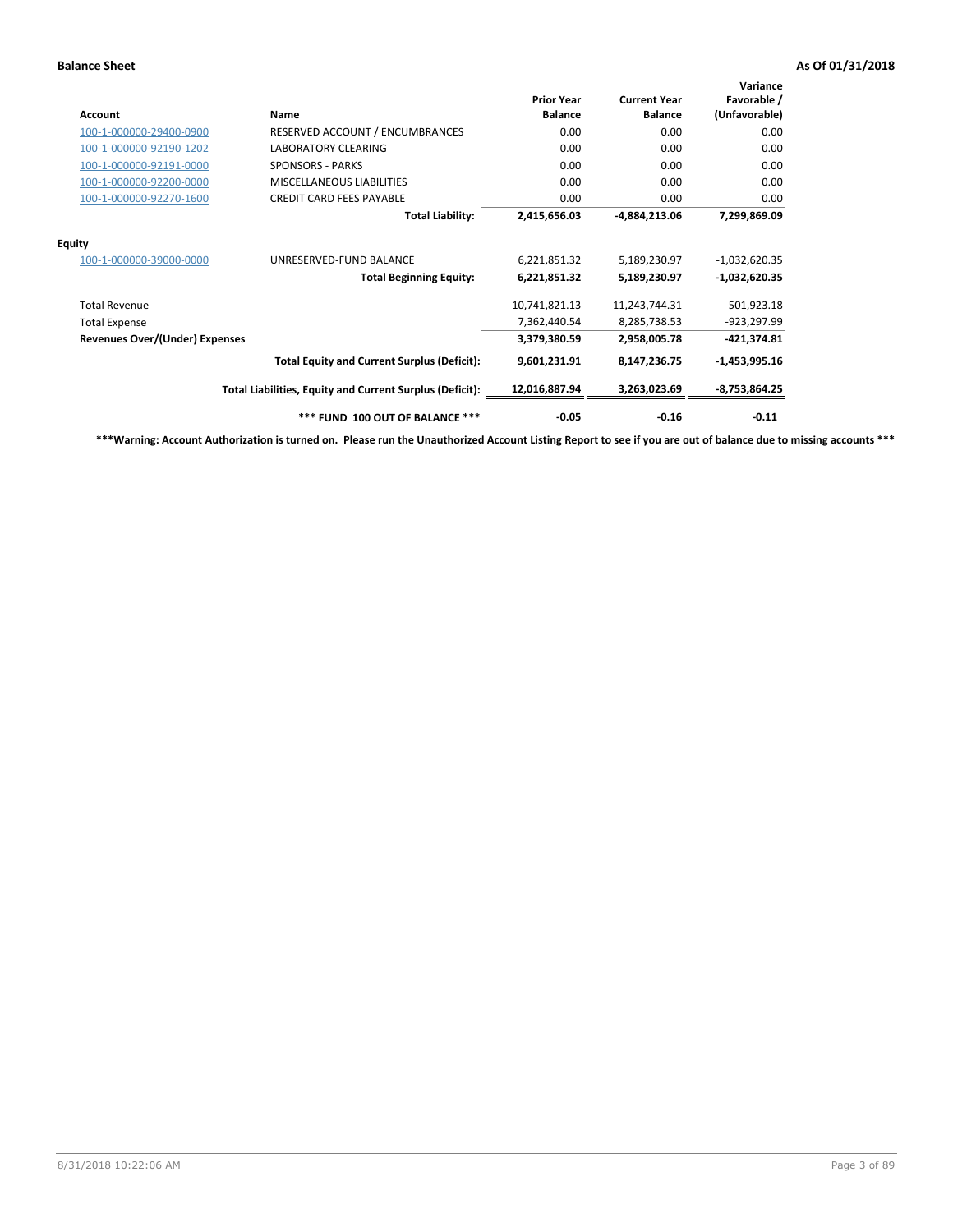| <b>Account</b>                        | <b>Name</b>                                              | <b>Prior Year</b><br><b>Balance</b> | <b>Current Year</b><br><b>Balance</b> | Variance<br>Favorable /<br>(Unfavorable) |
|---------------------------------------|----------------------------------------------------------|-------------------------------------|---------------------------------------|------------------------------------------|
| 100-1-000000-29400-0900               | RESERVED ACCOUNT / ENCUMBRANCES                          | 0.00                                | 0.00                                  | 0.00                                     |
| 100-1-000000-92190-1202               | LABORATORY CLEARING                                      | 0.00                                | 0.00                                  | 0.00                                     |
| 100-1-000000-92191-0000               | <b>SPONSORS - PARKS</b>                                  | 0.00                                | 0.00                                  | 0.00                                     |
| 100-1-000000-92200-0000               | MISCELLANEOUS LIABILITIES                                | 0.00                                | 0.00                                  | 0.00                                     |
| 100-1-000000-92270-1600               | <b>CREDIT CARD FEES PAYABLE</b>                          | 0.00                                | 0.00                                  | 0.00                                     |
|                                       | <b>Total Liability:</b>                                  | 2,415,656.03                        | -4,884,213.06                         | 7,299,869.09                             |
| <b>Equity</b>                         |                                                          |                                     |                                       |                                          |
| 100-1-000000-39000-0000               | UNRESERVED-FUND BALANCE                                  | 6,221,851.32                        | 5,189,230.97                          | $-1,032,620.35$                          |
|                                       | <b>Total Beginning Equity:</b>                           | 6,221,851.32                        | 5,189,230.97                          | $-1,032,620.35$                          |
| <b>Total Revenue</b>                  |                                                          | 10,741,821.13                       | 11,243,744.31                         | 501,923.18                               |
| <b>Total Expense</b>                  |                                                          | 7,362,440.54                        | 8,285,738.53                          | -923,297.99                              |
| <b>Revenues Over/(Under) Expenses</b> |                                                          | 3,379,380.59                        | 2,958,005.78                          | $-421,374.81$                            |
|                                       | <b>Total Equity and Current Surplus (Deficit):</b>       | 9,601,231.91                        | 8,147,236.75                          | $-1,453,995.16$                          |
|                                       | Total Liabilities, Equity and Current Surplus (Deficit): | 12,016,887.94                       | 3,263,023.69                          | $-8,753,864.25$                          |
|                                       | *** FUND 100 OUT OF BALANCE ***                          | $-0.05$                             | $-0.16$                               | $-0.11$                                  |

**\*\*\*Warning: Account Authorization is turned on. Please run the Unauthorized Account Listing Report to see if you are out of balance due to missing accounts \*\*\***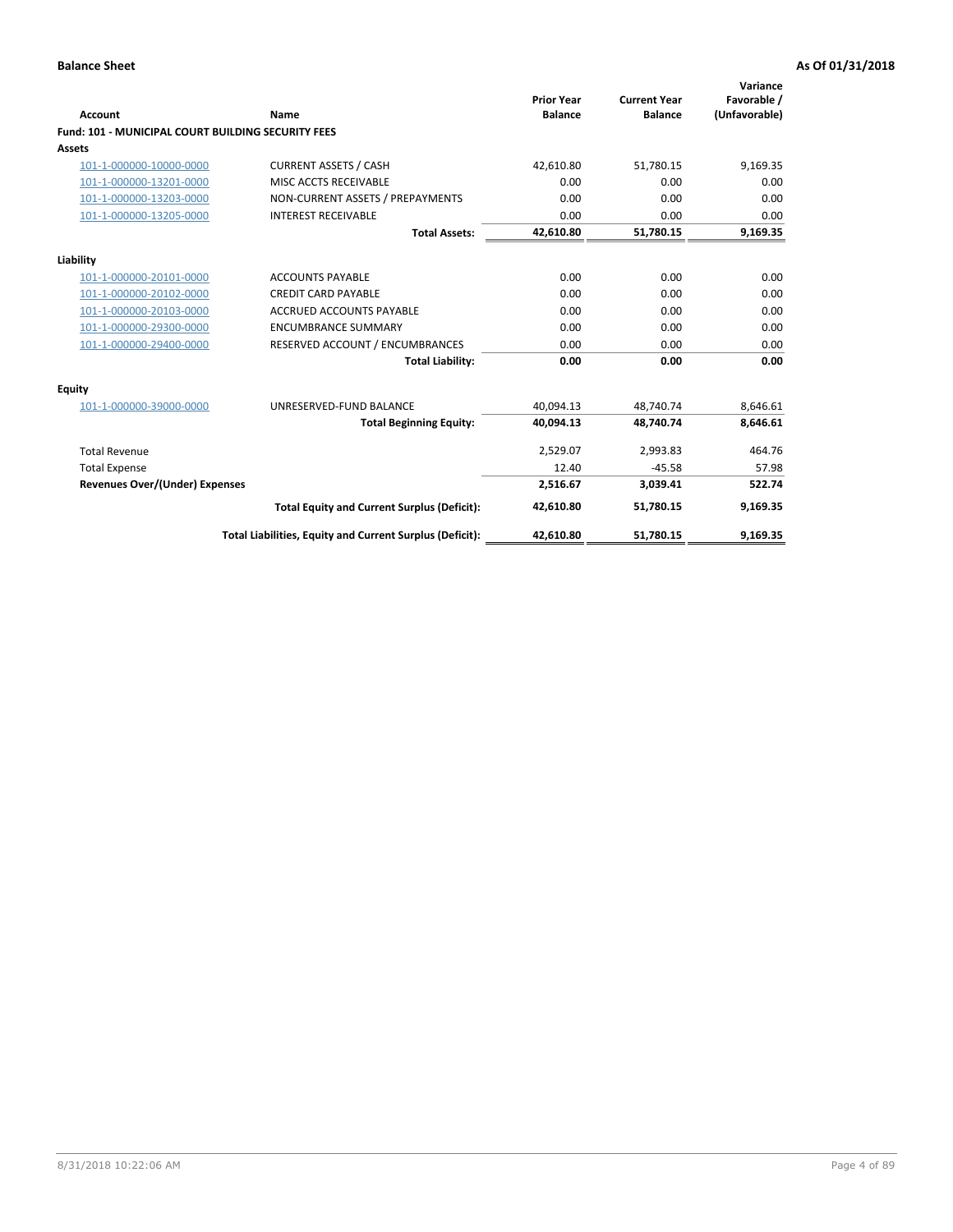| Account                                                   | <b>Name</b>                                              | <b>Prior Year</b><br><b>Balance</b> | <b>Current Year</b><br><b>Balance</b> | Variance<br>Favorable /<br>(Unfavorable) |
|-----------------------------------------------------------|----------------------------------------------------------|-------------------------------------|---------------------------------------|------------------------------------------|
| <b>Fund: 101 - MUNICIPAL COURT BUILDING SECURITY FEES</b> |                                                          |                                     |                                       |                                          |
| Assets                                                    |                                                          |                                     |                                       |                                          |
| 101-1-000000-10000-0000                                   | <b>CURRENT ASSETS / CASH</b>                             | 42,610.80                           | 51,780.15                             | 9,169.35                                 |
| 101-1-000000-13201-0000                                   | MISC ACCTS RECEIVABLE                                    | 0.00                                | 0.00                                  | 0.00                                     |
| 101-1-000000-13203-0000                                   | NON-CURRENT ASSETS / PREPAYMENTS                         | 0.00                                | 0.00                                  | 0.00                                     |
| 101-1-000000-13205-0000                                   | <b>INTEREST RECEIVABLE</b>                               | 0.00                                | 0.00                                  | 0.00                                     |
|                                                           | <b>Total Assets:</b>                                     | 42,610.80                           | 51,780.15                             | 9,169.35                                 |
| Liability                                                 |                                                          |                                     |                                       |                                          |
| 101-1-000000-20101-0000                                   | <b>ACCOUNTS PAYABLE</b>                                  | 0.00                                | 0.00                                  | 0.00                                     |
| 101-1-000000-20102-0000                                   | <b>CREDIT CARD PAYABLE</b>                               | 0.00                                | 0.00                                  | 0.00                                     |
| 101-1-000000-20103-0000                                   | <b>ACCRUED ACCOUNTS PAYABLE</b>                          | 0.00                                | 0.00                                  | 0.00                                     |
| 101-1-000000-29300-0000                                   | <b>ENCUMBRANCE SUMMARY</b>                               | 0.00                                | 0.00                                  | 0.00                                     |
| 101-1-000000-29400-0000                                   | RESERVED ACCOUNT / ENCUMBRANCES                          | 0.00                                | 0.00                                  | 0.00                                     |
|                                                           | <b>Total Liability:</b>                                  | 0.00                                | 0.00                                  | 0.00                                     |
| <b>Equity</b>                                             |                                                          |                                     |                                       |                                          |
| 101-1-000000-39000-0000                                   | UNRESERVED-FUND BALANCE                                  | 40,094.13                           | 48,740.74                             | 8,646.61                                 |
|                                                           | <b>Total Beginning Equity:</b>                           | 40,094.13                           | 48,740.74                             | 8,646.61                                 |
| <b>Total Revenue</b>                                      |                                                          | 2,529.07                            | 2,993.83                              | 464.76                                   |
| <b>Total Expense</b>                                      |                                                          | 12.40                               | $-45.58$                              | 57.98                                    |
| Revenues Over/(Under) Expenses                            |                                                          | 2,516.67                            | 3,039.41                              | 522.74                                   |
|                                                           | <b>Total Equity and Current Surplus (Deficit):</b>       | 42,610.80                           | 51,780.15                             | 9,169.35                                 |
|                                                           | Total Liabilities, Equity and Current Surplus (Deficit): | 42,610.80                           | 51,780.15                             | 9,169.35                                 |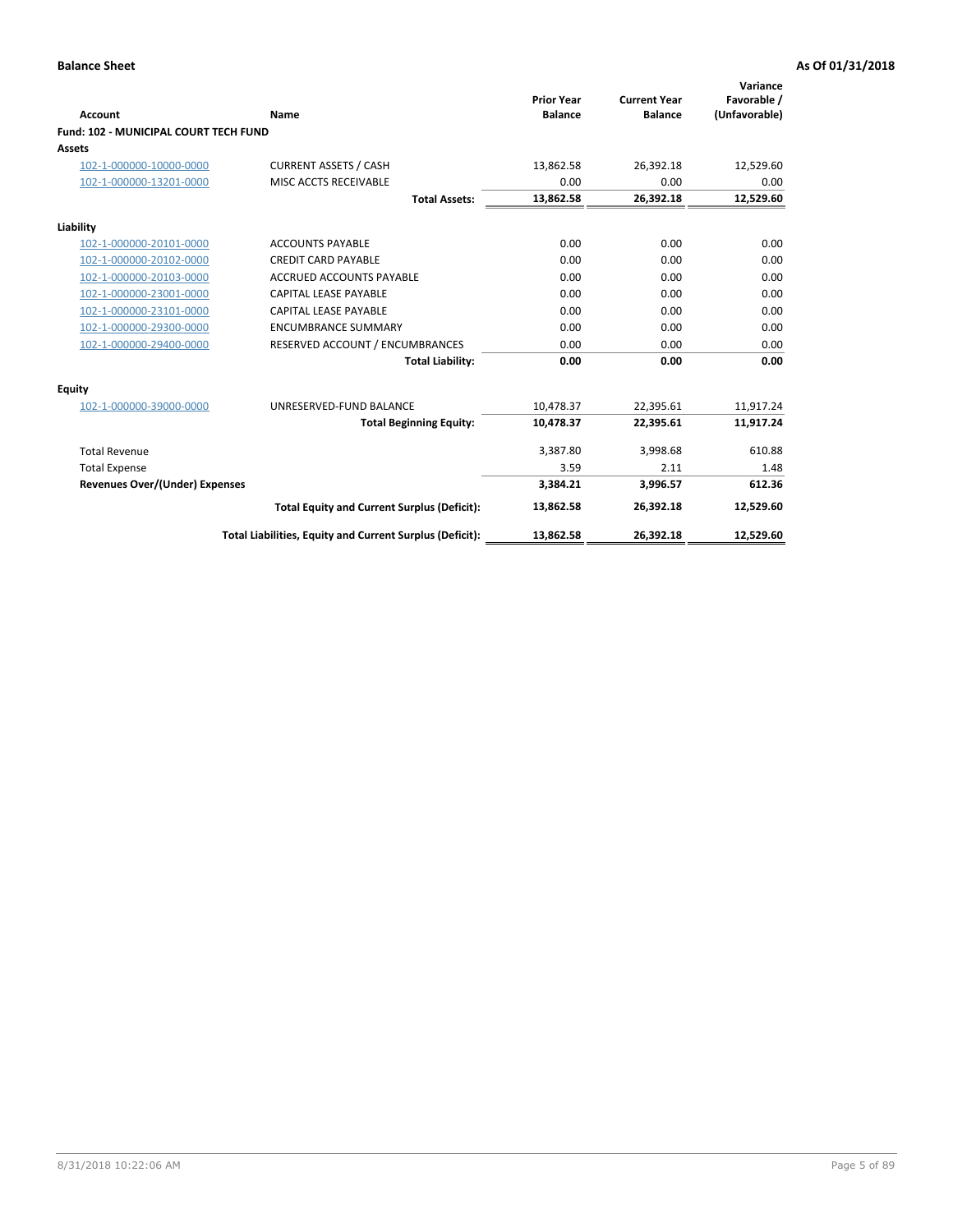| Account                                      | Name                                                     | <b>Prior Year</b><br><b>Balance</b> | <b>Current Year</b><br><b>Balance</b> | Variance<br>Favorable /<br>(Unfavorable) |
|----------------------------------------------|----------------------------------------------------------|-------------------------------------|---------------------------------------|------------------------------------------|
| <b>Fund: 102 - MUNICIPAL COURT TECH FUND</b> |                                                          |                                     |                                       |                                          |
| Assets                                       |                                                          |                                     |                                       |                                          |
| 102-1-000000-10000-0000                      | <b>CURRENT ASSETS / CASH</b>                             | 13,862.58                           | 26,392.18                             | 12,529.60                                |
| 102-1-000000-13201-0000                      | MISC ACCTS RECEIVABLE                                    | 0.00                                | 0.00                                  | 0.00                                     |
|                                              | <b>Total Assets:</b>                                     | 13,862.58                           | 26,392.18                             | 12,529.60                                |
| Liability                                    |                                                          |                                     |                                       |                                          |
| 102-1-000000-20101-0000                      | <b>ACCOUNTS PAYABLE</b>                                  | 0.00                                | 0.00                                  | 0.00                                     |
| 102-1-000000-20102-0000                      | <b>CREDIT CARD PAYABLE</b>                               | 0.00                                | 0.00                                  | 0.00                                     |
| 102-1-000000-20103-0000                      | <b>ACCRUED ACCOUNTS PAYABLE</b>                          | 0.00                                | 0.00                                  | 0.00                                     |
| 102-1-000000-23001-0000                      | <b>CAPITAL LEASE PAYABLE</b>                             | 0.00                                | 0.00                                  | 0.00                                     |
| 102-1-000000-23101-0000                      | <b>CAPITAL LEASE PAYABLE</b>                             | 0.00                                | 0.00                                  | 0.00                                     |
| 102-1-000000-29300-0000                      | <b>ENCUMBRANCE SUMMARY</b>                               | 0.00                                | 0.00                                  | 0.00                                     |
| 102-1-000000-29400-0000                      | RESERVED ACCOUNT / ENCUMBRANCES                          | 0.00                                | 0.00                                  | 0.00                                     |
|                                              | <b>Total Liability:</b>                                  | 0.00                                | 0.00                                  | 0.00                                     |
| <b>Equity</b>                                |                                                          |                                     |                                       |                                          |
| 102-1-000000-39000-0000                      | UNRESERVED-FUND BALANCE                                  | 10,478.37                           | 22,395.61                             | 11,917.24                                |
|                                              | <b>Total Beginning Equity:</b>                           | 10,478.37                           | 22,395.61                             | 11,917.24                                |
| <b>Total Revenue</b>                         |                                                          | 3,387.80                            | 3,998.68                              | 610.88                                   |
| <b>Total Expense</b>                         |                                                          | 3.59                                | 2.11                                  | 1.48                                     |
| Revenues Over/(Under) Expenses               |                                                          | 3,384.21                            | 3,996.57                              | 612.36                                   |
|                                              | <b>Total Equity and Current Surplus (Deficit):</b>       | 13,862.58                           | 26,392.18                             | 12,529.60                                |
|                                              | Total Liabilities, Equity and Current Surplus (Deficit): | 13,862.58                           | 26,392.18                             | 12,529.60                                |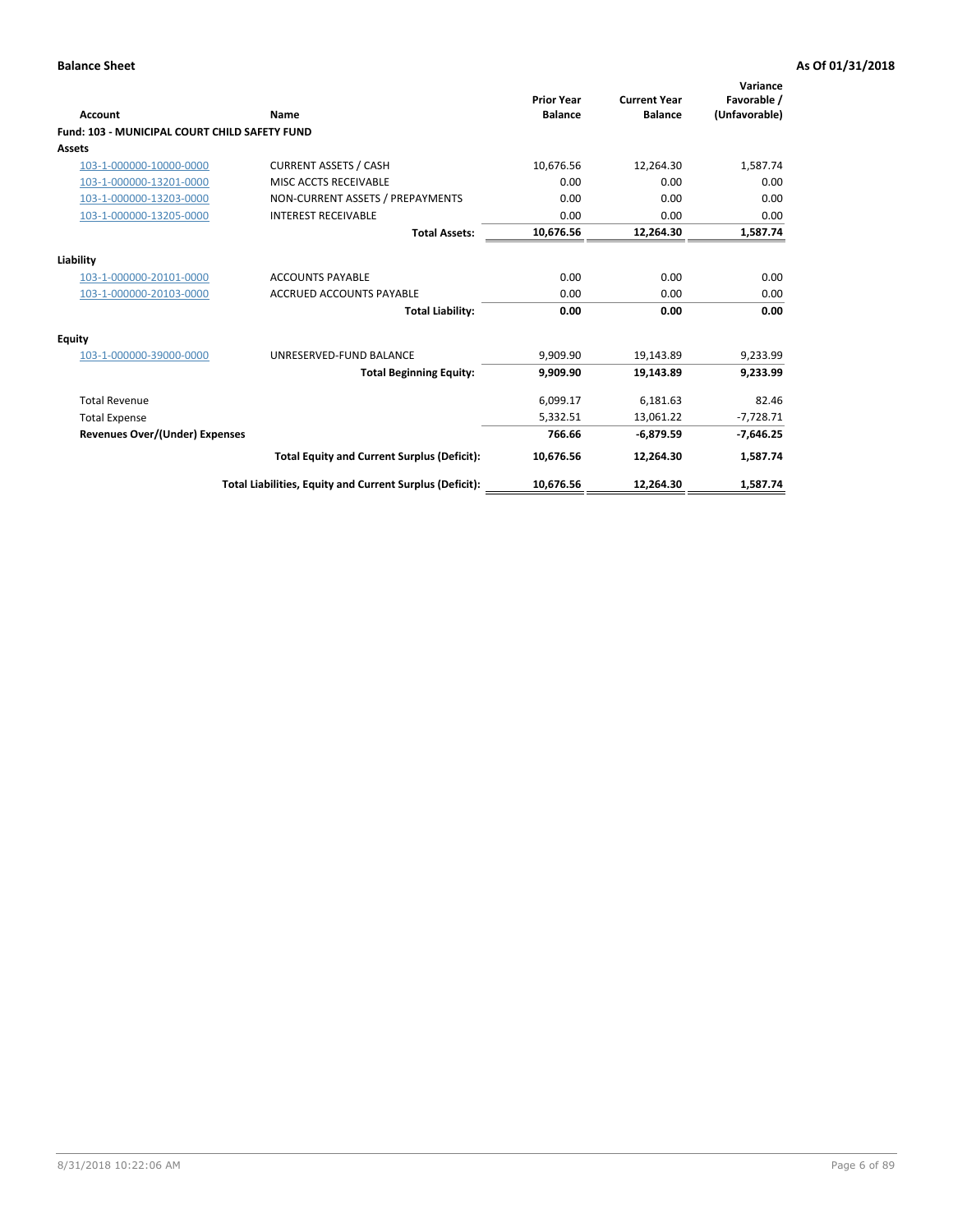| <b>Account</b>                                | Name                                                     | <b>Prior Year</b><br><b>Balance</b> | <b>Current Year</b><br><b>Balance</b> | Variance<br>Favorable /<br>(Unfavorable) |
|-----------------------------------------------|----------------------------------------------------------|-------------------------------------|---------------------------------------|------------------------------------------|
| Fund: 103 - MUNICIPAL COURT CHILD SAFETY FUND |                                                          |                                     |                                       |                                          |
| Assets                                        |                                                          |                                     |                                       |                                          |
| 103-1-000000-10000-0000                       | <b>CURRENT ASSETS / CASH</b>                             | 10,676.56                           | 12,264.30                             | 1,587.74                                 |
| 103-1-000000-13201-0000                       | MISC ACCTS RECEIVABLE                                    | 0.00                                | 0.00                                  | 0.00                                     |
| 103-1-000000-13203-0000                       | NON-CURRENT ASSETS / PREPAYMENTS                         | 0.00                                | 0.00                                  | 0.00                                     |
| 103-1-000000-13205-0000                       | <b>INTEREST RECEIVABLE</b>                               | 0.00                                | 0.00                                  | 0.00                                     |
|                                               | <b>Total Assets:</b>                                     | 10,676.56                           | 12,264.30                             | 1,587.74                                 |
| Liability                                     |                                                          |                                     |                                       |                                          |
| 103-1-000000-20101-0000                       | <b>ACCOUNTS PAYABLE</b>                                  | 0.00                                | 0.00                                  | 0.00                                     |
| 103-1-000000-20103-0000                       | <b>ACCRUED ACCOUNTS PAYABLE</b>                          | 0.00                                | 0.00                                  | 0.00                                     |
|                                               | <b>Total Liability:</b>                                  | 0.00                                | 0.00                                  | 0.00                                     |
| Equity                                        |                                                          |                                     |                                       |                                          |
| 103-1-000000-39000-0000                       | UNRESERVED-FUND BALANCE                                  | 9,909.90                            | 19,143.89                             | 9,233.99                                 |
|                                               | <b>Total Beginning Equity:</b>                           | 9,909.90                            | 19,143.89                             | 9,233.99                                 |
| <b>Total Revenue</b>                          |                                                          | 6,099.17                            | 6,181.63                              | 82.46                                    |
| <b>Total Expense</b>                          |                                                          | 5,332.51                            | 13,061.22                             | $-7,728.71$                              |
| <b>Revenues Over/(Under) Expenses</b>         |                                                          | 766.66                              | $-6,879.59$                           | $-7,646.25$                              |
|                                               | <b>Total Equity and Current Surplus (Deficit):</b>       | 10,676.56                           | 12,264.30                             | 1,587.74                                 |
|                                               | Total Liabilities, Equity and Current Surplus (Deficit): | 10,676.56                           | 12,264.30                             | 1,587.74                                 |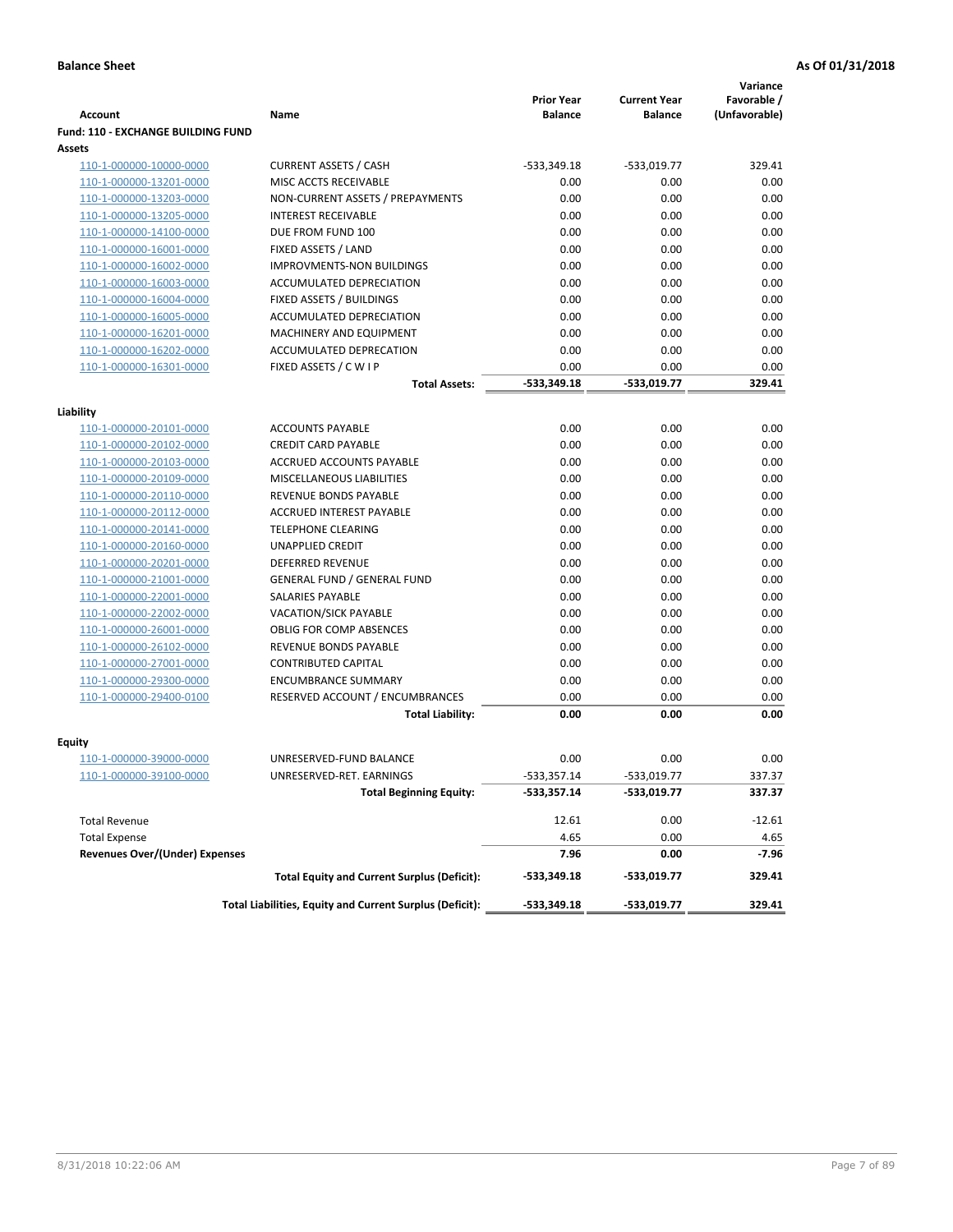|                                                    |                                                          |                                     |                                       | Variance                     |
|----------------------------------------------------|----------------------------------------------------------|-------------------------------------|---------------------------------------|------------------------------|
| <b>Account</b>                                     | Name                                                     | <b>Prior Year</b><br><b>Balance</b> | <b>Current Year</b><br><b>Balance</b> | Favorable /<br>(Unfavorable) |
| <b>Fund: 110 - EXCHANGE BUILDING FUND</b>          |                                                          |                                     |                                       |                              |
| Assets                                             |                                                          |                                     |                                       |                              |
| 110-1-000000-10000-0000                            | <b>CURRENT ASSETS / CASH</b>                             | $-533,349.18$                       | $-533,019.77$                         | 329.41                       |
| 110-1-000000-13201-0000                            | MISC ACCTS RECEIVABLE                                    | 0.00                                | 0.00                                  | 0.00                         |
| 110-1-000000-13203-0000                            | NON-CURRENT ASSETS / PREPAYMENTS                         | 0.00                                | 0.00                                  | 0.00                         |
| 110-1-000000-13205-0000                            | <b>INTEREST RECEIVABLE</b>                               | 0.00                                | 0.00                                  | 0.00                         |
| 110-1-000000-14100-0000                            | DUE FROM FUND 100                                        | 0.00                                | 0.00                                  | 0.00                         |
| 110-1-000000-16001-0000                            | FIXED ASSETS / LAND                                      | 0.00                                | 0.00                                  | 0.00                         |
| 110-1-000000-16002-0000                            | <b>IMPROVMENTS-NON BUILDINGS</b>                         | 0.00                                | 0.00                                  | 0.00                         |
| 110-1-000000-16003-0000                            | ACCUMULATED DEPRECIATION                                 | 0.00                                | 0.00                                  | 0.00                         |
| 110-1-000000-16004-0000                            | FIXED ASSETS / BUILDINGS                                 | 0.00                                | 0.00                                  | 0.00                         |
| 110-1-000000-16005-0000                            | ACCUMULATED DEPRECIATION                                 | 0.00                                | 0.00                                  | 0.00                         |
| 110-1-000000-16201-0000                            | <b>MACHINERY AND EQUIPMENT</b>                           | 0.00                                | 0.00                                  | 0.00                         |
| 110-1-000000-16202-0000                            | ACCUMULATED DEPRECATION                                  | 0.00                                | 0.00                                  | 0.00                         |
| 110-1-000000-16301-0000                            | FIXED ASSETS / C W I P                                   | 0.00                                | 0.00                                  | 0.00                         |
|                                                    | <b>Total Assets:</b>                                     | $-533,349.18$                       | -533.019.77                           | 329.41                       |
|                                                    |                                                          |                                     |                                       |                              |
| Liability                                          |                                                          |                                     |                                       |                              |
| 110-1-000000-20101-0000                            | <b>ACCOUNTS PAYABLE</b><br><b>CREDIT CARD PAYABLE</b>    | 0.00                                | 0.00                                  | 0.00                         |
| 110-1-000000-20102-0000                            |                                                          | 0.00<br>0.00                        | 0.00                                  | 0.00                         |
| 110-1-000000-20103-0000<br>110-1-000000-20109-0000 | ACCRUED ACCOUNTS PAYABLE<br>MISCELLANEOUS LIABILITIES    | 0.00                                | 0.00<br>0.00                          | 0.00<br>0.00                 |
|                                                    | REVENUE BONDS PAYABLE                                    | 0.00                                | 0.00                                  | 0.00                         |
| 110-1-000000-20110-0000<br>110-1-000000-20112-0000 | <b>ACCRUED INTEREST PAYABLE</b>                          | 0.00                                | 0.00                                  | 0.00                         |
| 110-1-000000-20141-0000                            | <b>TELEPHONE CLEARING</b>                                | 0.00                                | 0.00                                  | 0.00                         |
| 110-1-000000-20160-0000                            | <b>UNAPPLIED CREDIT</b>                                  | 0.00                                | 0.00                                  | 0.00                         |
| 110-1-000000-20201-0000                            | <b>DEFERRED REVENUE</b>                                  | 0.00                                | 0.00                                  | 0.00                         |
| 110-1-000000-21001-0000                            | <b>GENERAL FUND / GENERAL FUND</b>                       | 0.00                                | 0.00                                  | 0.00                         |
| 110-1-000000-22001-0000                            | SALARIES PAYABLE                                         | 0.00                                | 0.00                                  | 0.00                         |
| 110-1-000000-22002-0000                            | <b>VACATION/SICK PAYABLE</b>                             | 0.00                                | 0.00                                  | 0.00                         |
| 110-1-000000-26001-0000                            | <b>OBLIG FOR COMP ABSENCES</b>                           | 0.00                                | 0.00                                  | 0.00                         |
| 110-1-000000-26102-0000                            | REVENUE BONDS PAYABLE                                    | 0.00                                | 0.00                                  | 0.00                         |
| 110-1-000000-27001-0000                            | <b>CONTRIBUTED CAPITAL</b>                               | 0.00                                | 0.00                                  | 0.00                         |
| 110-1-000000-29300-0000                            | <b>ENCUMBRANCE SUMMARY</b>                               | 0.00                                | 0.00                                  | 0.00                         |
| 110-1-000000-29400-0100                            | RESERVED ACCOUNT / ENCUMBRANCES                          | 0.00                                | 0.00                                  | 0.00                         |
|                                                    | <b>Total Liability:</b>                                  | 0.00                                | 0.00                                  | 0.00                         |
|                                                    |                                                          |                                     |                                       |                              |
| <b>Equity</b>                                      |                                                          |                                     |                                       |                              |
| 110-1-000000-39000-0000                            | UNRESERVED-FUND BALANCE                                  | 0.00                                | 0.00                                  | 0.00                         |
| <u>110-1-000000-39100-0000</u>                     | UNRESERVED-RET. EARNINGS                                 | $-533,357.14$                       | -533,019.77                           | 337.37                       |
|                                                    | <b>Total Beginning Equity:</b>                           | $-533,357.14$                       | -533,019.77                           | 337.37                       |
| <b>Total Revenue</b>                               |                                                          | 12.61                               | 0.00                                  | $-12.61$                     |
| <b>Total Expense</b>                               |                                                          | 4.65                                | 0.00                                  | 4.65                         |
| <b>Revenues Over/(Under) Expenses</b>              |                                                          | 7.96                                | 0.00                                  | -7.96                        |
|                                                    | <b>Total Equity and Current Surplus (Deficit):</b>       | -533,349.18                         | -533,019.77                           | 329.41                       |
|                                                    | Total Liabilities, Equity and Current Surplus (Deficit): | -533,349.18                         | -533,019.77                           | 329.41                       |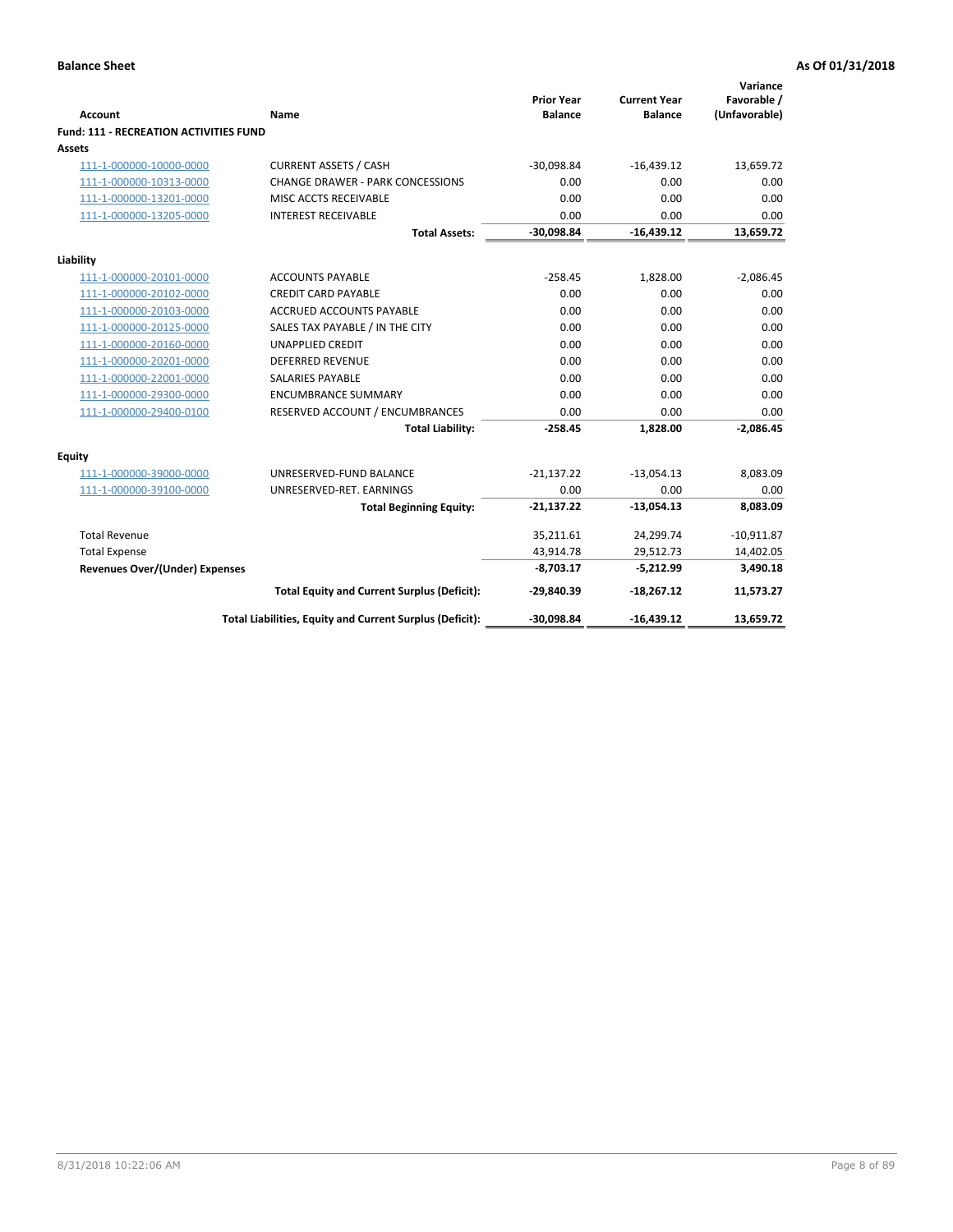| <b>Account</b>                                     | <b>Name</b>                                                        | <b>Prior Year</b><br><b>Balance</b> | <b>Current Year</b><br><b>Balance</b> | Variance<br>Favorable /<br>(Unfavorable) |
|----------------------------------------------------|--------------------------------------------------------------------|-------------------------------------|---------------------------------------|------------------------------------------|
| Fund: 111 - RECREATION ACTIVITIES FUND             |                                                                    |                                     |                                       |                                          |
| <b>Assets</b>                                      |                                                                    |                                     |                                       |                                          |
| 111-1-000000-10000-0000                            | <b>CURRENT ASSETS / CASH</b>                                       | $-30,098.84$                        | $-16,439.12$                          | 13,659.72                                |
| 111-1-000000-10313-0000                            | <b>CHANGE DRAWER - PARK CONCESSIONS</b>                            | 0.00                                | 0.00                                  | 0.00                                     |
| 111-1-000000-13201-0000                            | MISC ACCTS RECEIVABLE                                              | 0.00                                | 0.00                                  | 0.00                                     |
| 111-1-000000-13205-0000                            | <b>INTEREST RECEIVABLE</b>                                         | 0.00                                | 0.00                                  | 0.00                                     |
|                                                    | <b>Total Assets:</b>                                               | $-30,098.84$                        | $-16,439.12$                          | 13,659.72                                |
|                                                    |                                                                    |                                     |                                       |                                          |
| Liability                                          |                                                                    |                                     |                                       |                                          |
| 111-1-000000-20101-0000                            | <b>ACCOUNTS PAYABLE</b>                                            | $-258.45$                           | 1,828.00                              | $-2,086.45$                              |
| 111-1-000000-20102-0000                            | <b>CREDIT CARD PAYABLE</b>                                         | 0.00                                | 0.00                                  | 0.00                                     |
| 111-1-000000-20103-0000                            | <b>ACCRUED ACCOUNTS PAYABLE</b><br>SALES TAX PAYABLE / IN THE CITY | 0.00<br>0.00                        | 0.00<br>0.00                          | 0.00<br>0.00                             |
| 111-1-000000-20125-0000<br>111-1-000000-20160-0000 | <b>UNAPPLIED CREDIT</b>                                            | 0.00                                | 0.00                                  | 0.00                                     |
| 111-1-000000-20201-0000                            | <b>DEFERRED REVENUE</b>                                            | 0.00                                | 0.00                                  | 0.00                                     |
| 111-1-000000-22001-0000                            | <b>SALARIES PAYABLE</b>                                            | 0.00                                | 0.00                                  | 0.00                                     |
| 111-1-000000-29300-0000                            | <b>ENCUMBRANCE SUMMARY</b>                                         | 0.00                                | 0.00                                  | 0.00                                     |
| 111-1-000000-29400-0100                            | RESERVED ACCOUNT / ENCUMBRANCES                                    | 0.00                                | 0.00                                  | 0.00                                     |
|                                                    | <b>Total Liability:</b>                                            | $-258.45$                           | 1.828.00                              | $-2,086.45$                              |
| <b>Equity</b>                                      |                                                                    |                                     |                                       |                                          |
| 111-1-000000-39000-0000                            | UNRESERVED-FUND BALANCE                                            | $-21,137.22$                        | $-13,054.13$                          | 8,083.09                                 |
| 111-1-000000-39100-0000                            | UNRESERVED-RET. EARNINGS                                           | 0.00                                | 0.00                                  | 0.00                                     |
|                                                    | <b>Total Beginning Equity:</b>                                     | $-21,137.22$                        | $-13,054.13$                          | 8,083.09                                 |
| <b>Total Revenue</b>                               |                                                                    |                                     |                                       |                                          |
| <b>Total Expense</b>                               |                                                                    | 35,211.61<br>43,914.78              | 24,299.74<br>29,512.73                | $-10,911.87$                             |
| <b>Revenues Over/(Under) Expenses</b>              |                                                                    | $-8,703.17$                         | $-5,212.99$                           | 14,402.05<br>3,490.18                    |
|                                                    |                                                                    |                                     |                                       |                                          |
|                                                    | <b>Total Equity and Current Surplus (Deficit):</b>                 | $-29,840.39$                        | $-18,267.12$                          | 11,573.27                                |
|                                                    | Total Liabilities, Equity and Current Surplus (Deficit):           | $-30,098.84$                        | $-16,439.12$                          | 13,659.72                                |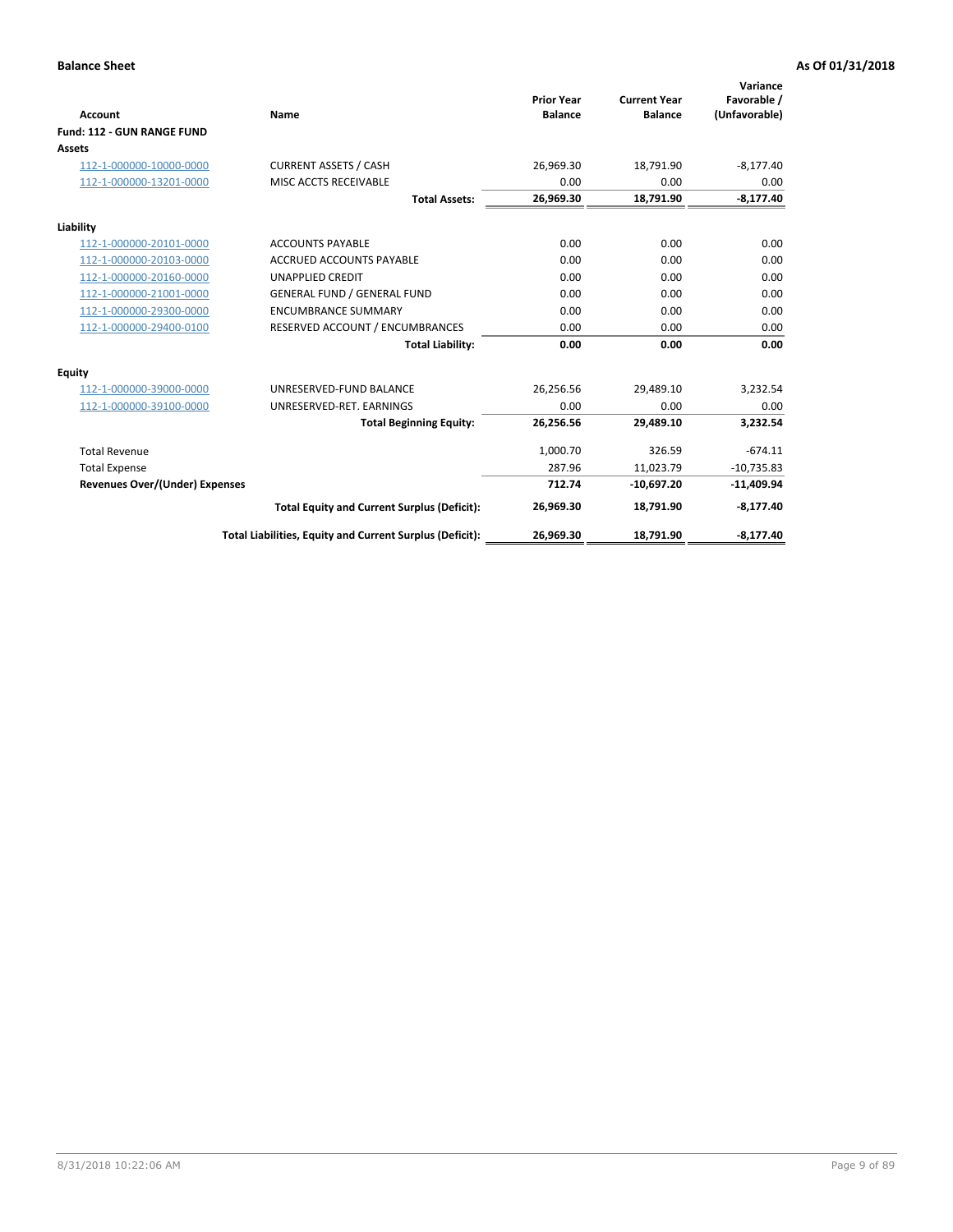|                                       |                                                          |                                     |                                       | Variance                     |
|---------------------------------------|----------------------------------------------------------|-------------------------------------|---------------------------------------|------------------------------|
| <b>Account</b>                        | Name                                                     | <b>Prior Year</b><br><b>Balance</b> | <b>Current Year</b><br><b>Balance</b> | Favorable /<br>(Unfavorable) |
| Fund: 112 - GUN RANGE FUND            |                                                          |                                     |                                       |                              |
| <b>Assets</b>                         |                                                          |                                     |                                       |                              |
| 112-1-000000-10000-0000               | <b>CURRENT ASSETS / CASH</b>                             | 26,969.30                           | 18,791.90                             | $-8,177.40$                  |
| 112-1-000000-13201-0000               | MISC ACCTS RECEIVABLE                                    | 0.00                                | 0.00                                  | 0.00                         |
|                                       | <b>Total Assets:</b>                                     | 26,969.30                           | 18,791.90                             | $-8,177.40$                  |
| Liability                             |                                                          |                                     |                                       |                              |
| 112-1-000000-20101-0000               | <b>ACCOUNTS PAYABLE</b>                                  | 0.00                                | 0.00                                  | 0.00                         |
| 112-1-000000-20103-0000               | <b>ACCRUED ACCOUNTS PAYABLE</b>                          | 0.00                                | 0.00                                  | 0.00                         |
| 112-1-000000-20160-0000               | <b>UNAPPLIED CREDIT</b>                                  | 0.00                                | 0.00                                  | 0.00                         |
| 112-1-000000-21001-0000               | <b>GENERAL FUND / GENERAL FUND</b>                       | 0.00                                | 0.00                                  | 0.00                         |
| 112-1-000000-29300-0000               | <b>ENCUMBRANCE SUMMARY</b>                               | 0.00                                | 0.00                                  | 0.00                         |
| 112-1-000000-29400-0100               | RESERVED ACCOUNT / ENCUMBRANCES                          | 0.00                                | 0.00                                  | 0.00                         |
|                                       | <b>Total Liability:</b>                                  | 0.00                                | 0.00                                  | 0.00                         |
| Equity                                |                                                          |                                     |                                       |                              |
| 112-1-000000-39000-0000               | UNRESERVED-FUND BALANCE                                  | 26,256.56                           | 29,489.10                             | 3,232.54                     |
| 112-1-000000-39100-0000               | UNRESERVED-RET. EARNINGS                                 | 0.00                                | 0.00                                  | 0.00                         |
|                                       | <b>Total Beginning Equity:</b>                           | 26,256.56                           | 29.489.10                             | 3.232.54                     |
| <b>Total Revenue</b>                  |                                                          | 1,000.70                            | 326.59                                | $-674.11$                    |
| <b>Total Expense</b>                  |                                                          | 287.96                              | 11,023.79                             | $-10,735.83$                 |
| <b>Revenues Over/(Under) Expenses</b> |                                                          | 712.74                              | $-10,697.20$                          | $-11,409.94$                 |
|                                       | <b>Total Equity and Current Surplus (Deficit):</b>       | 26,969.30                           | 18,791.90                             | $-8,177.40$                  |
|                                       | Total Liabilities, Equity and Current Surplus (Deficit): | 26,969.30                           | 18,791.90                             | $-8,177.40$                  |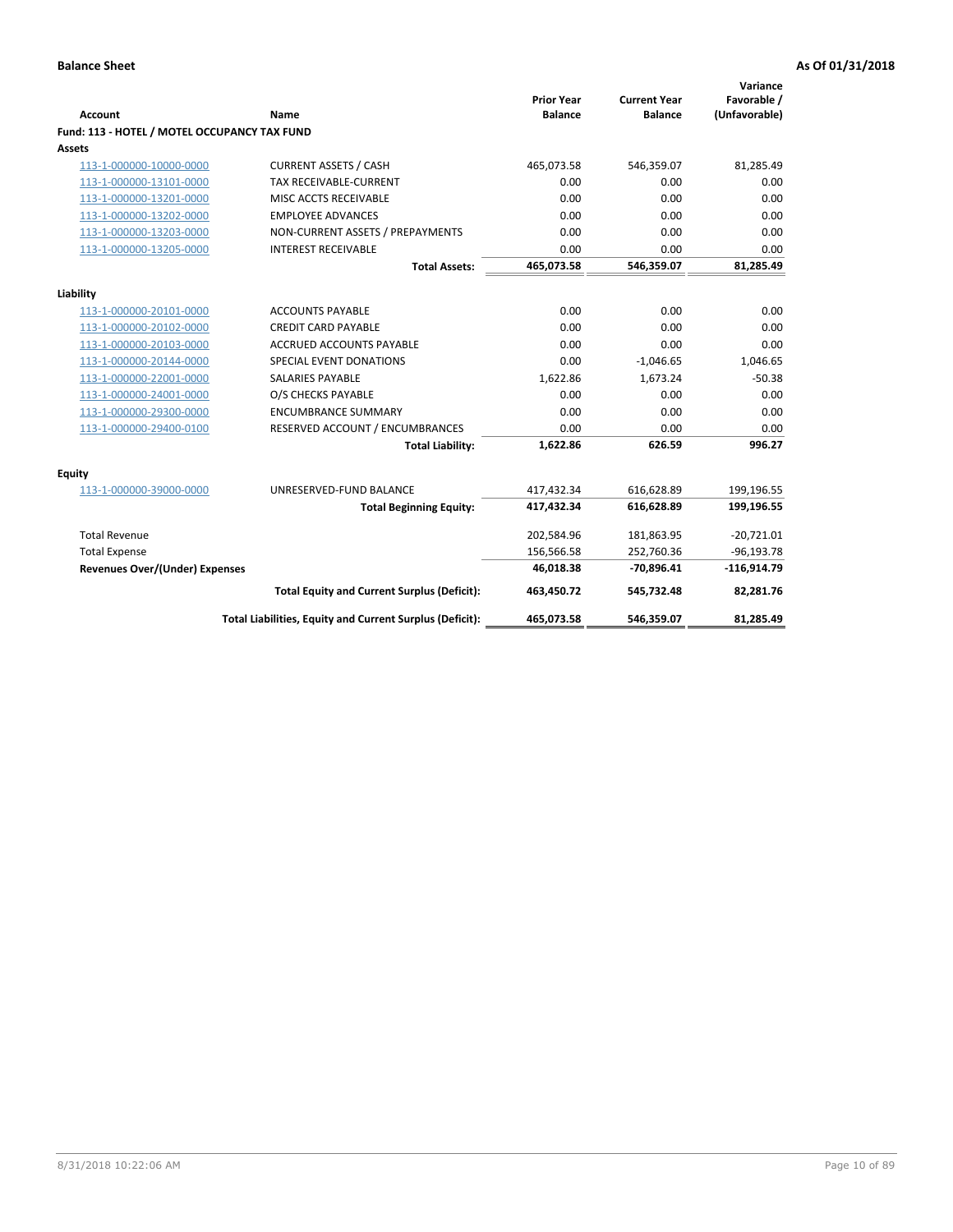| <b>Account</b>                               | Name                                                     | <b>Prior Year</b><br><b>Balance</b> | <b>Current Year</b><br><b>Balance</b> | Variance<br>Favorable /<br>(Unfavorable) |
|----------------------------------------------|----------------------------------------------------------|-------------------------------------|---------------------------------------|------------------------------------------|
| Fund: 113 - HOTEL / MOTEL OCCUPANCY TAX FUND |                                                          |                                     |                                       |                                          |
| Assets                                       |                                                          |                                     |                                       |                                          |
| 113-1-000000-10000-0000                      | <b>CURRENT ASSETS / CASH</b>                             | 465,073.58                          | 546,359.07                            | 81,285.49                                |
| 113-1-000000-13101-0000                      | TAX RECEIVABLE-CURRENT                                   | 0.00                                | 0.00                                  | 0.00                                     |
| 113-1-000000-13201-0000                      | MISC ACCTS RECEIVABLE                                    | 0.00                                | 0.00                                  | 0.00                                     |
| 113-1-000000-13202-0000                      | <b>EMPLOYEE ADVANCES</b>                                 | 0.00                                | 0.00                                  | 0.00                                     |
| 113-1-000000-13203-0000                      | NON-CURRENT ASSETS / PREPAYMENTS                         | 0.00                                | 0.00                                  | 0.00                                     |
| 113-1-000000-13205-0000                      | <b>INTEREST RECEIVABLE</b>                               | 0.00                                | 0.00                                  | 0.00                                     |
|                                              | <b>Total Assets:</b>                                     | 465,073.58                          | 546,359.07                            | 81,285.49                                |
|                                              |                                                          |                                     |                                       |                                          |
| Liability                                    | <b>ACCOUNTS PAYABLE</b>                                  | 0.00                                | 0.00                                  |                                          |
| 113-1-000000-20101-0000                      |                                                          | 0.00                                |                                       | 0.00<br>0.00                             |
| 113-1-000000-20102-0000                      | <b>CREDIT CARD PAYABLE</b>                               |                                     | 0.00<br>0.00                          |                                          |
| 113-1-000000-20103-0000                      | ACCRUED ACCOUNTS PAYABLE                                 | 0.00                                |                                       | 0.00                                     |
| 113-1-000000-20144-0000                      | SPECIAL EVENT DONATIONS                                  | 0.00                                | $-1,046.65$                           | 1,046.65                                 |
| 113-1-000000-22001-0000                      | <b>SALARIES PAYABLE</b>                                  | 1,622.86                            | 1,673.24                              | $-50.38$                                 |
| 113-1-000000-24001-0000                      | O/S CHECKS PAYABLE                                       | 0.00                                | 0.00                                  | 0.00                                     |
| 113-1-000000-29300-0000                      | <b>ENCUMBRANCE SUMMARY</b>                               | 0.00                                | 0.00                                  | 0.00                                     |
| 113-1-000000-29400-0100                      | RESERVED ACCOUNT / ENCUMBRANCES                          | 0.00                                | 0.00                                  | 0.00                                     |
|                                              | <b>Total Liability:</b>                                  | 1,622.86                            | 626.59                                | 996.27                                   |
| Equity                                       |                                                          |                                     |                                       |                                          |
| 113-1-000000-39000-0000                      | UNRESERVED-FUND BALANCE                                  | 417,432.34                          | 616,628.89                            | 199,196.55                               |
|                                              | <b>Total Beginning Equity:</b>                           | 417,432.34                          | 616,628.89                            | 199,196.55                               |
| <b>Total Revenue</b>                         |                                                          | 202,584.96                          | 181,863.95                            | $-20,721.01$                             |
| <b>Total Expense</b>                         |                                                          | 156,566.58                          | 252,760.36                            | $-96, 193.78$                            |
| Revenues Over/(Under) Expenses               |                                                          | 46,018.38                           | $-70,896.41$                          | $-116,914.79$                            |
|                                              | <b>Total Equity and Current Surplus (Deficit):</b>       | 463,450.72                          | 545,732.48                            | 82,281.76                                |
|                                              | Total Liabilities, Equity and Current Surplus (Deficit): | 465,073.58                          | 546,359.07                            | 81,285.49                                |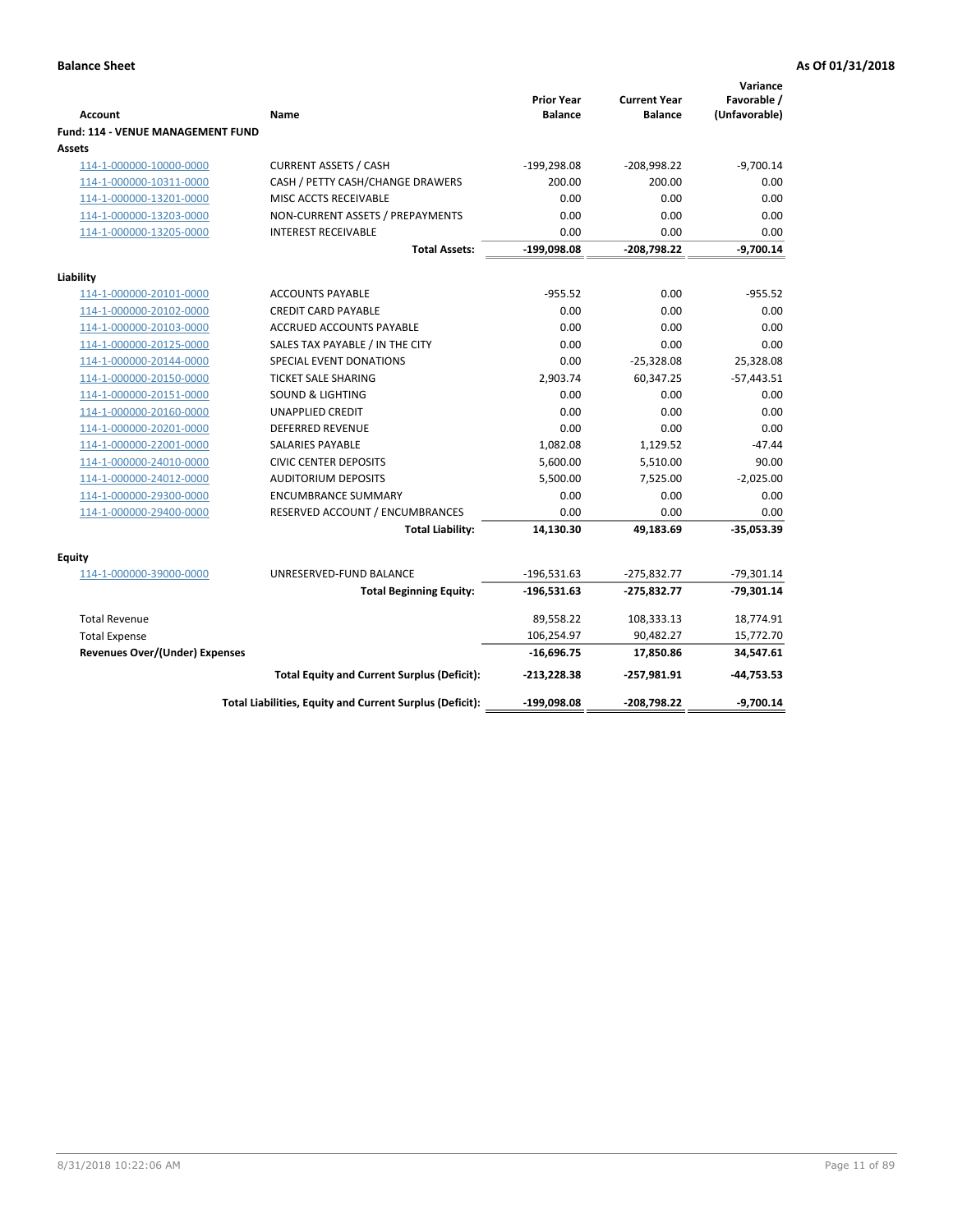| <b>Account</b>                                     | Name                                                     | <b>Prior Year</b><br><b>Balance</b> | <b>Current Year</b><br><b>Balance</b> | Variance<br>Favorable /<br>(Unfavorable) |
|----------------------------------------------------|----------------------------------------------------------|-------------------------------------|---------------------------------------|------------------------------------------|
| <b>Fund: 114 - VENUE MANAGEMENT FUND</b><br>Assets |                                                          |                                     |                                       |                                          |
| 114-1-000000-10000-0000                            | <b>CURRENT ASSETS / CASH</b>                             | $-199,298.08$                       | $-208,998.22$                         | $-9,700.14$                              |
| 114-1-000000-10311-0000                            | CASH / PETTY CASH/CHANGE DRAWERS                         | 200.00                              | 200.00                                | 0.00                                     |
| 114-1-000000-13201-0000                            | MISC ACCTS RECEIVABLE                                    | 0.00                                | 0.00                                  | 0.00                                     |
| 114-1-000000-13203-0000                            | NON-CURRENT ASSETS / PREPAYMENTS                         | 0.00                                | 0.00                                  | 0.00                                     |
| 114-1-000000-13205-0000                            | <b>INTEREST RECEIVABLE</b>                               | 0.00                                | 0.00                                  | 0.00                                     |
|                                                    | <b>Total Assets:</b>                                     | $-199,098.08$                       | $-208,798.22$                         | $-9,700.14$                              |
| Liability                                          |                                                          |                                     |                                       |                                          |
| 114-1-000000-20101-0000                            | <b>ACCOUNTS PAYABLE</b>                                  | $-955.52$                           | 0.00                                  | $-955.52$                                |
| 114-1-000000-20102-0000                            | <b>CREDIT CARD PAYABLE</b>                               | 0.00                                | 0.00                                  | 0.00                                     |
| 114-1-000000-20103-0000                            | <b>ACCRUED ACCOUNTS PAYABLE</b>                          | 0.00                                | 0.00                                  | 0.00                                     |
| 114-1-000000-20125-0000                            | SALES TAX PAYABLE / IN THE CITY                          | 0.00                                | 0.00                                  | 0.00                                     |
| 114-1-000000-20144-0000                            | SPECIAL EVENT DONATIONS                                  | 0.00                                | $-25,328.08$                          | 25,328.08                                |
| 114-1-000000-20150-0000                            | <b>TICKET SALE SHARING</b>                               | 2,903.74                            | 60,347.25                             | $-57,443.51$                             |
| 114-1-000000-20151-0000                            | <b>SOUND &amp; LIGHTING</b>                              | 0.00                                | 0.00                                  | 0.00                                     |
| 114-1-000000-20160-0000                            | <b>UNAPPLIED CREDIT</b>                                  | 0.00                                | 0.00                                  | 0.00                                     |
| 114-1-000000-20201-0000                            | <b>DEFERRED REVENUE</b>                                  | 0.00                                | 0.00                                  | 0.00                                     |
| 114-1-000000-22001-0000                            | <b>SALARIES PAYABLE</b>                                  | 1,082.08                            | 1,129.52                              | $-47.44$                                 |
| 114-1-000000-24010-0000                            | <b>CIVIC CENTER DEPOSITS</b>                             | 5,600.00                            | 5,510.00                              | 90.00                                    |
| 114-1-000000-24012-0000                            | <b>AUDITORIUM DEPOSITS</b>                               | 5,500.00                            | 7,525.00                              | $-2,025.00$                              |
| 114-1-000000-29300-0000                            | <b>ENCUMBRANCE SUMMARY</b>                               | 0.00                                | 0.00                                  | 0.00                                     |
| 114-1-000000-29400-0000                            | RESERVED ACCOUNT / ENCUMBRANCES                          | 0.00                                | 0.00                                  | 0.00                                     |
|                                                    | <b>Total Liability:</b>                                  | 14,130.30                           | 49,183.69                             | $-35,053.39$                             |
| Equity                                             |                                                          |                                     |                                       |                                          |
| 114-1-000000-39000-0000                            | UNRESERVED-FUND BALANCE                                  | $-196,531.63$                       | $-275,832.77$                         | $-79,301.14$                             |
|                                                    | <b>Total Beginning Equity:</b>                           | $-196,531.63$                       | $-275,832.77$                         | $-79,301.14$                             |
| <b>Total Revenue</b>                               |                                                          | 89,558.22                           | 108,333.13                            | 18,774.91                                |
| <b>Total Expense</b>                               |                                                          | 106,254.97                          | 90,482.27                             | 15,772.70                                |
| <b>Revenues Over/(Under) Expenses</b>              |                                                          | $-16,696.75$                        | 17,850.86                             | 34,547.61                                |
|                                                    | <b>Total Equity and Current Surplus (Deficit):</b>       | $-213,228.38$                       | $-257,981.91$                         | $-44,753.53$                             |
|                                                    | Total Liabilities, Equity and Current Surplus (Deficit): | $-199,098.08$                       | -208,798.22                           | $-9,700.14$                              |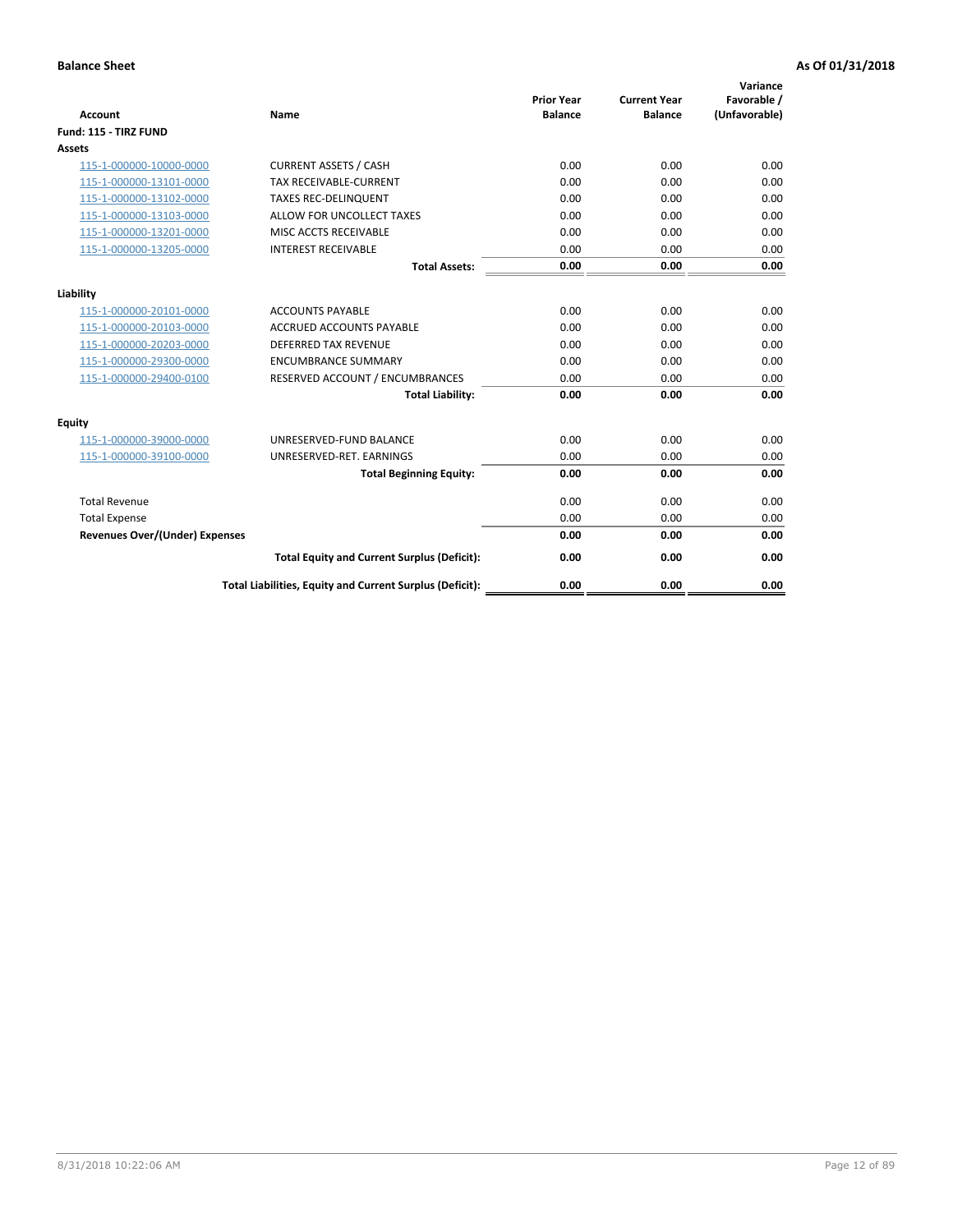| <b>Account</b>                        | <b>Name</b>                                              | <b>Prior Year</b><br><b>Balance</b> | <b>Current Year</b><br><b>Balance</b> | Variance<br>Favorable /<br>(Unfavorable) |
|---------------------------------------|----------------------------------------------------------|-------------------------------------|---------------------------------------|------------------------------------------|
| Fund: 115 - TIRZ FUND                 |                                                          |                                     |                                       |                                          |
| <b>Assets</b>                         |                                                          |                                     |                                       |                                          |
| 115-1-000000-10000-0000               | <b>CURRENT ASSETS / CASH</b>                             | 0.00                                | 0.00                                  | 0.00                                     |
| 115-1-000000-13101-0000               | <b>TAX RECEIVABLE-CURRENT</b>                            | 0.00                                | 0.00                                  | 0.00                                     |
| 115-1-000000-13102-0000               | <b>TAXES REC-DELINQUENT</b>                              | 0.00                                | 0.00                                  | 0.00                                     |
| 115-1-000000-13103-0000               | ALLOW FOR UNCOLLECT TAXES                                | 0.00                                | 0.00                                  | 0.00                                     |
| 115-1-000000-13201-0000               | MISC ACCTS RECEIVABLE                                    | 0.00                                | 0.00                                  | 0.00                                     |
| 115-1-000000-13205-0000               | <b>INTEREST RECEIVABLE</b>                               | 0.00                                | 0.00                                  | 0.00                                     |
|                                       | <b>Total Assets:</b>                                     | 0.00                                | 0.00                                  | 0.00                                     |
| Liability                             |                                                          |                                     |                                       |                                          |
| 115-1-000000-20101-0000               | <b>ACCOUNTS PAYABLE</b>                                  | 0.00                                | 0.00                                  | 0.00                                     |
| 115-1-000000-20103-0000               | <b>ACCRUED ACCOUNTS PAYABLE</b>                          | 0.00                                | 0.00                                  | 0.00                                     |
| 115-1-000000-20203-0000               | <b>DEFERRED TAX REVENUE</b>                              | 0.00                                | 0.00                                  | 0.00                                     |
| 115-1-000000-29300-0000               | <b>ENCUMBRANCE SUMMARY</b>                               | 0.00                                | 0.00                                  | 0.00                                     |
| 115-1-000000-29400-0100               | RESERVED ACCOUNT / ENCUMBRANCES                          | 0.00                                | 0.00                                  | 0.00                                     |
|                                       | <b>Total Liability:</b>                                  | 0.00                                | 0.00                                  | 0.00                                     |
| Equity                                |                                                          |                                     |                                       |                                          |
| 115-1-000000-39000-0000               | UNRESERVED-FUND BALANCE                                  | 0.00                                | 0.00                                  | 0.00                                     |
| 115-1-000000-39100-0000               | UNRESERVED-RET. EARNINGS                                 | 0.00                                | 0.00                                  | 0.00                                     |
|                                       | <b>Total Beginning Equity:</b>                           | 0.00                                | 0.00                                  | 0.00                                     |
| <b>Total Revenue</b>                  |                                                          | 0.00                                | 0.00                                  | 0.00                                     |
| <b>Total Expense</b>                  |                                                          | 0.00                                | 0.00                                  | 0.00                                     |
| <b>Revenues Over/(Under) Expenses</b> |                                                          | 0.00                                | 0.00                                  | 0.00                                     |
|                                       | <b>Total Equity and Current Surplus (Deficit):</b>       | 0.00                                | 0.00                                  | 0.00                                     |
|                                       | Total Liabilities, Equity and Current Surplus (Deficit): | 0.00                                | 0.00                                  | 0.00                                     |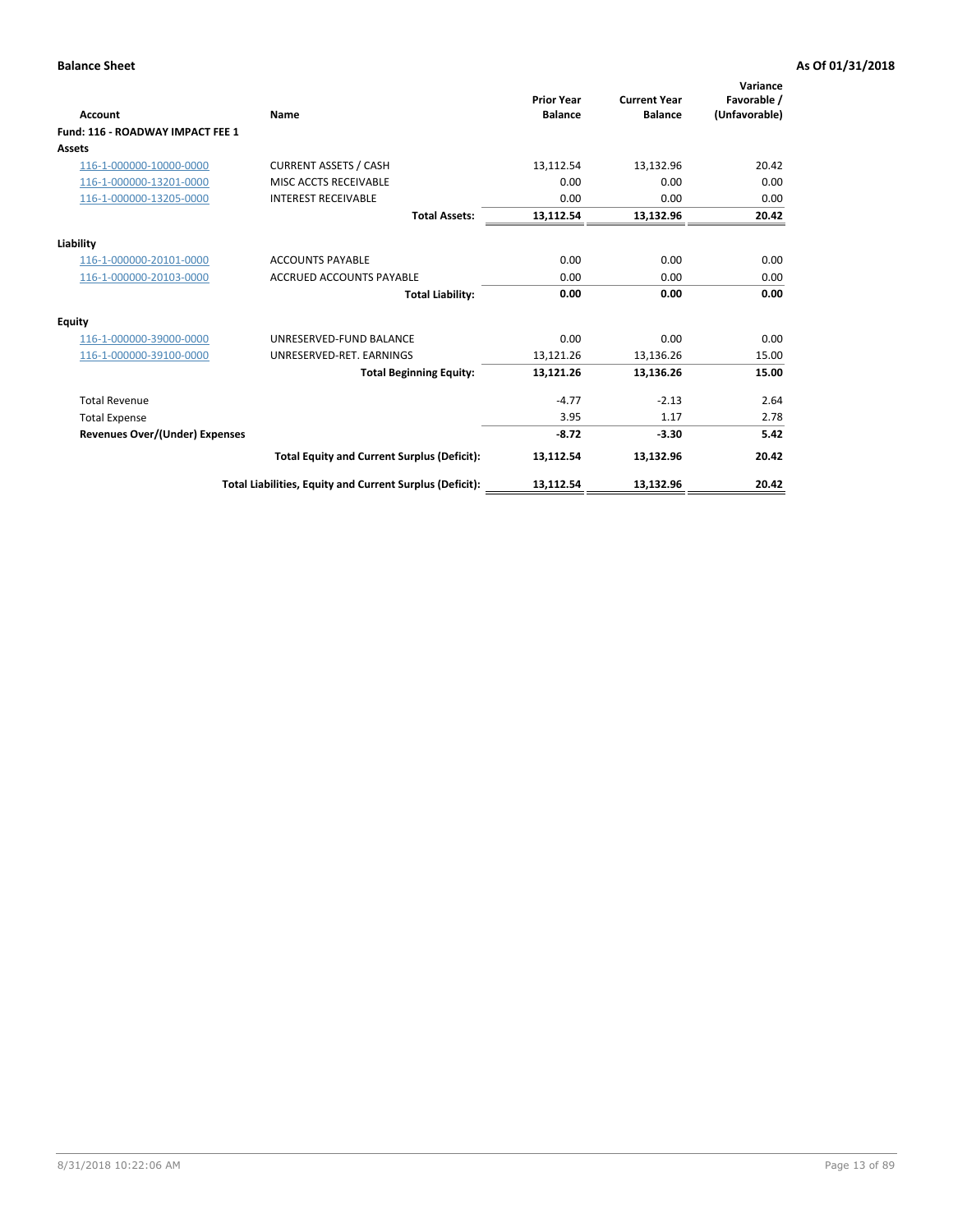| <b>Account</b>                        | Name                                                     | <b>Prior Year</b><br><b>Balance</b> | <b>Current Year</b><br><b>Balance</b> | Variance<br>Favorable /<br>(Unfavorable) |
|---------------------------------------|----------------------------------------------------------|-------------------------------------|---------------------------------------|------------------------------------------|
| Fund: 116 - ROADWAY IMPACT FEE 1      |                                                          |                                     |                                       |                                          |
| Assets                                |                                                          |                                     |                                       |                                          |
| 116-1-000000-10000-0000               | <b>CURRENT ASSETS / CASH</b>                             | 13,112.54                           | 13,132.96                             | 20.42                                    |
| 116-1-000000-13201-0000               | MISC ACCTS RECEIVABLE                                    | 0.00                                | 0.00                                  | 0.00                                     |
| 116-1-000000-13205-0000               | <b>INTEREST RECEIVABLE</b>                               | 0.00                                | 0.00                                  | 0.00                                     |
|                                       | <b>Total Assets:</b>                                     | 13,112.54                           | 13,132.96                             | 20.42                                    |
| Liability                             |                                                          |                                     |                                       |                                          |
| 116-1-000000-20101-0000               | <b>ACCOUNTS PAYABLE</b>                                  | 0.00                                | 0.00                                  | 0.00                                     |
| 116-1-000000-20103-0000               | <b>ACCRUED ACCOUNTS PAYABLE</b>                          | 0.00                                | 0.00                                  | 0.00                                     |
|                                       | <b>Total Liability:</b>                                  | 0.00                                | 0.00                                  | 0.00                                     |
| Equity                                |                                                          |                                     |                                       |                                          |
| 116-1-000000-39000-0000               | UNRESERVED-FUND BALANCE                                  | 0.00                                | 0.00                                  | 0.00                                     |
| 116-1-000000-39100-0000               | UNRESERVED-RET. EARNINGS                                 | 13,121.26                           | 13,136.26                             | 15.00                                    |
|                                       | <b>Total Beginning Equity:</b>                           | 13,121.26                           | 13.136.26                             | 15.00                                    |
| <b>Total Revenue</b>                  |                                                          | $-4.77$                             | $-2.13$                               | 2.64                                     |
| <b>Total Expense</b>                  |                                                          | 3.95                                | 1.17                                  | 2.78                                     |
| <b>Revenues Over/(Under) Expenses</b> |                                                          | $-8.72$                             | $-3.30$                               | 5.42                                     |
|                                       | <b>Total Equity and Current Surplus (Deficit):</b>       | 13,112.54                           | 13,132.96                             | 20.42                                    |
|                                       | Total Liabilities, Equity and Current Surplus (Deficit): | 13,112.54                           | 13,132.96                             | 20.42                                    |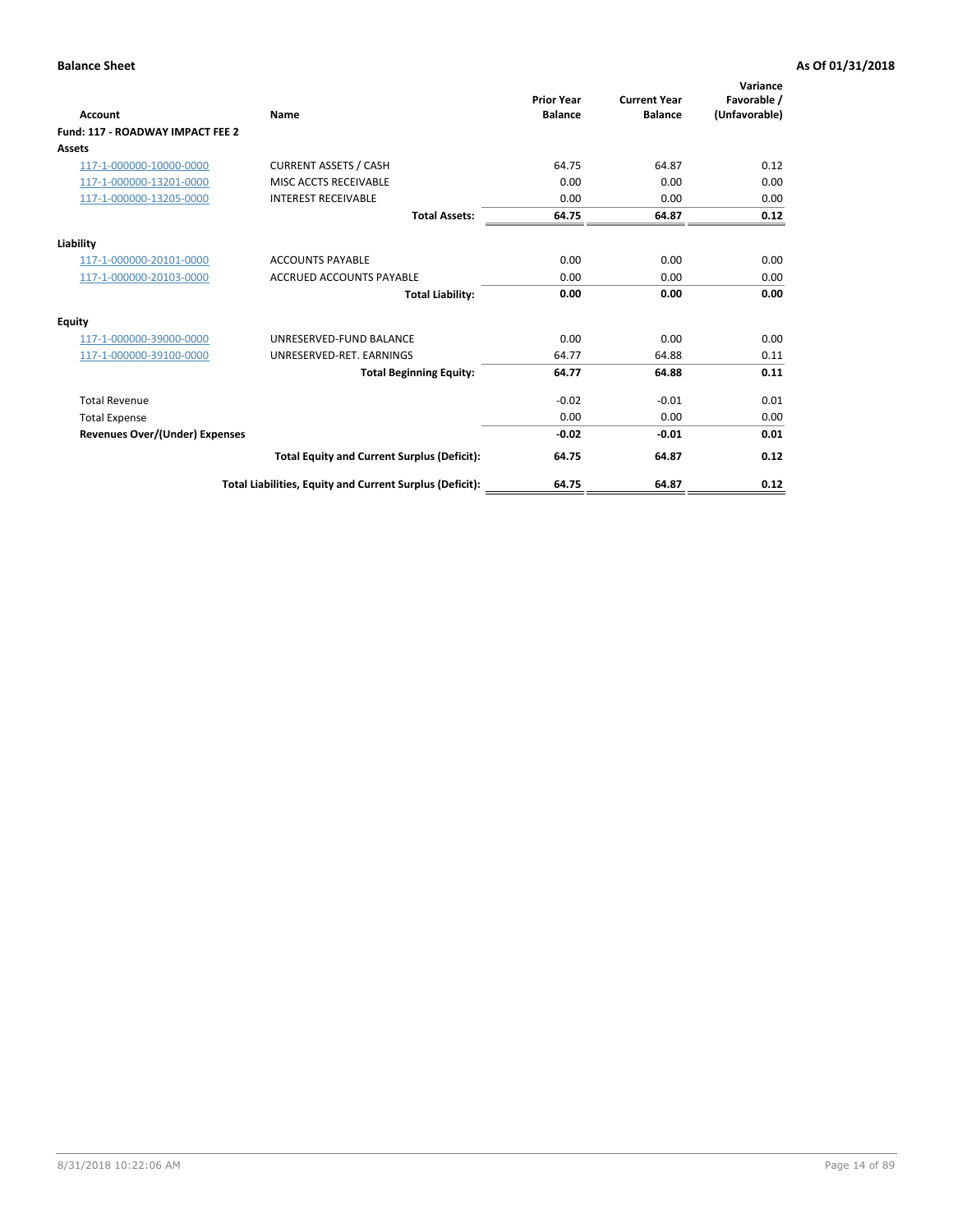| Account                               | Name                                                     | <b>Prior Year</b><br><b>Balance</b> | <b>Current Year</b><br><b>Balance</b> | Variance<br>Favorable /<br>(Unfavorable) |
|---------------------------------------|----------------------------------------------------------|-------------------------------------|---------------------------------------|------------------------------------------|
| Fund: 117 - ROADWAY IMPACT FEE 2      |                                                          |                                     |                                       |                                          |
| Assets                                |                                                          |                                     |                                       |                                          |
| 117-1-000000-10000-0000               | <b>CURRENT ASSETS / CASH</b>                             | 64.75                               | 64.87                                 | 0.12                                     |
| 117-1-000000-13201-0000               | MISC ACCTS RECEIVABLE                                    | 0.00                                | 0.00                                  | 0.00                                     |
| 117-1-000000-13205-0000               | <b>INTEREST RECEIVABLE</b>                               | 0.00                                | 0.00                                  | 0.00                                     |
|                                       | <b>Total Assets:</b>                                     | 64.75                               | 64.87                                 | 0.12                                     |
| Liability                             |                                                          |                                     |                                       |                                          |
| 117-1-000000-20101-0000               | <b>ACCOUNTS PAYABLE</b>                                  | 0.00                                | 0.00                                  | 0.00                                     |
| 117-1-000000-20103-0000               | <b>ACCRUED ACCOUNTS PAYABLE</b>                          | 0.00                                | 0.00                                  | 0.00                                     |
|                                       | <b>Total Liability:</b>                                  | 0.00                                | 0.00                                  | 0.00                                     |
| Equity                                |                                                          |                                     |                                       |                                          |
| 117-1-000000-39000-0000               | UNRESERVED-FUND BALANCE                                  | 0.00                                | 0.00                                  | 0.00                                     |
| 117-1-000000-39100-0000               | UNRESERVED-RET. EARNINGS                                 | 64.77                               | 64.88                                 | 0.11                                     |
|                                       | <b>Total Beginning Equity:</b>                           | 64.77                               | 64.88                                 | 0.11                                     |
| <b>Total Revenue</b>                  |                                                          | $-0.02$                             | $-0.01$                               | 0.01                                     |
| <b>Total Expense</b>                  |                                                          | 0.00                                | 0.00                                  | 0.00                                     |
| <b>Revenues Over/(Under) Expenses</b> |                                                          | $-0.02$                             | $-0.01$                               | 0.01                                     |
|                                       | <b>Total Equity and Current Surplus (Deficit):</b>       | 64.75                               | 64.87                                 | 0.12                                     |
|                                       | Total Liabilities, Equity and Current Surplus (Deficit): | 64.75                               | 64.87                                 | 0.12                                     |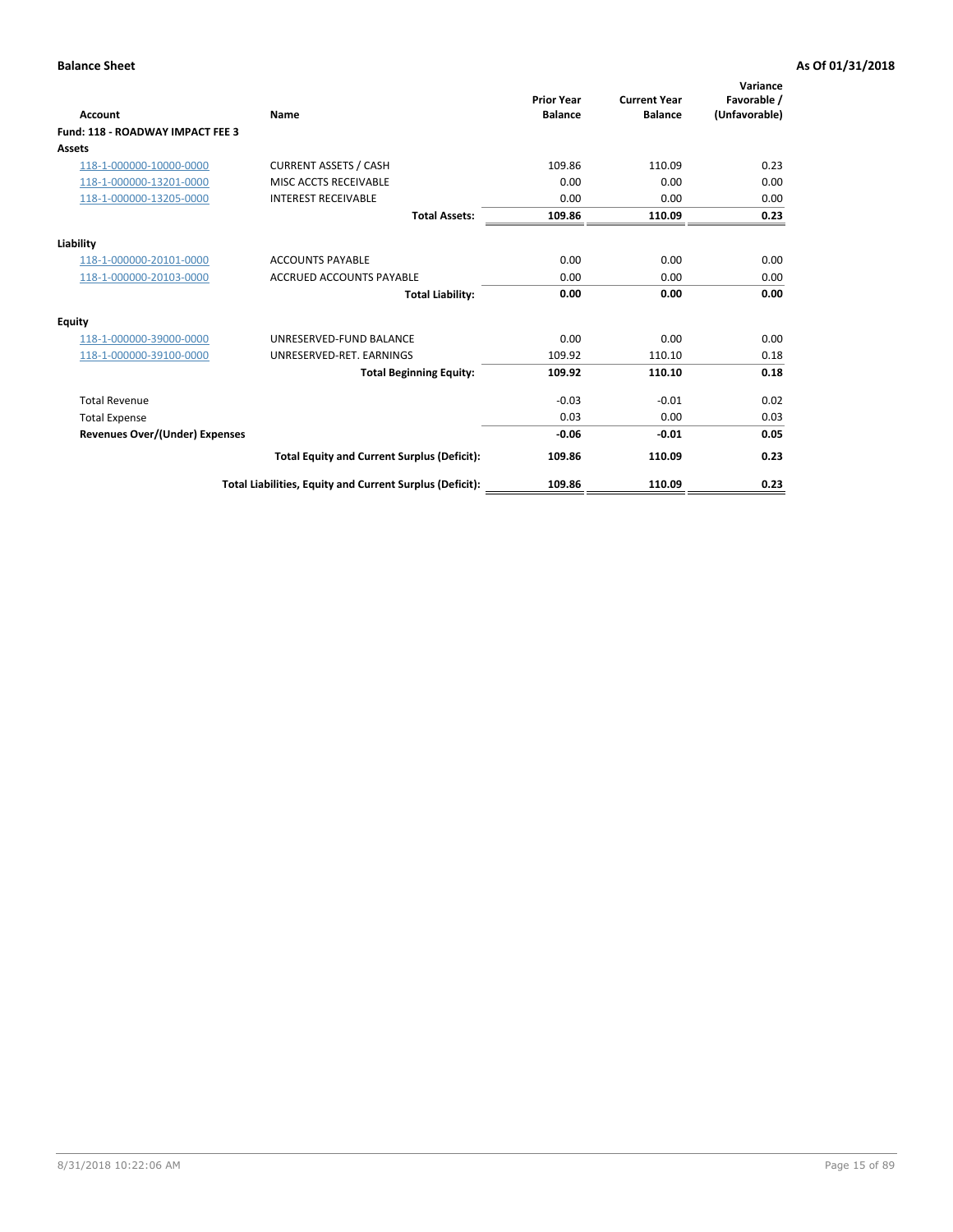| <b>Account</b>                          | Name                                                     | <b>Prior Year</b><br><b>Balance</b> | <b>Current Year</b><br><b>Balance</b> | Variance<br>Favorable /<br>(Unfavorable) |
|-----------------------------------------|----------------------------------------------------------|-------------------------------------|---------------------------------------|------------------------------------------|
| <b>Fund: 118 - ROADWAY IMPACT FEE 3</b> |                                                          |                                     |                                       |                                          |
| Assets                                  |                                                          |                                     |                                       |                                          |
| 118-1-000000-10000-0000                 | <b>CURRENT ASSETS / CASH</b>                             | 109.86                              | 110.09                                | 0.23                                     |
| 118-1-000000-13201-0000                 | MISC ACCTS RECEIVABLE                                    | 0.00                                | 0.00                                  | 0.00                                     |
| 118-1-000000-13205-0000                 | <b>INTEREST RECEIVABLE</b>                               | 0.00                                | 0.00                                  | 0.00                                     |
|                                         | <b>Total Assets:</b>                                     | 109.86                              | 110.09                                | 0.23                                     |
| Liability                               |                                                          |                                     |                                       |                                          |
| 118-1-000000-20101-0000                 | <b>ACCOUNTS PAYABLE</b>                                  | 0.00                                | 0.00                                  | 0.00                                     |
| 118-1-000000-20103-0000                 | <b>ACCRUED ACCOUNTS PAYABLE</b>                          | 0.00                                | 0.00                                  | 0.00                                     |
|                                         | <b>Total Liability:</b>                                  | 0.00                                | 0.00                                  | 0.00                                     |
| <b>Equity</b>                           |                                                          |                                     |                                       |                                          |
| 118-1-000000-39000-0000                 | UNRESERVED-FUND BALANCE                                  | 0.00                                | 0.00                                  | 0.00                                     |
| 118-1-000000-39100-0000                 | UNRESERVED-RET, EARNINGS                                 | 109.92                              | 110.10                                | 0.18                                     |
|                                         | <b>Total Beginning Equity:</b>                           | 109.92                              | 110.10                                | 0.18                                     |
| <b>Total Revenue</b>                    |                                                          | $-0.03$                             | $-0.01$                               | 0.02                                     |
| <b>Total Expense</b>                    |                                                          | 0.03                                | 0.00                                  | 0.03                                     |
| <b>Revenues Over/(Under) Expenses</b>   |                                                          | $-0.06$                             | $-0.01$                               | 0.05                                     |
|                                         | <b>Total Equity and Current Surplus (Deficit):</b>       | 109.86                              | 110.09                                | 0.23                                     |
|                                         | Total Liabilities, Equity and Current Surplus (Deficit): | 109.86                              | 110.09                                | 0.23                                     |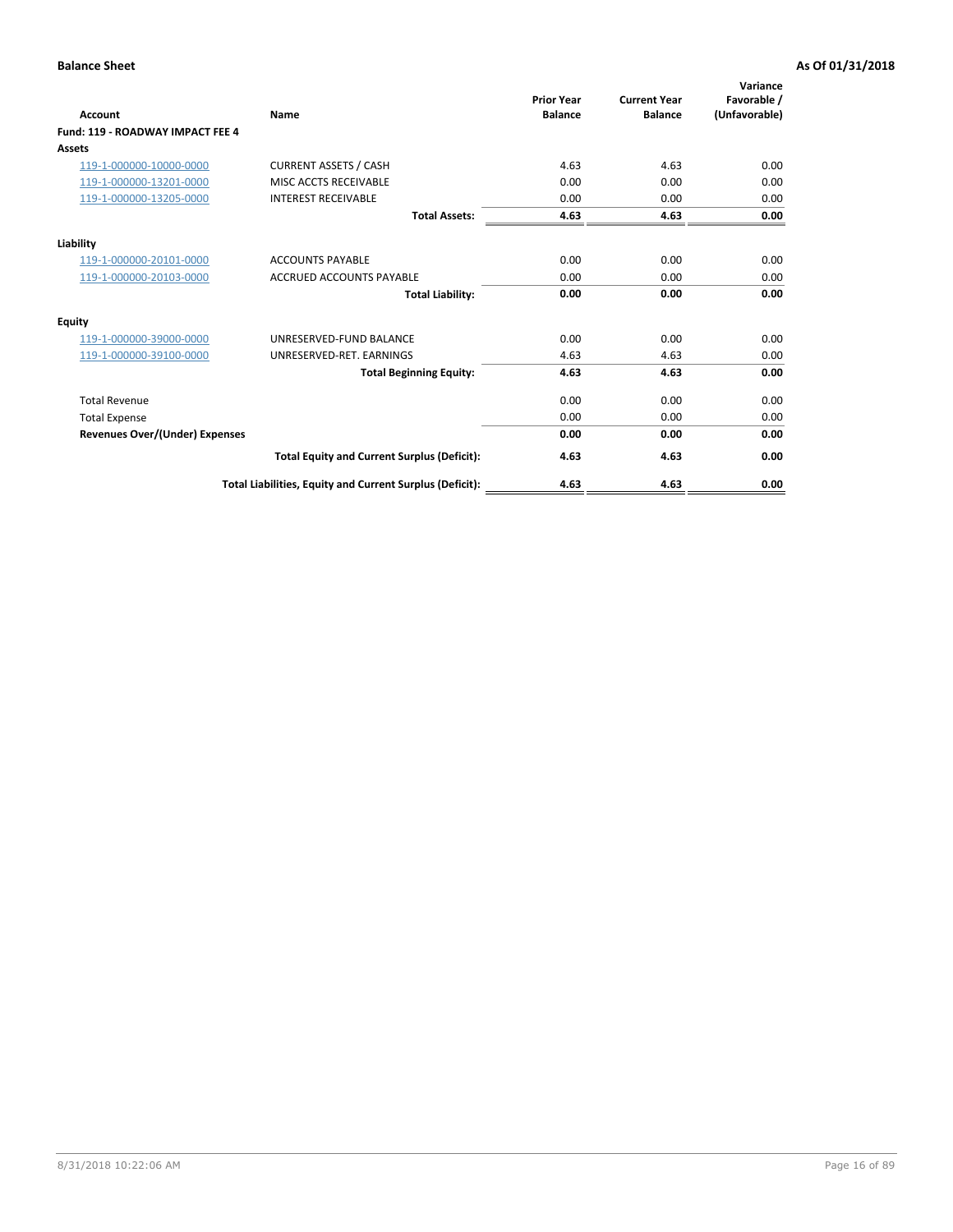| <b>Account</b>                        | Name                                                     | <b>Prior Year</b><br><b>Balance</b> | <b>Current Year</b><br><b>Balance</b> | Variance<br>Favorable /<br>(Unfavorable) |
|---------------------------------------|----------------------------------------------------------|-------------------------------------|---------------------------------------|------------------------------------------|
| Fund: 119 - ROADWAY IMPACT FEE 4      |                                                          |                                     |                                       |                                          |
| Assets                                |                                                          |                                     |                                       |                                          |
| 119-1-000000-10000-0000               | <b>CURRENT ASSETS / CASH</b>                             | 4.63                                | 4.63                                  | 0.00                                     |
| 119-1-000000-13201-0000               | MISC ACCTS RECEIVABLE                                    | 0.00                                | 0.00                                  | 0.00                                     |
| 119-1-000000-13205-0000               | <b>INTEREST RECEIVABLE</b>                               | 0.00                                | 0.00                                  | 0.00                                     |
|                                       | <b>Total Assets:</b>                                     | 4.63                                | 4.63                                  | 0.00                                     |
| Liability                             |                                                          |                                     |                                       |                                          |
| 119-1-000000-20101-0000               | <b>ACCOUNTS PAYABLE</b>                                  | 0.00                                | 0.00                                  | 0.00                                     |
| 119-1-000000-20103-0000               | <b>ACCRUED ACCOUNTS PAYABLE</b>                          | 0.00                                | 0.00                                  | 0.00                                     |
|                                       | <b>Total Liability:</b>                                  | 0.00                                | 0.00                                  | 0.00                                     |
| Equity                                |                                                          |                                     |                                       |                                          |
| 119-1-000000-39000-0000               | UNRESERVED-FUND BALANCE                                  | 0.00                                | 0.00                                  | 0.00                                     |
| 119-1-000000-39100-0000               | UNRESERVED-RET, EARNINGS                                 | 4.63                                | 4.63                                  | 0.00                                     |
|                                       | <b>Total Beginning Equity:</b>                           | 4.63                                | 4.63                                  | 0.00                                     |
| <b>Total Revenue</b>                  |                                                          | 0.00                                | 0.00                                  | 0.00                                     |
| <b>Total Expense</b>                  |                                                          | 0.00                                | 0.00                                  | 0.00                                     |
| <b>Revenues Over/(Under) Expenses</b> |                                                          | 0.00                                | 0.00                                  | 0.00                                     |
|                                       | <b>Total Equity and Current Surplus (Deficit):</b>       | 4.63                                | 4.63                                  | 0.00                                     |
|                                       | Total Liabilities, Equity and Current Surplus (Deficit): | 4.63                                | 4.63                                  | 0.00                                     |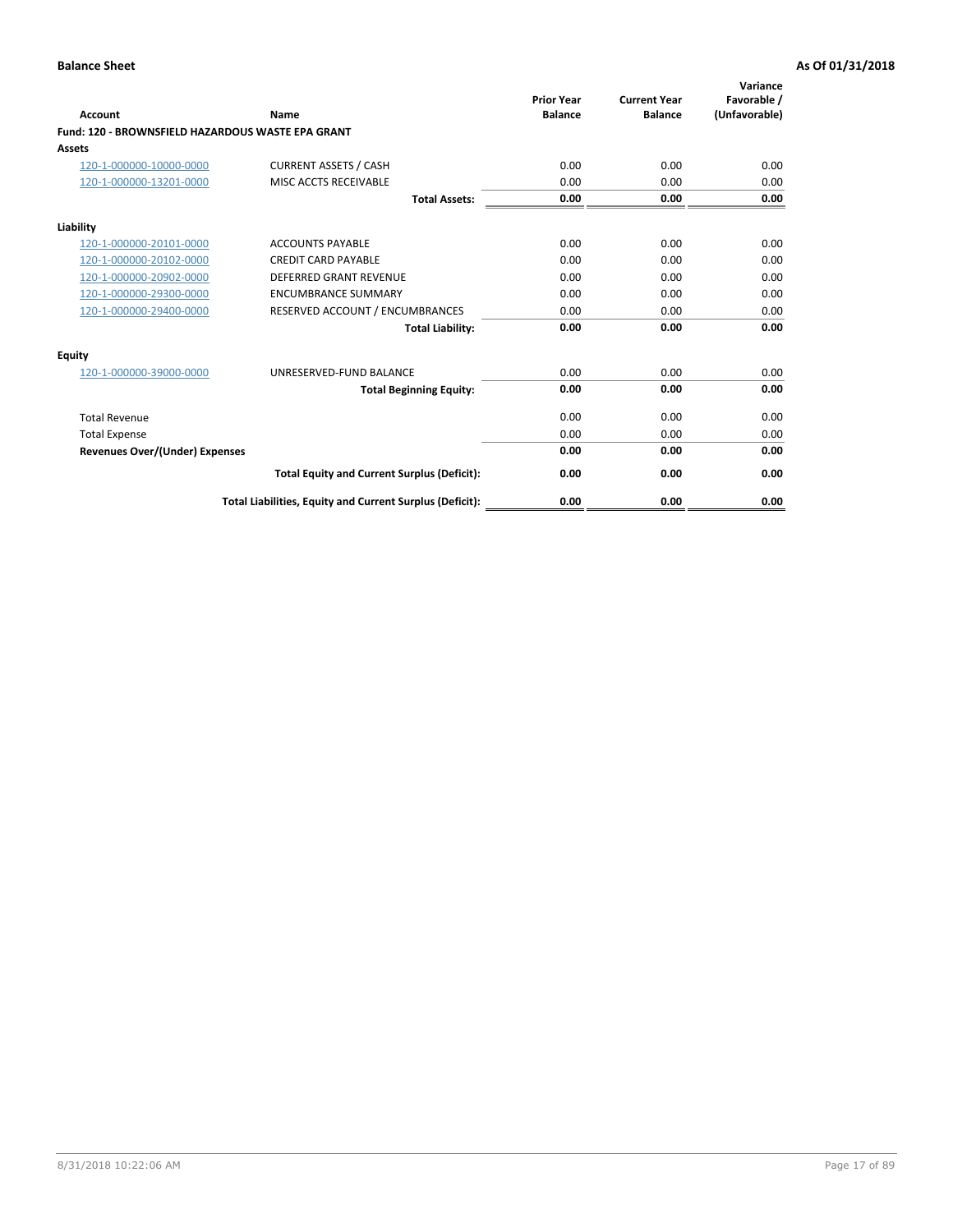|                                                   |                                                          | <b>Prior Year</b> | <b>Current Year</b> | Variance<br>Favorable / |
|---------------------------------------------------|----------------------------------------------------------|-------------------|---------------------|-------------------------|
| <b>Account</b>                                    | <b>Name</b>                                              | <b>Balance</b>    | <b>Balance</b>      | (Unfavorable)           |
| Fund: 120 - BROWNSFIELD HAZARDOUS WASTE EPA GRANT |                                                          |                   |                     |                         |
| <b>Assets</b>                                     |                                                          |                   |                     |                         |
| 120-1-000000-10000-0000                           | <b>CURRENT ASSETS / CASH</b>                             | 0.00              | 0.00                | 0.00                    |
| 120-1-000000-13201-0000                           | MISC ACCTS RECEIVABLE                                    | 0.00              | 0.00                | 0.00                    |
|                                                   | <b>Total Assets:</b>                                     | 0.00              | 0.00                | 0.00                    |
| Liability                                         |                                                          |                   |                     |                         |
| 120-1-000000-20101-0000                           | <b>ACCOUNTS PAYABLE</b>                                  | 0.00              | 0.00                | 0.00                    |
| 120-1-000000-20102-0000                           | <b>CREDIT CARD PAYABLE</b>                               | 0.00              | 0.00                | 0.00                    |
| 120-1-000000-20902-0000                           | <b>DEFERRED GRANT REVENUE</b>                            | 0.00              | 0.00                | 0.00                    |
| 120-1-000000-29300-0000                           | <b>ENCUMBRANCE SUMMARY</b>                               | 0.00              | 0.00                | 0.00                    |
| 120-1-000000-29400-0000                           | RESERVED ACCOUNT / ENCUMBRANCES                          | 0.00              | 0.00                | 0.00                    |
|                                                   | <b>Total Liability:</b>                                  | 0.00              | 0.00                | 0.00                    |
| Equity                                            |                                                          |                   |                     |                         |
| 120-1-000000-39000-0000                           | UNRESERVED-FUND BALANCE                                  | 0.00              | 0.00                | 0.00                    |
|                                                   | <b>Total Beginning Equity:</b>                           | 0.00              | 0.00                | 0.00                    |
| <b>Total Revenue</b>                              |                                                          | 0.00              | 0.00                | 0.00                    |
| <b>Total Expense</b>                              |                                                          | 0.00              | 0.00                | 0.00                    |
| <b>Revenues Over/(Under) Expenses</b>             |                                                          | 0.00              | 0.00                | 0.00                    |
|                                                   | <b>Total Equity and Current Surplus (Deficit):</b>       | 0.00              | 0.00                | 0.00                    |
|                                                   | Total Liabilities, Equity and Current Surplus (Deficit): | 0.00              | 0.00                | 0.00                    |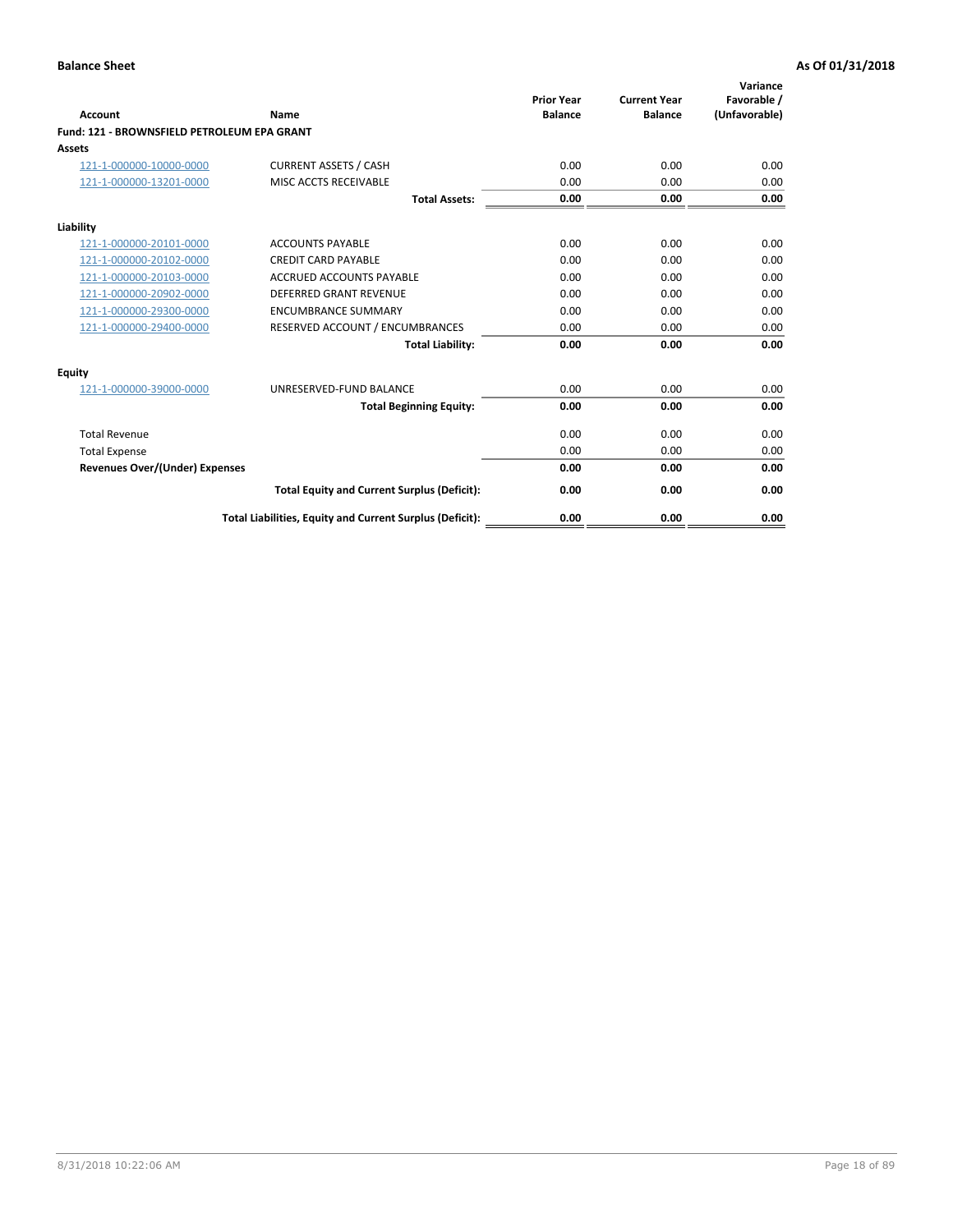| Account                                     | Name                                                     | <b>Prior Year</b><br><b>Balance</b> | <b>Current Year</b><br><b>Balance</b> | Variance<br>Favorable /<br>(Unfavorable) |
|---------------------------------------------|----------------------------------------------------------|-------------------------------------|---------------------------------------|------------------------------------------|
| Fund: 121 - BROWNSFIELD PETROLEUM EPA GRANT |                                                          |                                     |                                       |                                          |
| <b>Assets</b>                               |                                                          |                                     |                                       |                                          |
| 121-1-000000-10000-0000                     | <b>CURRENT ASSETS / CASH</b>                             | 0.00                                | 0.00                                  | 0.00                                     |
| 121-1-000000-13201-0000                     | <b>MISC ACCTS RECEIVABLE</b>                             | 0.00                                | 0.00                                  | 0.00                                     |
|                                             | <b>Total Assets:</b>                                     | 0.00                                | 0.00                                  | 0.00                                     |
| Liability                                   |                                                          |                                     |                                       |                                          |
| 121-1-000000-20101-0000                     | <b>ACCOUNTS PAYABLE</b>                                  | 0.00                                | 0.00                                  | 0.00                                     |
| 121-1-000000-20102-0000                     | <b>CREDIT CARD PAYABLE</b>                               | 0.00                                | 0.00                                  | 0.00                                     |
| 121-1-000000-20103-0000                     | <b>ACCRUED ACCOUNTS PAYABLE</b>                          | 0.00                                | 0.00                                  | 0.00                                     |
| 121-1-000000-20902-0000                     | <b>DEFERRED GRANT REVENUE</b>                            | 0.00                                | 0.00                                  | 0.00                                     |
| 121-1-000000-29300-0000                     | <b>ENCUMBRANCE SUMMARY</b>                               | 0.00                                | 0.00                                  | 0.00                                     |
| 121-1-000000-29400-0000                     | RESERVED ACCOUNT / ENCUMBRANCES                          | 0.00                                | 0.00                                  | 0.00                                     |
|                                             | <b>Total Liability:</b>                                  | 0.00                                | 0.00                                  | 0.00                                     |
| <b>Equity</b>                               |                                                          |                                     |                                       |                                          |
| 121-1-000000-39000-0000                     | UNRESERVED-FUND BALANCE                                  | 0.00                                | 0.00                                  | 0.00                                     |
|                                             | <b>Total Beginning Equity:</b>                           | 0.00                                | 0.00                                  | 0.00                                     |
| <b>Total Revenue</b>                        |                                                          | 0.00                                | 0.00                                  | 0.00                                     |
| <b>Total Expense</b>                        |                                                          | 0.00                                | 0.00                                  | 0.00                                     |
| <b>Revenues Over/(Under) Expenses</b>       |                                                          | 0.00                                | 0.00                                  | 0.00                                     |
|                                             | <b>Total Equity and Current Surplus (Deficit):</b>       | 0.00                                | 0.00                                  | 0.00                                     |
|                                             | Total Liabilities, Equity and Current Surplus (Deficit): | 0.00                                | 0.00                                  | 0.00                                     |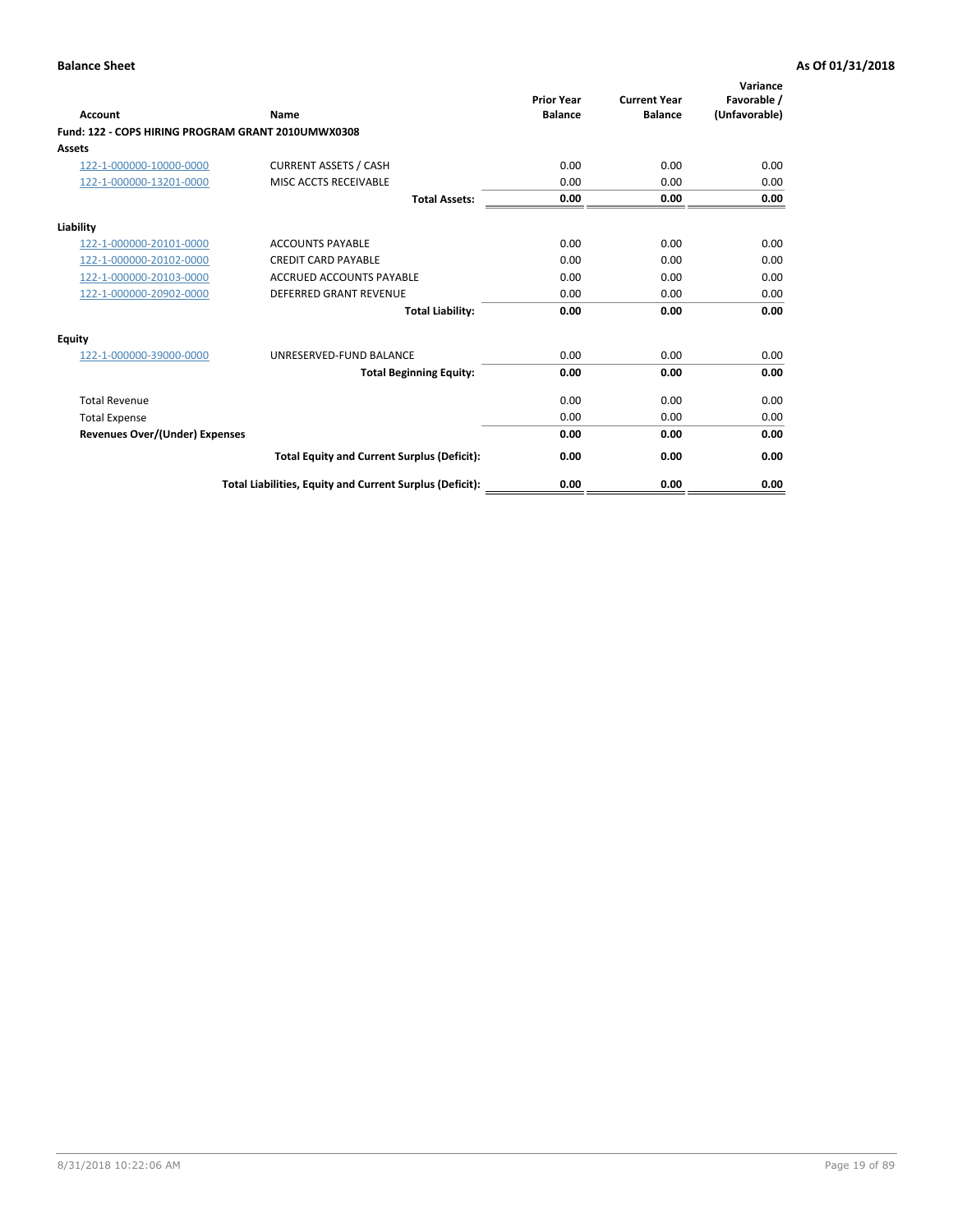| <b>Account</b>                                     | Name                                                     | <b>Prior Year</b><br><b>Balance</b> | <b>Current Year</b><br><b>Balance</b> | Variance<br>Favorable /<br>(Unfavorable) |
|----------------------------------------------------|----------------------------------------------------------|-------------------------------------|---------------------------------------|------------------------------------------|
| Fund: 122 - COPS HIRING PROGRAM GRANT 2010UMWX0308 |                                                          |                                     |                                       |                                          |
| Assets                                             |                                                          |                                     |                                       |                                          |
| 122-1-000000-10000-0000                            | <b>CURRENT ASSETS / CASH</b>                             | 0.00                                | 0.00                                  | 0.00                                     |
| 122-1-000000-13201-0000                            | MISC ACCTS RECEIVABLE                                    | 0.00                                | 0.00                                  | 0.00                                     |
|                                                    | <b>Total Assets:</b>                                     | 0.00                                | 0.00                                  | 0.00                                     |
| Liability                                          |                                                          |                                     |                                       |                                          |
| 122-1-000000-20101-0000                            | <b>ACCOUNTS PAYABLE</b>                                  | 0.00                                | 0.00                                  | 0.00                                     |
| 122-1-000000-20102-0000                            | <b>CREDIT CARD PAYABLE</b>                               | 0.00                                | 0.00                                  | 0.00                                     |
| 122-1-000000-20103-0000                            | <b>ACCRUED ACCOUNTS PAYABLE</b>                          | 0.00                                | 0.00                                  | 0.00                                     |
| 122-1-000000-20902-0000                            | <b>DEFERRED GRANT REVENUE</b>                            | 0.00                                | 0.00                                  | 0.00                                     |
|                                                    | <b>Total Liability:</b>                                  | 0.00                                | 0.00                                  | 0.00                                     |
| Equity                                             |                                                          |                                     |                                       |                                          |
| 122-1-000000-39000-0000                            | UNRESERVED-FUND BALANCE                                  | 0.00                                | 0.00                                  | 0.00                                     |
|                                                    | <b>Total Beginning Equity:</b>                           | 0.00                                | 0.00                                  | 0.00                                     |
| <b>Total Revenue</b>                               |                                                          | 0.00                                | 0.00                                  | 0.00                                     |
| <b>Total Expense</b>                               |                                                          | 0.00                                | 0.00                                  | 0.00                                     |
| <b>Revenues Over/(Under) Expenses</b>              |                                                          | 0.00                                | 0.00                                  | 0.00                                     |
|                                                    | <b>Total Equity and Current Surplus (Deficit):</b>       | 0.00                                | 0.00                                  | 0.00                                     |
|                                                    | Total Liabilities, Equity and Current Surplus (Deficit): | 0.00                                | 0.00                                  | 0.00                                     |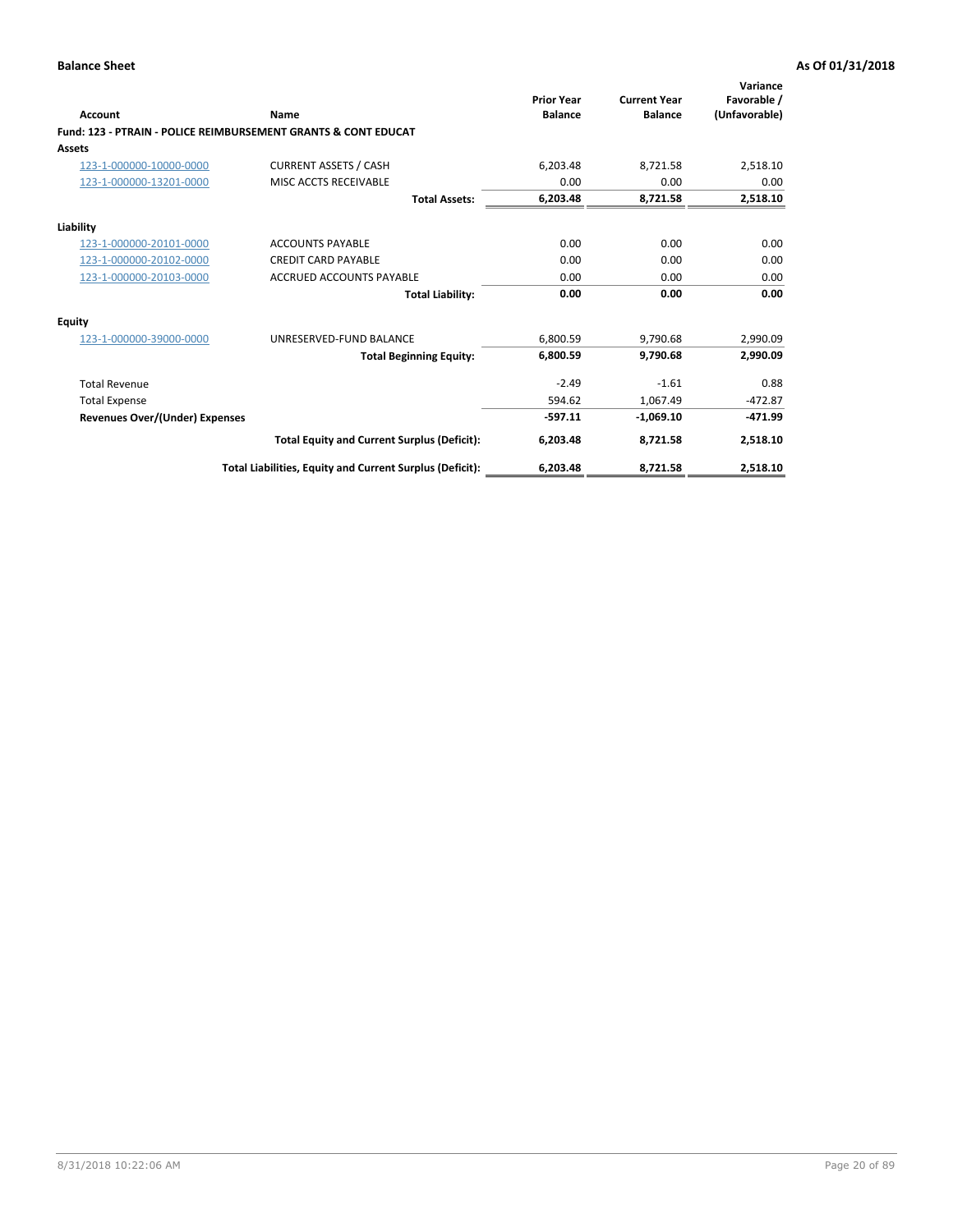| Account                        | Name                                                           | <b>Prior Year</b><br><b>Balance</b> | <b>Current Year</b><br><b>Balance</b> | Variance<br>Favorable /<br>(Unfavorable) |
|--------------------------------|----------------------------------------------------------------|-------------------------------------|---------------------------------------|------------------------------------------|
|                                | Fund: 123 - PTRAIN - POLICE REIMBURSEMENT GRANTS & CONT EDUCAT |                                     |                                       |                                          |
| Assets                         |                                                                |                                     |                                       |                                          |
| 123-1-000000-10000-0000        | <b>CURRENT ASSETS / CASH</b>                                   | 6,203.48                            | 8,721.58                              | 2,518.10                                 |
| 123-1-000000-13201-0000        | MISC ACCTS RECEIVABLE                                          | 0.00                                | 0.00                                  | 0.00                                     |
|                                | <b>Total Assets:</b>                                           | 6,203.48                            | 8,721.58                              | 2,518.10                                 |
| Liability                      |                                                                |                                     |                                       |                                          |
| 123-1-000000-20101-0000        | <b>ACCOUNTS PAYABLE</b>                                        | 0.00                                | 0.00                                  | 0.00                                     |
| 123-1-000000-20102-0000        | <b>CREDIT CARD PAYABLE</b>                                     | 0.00                                | 0.00                                  | 0.00                                     |
| 123-1-000000-20103-0000        | <b>ACCRUED ACCOUNTS PAYABLE</b>                                | 0.00                                | 0.00                                  | 0.00                                     |
|                                | <b>Total Liability:</b>                                        | 0.00                                | 0.00                                  | 0.00                                     |
| Equity                         |                                                                |                                     |                                       |                                          |
| 123-1-000000-39000-0000        | UNRESERVED-FUND BALANCE                                        | 6,800.59                            | 9,790.68                              | 2,990.09                                 |
|                                | <b>Total Beginning Equity:</b>                                 | 6,800.59                            | 9,790.68                              | 2,990.09                                 |
| <b>Total Revenue</b>           |                                                                | $-2.49$                             | $-1.61$                               | 0.88                                     |
| <b>Total Expense</b>           |                                                                | 594.62                              | 1,067.49                              | $-472.87$                                |
| Revenues Over/(Under) Expenses |                                                                | $-597.11$                           | $-1,069.10$                           | $-471.99$                                |
|                                | <b>Total Equity and Current Surplus (Deficit):</b>             | 6,203.48                            | 8,721.58                              | 2,518.10                                 |
|                                | Total Liabilities, Equity and Current Surplus (Deficit):       | 6,203.48                            | 8,721.58                              | 2,518.10                                 |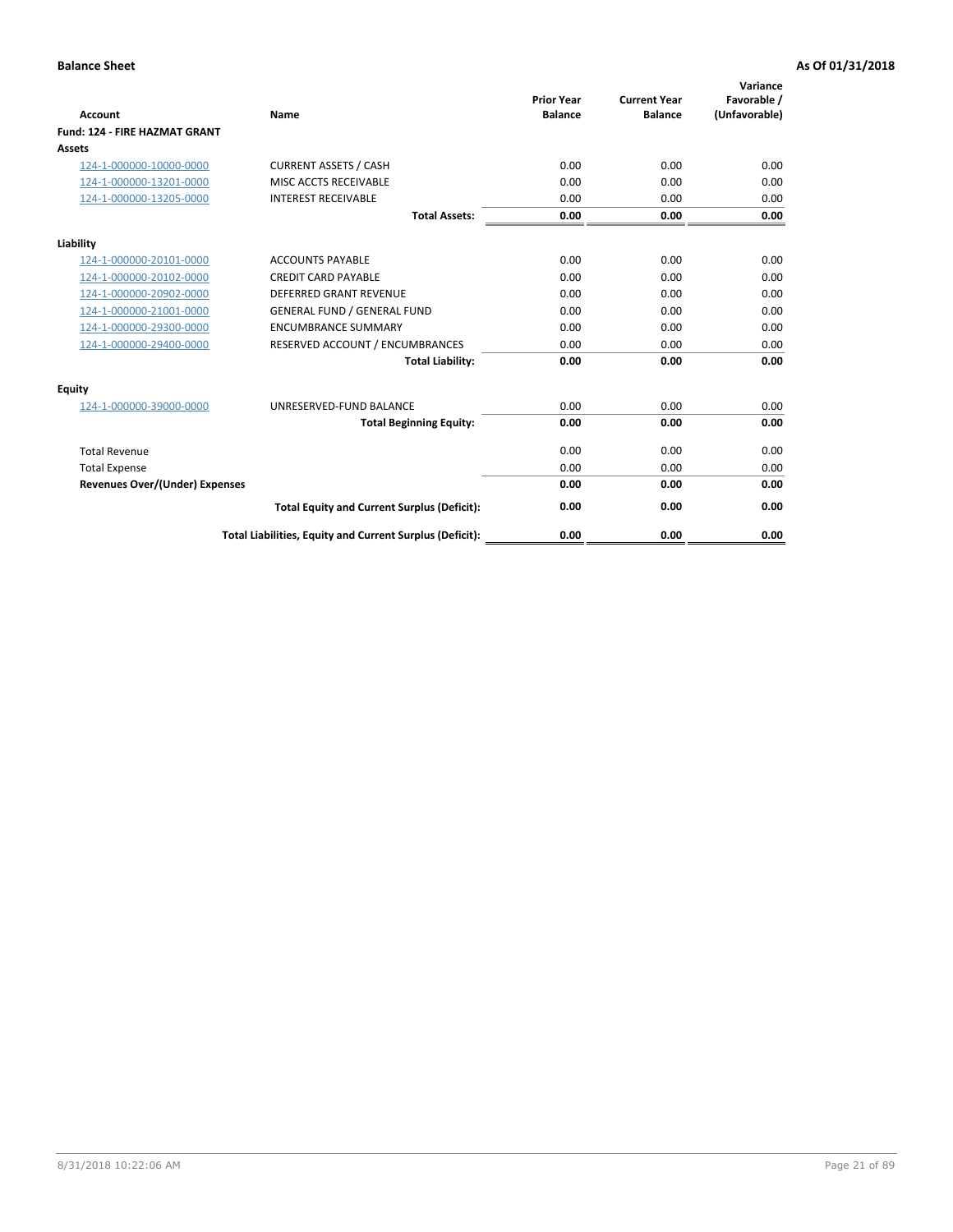| Account                               | Name                                                     | <b>Prior Year</b><br><b>Balance</b> | <b>Current Year</b><br><b>Balance</b> | Variance<br>Favorable /<br>(Unfavorable) |
|---------------------------------------|----------------------------------------------------------|-------------------------------------|---------------------------------------|------------------------------------------|
| <b>Fund: 124 - FIRE HAZMAT GRANT</b>  |                                                          |                                     |                                       |                                          |
| Assets                                |                                                          |                                     |                                       |                                          |
| 124-1-000000-10000-0000               | <b>CURRENT ASSETS / CASH</b>                             | 0.00                                | 0.00                                  | 0.00                                     |
| 124-1-000000-13201-0000               | MISC ACCTS RECEIVABLE                                    | 0.00                                | 0.00                                  | 0.00                                     |
| 124-1-000000-13205-0000               | <b>INTEREST RECEIVABLE</b>                               | 0.00                                | 0.00                                  | 0.00                                     |
|                                       | <b>Total Assets:</b>                                     | 0.00                                | 0.00                                  | 0.00                                     |
| Liability                             |                                                          |                                     |                                       |                                          |
| 124-1-000000-20101-0000               | <b>ACCOUNTS PAYABLE</b>                                  | 0.00                                | 0.00                                  | 0.00                                     |
| 124-1-000000-20102-0000               | <b>CREDIT CARD PAYABLE</b>                               | 0.00                                | 0.00                                  | 0.00                                     |
| 124-1-000000-20902-0000               | <b>DEFERRED GRANT REVENUE</b>                            | 0.00                                | 0.00                                  | 0.00                                     |
| 124-1-000000-21001-0000               | <b>GENERAL FUND / GENERAL FUND</b>                       | 0.00                                | 0.00                                  | 0.00                                     |
| 124-1-000000-29300-0000               | <b>ENCUMBRANCE SUMMARY</b>                               | 0.00                                | 0.00                                  | 0.00                                     |
| 124-1-000000-29400-0000               | RESERVED ACCOUNT / ENCUMBRANCES                          | 0.00                                | 0.00                                  | 0.00                                     |
|                                       | <b>Total Liability:</b>                                  | 0.00                                | 0.00                                  | 0.00                                     |
| <b>Equity</b>                         |                                                          |                                     |                                       |                                          |
| 124-1-000000-39000-0000               | UNRESERVED-FUND BALANCE                                  | 0.00                                | 0.00                                  | 0.00                                     |
|                                       | <b>Total Beginning Equity:</b>                           | 0.00                                | 0.00                                  | 0.00                                     |
| <b>Total Revenue</b>                  |                                                          | 0.00                                | 0.00                                  | 0.00                                     |
| <b>Total Expense</b>                  |                                                          | 0.00                                | 0.00                                  | 0.00                                     |
| <b>Revenues Over/(Under) Expenses</b> |                                                          | 0.00                                | 0.00                                  | 0.00                                     |
|                                       | <b>Total Equity and Current Surplus (Deficit):</b>       | 0.00                                | 0.00                                  | 0.00                                     |
|                                       | Total Liabilities, Equity and Current Surplus (Deficit): | 0.00                                | 0.00                                  | 0.00                                     |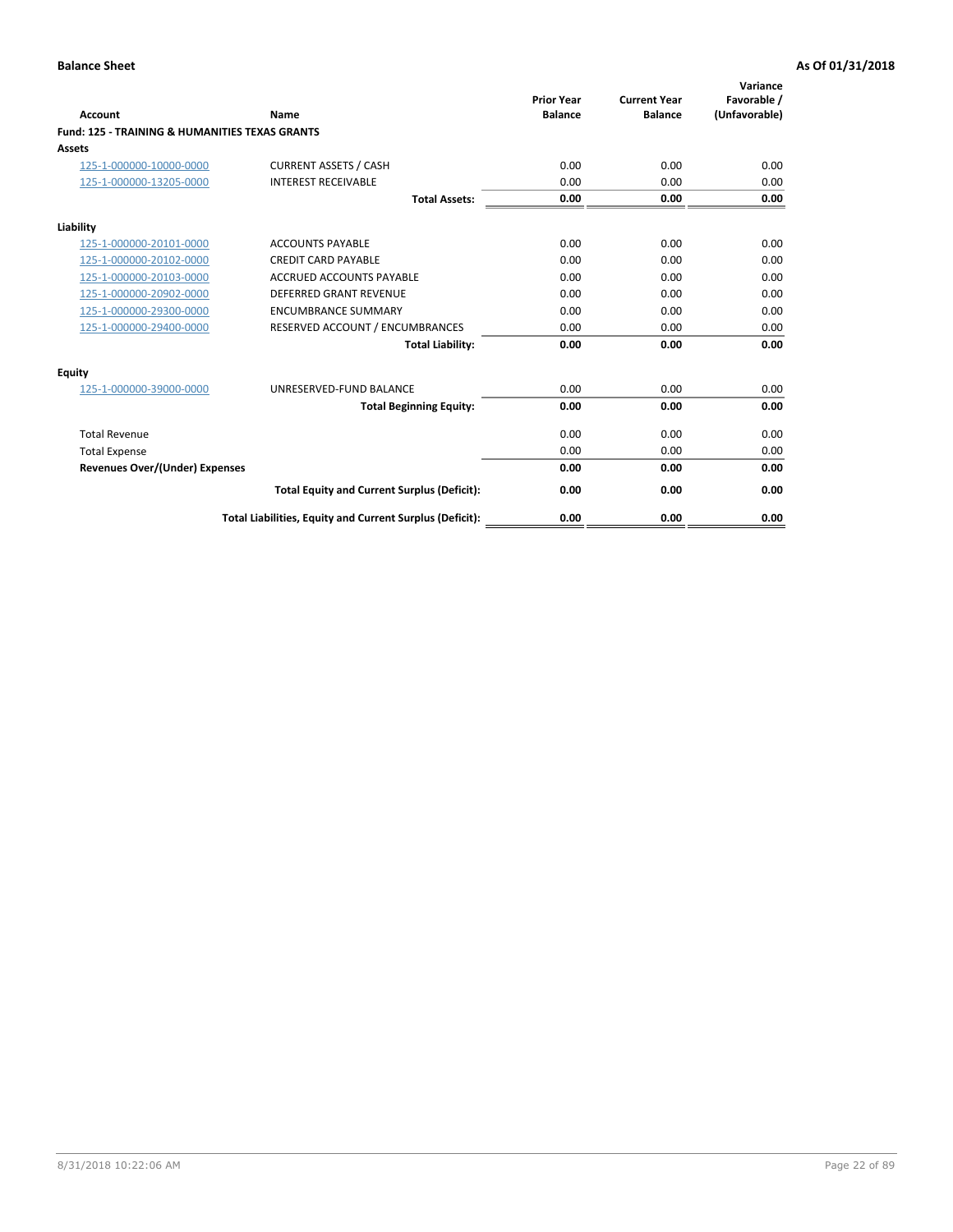| Account                                                   | Name                                                     | <b>Prior Year</b><br><b>Balance</b> | <b>Current Year</b><br><b>Balance</b> | Variance<br>Favorable /<br>(Unfavorable) |
|-----------------------------------------------------------|----------------------------------------------------------|-------------------------------------|---------------------------------------|------------------------------------------|
| <b>Fund: 125 - TRAINING &amp; HUMANITIES TEXAS GRANTS</b> |                                                          |                                     |                                       |                                          |
| <b>Assets</b>                                             |                                                          |                                     |                                       |                                          |
| 125-1-000000-10000-0000                                   | <b>CURRENT ASSETS / CASH</b>                             | 0.00                                | 0.00                                  | 0.00                                     |
| 125-1-000000-13205-0000                                   | <b>INTEREST RECEIVABLE</b>                               | 0.00                                | 0.00                                  | 0.00                                     |
|                                                           | <b>Total Assets:</b>                                     | 0.00                                | 0.00                                  | 0.00                                     |
| Liability                                                 |                                                          |                                     |                                       |                                          |
| 125-1-000000-20101-0000                                   | <b>ACCOUNTS PAYABLE</b>                                  | 0.00                                | 0.00                                  | 0.00                                     |
| 125-1-000000-20102-0000                                   | <b>CREDIT CARD PAYABLE</b>                               | 0.00                                | 0.00                                  | 0.00                                     |
| 125-1-000000-20103-0000                                   | <b>ACCRUED ACCOUNTS PAYABLE</b>                          | 0.00                                | 0.00                                  | 0.00                                     |
| 125-1-000000-20902-0000                                   | <b>DEFERRED GRANT REVENUE</b>                            | 0.00                                | 0.00                                  | 0.00                                     |
| 125-1-000000-29300-0000                                   | <b>ENCUMBRANCE SUMMARY</b>                               | 0.00                                | 0.00                                  | 0.00                                     |
| 125-1-000000-29400-0000                                   | RESERVED ACCOUNT / ENCUMBRANCES                          | 0.00                                | 0.00                                  | 0.00                                     |
|                                                           | <b>Total Liability:</b>                                  | 0.00                                | 0.00                                  | 0.00                                     |
| <b>Equity</b>                                             |                                                          |                                     |                                       |                                          |
| 125-1-000000-39000-0000                                   | UNRESERVED-FUND BALANCE                                  | 0.00                                | 0.00                                  | 0.00                                     |
|                                                           | <b>Total Beginning Equity:</b>                           | 0.00                                | 0.00                                  | 0.00                                     |
| <b>Total Revenue</b>                                      |                                                          | 0.00                                | 0.00                                  | 0.00                                     |
| <b>Total Expense</b>                                      |                                                          | 0.00                                | 0.00                                  | 0.00                                     |
| <b>Revenues Over/(Under) Expenses</b>                     |                                                          | 0.00                                | 0.00                                  | 0.00                                     |
|                                                           | <b>Total Equity and Current Surplus (Deficit):</b>       | 0.00                                | 0.00                                  | 0.00                                     |
|                                                           | Total Liabilities, Equity and Current Surplus (Deficit): | 0.00                                | 0.00                                  | 0.00                                     |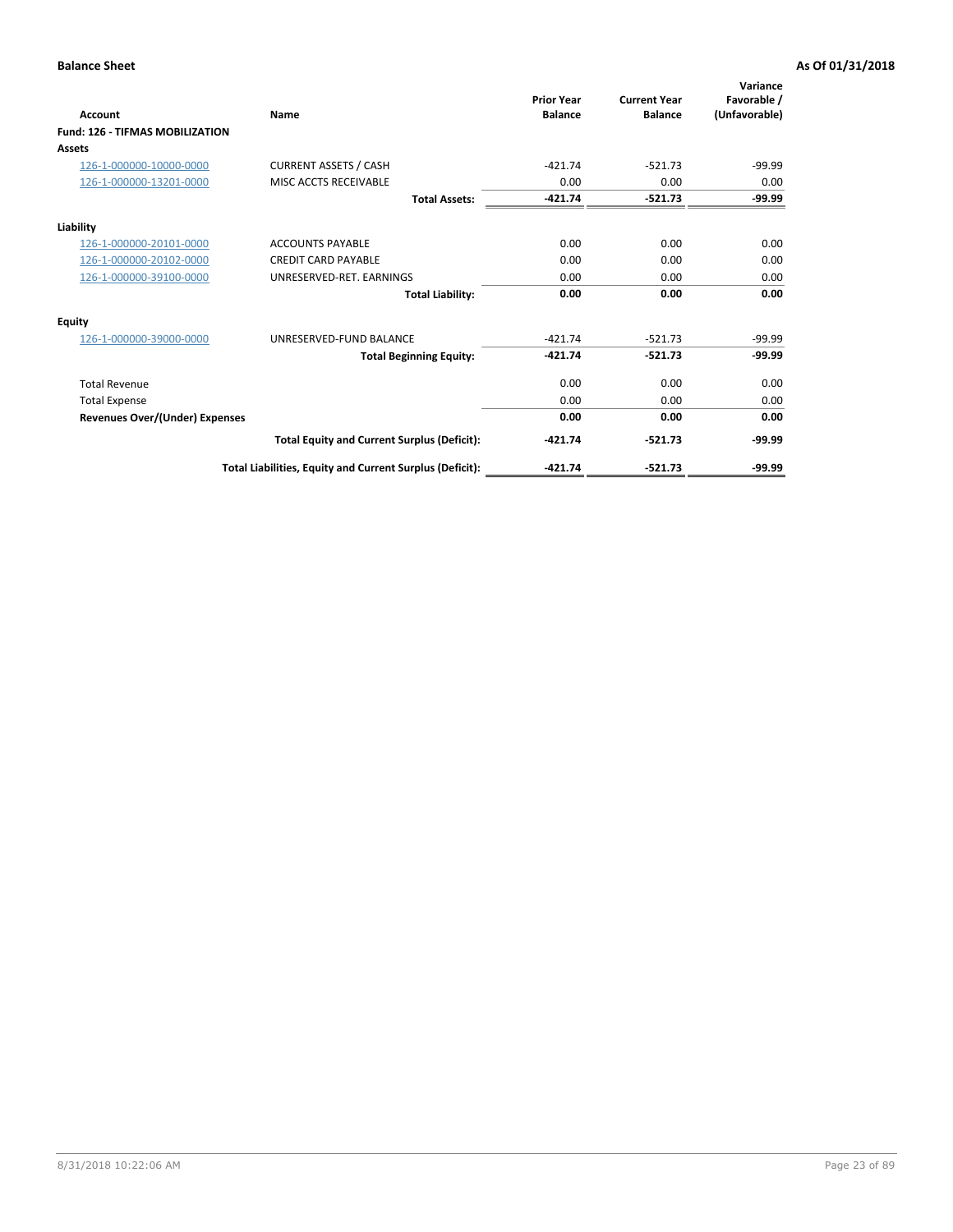| Account                                | Name                                                     | <b>Prior Year</b><br><b>Balance</b> | <b>Current Year</b><br><b>Balance</b> | Variance<br>Favorable /<br>(Unfavorable) |
|----------------------------------------|----------------------------------------------------------|-------------------------------------|---------------------------------------|------------------------------------------|
| <b>Fund: 126 - TIFMAS MOBILIZATION</b> |                                                          |                                     |                                       |                                          |
| <b>Assets</b>                          |                                                          |                                     |                                       |                                          |
| 126-1-000000-10000-0000                | <b>CURRENT ASSETS / CASH</b>                             | $-421.74$                           | $-521.73$                             | $-99.99$                                 |
| 126-1-000000-13201-0000                | MISC ACCTS RECEIVABLE                                    | 0.00                                | 0.00                                  | 0.00                                     |
|                                        | <b>Total Assets:</b>                                     | $-421.74$                           | $-521.73$                             | $-99.99$                                 |
| Liability                              |                                                          |                                     |                                       |                                          |
| 126-1-000000-20101-0000                | <b>ACCOUNTS PAYABLE</b>                                  | 0.00                                | 0.00                                  | 0.00                                     |
| 126-1-000000-20102-0000                | <b>CREDIT CARD PAYABLE</b>                               | 0.00                                | 0.00                                  | 0.00                                     |
| 126-1-000000-39100-0000                | UNRESERVED-RET. EARNINGS                                 | 0.00                                | 0.00                                  | 0.00                                     |
|                                        | <b>Total Liability:</b>                                  | 0.00                                | 0.00                                  | 0.00                                     |
| <b>Equity</b>                          |                                                          |                                     |                                       |                                          |
| 126-1-000000-39000-0000                | UNRESERVED-FUND BALANCE                                  | $-421.74$                           | $-521.73$                             | $-99.99$                                 |
|                                        | <b>Total Beginning Equity:</b>                           | $-421.74$                           | $-521.73$                             | $-99.99$                                 |
| <b>Total Revenue</b>                   |                                                          | 0.00                                | 0.00                                  | 0.00                                     |
| <b>Total Expense</b>                   |                                                          | 0.00                                | 0.00                                  | 0.00                                     |
| <b>Revenues Over/(Under) Expenses</b>  |                                                          | 0.00                                | 0.00                                  | 0.00                                     |
|                                        | <b>Total Equity and Current Surplus (Deficit):</b>       | $-421.74$                           | $-521.73$                             | $-99.99$                                 |
|                                        | Total Liabilities, Equity and Current Surplus (Deficit): | $-421.74$                           | $-521.73$                             | $-99.99$                                 |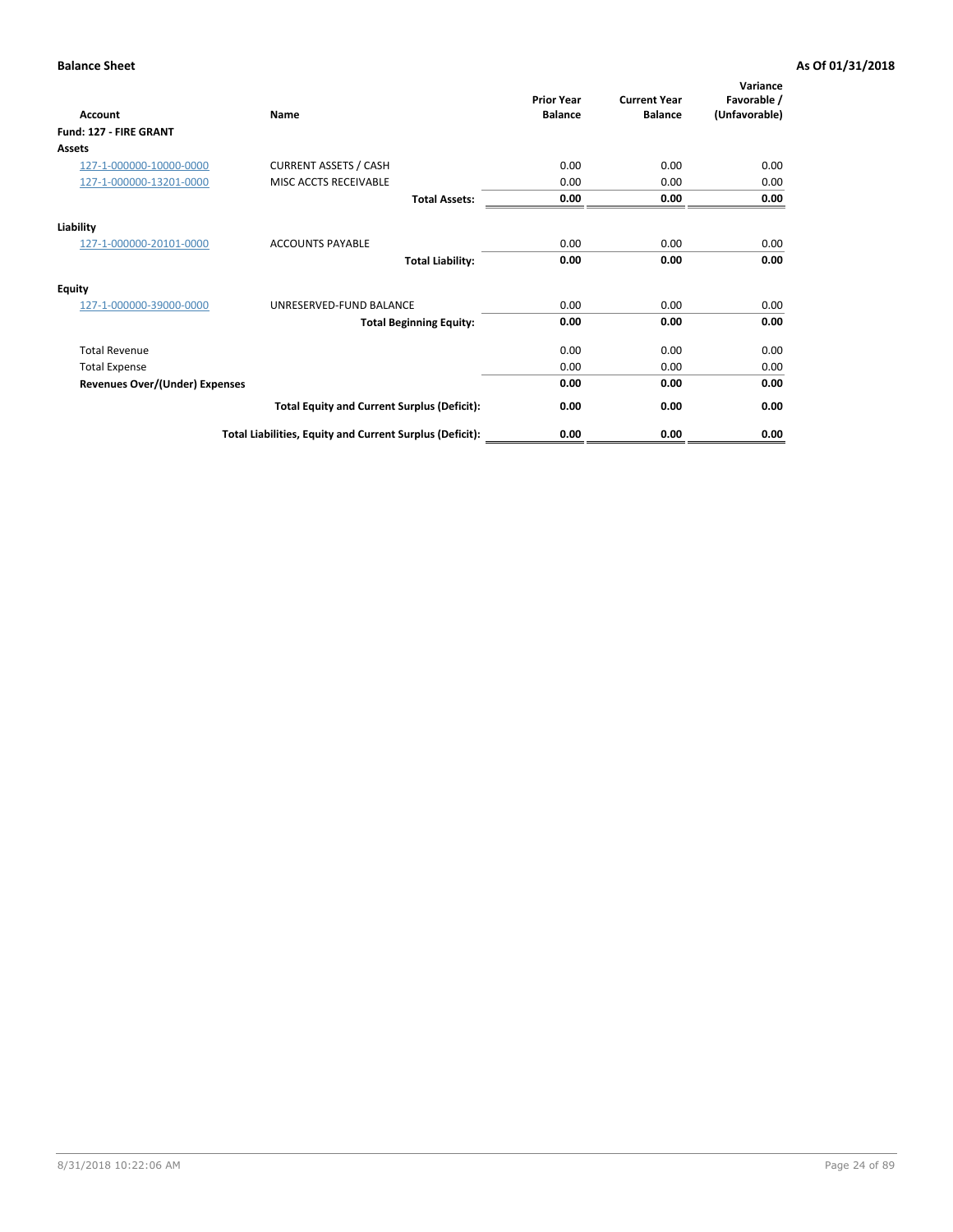| <b>Account</b>                        | Name                                                     | <b>Prior Year</b><br><b>Balance</b> | <b>Current Year</b><br><b>Balance</b> | Variance<br>Favorable /<br>(Unfavorable) |
|---------------------------------------|----------------------------------------------------------|-------------------------------------|---------------------------------------|------------------------------------------|
| Fund: 127 - FIRE GRANT                |                                                          |                                     |                                       |                                          |
| Assets                                |                                                          |                                     |                                       |                                          |
| 127-1-000000-10000-0000               | <b>CURRENT ASSETS / CASH</b>                             | 0.00                                | 0.00                                  | 0.00                                     |
| 127-1-000000-13201-0000               | MISC ACCTS RECEIVABLE                                    | 0.00                                | 0.00                                  | 0.00                                     |
|                                       | <b>Total Assets:</b>                                     | 0.00                                | 0.00                                  | 0.00                                     |
| Liability                             |                                                          |                                     |                                       |                                          |
| 127-1-000000-20101-0000               | <b>ACCOUNTS PAYABLE</b>                                  | 0.00                                | 0.00                                  | 0.00                                     |
|                                       | <b>Total Liability:</b>                                  | 0.00                                | 0.00                                  | 0.00                                     |
| Equity                                |                                                          |                                     |                                       |                                          |
| 127-1-000000-39000-0000               | UNRESERVED-FUND BALANCE                                  | 0.00                                | 0.00                                  | 0.00                                     |
|                                       | <b>Total Beginning Equity:</b>                           | 0.00                                | 0.00                                  | 0.00                                     |
| <b>Total Revenue</b>                  |                                                          | 0.00                                | 0.00                                  | 0.00                                     |
| <b>Total Expense</b>                  |                                                          | 0.00                                | 0.00                                  | 0.00                                     |
| <b>Revenues Over/(Under) Expenses</b> |                                                          | 0.00                                | 0.00                                  | 0.00                                     |
|                                       | <b>Total Equity and Current Surplus (Deficit):</b>       | 0.00                                | 0.00                                  | 0.00                                     |
|                                       | Total Liabilities, Equity and Current Surplus (Deficit): | 0.00                                | 0.00                                  | 0.00                                     |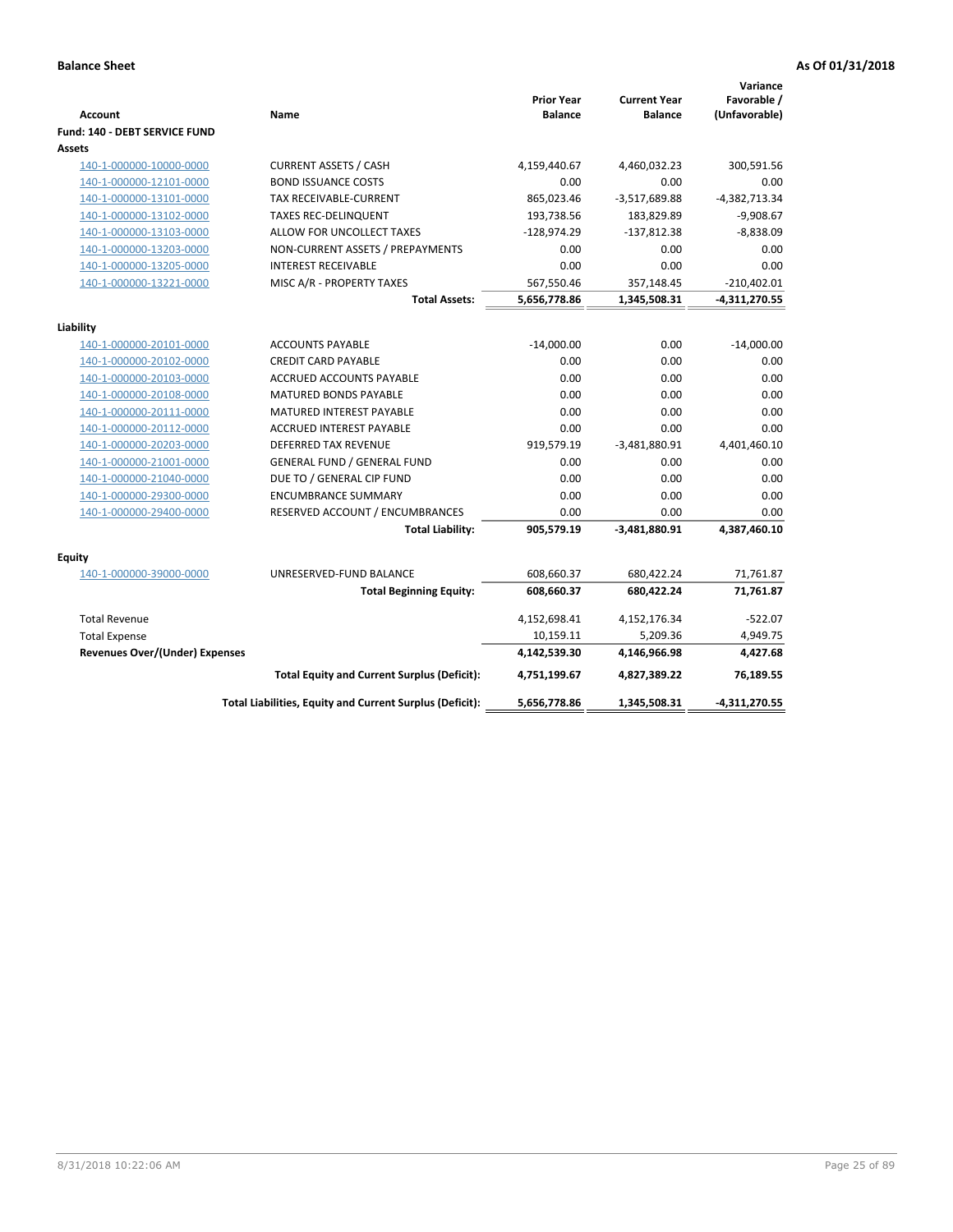| <b>Account</b>                    | Name                                                     | <b>Prior Year</b><br><b>Balance</b> | <b>Current Year</b><br><b>Balance</b> | Variance<br>Favorable /<br>(Unfavorable) |
|-----------------------------------|----------------------------------------------------------|-------------------------------------|---------------------------------------|------------------------------------------|
| Fund: 140 - DEBT SERVICE FUND     |                                                          |                                     |                                       |                                          |
| Assets                            |                                                          |                                     |                                       |                                          |
| 140-1-000000-10000-0000           | <b>CURRENT ASSETS / CASH</b>                             | 4,159,440.67                        | 4,460,032.23                          | 300,591.56                               |
| 140-1-000000-12101-0000           | <b>BOND ISSUANCE COSTS</b>                               | 0.00                                | 0.00                                  | 0.00                                     |
| 140-1-000000-13101-0000           | TAX RECEIVABLE-CURRENT                                   | 865,023.46                          | $-3,517,689.88$                       | $-4,382,713.34$                          |
| 140-1-000000-13102-0000           | <b>TAXES REC-DELINQUENT</b>                              | 193,738.56                          | 183,829.89                            | $-9,908.67$                              |
| 140-1-000000-13103-0000           | ALLOW FOR UNCOLLECT TAXES                                | $-128,974.29$                       | $-137,812.38$                         | $-8,838.09$                              |
| 140-1-000000-13203-0000           | NON-CURRENT ASSETS / PREPAYMENTS                         | 0.00                                | 0.00                                  | 0.00                                     |
| 140-1-000000-13205-0000           | <b>INTEREST RECEIVABLE</b>                               | 0.00                                | 0.00                                  | 0.00                                     |
| 140-1-000000-13221-0000           | MISC A/R - PROPERTY TAXES                                | 567,550.46                          | 357,148.45                            | $-210,402.01$                            |
|                                   | <b>Total Assets:</b>                                     | 5,656,778.86                        | 1,345,508.31                          | $-4,311,270.55$                          |
| Liability                         |                                                          |                                     |                                       |                                          |
| 140-1-000000-20101-0000           | <b>ACCOUNTS PAYABLE</b>                                  | $-14,000.00$                        | 0.00                                  | $-14,000.00$                             |
| 140-1-000000-20102-0000           | <b>CREDIT CARD PAYABLE</b>                               | 0.00                                | 0.00                                  | 0.00                                     |
| 140-1-000000-20103-0000           | ACCRUED ACCOUNTS PAYABLE                                 | 0.00                                | 0.00                                  | 0.00                                     |
| 140-1-000000-20108-0000           | <b>MATURED BONDS PAYABLE</b>                             | 0.00                                | 0.00                                  | 0.00                                     |
| 140-1-000000-20111-0000           | MATURED INTEREST PAYABLE                                 | 0.00                                | 0.00                                  | 0.00                                     |
| 140-1-000000-20112-0000           | <b>ACCRUED INTEREST PAYABLE</b>                          | 0.00                                | 0.00                                  | 0.00                                     |
| 140-1-000000-20203-0000           | <b>DEFERRED TAX REVENUE</b>                              | 919,579.19                          | $-3,481,880.91$                       | 4,401,460.10                             |
| 140-1-000000-21001-0000           | <b>GENERAL FUND / GENERAL FUND</b>                       | 0.00                                | 0.00                                  | 0.00                                     |
| 140-1-000000-21040-0000           | DUE TO / GENERAL CIP FUND                                | 0.00                                | 0.00                                  | 0.00                                     |
| 140-1-000000-29300-0000           | <b>ENCUMBRANCE SUMMARY</b>                               | 0.00                                | 0.00                                  | 0.00                                     |
| 140-1-000000-29400-0000           | RESERVED ACCOUNT / ENCUMBRANCES                          | 0.00                                | 0.00                                  | 0.00                                     |
|                                   | <b>Total Liability:</b>                                  | 905,579.19                          | $-3,481,880.91$                       | 4,387,460.10                             |
|                                   |                                                          |                                     |                                       |                                          |
| Equity<br>140-1-000000-39000-0000 | UNRESERVED-FUND BALANCE                                  | 608,660.37                          | 680,422.24                            | 71,761.87                                |
|                                   | <b>Total Beginning Equity:</b>                           | 608,660.37                          | 680,422.24                            | 71,761.87                                |
|                                   |                                                          |                                     |                                       |                                          |
| <b>Total Revenue</b>              |                                                          | 4,152,698.41                        | 4,152,176.34                          | $-522.07$                                |
| <b>Total Expense</b>              |                                                          | 10,159.11                           | 5,209.36                              | 4,949.75                                 |
| Revenues Over/(Under) Expenses    |                                                          | 4,142,539.30                        | 4,146,966.98                          | 4,427.68                                 |
|                                   | <b>Total Equity and Current Surplus (Deficit):</b>       | 4,751,199.67                        | 4,827,389.22                          | 76,189.55                                |
|                                   | Total Liabilities, Equity and Current Surplus (Deficit): | 5,656,778.86                        | 1,345,508.31                          | -4,311,270.55                            |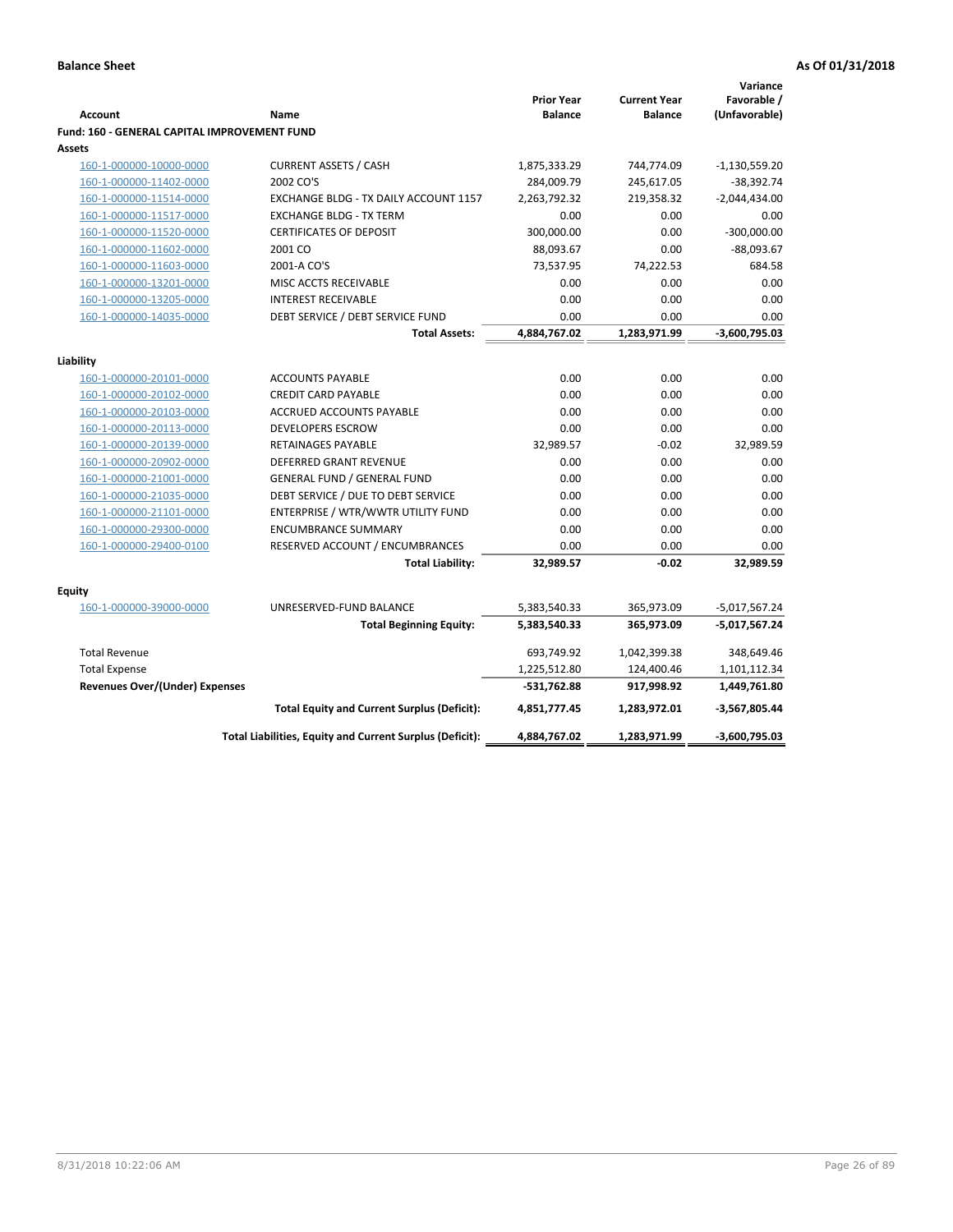|                                                               |                                                                  |                    |                     | Variance              |
|---------------------------------------------------------------|------------------------------------------------------------------|--------------------|---------------------|-----------------------|
|                                                               |                                                                  | <b>Prior Year</b>  | <b>Current Year</b> | Favorable /           |
| <b>Account</b>                                                | Name                                                             | <b>Balance</b>     | <b>Balance</b>      | (Unfavorable)         |
| Fund: 160 - GENERAL CAPITAL IMPROVEMENT FUND<br><b>Assets</b> |                                                                  |                    |                     |                       |
|                                                               |                                                                  |                    |                     |                       |
| 160-1-000000-10000-0000                                       | <b>CURRENT ASSETS / CASH</b><br>2002 CO'S                        | 1,875,333.29       | 744,774.09          | $-1,130,559.20$       |
| 160-1-000000-11402-0000                                       | EXCHANGE BLDG - TX DAILY ACCOUNT 1157                            | 284,009.79         | 245,617.05          | $-38,392.74$          |
| 160-1-000000-11514-0000                                       |                                                                  | 2,263,792.32       | 219,358.32          | $-2,044,434.00$       |
| 160-1-000000-11517-0000                                       | <b>EXCHANGE BLDG - TX TERM</b><br><b>CERTIFICATES OF DEPOSIT</b> | 0.00<br>300,000.00 | 0.00<br>0.00        | 0.00<br>$-300,000.00$ |
| 160-1-000000-11520-0000                                       | 2001 CO                                                          |                    | 0.00                |                       |
| 160-1-000000-11602-0000                                       |                                                                  | 88,093.67          |                     | $-88,093.67$          |
| 160-1-000000-11603-0000                                       | 2001-A CO'S                                                      | 73,537.95          | 74,222.53           | 684.58                |
| 160-1-000000-13201-0000                                       | MISC ACCTS RECEIVABLE                                            | 0.00               | 0.00                | 0.00                  |
| 160-1-000000-13205-0000                                       | <b>INTEREST RECEIVABLE</b>                                       | 0.00               | 0.00                | 0.00                  |
| 160-1-000000-14035-0000                                       | DEBT SERVICE / DEBT SERVICE FUND                                 | 0.00               | 0.00                | 0.00                  |
|                                                               | <b>Total Assets:</b>                                             | 4,884,767.02       | 1,283,971.99        | -3,600,795.03         |
| Liability                                                     |                                                                  |                    |                     |                       |
| 160-1-000000-20101-0000                                       | <b>ACCOUNTS PAYABLE</b>                                          | 0.00               | 0.00                | 0.00                  |
| 160-1-000000-20102-0000                                       | <b>CREDIT CARD PAYABLE</b>                                       | 0.00               | 0.00                | 0.00                  |
| 160-1-000000-20103-0000                                       | ACCRUED ACCOUNTS PAYABLE                                         | 0.00               | 0.00                | 0.00                  |
| 160-1-000000-20113-0000                                       | <b>DEVELOPERS ESCROW</b>                                         | 0.00               | 0.00                | 0.00                  |
| 160-1-000000-20139-0000                                       | RETAINAGES PAYABLE                                               | 32,989.57          | $-0.02$             | 32,989.59             |
| 160-1-000000-20902-0000                                       | <b>DEFERRED GRANT REVENUE</b>                                    | 0.00               | 0.00                | 0.00                  |
| 160-1-000000-21001-0000                                       | <b>GENERAL FUND / GENERAL FUND</b>                               | 0.00               | 0.00                | 0.00                  |
| 160-1-000000-21035-0000                                       | DEBT SERVICE / DUE TO DEBT SERVICE                               | 0.00               | 0.00                | 0.00                  |
| 160-1-000000-21101-0000                                       | ENTERPRISE / WTR/WWTR UTILITY FUND                               | 0.00               | 0.00                | 0.00                  |
| 160-1-000000-29300-0000                                       | <b>ENCUMBRANCE SUMMARY</b>                                       | 0.00               | 0.00                | 0.00                  |
| 160-1-000000-29400-0100                                       | RESERVED ACCOUNT / ENCUMBRANCES                                  | 0.00               | 0.00                | 0.00                  |
|                                                               | <b>Total Liability:</b>                                          | 32,989.57          | $-0.02$             | 32,989.59             |
|                                                               |                                                                  |                    |                     |                       |
| <b>Equity</b>                                                 |                                                                  |                    |                     |                       |
| 160-1-000000-39000-0000                                       | UNRESERVED-FUND BALANCE                                          | 5,383,540.33       | 365,973.09          | $-5,017,567.24$       |
|                                                               | <b>Total Beginning Equity:</b>                                   | 5,383,540.33       | 365,973.09          | -5,017,567.24         |
| <b>Total Revenue</b>                                          |                                                                  | 693,749.92         | 1,042,399.38        | 348,649.46            |
| <b>Total Expense</b>                                          |                                                                  | 1,225,512.80       | 124,400.46          | 1,101,112.34          |
| Revenues Over/(Under) Expenses                                |                                                                  | $-531,762.88$      | 917,998.92          | 1,449,761.80          |
|                                                               | <b>Total Equity and Current Surplus (Deficit):</b>               | 4,851,777.45       | 1,283,972.01        | -3,567,805.44         |
|                                                               | Total Liabilities, Equity and Current Surplus (Deficit):         | 4,884,767.02       | 1,283,971.99        | -3,600,795.03         |
|                                                               |                                                                  |                    |                     |                       |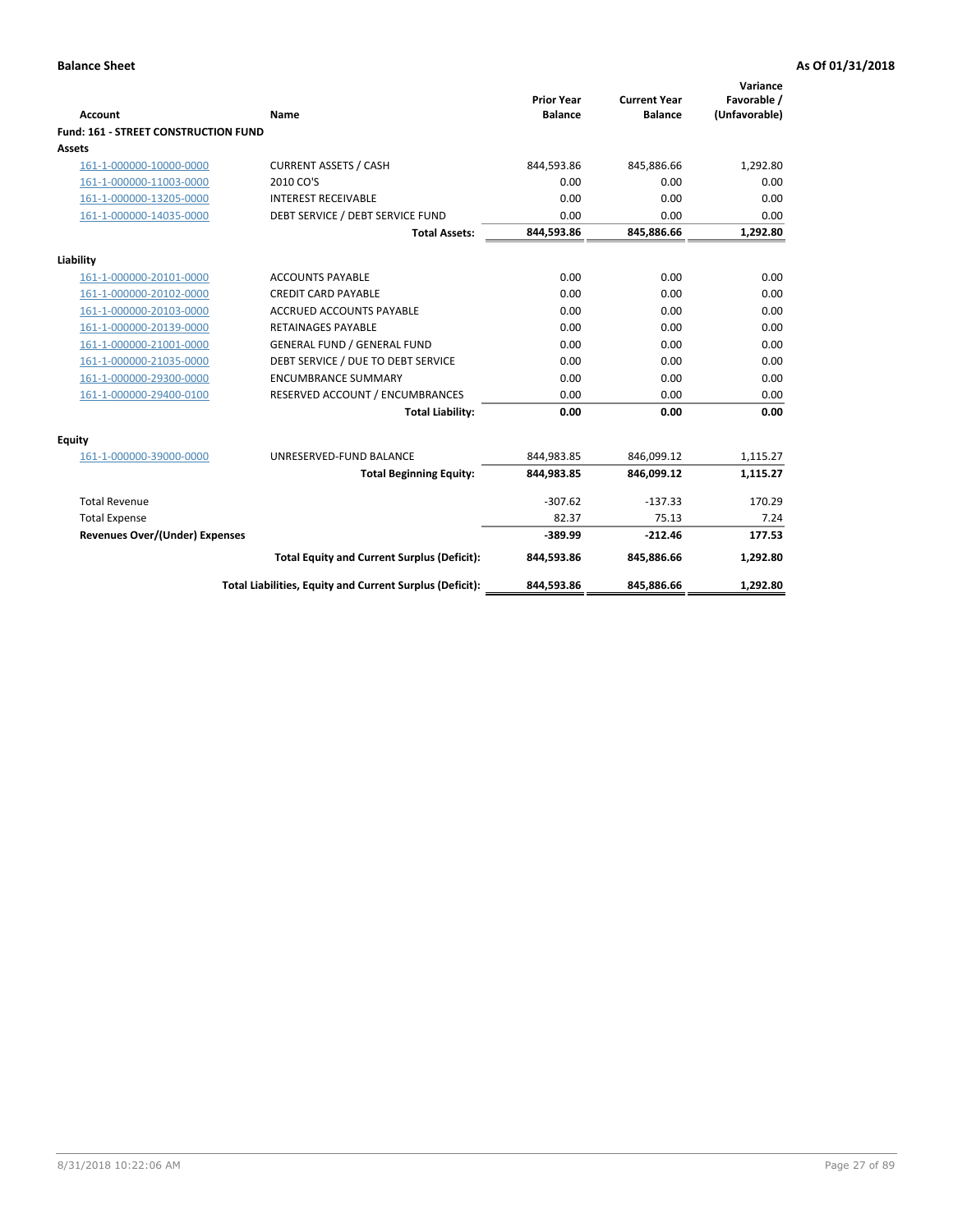| Account                                     | Name                                                     | <b>Prior Year</b><br><b>Balance</b> | <b>Current Year</b><br><b>Balance</b> | Variance<br>Favorable /<br>(Unfavorable) |
|---------------------------------------------|----------------------------------------------------------|-------------------------------------|---------------------------------------|------------------------------------------|
| <b>Fund: 161 - STREET CONSTRUCTION FUND</b> |                                                          |                                     |                                       |                                          |
| <b>Assets</b>                               |                                                          |                                     |                                       |                                          |
| 161-1-000000-10000-0000                     | <b>CURRENT ASSETS / CASH</b>                             | 844,593.86                          | 845,886.66                            | 1,292.80                                 |
| 161-1-000000-11003-0000                     | 2010 CO'S                                                | 0.00                                | 0.00                                  | 0.00                                     |
| 161-1-000000-13205-0000                     | <b>INTEREST RECEIVABLE</b>                               | 0.00                                | 0.00                                  | 0.00                                     |
| 161-1-000000-14035-0000                     | DEBT SERVICE / DEBT SERVICE FUND                         | 0.00                                | 0.00                                  | 0.00                                     |
|                                             | <b>Total Assets:</b>                                     | 844,593.86                          | 845,886.66                            | 1,292.80                                 |
| Liability                                   |                                                          |                                     |                                       |                                          |
| 161-1-000000-20101-0000                     | <b>ACCOUNTS PAYABLE</b>                                  | 0.00                                | 0.00                                  | 0.00                                     |
| 161-1-000000-20102-0000                     | <b>CREDIT CARD PAYABLE</b>                               | 0.00                                | 0.00                                  | 0.00                                     |
| 161-1-000000-20103-0000                     | <b>ACCRUED ACCOUNTS PAYABLE</b>                          | 0.00                                | 0.00                                  | 0.00                                     |
| 161-1-000000-20139-0000                     | <b>RETAINAGES PAYABLE</b>                                | 0.00                                | 0.00                                  | 0.00                                     |
| 161-1-000000-21001-0000                     | <b>GENERAL FUND / GENERAL FUND</b>                       | 0.00                                | 0.00                                  | 0.00                                     |
| 161-1-000000-21035-0000                     | DEBT SERVICE / DUE TO DEBT SERVICE                       | 0.00                                | 0.00                                  | 0.00                                     |
| 161-1-000000-29300-0000                     | <b>ENCUMBRANCE SUMMARY</b>                               | 0.00                                | 0.00                                  | 0.00                                     |
| 161-1-000000-29400-0100                     | RESERVED ACCOUNT / ENCUMBRANCES                          | 0.00                                | 0.00                                  | 0.00                                     |
|                                             | <b>Total Liability:</b>                                  | 0.00                                | 0.00                                  | 0.00                                     |
| <b>Equity</b>                               |                                                          |                                     |                                       |                                          |
| 161-1-000000-39000-0000                     | UNRESERVED-FUND BALANCE                                  | 844,983.85                          | 846,099.12                            | 1,115.27                                 |
|                                             | <b>Total Beginning Equity:</b>                           | 844,983.85                          | 846,099.12                            | 1,115.27                                 |
| <b>Total Revenue</b>                        |                                                          | $-307.62$                           | $-137.33$                             | 170.29                                   |
| <b>Total Expense</b>                        |                                                          | 82.37                               | 75.13                                 | 7.24                                     |
| Revenues Over/(Under) Expenses              |                                                          | $-389.99$                           | $-212.46$                             | 177.53                                   |
|                                             | <b>Total Equity and Current Surplus (Deficit):</b>       | 844,593.86                          | 845,886.66                            | 1,292.80                                 |
|                                             | Total Liabilities, Equity and Current Surplus (Deficit): | 844,593.86                          | 845,886.66                            | 1,292.80                                 |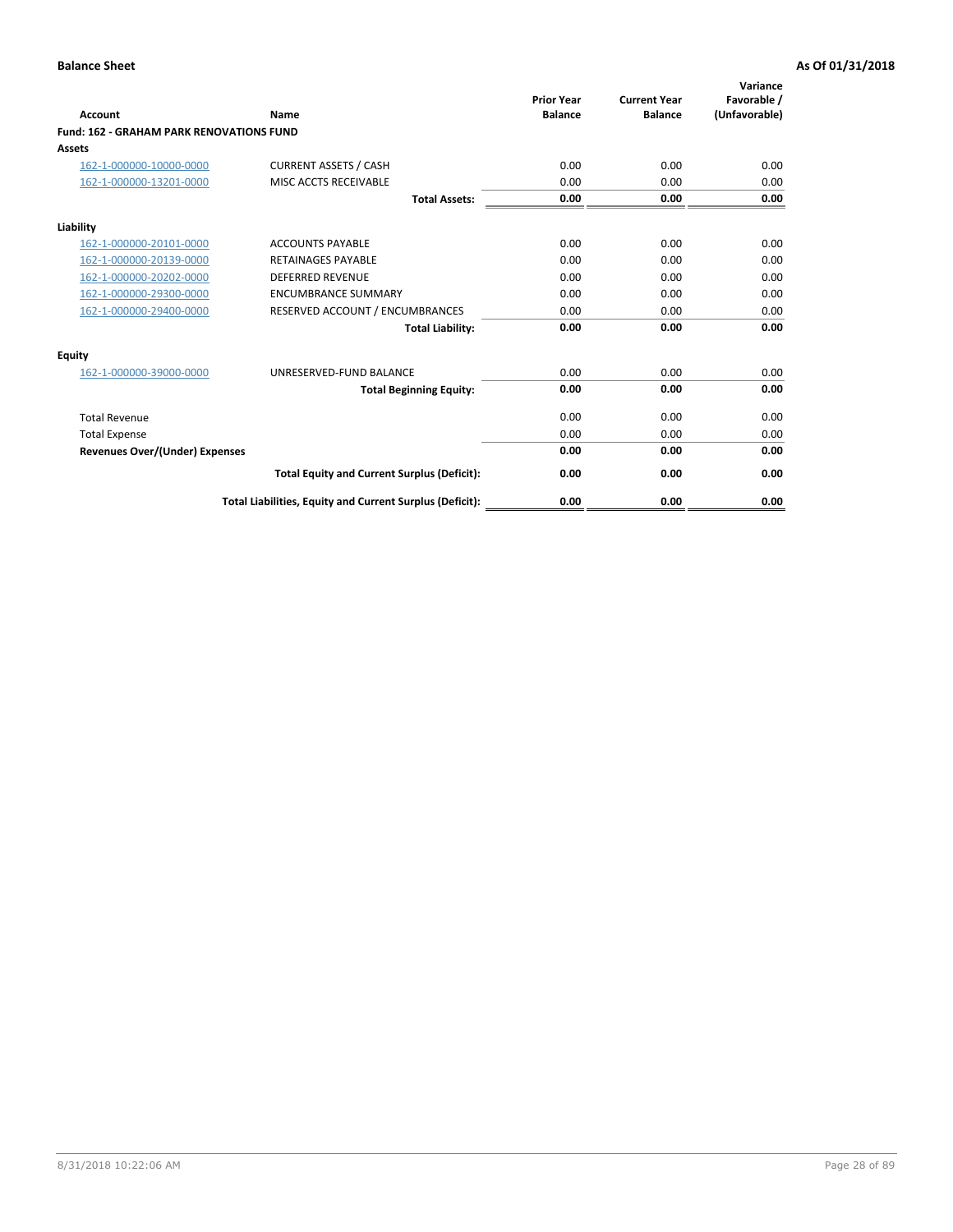|                                                 |                                                          | <b>Prior Year</b><br><b>Balance</b> | <b>Current Year</b> | Variance<br>Favorable / |
|-------------------------------------------------|----------------------------------------------------------|-------------------------------------|---------------------|-------------------------|
| <b>Account</b>                                  | Name                                                     |                                     | <b>Balance</b>      | (Unfavorable)           |
| <b>Fund: 162 - GRAHAM PARK RENOVATIONS FUND</b> |                                                          |                                     |                     |                         |
| <b>Assets</b>                                   |                                                          |                                     |                     |                         |
| 162-1-000000-10000-0000                         | <b>CURRENT ASSETS / CASH</b>                             | 0.00                                | 0.00                | 0.00                    |
| 162-1-000000-13201-0000                         | MISC ACCTS RECEIVABLE                                    | 0.00                                | 0.00                | 0.00                    |
|                                                 | <b>Total Assets:</b>                                     | 0.00                                | 0.00                | 0.00                    |
| Liability                                       |                                                          |                                     |                     |                         |
| 162-1-000000-20101-0000                         | <b>ACCOUNTS PAYABLE</b>                                  | 0.00                                | 0.00                | 0.00                    |
| 162-1-000000-20139-0000                         | <b>RETAINAGES PAYABLE</b>                                | 0.00                                | 0.00                | 0.00                    |
| 162-1-000000-20202-0000                         | <b>DEFERRED REVENUE</b>                                  | 0.00                                | 0.00                | 0.00                    |
| 162-1-000000-29300-0000                         | <b>ENCUMBRANCE SUMMARY</b>                               | 0.00                                | 0.00                | 0.00                    |
| 162-1-000000-29400-0000                         | RESERVED ACCOUNT / ENCUMBRANCES                          | 0.00                                | 0.00                | 0.00                    |
|                                                 | <b>Total Liability:</b>                                  | 0.00                                | 0.00                | 0.00                    |
| Equity                                          |                                                          |                                     |                     |                         |
| 162-1-000000-39000-0000                         | UNRESERVED-FUND BALANCE                                  | 0.00                                | 0.00                | 0.00                    |
|                                                 | <b>Total Beginning Equity:</b>                           | 0.00                                | 0.00                | 0.00                    |
| <b>Total Revenue</b>                            |                                                          | 0.00                                | 0.00                | 0.00                    |
| <b>Total Expense</b>                            |                                                          | 0.00                                | 0.00                | 0.00                    |
| Revenues Over/(Under) Expenses                  |                                                          | 0.00                                | 0.00                | 0.00                    |
|                                                 | <b>Total Equity and Current Surplus (Deficit):</b>       | 0.00                                | 0.00                | 0.00                    |
|                                                 | Total Liabilities, Equity and Current Surplus (Deficit): | 0.00                                | 0.00                | 0.00                    |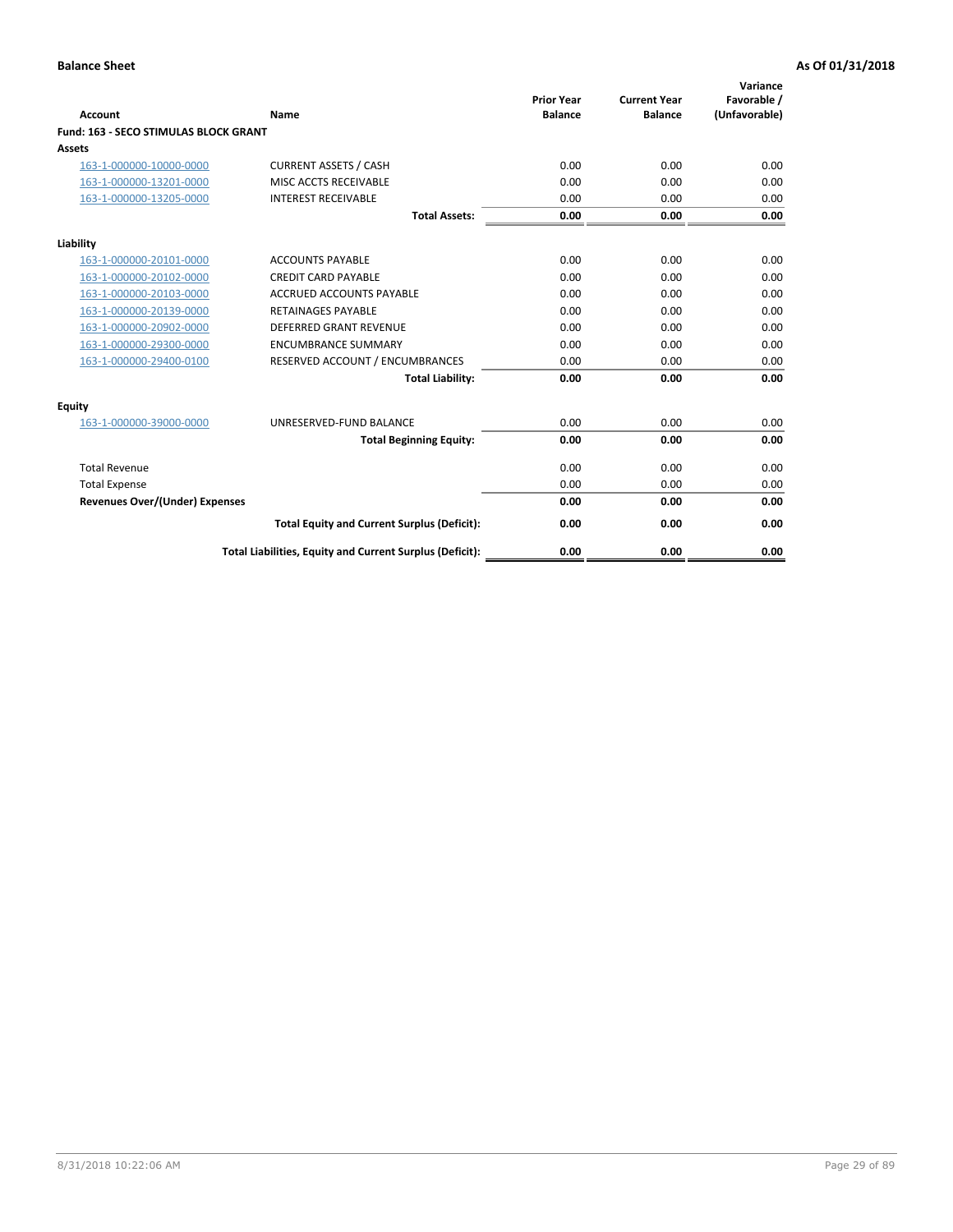|                                              |                                                          | <b>Prior Year</b> | <b>Current Year</b> | Variance<br>Favorable / |
|----------------------------------------------|----------------------------------------------------------|-------------------|---------------------|-------------------------|
| <b>Account</b>                               | Name                                                     | <b>Balance</b>    | <b>Balance</b>      | (Unfavorable)           |
| <b>Fund: 163 - SECO STIMULAS BLOCK GRANT</b> |                                                          |                   |                     |                         |
| Assets                                       |                                                          |                   |                     |                         |
| 163-1-000000-10000-0000                      | <b>CURRENT ASSETS / CASH</b>                             | 0.00              | 0.00                | 0.00                    |
| 163-1-000000-13201-0000                      | MISC ACCTS RECEIVABLE                                    | 0.00              | 0.00                | 0.00                    |
| 163-1-000000-13205-0000                      | <b>INTEREST RECEIVABLE</b>                               | 0.00              | 0.00                | 0.00                    |
|                                              | <b>Total Assets:</b>                                     | 0.00              | 0.00                | 0.00                    |
| Liability                                    |                                                          |                   |                     |                         |
| 163-1-000000-20101-0000                      | <b>ACCOUNTS PAYABLE</b>                                  | 0.00              | 0.00                | 0.00                    |
| 163-1-000000-20102-0000                      | <b>CREDIT CARD PAYABLE</b>                               | 0.00              | 0.00                | 0.00                    |
| 163-1-000000-20103-0000                      | <b>ACCRUED ACCOUNTS PAYABLE</b>                          | 0.00              | 0.00                | 0.00                    |
| 163-1-000000-20139-0000                      | <b>RETAINAGES PAYABLE</b>                                | 0.00              | 0.00                | 0.00                    |
| 163-1-000000-20902-0000                      | <b>DEFERRED GRANT REVENUE</b>                            | 0.00              | 0.00                | 0.00                    |
| 163-1-000000-29300-0000                      | <b>ENCUMBRANCE SUMMARY</b>                               | 0.00              | 0.00                | 0.00                    |
| 163-1-000000-29400-0100                      | RESERVED ACCOUNT / ENCUMBRANCES                          | 0.00              | 0.00                | 0.00                    |
|                                              | <b>Total Liability:</b>                                  | 0.00              | 0.00                | 0.00                    |
| <b>Equity</b>                                |                                                          |                   |                     |                         |
| 163-1-000000-39000-0000                      | UNRESERVED-FUND BALANCE                                  | 0.00              | 0.00                | 0.00                    |
|                                              | <b>Total Beginning Equity:</b>                           | 0.00              | 0.00                | 0.00                    |
| <b>Total Revenue</b>                         |                                                          | 0.00              | 0.00                | 0.00                    |
| <b>Total Expense</b>                         |                                                          | 0.00              | 0.00                | 0.00                    |
| Revenues Over/(Under) Expenses               |                                                          | 0.00              | 0.00                | 0.00                    |
|                                              | <b>Total Equity and Current Surplus (Deficit):</b>       | 0.00              | 0.00                | 0.00                    |
|                                              | Total Liabilities, Equity and Current Surplus (Deficit): | 0.00              | 0.00                | 0.00                    |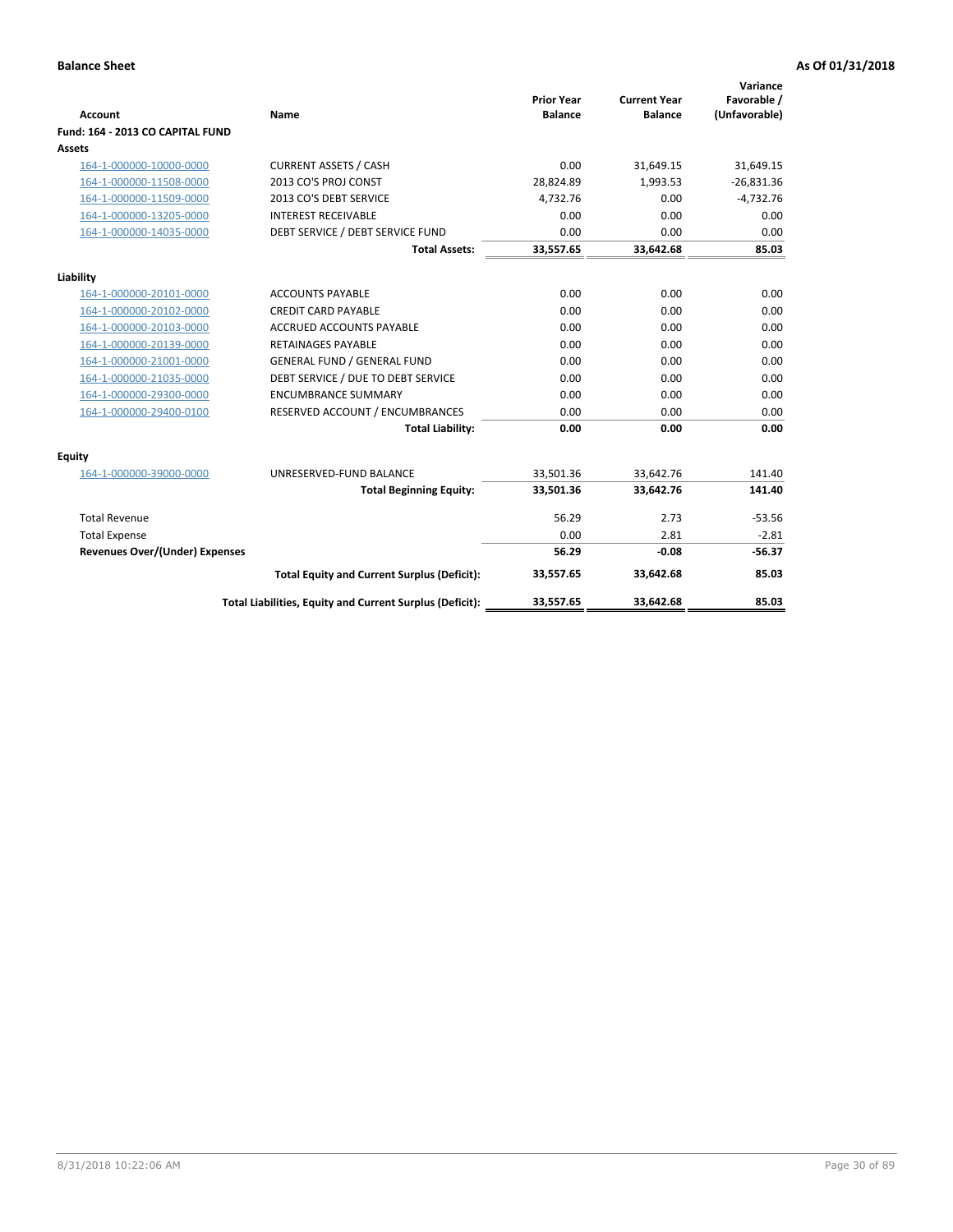|                                       |                                                          | <b>Prior Year</b> | <b>Current Year</b> | Variance<br>Favorable / |
|---------------------------------------|----------------------------------------------------------|-------------------|---------------------|-------------------------|
| <b>Account</b>                        | Name                                                     | <b>Balance</b>    | <b>Balance</b>      | (Unfavorable)           |
| Fund: 164 - 2013 CO CAPITAL FUND      |                                                          |                   |                     |                         |
| Assets                                |                                                          |                   |                     |                         |
| 164-1-000000-10000-0000               | <b>CURRENT ASSETS / CASH</b>                             | 0.00              | 31,649.15           | 31,649.15               |
| 164-1-000000-11508-0000               | 2013 CO'S PROJ CONST                                     | 28,824.89         | 1,993.53            | $-26,831.36$            |
| 164-1-000000-11509-0000               | 2013 CO'S DEBT SERVICE                                   | 4,732.76          | 0.00                | $-4,732.76$             |
| 164-1-000000-13205-0000               | <b>INTEREST RECEIVABLE</b>                               | 0.00              | 0.00                | 0.00                    |
| 164-1-000000-14035-0000               | DEBT SERVICE / DEBT SERVICE FUND                         | 0.00              | 0.00                | 0.00                    |
|                                       | <b>Total Assets:</b>                                     | 33,557.65         | 33,642.68           | 85.03                   |
| Liability                             |                                                          |                   |                     |                         |
| 164-1-000000-20101-0000               | <b>ACCOUNTS PAYABLE</b>                                  | 0.00              | 0.00                | 0.00                    |
| 164-1-000000-20102-0000               | <b>CREDIT CARD PAYABLE</b>                               | 0.00              | 0.00                | 0.00                    |
| 164-1-000000-20103-0000               | <b>ACCRUED ACCOUNTS PAYABLE</b>                          | 0.00              | 0.00                | 0.00                    |
| 164-1-000000-20139-0000               | <b>RETAINAGES PAYABLE</b>                                | 0.00              | 0.00                | 0.00                    |
| 164-1-000000-21001-0000               | <b>GENERAL FUND / GENERAL FUND</b>                       | 0.00              | 0.00                | 0.00                    |
| 164-1-000000-21035-0000               | DEBT SERVICE / DUE TO DEBT SERVICE                       | 0.00              | 0.00                | 0.00                    |
| 164-1-000000-29300-0000               | <b>ENCUMBRANCE SUMMARY</b>                               | 0.00              | 0.00                | 0.00                    |
| 164-1-000000-29400-0100               | RESERVED ACCOUNT / ENCUMBRANCES                          | 0.00              | 0.00                | 0.00                    |
|                                       | <b>Total Liability:</b>                                  | 0.00              | 0.00                | 0.00                    |
| Equity                                |                                                          |                   |                     |                         |
| 164-1-000000-39000-0000               | UNRESERVED-FUND BALANCE                                  | 33,501.36         | 33,642.76           | 141.40                  |
|                                       | <b>Total Beginning Equity:</b>                           | 33,501.36         | 33,642.76           | 141.40                  |
| <b>Total Revenue</b>                  |                                                          | 56.29             | 2.73                | $-53.56$                |
| <b>Total Expense</b>                  |                                                          | 0.00              | 2.81                | $-2.81$                 |
| <b>Revenues Over/(Under) Expenses</b> |                                                          | 56.29             | $-0.08$             | $-56.37$                |
|                                       | <b>Total Equity and Current Surplus (Deficit):</b>       | 33,557.65         | 33,642.68           | 85.03                   |
|                                       | Total Liabilities, Equity and Current Surplus (Deficit): | 33,557.65         | 33,642.68           | 85.03                   |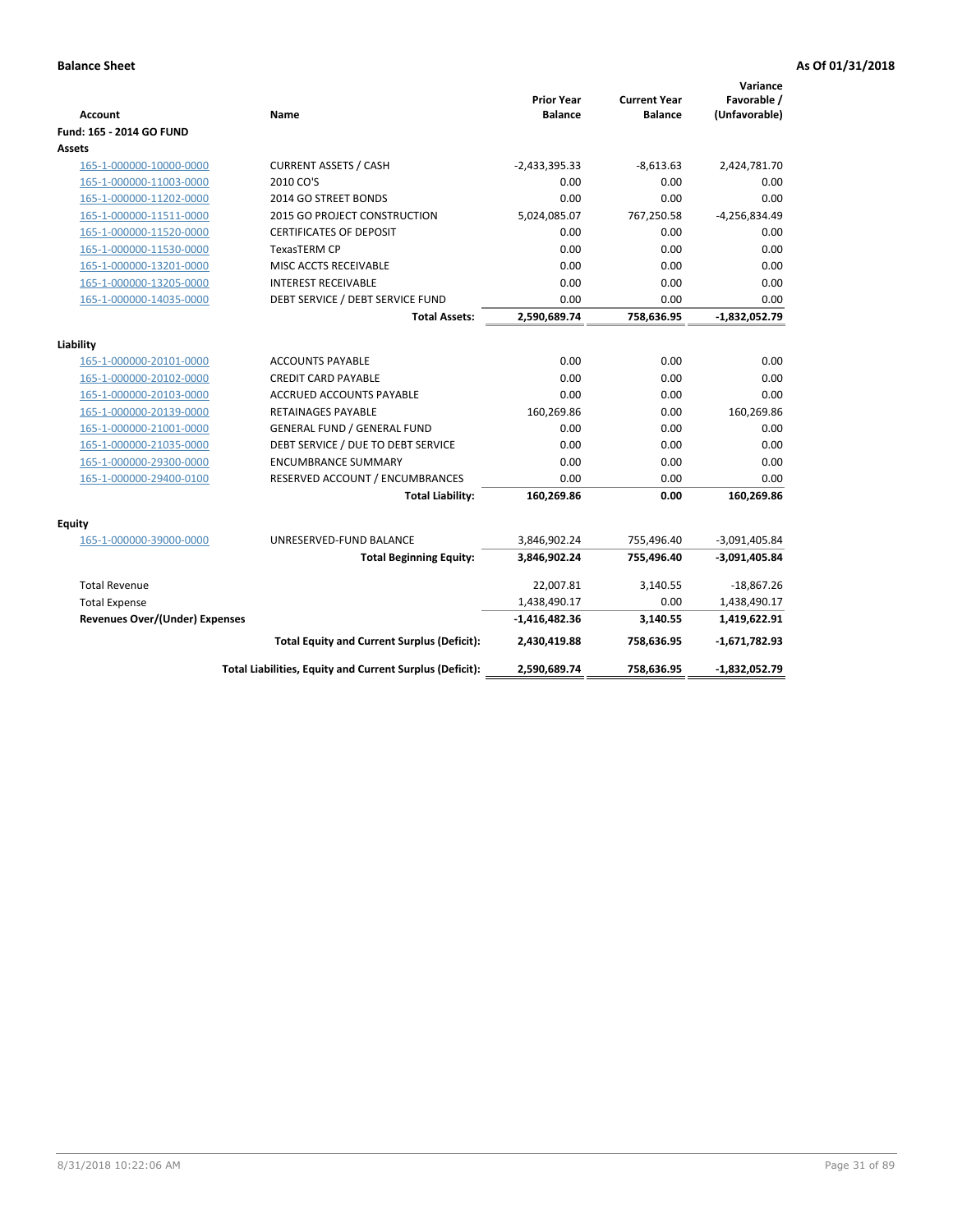| Account                               | Name                                                     | <b>Prior Year</b><br><b>Balance</b> | <b>Current Year</b><br><b>Balance</b> | Variance<br>Favorable /<br>(Unfavorable) |
|---------------------------------------|----------------------------------------------------------|-------------------------------------|---------------------------------------|------------------------------------------|
| Fund: 165 - 2014 GO FUND              |                                                          |                                     |                                       |                                          |
| Assets                                |                                                          |                                     |                                       |                                          |
| 165-1-000000-10000-0000               | <b>CURRENT ASSETS / CASH</b>                             | $-2,433,395.33$                     | $-8,613.63$                           | 2,424,781.70                             |
| 165-1-000000-11003-0000               | 2010 CO'S                                                | 0.00                                | 0.00                                  | 0.00                                     |
| 165-1-000000-11202-0000               | 2014 GO STREET BONDS                                     | 0.00                                | 0.00                                  | 0.00                                     |
| 165-1-000000-11511-0000               | 2015 GO PROJECT CONSTRUCTION                             | 5,024,085.07                        | 767,250.58                            | $-4,256,834.49$                          |
| 165-1-000000-11520-0000               | <b>CERTIFICATES OF DEPOSIT</b>                           | 0.00                                | 0.00                                  | 0.00                                     |
| 165-1-000000-11530-0000               | <b>TexasTERM CP</b>                                      | 0.00                                | 0.00                                  | 0.00                                     |
| 165-1-000000-13201-0000               | MISC ACCTS RECEIVABLE                                    | 0.00                                | 0.00                                  | 0.00                                     |
| 165-1-000000-13205-0000               | <b>INTEREST RECEIVABLE</b>                               | 0.00                                | 0.00                                  | 0.00                                     |
| 165-1-000000-14035-0000               | DEBT SERVICE / DEBT SERVICE FUND                         | 0.00                                | 0.00                                  | 0.00                                     |
|                                       | <b>Total Assets:</b>                                     | 2,590,689.74                        | 758,636.95                            | $-1,832,052.79$                          |
| Liability                             |                                                          |                                     |                                       |                                          |
| 165-1-000000-20101-0000               | <b>ACCOUNTS PAYABLE</b>                                  | 0.00                                | 0.00                                  | 0.00                                     |
| 165-1-000000-20102-0000               | <b>CREDIT CARD PAYABLE</b>                               | 0.00                                | 0.00                                  | 0.00                                     |
| 165-1-000000-20103-0000               | <b>ACCRUED ACCOUNTS PAYABLE</b>                          | 0.00                                | 0.00                                  | 0.00                                     |
| 165-1-000000-20139-0000               | <b>RETAINAGES PAYABLE</b>                                | 160,269.86                          | 0.00                                  | 160,269.86                               |
| 165-1-000000-21001-0000               | <b>GENERAL FUND / GENERAL FUND</b>                       | 0.00                                | 0.00                                  | 0.00                                     |
| 165-1-000000-21035-0000               | DEBT SERVICE / DUE TO DEBT SERVICE                       | 0.00                                | 0.00                                  | 0.00                                     |
| 165-1-000000-29300-0000               | <b>ENCUMBRANCE SUMMARY</b>                               | 0.00                                | 0.00                                  | 0.00                                     |
| 165-1-000000-29400-0100               | RESERVED ACCOUNT / ENCUMBRANCES                          | 0.00                                | 0.00                                  | 0.00                                     |
|                                       | <b>Total Liability:</b>                                  | 160,269.86                          | 0.00                                  | 160,269.86                               |
| Equity                                |                                                          |                                     |                                       |                                          |
| 165-1-000000-39000-0000               | UNRESERVED-FUND BALANCE                                  | 3,846,902.24                        | 755,496.40                            | $-3,091,405.84$                          |
|                                       | <b>Total Beginning Equity:</b>                           | 3,846,902.24                        | 755,496.40                            | $-3,091,405.84$                          |
| <b>Total Revenue</b>                  |                                                          | 22,007.81                           | 3,140.55                              | $-18,867.26$                             |
| <b>Total Expense</b>                  |                                                          | 1,438,490.17                        | 0.00                                  | 1,438,490.17                             |
| <b>Revenues Over/(Under) Expenses</b> |                                                          | $-1,416,482.36$                     | 3,140.55                              | 1,419,622.91                             |
|                                       | <b>Total Equity and Current Surplus (Deficit):</b>       | 2,430,419.88                        | 758,636.95                            | $-1,671,782.93$                          |
|                                       | Total Liabilities, Equity and Current Surplus (Deficit): | 2,590,689.74                        | 758,636.95                            | $-1,832,052.79$                          |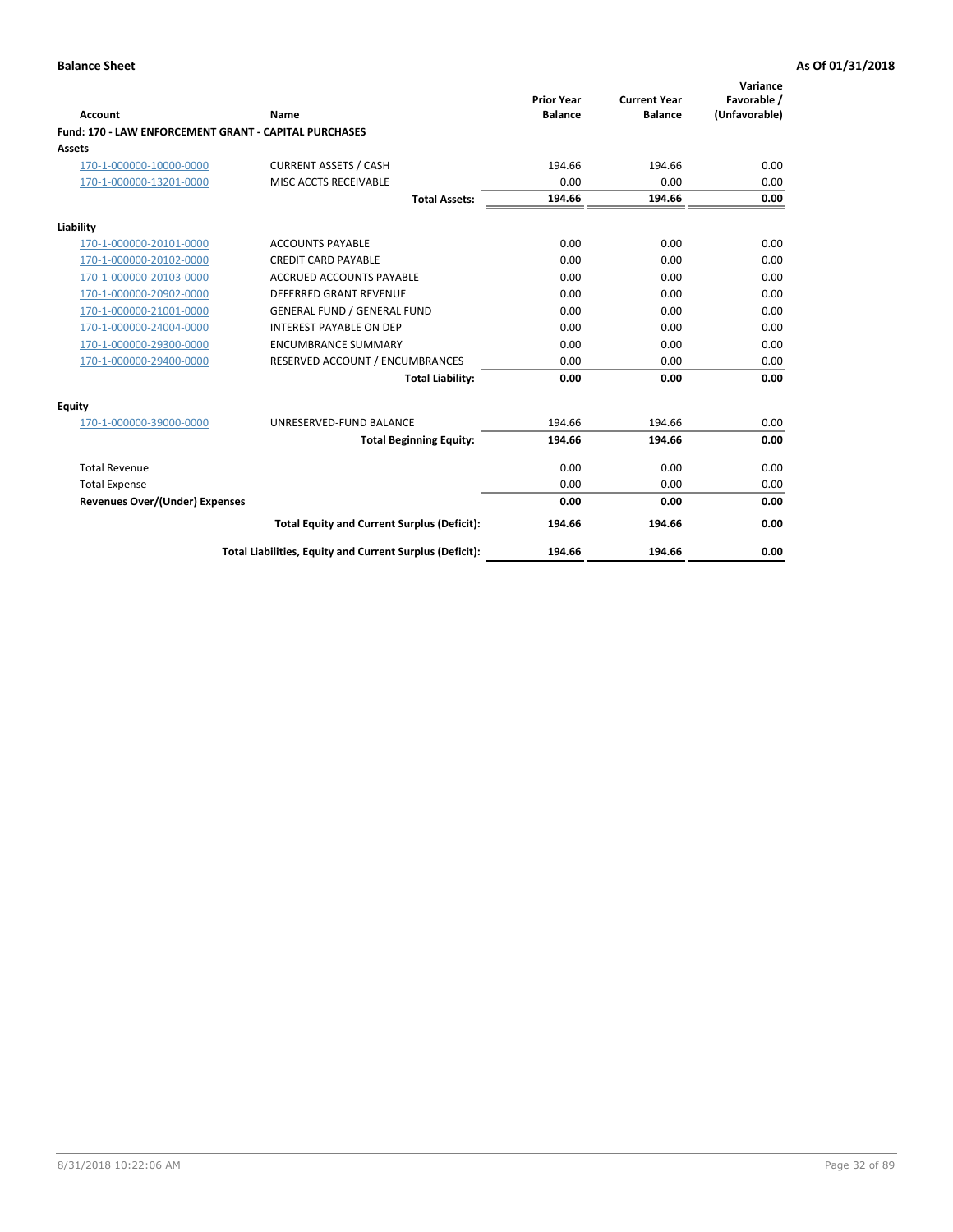|                                                       |                                                          |                                     |                                       | Variance                     |
|-------------------------------------------------------|----------------------------------------------------------|-------------------------------------|---------------------------------------|------------------------------|
| Account                                               | Name                                                     | <b>Prior Year</b><br><b>Balance</b> | <b>Current Year</b><br><b>Balance</b> | Favorable /<br>(Unfavorable) |
| Fund: 170 - LAW ENFORCEMENT GRANT - CAPITAL PURCHASES |                                                          |                                     |                                       |                              |
| <b>Assets</b>                                         |                                                          |                                     |                                       |                              |
| 170-1-000000-10000-0000                               | <b>CURRENT ASSETS / CASH</b>                             | 194.66                              | 194.66                                | 0.00                         |
| 170-1-000000-13201-0000                               | MISC ACCTS RECEIVABLE                                    | 0.00                                | 0.00                                  | 0.00                         |
|                                                       | <b>Total Assets:</b>                                     | 194.66                              | 194.66                                | 0.00                         |
| Liability                                             |                                                          |                                     |                                       |                              |
| 170-1-000000-20101-0000                               | <b>ACCOUNTS PAYABLE</b>                                  | 0.00                                | 0.00                                  | 0.00                         |
| 170-1-000000-20102-0000                               | <b>CREDIT CARD PAYABLE</b>                               | 0.00                                | 0.00                                  | 0.00                         |
| 170-1-000000-20103-0000                               | <b>ACCRUED ACCOUNTS PAYABLE</b>                          | 0.00                                | 0.00                                  | 0.00                         |
| 170-1-000000-20902-0000                               | DEFERRED GRANT REVENUE                                   | 0.00                                | 0.00                                  | 0.00                         |
| 170-1-000000-21001-0000                               | <b>GENERAL FUND / GENERAL FUND</b>                       | 0.00                                | 0.00                                  | 0.00                         |
| 170-1-000000-24004-0000                               | <b>INTEREST PAYABLE ON DEP</b>                           | 0.00                                | 0.00                                  | 0.00                         |
| 170-1-000000-29300-0000                               | <b>ENCUMBRANCE SUMMARY</b>                               | 0.00                                | 0.00                                  | 0.00                         |
| 170-1-000000-29400-0000                               | RESERVED ACCOUNT / ENCUMBRANCES                          | 0.00                                | 0.00                                  | 0.00                         |
|                                                       | <b>Total Liability:</b>                                  | 0.00                                | 0.00                                  | 0.00                         |
| <b>Equity</b>                                         |                                                          |                                     |                                       |                              |
| 170-1-000000-39000-0000                               | UNRESERVED-FUND BALANCE                                  | 194.66                              | 194.66                                | 0.00                         |
|                                                       | <b>Total Beginning Equity:</b>                           | 194.66                              | 194.66                                | 0.00                         |
| <b>Total Revenue</b>                                  |                                                          | 0.00                                | 0.00                                  | 0.00                         |
| <b>Total Expense</b>                                  |                                                          | 0.00                                | 0.00                                  | 0.00                         |
| <b>Revenues Over/(Under) Expenses</b>                 |                                                          | 0.00                                | 0.00                                  | 0.00                         |
|                                                       | <b>Total Equity and Current Surplus (Deficit):</b>       | 194.66                              | 194.66                                | 0.00                         |
|                                                       | Total Liabilities, Equity and Current Surplus (Deficit): | 194.66                              | 194.66                                | 0.00                         |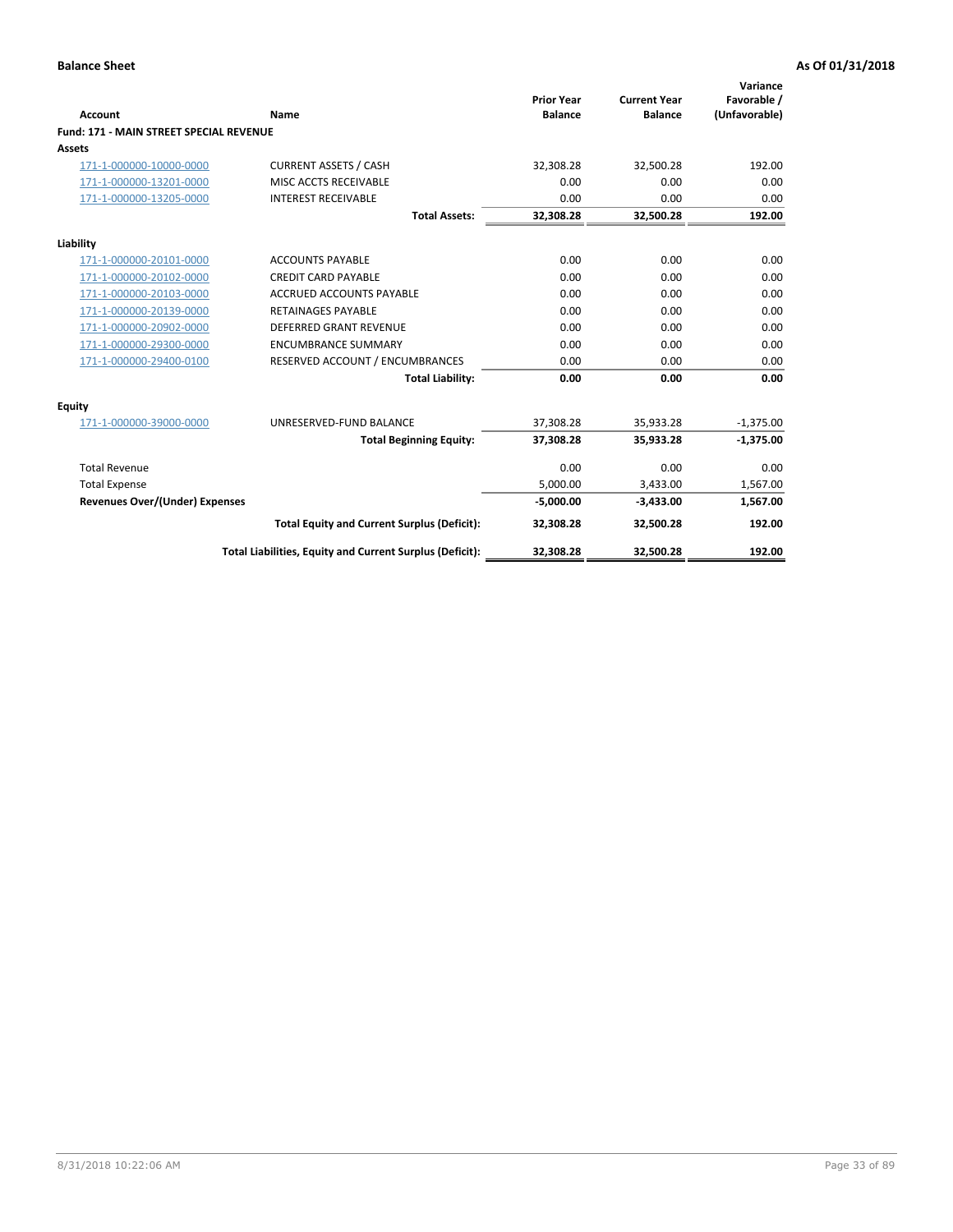|                                                |                                                          | <b>Prior Year</b> | <b>Current Year</b> | Variance<br>Favorable / |
|------------------------------------------------|----------------------------------------------------------|-------------------|---------------------|-------------------------|
| <b>Account</b>                                 | Name                                                     | <b>Balance</b>    | <b>Balance</b>      | (Unfavorable)           |
| <b>Fund: 171 - MAIN STREET SPECIAL REVENUE</b> |                                                          |                   |                     |                         |
| <b>Assets</b>                                  |                                                          |                   |                     |                         |
| 171-1-000000-10000-0000                        | <b>CURRENT ASSETS / CASH</b>                             | 32,308.28         | 32,500.28           | 192.00                  |
| 171-1-000000-13201-0000                        | MISC ACCTS RECEIVABLE                                    | 0.00              | 0.00                | 0.00                    |
| 171-1-000000-13205-0000                        | <b>INTEREST RECEIVABLE</b>                               | 0.00              | 0.00                | 0.00                    |
|                                                | <b>Total Assets:</b>                                     | 32.308.28         | 32.500.28           | 192.00                  |
| Liability                                      |                                                          |                   |                     |                         |
| 171-1-000000-20101-0000                        | <b>ACCOUNTS PAYABLE</b>                                  | 0.00              | 0.00                | 0.00                    |
| 171-1-000000-20102-0000                        | <b>CREDIT CARD PAYABLE</b>                               | 0.00              | 0.00                | 0.00                    |
| 171-1-000000-20103-0000                        | <b>ACCRUED ACCOUNTS PAYABLE</b>                          | 0.00              | 0.00                | 0.00                    |
| 171-1-000000-20139-0000                        | <b>RETAINAGES PAYABLE</b>                                | 0.00              | 0.00                | 0.00                    |
| 171-1-000000-20902-0000                        | DEFERRED GRANT REVENUE                                   | 0.00              | 0.00                | 0.00                    |
| 171-1-000000-29300-0000                        | <b>ENCUMBRANCE SUMMARY</b>                               | 0.00              | 0.00                | 0.00                    |
| 171-1-000000-29400-0100                        | RESERVED ACCOUNT / ENCUMBRANCES                          | 0.00              | 0.00                | 0.00                    |
|                                                | <b>Total Liability:</b>                                  | 0.00              | 0.00                | 0.00                    |
| <b>Equity</b>                                  |                                                          |                   |                     |                         |
| 171-1-000000-39000-0000                        | UNRESERVED-FUND BALANCE                                  | 37,308.28         | 35,933.28           | $-1,375.00$             |
|                                                | <b>Total Beginning Equity:</b>                           | 37,308.28         | 35,933.28           | $-1,375.00$             |
| <b>Total Revenue</b>                           |                                                          | 0.00              | 0.00                | 0.00                    |
| <b>Total Expense</b>                           |                                                          | 5,000.00          | 3,433.00            | 1,567.00                |
| <b>Revenues Over/(Under) Expenses</b>          |                                                          | $-5,000.00$       | $-3,433.00$         | 1,567.00                |
|                                                | <b>Total Equity and Current Surplus (Deficit):</b>       | 32,308.28         | 32,500.28           | 192.00                  |
|                                                | Total Liabilities, Equity and Current Surplus (Deficit): | 32,308.28         | 32,500.28           | 192.00                  |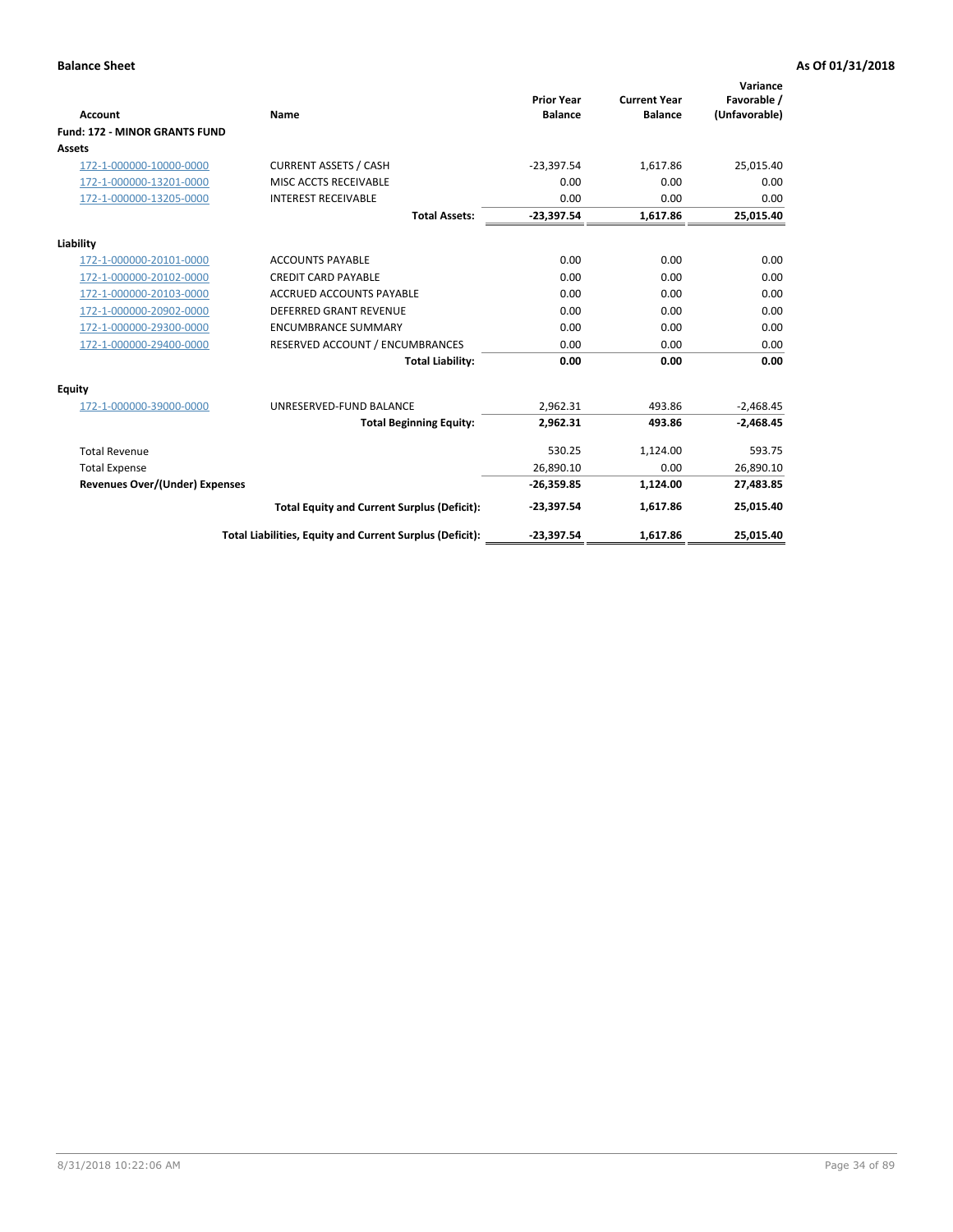|                                      |                                                          |                                     |                                       | Variance                     |
|--------------------------------------|----------------------------------------------------------|-------------------------------------|---------------------------------------|------------------------------|
| <b>Account</b>                       | <b>Name</b>                                              | <b>Prior Year</b><br><b>Balance</b> | <b>Current Year</b><br><b>Balance</b> | Favorable /<br>(Unfavorable) |
| <b>Fund: 172 - MINOR GRANTS FUND</b> |                                                          |                                     |                                       |                              |
| <b>Assets</b>                        |                                                          |                                     |                                       |                              |
| 172-1-000000-10000-0000              | <b>CURRENT ASSETS / CASH</b>                             | $-23,397.54$                        | 1,617.86                              | 25,015.40                    |
| 172-1-000000-13201-0000              | MISC ACCTS RECEIVABLE                                    | 0.00                                | 0.00                                  | 0.00                         |
| 172-1-000000-13205-0000              | <b>INTEREST RECEIVABLE</b>                               | 0.00                                | 0.00                                  | 0.00                         |
|                                      | <b>Total Assets:</b>                                     | $-23,397.54$                        | 1,617.86                              | 25,015.40                    |
| Liability                            |                                                          |                                     |                                       |                              |
| 172-1-000000-20101-0000              | <b>ACCOUNTS PAYABLE</b>                                  | 0.00                                | 0.00                                  | 0.00                         |
| 172-1-000000-20102-0000              | <b>CREDIT CARD PAYABLE</b>                               | 0.00                                | 0.00                                  | 0.00                         |
| 172-1-000000-20103-0000              | <b>ACCRUED ACCOUNTS PAYABLE</b>                          | 0.00                                | 0.00                                  | 0.00                         |
| 172-1-000000-20902-0000              | DEFERRED GRANT REVENUE                                   | 0.00                                | 0.00                                  | 0.00                         |
| 172-1-000000-29300-0000              | <b>ENCUMBRANCE SUMMARY</b>                               | 0.00                                | 0.00                                  | 0.00                         |
| 172-1-000000-29400-0000              | RESERVED ACCOUNT / ENCUMBRANCES                          | 0.00                                | 0.00                                  | 0.00                         |
|                                      | <b>Total Liability:</b>                                  | 0.00                                | 0.00                                  | 0.00                         |
| Equity                               |                                                          |                                     |                                       |                              |
| 172-1-000000-39000-0000              | UNRESERVED-FUND BALANCE                                  | 2,962.31                            | 493.86                                | $-2,468.45$                  |
|                                      | <b>Total Beginning Equity:</b>                           | 2,962.31                            | 493.86                                | $-2,468.45$                  |
| <b>Total Revenue</b>                 |                                                          | 530.25                              | 1,124.00                              | 593.75                       |
| <b>Total Expense</b>                 |                                                          | 26,890.10                           | 0.00                                  | 26,890.10                    |
| Revenues Over/(Under) Expenses       |                                                          | $-26,359.85$                        | 1,124.00                              | 27,483.85                    |
|                                      | <b>Total Equity and Current Surplus (Deficit):</b>       | $-23,397.54$                        | 1,617.86                              | 25,015.40                    |
|                                      | Total Liabilities, Equity and Current Surplus (Deficit): | $-23,397.54$                        | 1,617.86                              | 25,015.40                    |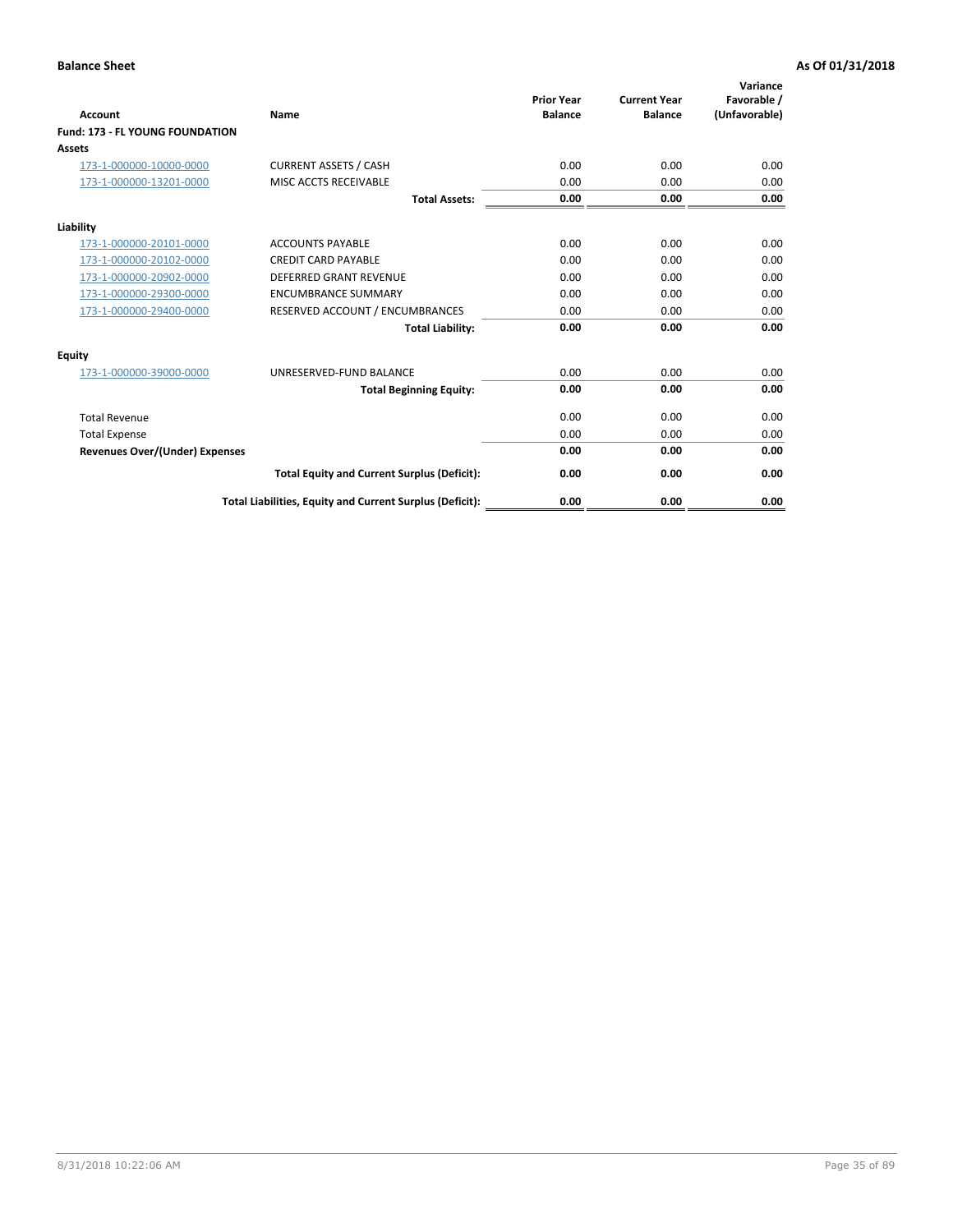| <b>Account</b>                         | <b>Name</b>                                              | <b>Prior Year</b><br><b>Balance</b> | <b>Current Year</b><br><b>Balance</b> | Variance<br>Favorable /<br>(Unfavorable) |
|----------------------------------------|----------------------------------------------------------|-------------------------------------|---------------------------------------|------------------------------------------|
| <b>Fund: 173 - FL YOUNG FOUNDATION</b> |                                                          |                                     |                                       |                                          |
| Assets                                 |                                                          |                                     |                                       |                                          |
| 173-1-000000-10000-0000                | <b>CURRENT ASSETS / CASH</b>                             | 0.00                                | 0.00                                  | 0.00                                     |
| 173-1-000000-13201-0000                | MISC ACCTS RECEIVABLE                                    | 0.00                                | 0.00                                  | 0.00                                     |
|                                        | <b>Total Assets:</b>                                     | 0.00                                | 0.00                                  | 0.00                                     |
| Liability                              |                                                          |                                     |                                       |                                          |
| 173-1-000000-20101-0000                | <b>ACCOUNTS PAYABLE</b>                                  | 0.00                                | 0.00                                  | 0.00                                     |
| 173-1-000000-20102-0000                | <b>CREDIT CARD PAYABLE</b>                               | 0.00                                | 0.00                                  | 0.00                                     |
| 173-1-000000-20902-0000                | <b>DEFERRED GRANT REVENUE</b>                            | 0.00                                | 0.00                                  | 0.00                                     |
| 173-1-000000-29300-0000                | <b>ENCUMBRANCE SUMMARY</b>                               | 0.00                                | 0.00                                  | 0.00                                     |
| 173-1-000000-29400-0000                | RESERVED ACCOUNT / ENCUMBRANCES                          | 0.00                                | 0.00                                  | 0.00                                     |
|                                        | <b>Total Liability:</b>                                  | 0.00                                | 0.00                                  | 0.00                                     |
| Equity                                 |                                                          |                                     |                                       |                                          |
| 173-1-000000-39000-0000                | UNRESERVED-FUND BALANCE                                  | 0.00                                | 0.00                                  | 0.00                                     |
|                                        | <b>Total Beginning Equity:</b>                           | 0.00                                | 0.00                                  | 0.00                                     |
| <b>Total Revenue</b>                   |                                                          | 0.00                                | 0.00                                  | 0.00                                     |
| <b>Total Expense</b>                   |                                                          | 0.00                                | 0.00                                  | 0.00                                     |
| <b>Revenues Over/(Under) Expenses</b>  |                                                          | 0.00                                | 0.00                                  | 0.00                                     |
|                                        | <b>Total Equity and Current Surplus (Deficit):</b>       | 0.00                                | 0.00                                  | 0.00                                     |
|                                        | Total Liabilities, Equity and Current Surplus (Deficit): | 0.00                                | 0.00                                  | 0.00                                     |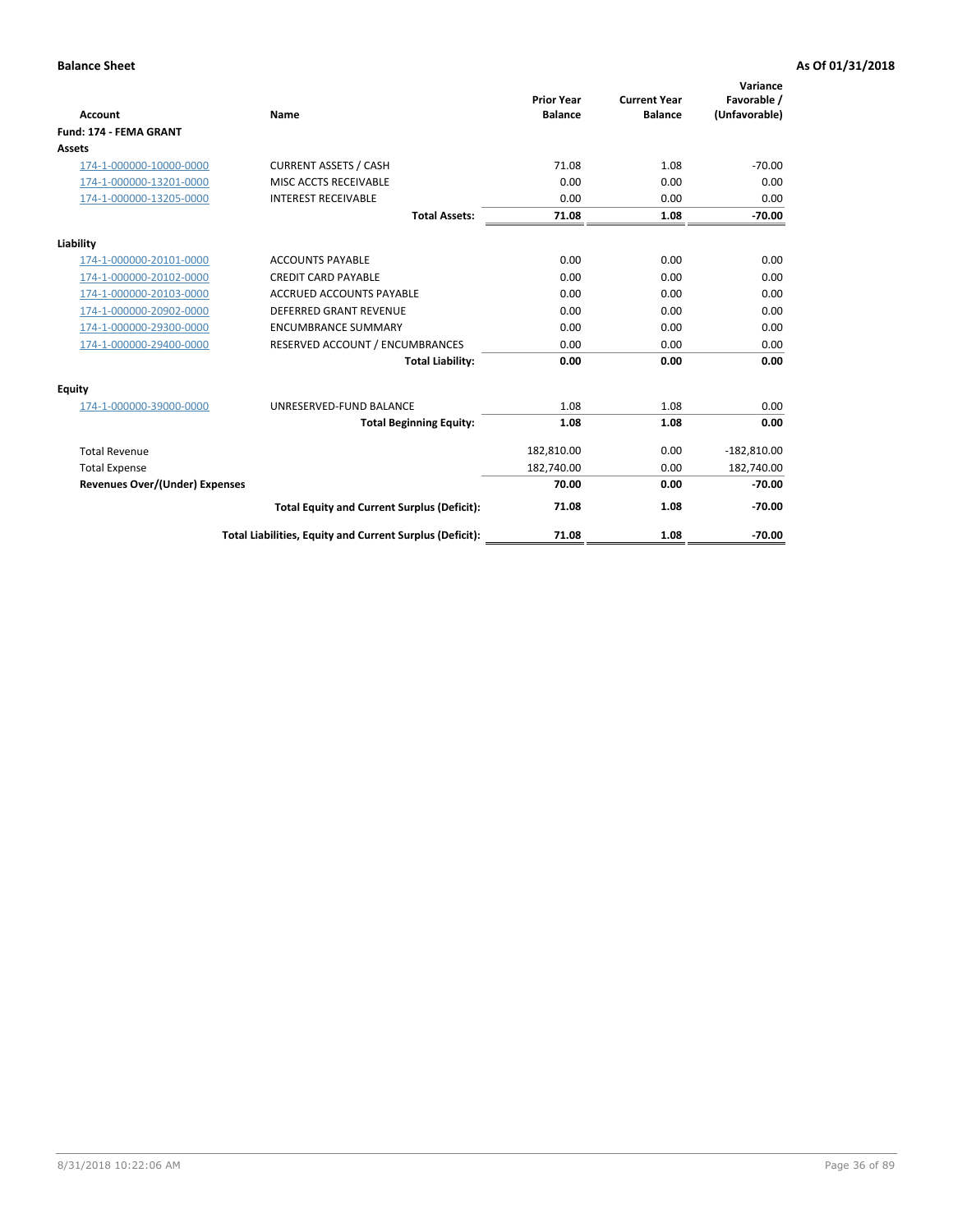|                                       |                                                          |                                     |                                       | Variance                     |
|---------------------------------------|----------------------------------------------------------|-------------------------------------|---------------------------------------|------------------------------|
| <b>Account</b>                        | <b>Name</b>                                              | <b>Prior Year</b><br><b>Balance</b> | <b>Current Year</b><br><b>Balance</b> | Favorable /<br>(Unfavorable) |
| Fund: 174 - FEMA GRANT                |                                                          |                                     |                                       |                              |
| <b>Assets</b>                         |                                                          |                                     |                                       |                              |
| 174-1-000000-10000-0000               | <b>CURRENT ASSETS / CASH</b>                             | 71.08                               | 1.08                                  | $-70.00$                     |
| 174-1-000000-13201-0000               | MISC ACCTS RECEIVABLE                                    | 0.00                                | 0.00                                  | 0.00                         |
| 174-1-000000-13205-0000               | <b>INTEREST RECEIVABLE</b>                               | 0.00                                | 0.00                                  | 0.00                         |
|                                       | <b>Total Assets:</b>                                     | 71.08                               | 1.08                                  | $-70.00$                     |
| Liability                             |                                                          |                                     |                                       |                              |
| 174-1-000000-20101-0000               | <b>ACCOUNTS PAYABLE</b>                                  | 0.00                                | 0.00                                  | 0.00                         |
| 174-1-000000-20102-0000               | <b>CREDIT CARD PAYABLE</b>                               | 0.00                                | 0.00                                  | 0.00                         |
| 174-1-000000-20103-0000               | <b>ACCRUED ACCOUNTS PAYABLE</b>                          | 0.00                                | 0.00                                  | 0.00                         |
| 174-1-000000-20902-0000               | <b>DEFERRED GRANT REVENUE</b>                            | 0.00                                | 0.00                                  | 0.00                         |
| 174-1-000000-29300-0000               | <b>ENCUMBRANCE SUMMARY</b>                               | 0.00                                | 0.00                                  | 0.00                         |
| 174-1-000000-29400-0000               | RESERVED ACCOUNT / ENCUMBRANCES                          | 0.00                                | 0.00                                  | 0.00                         |
|                                       | <b>Total Liability:</b>                                  | 0.00                                | 0.00                                  | 0.00                         |
| Equity                                |                                                          |                                     |                                       |                              |
| 174-1-000000-39000-0000               | UNRESERVED-FUND BALANCE                                  | 1.08                                | 1.08                                  | 0.00                         |
|                                       | <b>Total Beginning Equity:</b>                           | 1.08                                | 1.08                                  | 0.00                         |
| <b>Total Revenue</b>                  |                                                          | 182,810.00                          | 0.00                                  | $-182,810.00$                |
| <b>Total Expense</b>                  |                                                          | 182,740.00                          | 0.00                                  | 182,740.00                   |
| <b>Revenues Over/(Under) Expenses</b> |                                                          | 70.00                               | 0.00                                  | $-70.00$                     |
|                                       | <b>Total Equity and Current Surplus (Deficit):</b>       | 71.08                               | 1.08                                  | $-70.00$                     |
|                                       | Total Liabilities, Equity and Current Surplus (Deficit): | 71.08                               | 1.08                                  | $-70.00$                     |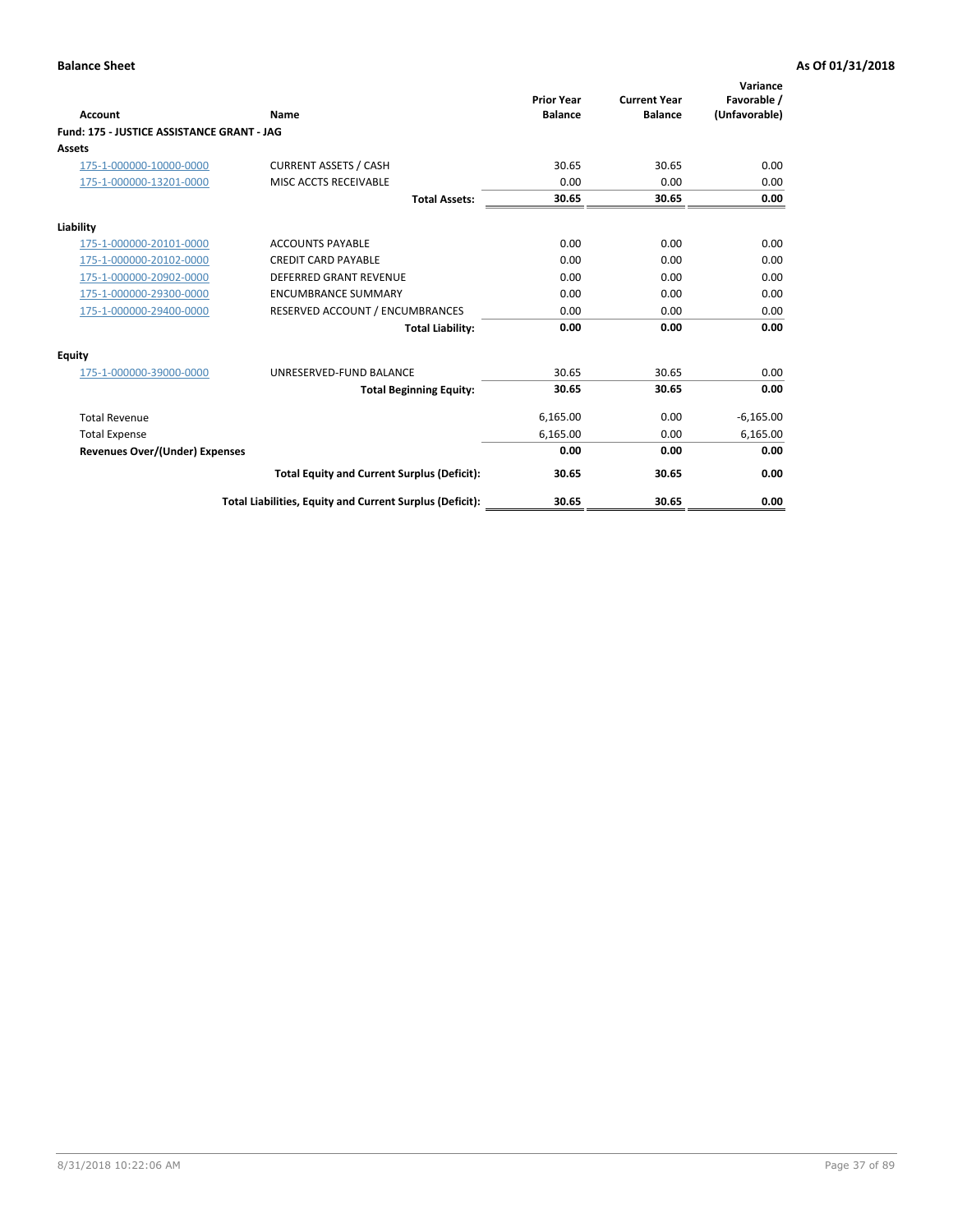|                                            |                                                          | <b>Prior Year</b> | <b>Current Year</b> | Variance<br>Favorable / |
|--------------------------------------------|----------------------------------------------------------|-------------------|---------------------|-------------------------|
| <b>Account</b>                             | Name                                                     | <b>Balance</b>    | <b>Balance</b>      | (Unfavorable)           |
| Fund: 175 - JUSTICE ASSISTANCE GRANT - JAG |                                                          |                   |                     |                         |
| <b>Assets</b>                              |                                                          |                   |                     |                         |
| 175-1-000000-10000-0000                    | <b>CURRENT ASSETS / CASH</b>                             | 30.65             | 30.65               | 0.00                    |
| 175-1-000000-13201-0000                    | MISC ACCTS RECEIVABLE                                    | 0.00              | 0.00                | 0.00                    |
|                                            | <b>Total Assets:</b>                                     | 30.65             | 30.65               | 0.00                    |
| Liability                                  |                                                          |                   |                     |                         |
| 175-1-000000-20101-0000                    | <b>ACCOUNTS PAYABLE</b>                                  | 0.00              | 0.00                | 0.00                    |
| 175-1-000000-20102-0000                    | <b>CREDIT CARD PAYABLE</b>                               | 0.00              | 0.00                | 0.00                    |
| 175-1-000000-20902-0000                    | <b>DEFERRED GRANT REVENUE</b>                            | 0.00              | 0.00                | 0.00                    |
| 175-1-000000-29300-0000                    | <b>ENCUMBRANCE SUMMARY</b>                               | 0.00              | 0.00                | 0.00                    |
| 175-1-000000-29400-0000                    | RESERVED ACCOUNT / ENCUMBRANCES                          | 0.00              | 0.00                | 0.00                    |
|                                            | <b>Total Liability:</b>                                  | 0.00              | 0.00                | 0.00                    |
| Equity                                     |                                                          |                   |                     |                         |
| 175-1-000000-39000-0000                    | UNRESERVED-FUND BALANCE                                  | 30.65             | 30.65               | 0.00                    |
|                                            | <b>Total Beginning Equity:</b>                           | 30.65             | 30.65               | 0.00                    |
| <b>Total Revenue</b>                       |                                                          | 6,165.00          | 0.00                | $-6,165.00$             |
| <b>Total Expense</b>                       |                                                          | 6,165.00          | 0.00                | 6,165.00                |
| <b>Revenues Over/(Under) Expenses</b>      |                                                          | 0.00              | 0.00                | 0.00                    |
|                                            | <b>Total Equity and Current Surplus (Deficit):</b>       | 30.65             | 30.65               | 0.00                    |
|                                            | Total Liabilities, Equity and Current Surplus (Deficit): | 30.65             | 30.65               | 0.00                    |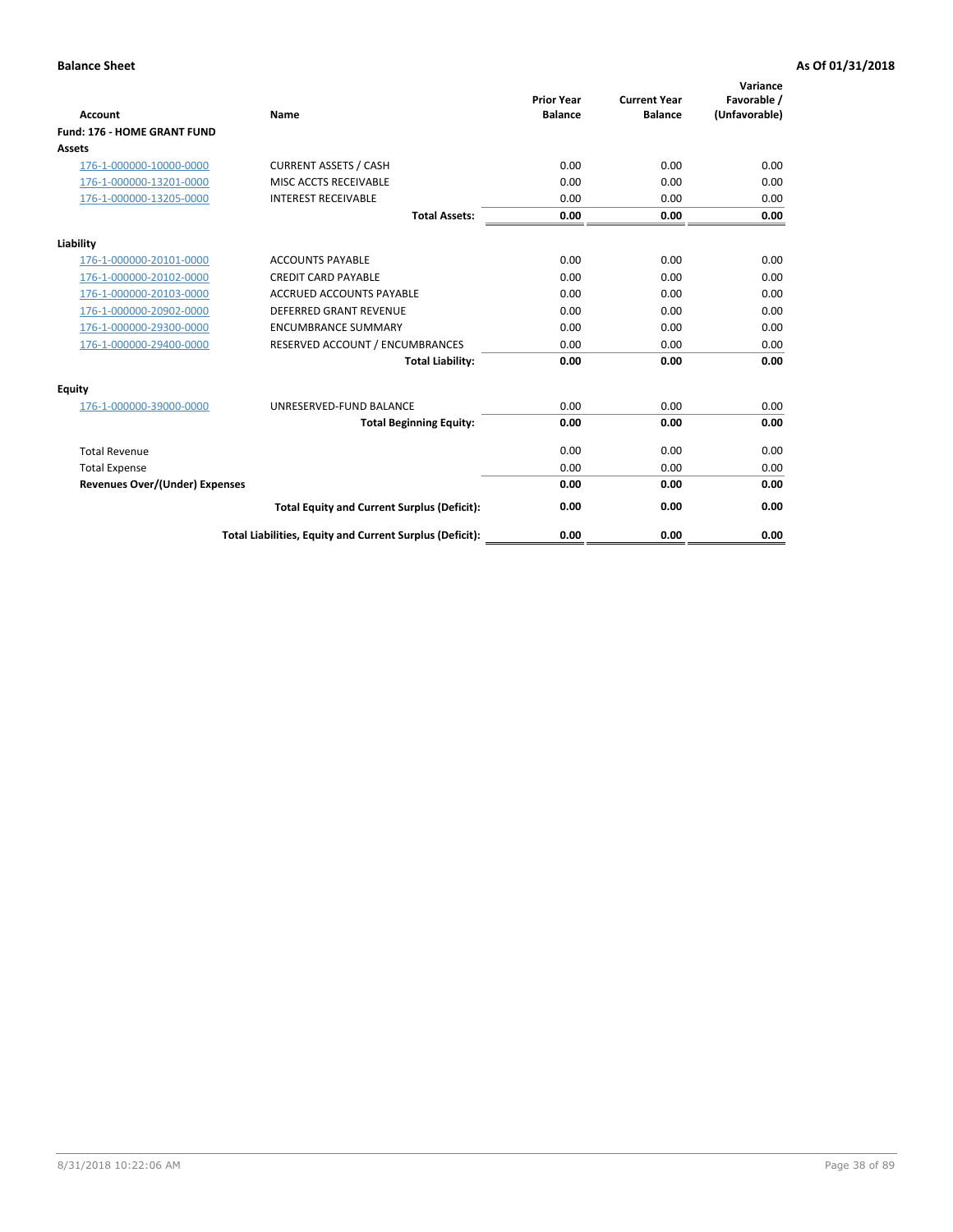| Account                               | Name                                                     | <b>Prior Year</b><br><b>Balance</b> | <b>Current Year</b><br><b>Balance</b> | Variance<br>Favorable /<br>(Unfavorable) |
|---------------------------------------|----------------------------------------------------------|-------------------------------------|---------------------------------------|------------------------------------------|
| Fund: 176 - HOME GRANT FUND           |                                                          |                                     |                                       |                                          |
| Assets                                |                                                          |                                     |                                       |                                          |
| 176-1-000000-10000-0000               | <b>CURRENT ASSETS / CASH</b>                             | 0.00                                | 0.00                                  | 0.00                                     |
| 176-1-000000-13201-0000               | MISC ACCTS RECEIVABLE                                    | 0.00                                | 0.00                                  | 0.00                                     |
| 176-1-000000-13205-0000               | <b>INTEREST RECEIVABLE</b>                               | 0.00                                | 0.00                                  | 0.00                                     |
|                                       | <b>Total Assets:</b>                                     | 0.00                                | 0.00                                  | 0.00                                     |
| Liability                             |                                                          |                                     |                                       |                                          |
| 176-1-000000-20101-0000               | <b>ACCOUNTS PAYABLE</b>                                  | 0.00                                | 0.00                                  | 0.00                                     |
| 176-1-000000-20102-0000               | <b>CREDIT CARD PAYABLE</b>                               | 0.00                                | 0.00                                  | 0.00                                     |
| 176-1-000000-20103-0000               | ACCRUED ACCOUNTS PAYABLE                                 | 0.00                                | 0.00                                  | 0.00                                     |
| 176-1-000000-20902-0000               | <b>DEFERRED GRANT REVENUE</b>                            | 0.00                                | 0.00                                  | 0.00                                     |
| 176-1-000000-29300-0000               | <b>ENCUMBRANCE SUMMARY</b>                               | 0.00                                | 0.00                                  | 0.00                                     |
| 176-1-000000-29400-0000               | RESERVED ACCOUNT / ENCUMBRANCES                          | 0.00                                | 0.00                                  | 0.00                                     |
|                                       | <b>Total Liability:</b>                                  | 0.00                                | 0.00                                  | 0.00                                     |
| <b>Equity</b>                         |                                                          |                                     |                                       |                                          |
| 176-1-000000-39000-0000               | UNRESERVED-FUND BALANCE                                  | 0.00                                | 0.00                                  | 0.00                                     |
|                                       | <b>Total Beginning Equity:</b>                           | 0.00                                | 0.00                                  | 0.00                                     |
| <b>Total Revenue</b>                  |                                                          | 0.00                                | 0.00                                  | 0.00                                     |
| <b>Total Expense</b>                  |                                                          | 0.00                                | 0.00                                  | 0.00                                     |
| <b>Revenues Over/(Under) Expenses</b> |                                                          | 0.00                                | 0.00                                  | 0.00                                     |
|                                       | <b>Total Equity and Current Surplus (Deficit):</b>       | 0.00                                | 0.00                                  | 0.00                                     |
|                                       | Total Liabilities, Equity and Current Surplus (Deficit): | 0.00                                | 0.00                                  | 0.00                                     |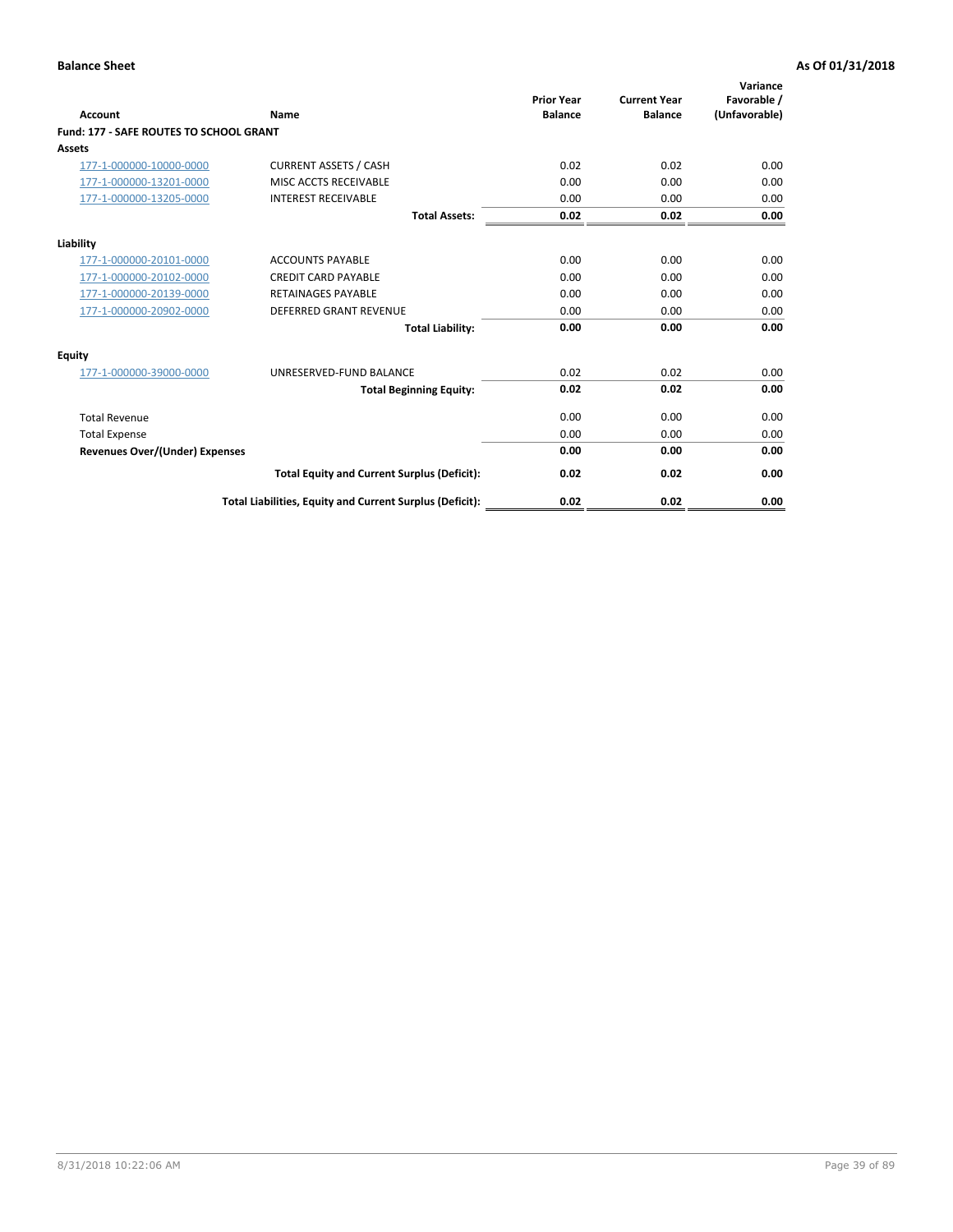| Account                                        | Name                                                     | <b>Prior Year</b><br><b>Balance</b> | <b>Current Year</b><br><b>Balance</b> | Variance<br>Favorable /<br>(Unfavorable) |
|------------------------------------------------|----------------------------------------------------------|-------------------------------------|---------------------------------------|------------------------------------------|
| <b>Fund: 177 - SAFE ROUTES TO SCHOOL GRANT</b> |                                                          |                                     |                                       |                                          |
| <b>Assets</b>                                  |                                                          |                                     |                                       |                                          |
| 177-1-000000-10000-0000                        | <b>CURRENT ASSETS / CASH</b>                             | 0.02                                | 0.02                                  | 0.00                                     |
| 177-1-000000-13201-0000                        | MISC ACCTS RECEIVABLE                                    | 0.00                                | 0.00                                  | 0.00                                     |
| 177-1-000000-13205-0000                        | <b>INTEREST RECEIVABLE</b>                               | 0.00                                | 0.00                                  | 0.00                                     |
|                                                | <b>Total Assets:</b>                                     | 0.02                                | 0.02                                  | 0.00                                     |
| Liability                                      |                                                          |                                     |                                       |                                          |
| 177-1-000000-20101-0000                        | <b>ACCOUNTS PAYABLE</b>                                  | 0.00                                | 0.00                                  | 0.00                                     |
| 177-1-000000-20102-0000                        | <b>CREDIT CARD PAYABLE</b>                               | 0.00                                | 0.00                                  | 0.00                                     |
| 177-1-000000-20139-0000                        | <b>RETAINAGES PAYABLE</b>                                | 0.00                                | 0.00                                  | 0.00                                     |
| 177-1-000000-20902-0000                        | <b>DEFERRED GRANT REVENUE</b>                            | 0.00                                | 0.00                                  | 0.00                                     |
|                                                | <b>Total Liability:</b>                                  | 0.00                                | 0.00                                  | 0.00                                     |
| Equity                                         |                                                          |                                     |                                       |                                          |
| 177-1-000000-39000-0000                        | UNRESERVED-FUND BALANCE                                  | 0.02                                | 0.02                                  | 0.00                                     |
|                                                | <b>Total Beginning Equity:</b>                           | 0.02                                | 0.02                                  | 0.00                                     |
| <b>Total Revenue</b>                           |                                                          | 0.00                                | 0.00                                  | 0.00                                     |
| <b>Total Expense</b>                           |                                                          | 0.00                                | 0.00                                  | 0.00                                     |
| Revenues Over/(Under) Expenses                 |                                                          | 0.00                                | 0.00                                  | 0.00                                     |
|                                                | <b>Total Equity and Current Surplus (Deficit):</b>       | 0.02                                | 0.02                                  | 0.00                                     |
|                                                | Total Liabilities, Equity and Current Surplus (Deficit): | 0.02                                | 0.02                                  | 0.00                                     |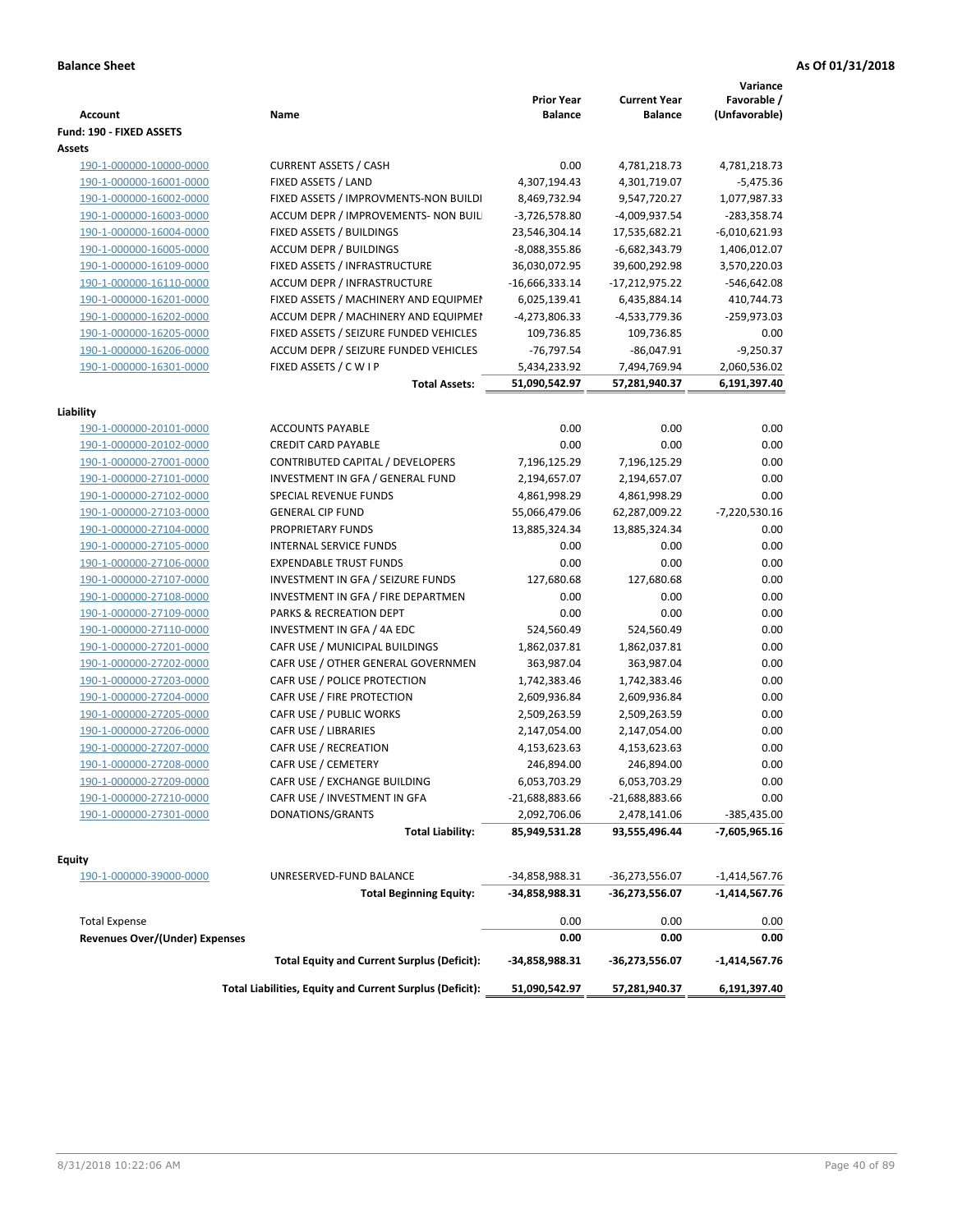| <b>Account</b>                           | Name                                                     | <b>Prior Year</b><br><b>Balance</b> | <b>Current Year</b><br><b>Balance</b> | Variance<br>Favorable /<br>(Unfavorable) |
|------------------------------------------|----------------------------------------------------------|-------------------------------------|---------------------------------------|------------------------------------------|
| Fund: 190 - FIXED ASSETS                 |                                                          |                                     |                                       |                                          |
| Assets                                   |                                                          |                                     |                                       |                                          |
| 190-1-000000-10000-0000                  | <b>CURRENT ASSETS / CASH</b>                             | 0.00                                | 4,781,218.73                          | 4,781,218.73                             |
| 190-1-000000-16001-0000                  | FIXED ASSETS / LAND                                      | 4,307,194.43                        | 4,301,719.07                          | $-5,475.36$                              |
| 190-1-000000-16002-0000                  | FIXED ASSETS / IMPROVMENTS-NON BUILDI                    | 8,469,732.94                        | 9,547,720.27                          | 1,077,987.33                             |
| 190-1-000000-16003-0000                  | ACCUM DEPR / IMPROVEMENTS- NON BUIL                      | $-3,726,578.80$                     | -4,009,937.54                         | $-283,358.74$                            |
| 190-1-000000-16004-0000                  | FIXED ASSETS / BUILDINGS                                 | 23,546,304.14                       | 17,535,682.21                         | $-6,010,621.93$                          |
| 190-1-000000-16005-0000                  | <b>ACCUM DEPR / BUILDINGS</b>                            | $-8,088,355.86$                     | $-6,682,343.79$                       | 1,406,012.07                             |
| 190-1-000000-16109-0000                  | FIXED ASSETS / INFRASTRUCTURE                            | 36,030,072.95                       | 39,600,292.98                         | 3,570,220.03                             |
| 190-1-000000-16110-0000                  | ACCUM DEPR / INFRASTRUCTURE                              | $-16,666,333.14$                    | $-17,212,975.22$                      | $-546,642.08$                            |
| 190-1-000000-16201-0000                  | FIXED ASSETS / MACHINERY AND EQUIPMEN                    | 6,025,139.41                        | 6,435,884.14                          | 410,744.73                               |
| 190-1-000000-16202-0000                  | ACCUM DEPR / MACHINERY AND EQUIPMEI                      | -4,273,806.33                       | -4,533,779.36                         | -259,973.03                              |
| 190-1-000000-16205-0000                  | FIXED ASSETS / SEIZURE FUNDED VEHICLES                   | 109,736.85                          | 109,736.85                            | 0.00                                     |
| 190-1-000000-16206-0000                  | ACCUM DEPR / SEIZURE FUNDED VEHICLES                     | $-76,797.54$                        | $-86,047.91$                          | $-9,250.37$                              |
| 190-1-000000-16301-0000                  | FIXED ASSETS / C W I P                                   | 5,434,233.92                        | 7,494,769.94                          | 2,060,536.02                             |
|                                          | <b>Total Assets:</b>                                     | 51,090,542.97                       | 57,281,940.37                         | 6,191,397.40                             |
|                                          |                                                          |                                     |                                       |                                          |
| Liability                                |                                                          |                                     |                                       |                                          |
| 190-1-000000-20101-0000                  | <b>ACCOUNTS PAYABLE</b>                                  | 0.00                                | 0.00                                  | 0.00                                     |
| 190-1-000000-20102-0000                  | <b>CREDIT CARD PAYABLE</b>                               | 0.00                                | 0.00                                  | 0.00                                     |
| 190-1-000000-27001-0000                  | CONTRIBUTED CAPITAL / DEVELOPERS                         | 7,196,125.29                        | 7,196,125.29                          | 0.00                                     |
| 190-1-000000-27101-0000                  | INVESTMENT IN GFA / GENERAL FUND                         | 2,194,657.07                        | 2,194,657.07                          | 0.00                                     |
| 190-1-000000-27102-0000                  | SPECIAL REVENUE FUNDS                                    | 4,861,998.29                        | 4,861,998.29                          | 0.00                                     |
| 190-1-000000-27103-0000                  | <b>GENERAL CIP FUND</b>                                  | 55,066,479.06                       | 62,287,009.22                         | $-7,220,530.16$                          |
| 190-1-000000-27104-0000                  | PROPRIETARY FUNDS                                        | 13,885,324.34                       | 13,885,324.34                         | 0.00                                     |
| 190-1-000000-27105-0000                  | <b>INTERNAL SERVICE FUNDS</b>                            | 0.00                                | 0.00                                  | 0.00                                     |
| 190-1-000000-27106-0000                  | <b>EXPENDABLE TRUST FUNDS</b>                            | 0.00                                | 0.00                                  | 0.00                                     |
| 190-1-000000-27107-0000                  | INVESTMENT IN GFA / SEIZURE FUNDS                        | 127,680.68                          | 127,680.68                            | 0.00                                     |
| 190-1-000000-27108-0000                  | INVESTMENT IN GFA / FIRE DEPARTMEN                       | 0.00                                | 0.00                                  | 0.00                                     |
| 190-1-000000-27109-0000                  | PARKS & RECREATION DEPT                                  | 0.00                                | 0.00                                  | 0.00                                     |
| 190-1-000000-27110-0000                  | INVESTMENT IN GFA / 4A EDC                               | 524,560.49                          | 524,560.49                            | 0.00                                     |
| 190-1-000000-27201-0000                  | CAFR USE / MUNICIPAL BUILDINGS                           | 1,862,037.81                        | 1,862,037.81                          | 0.00                                     |
| 190-1-000000-27202-0000                  | CAFR USE / OTHER GENERAL GOVERNMEN                       | 363,987.04                          | 363,987.04                            | 0.00                                     |
| 190-1-000000-27203-0000                  | CAFR USE / POLICE PROTECTION                             | 1,742,383.46                        | 1,742,383.46                          | 0.00                                     |
| 190-1-000000-27204-0000                  | CAFR USE / FIRE PROTECTION                               | 2,609,936.84                        | 2,609,936.84                          | 0.00                                     |
| 190-1-000000-27205-0000                  | CAFR USE / PUBLIC WORKS                                  | 2,509,263.59                        | 2,509,263.59                          | 0.00                                     |
| 190-1-000000-27206-0000                  | CAFR USE / LIBRARIES                                     | 2,147,054.00                        | 2,147,054.00                          | 0.00                                     |
| 190-1-000000-27207-0000                  | CAFR USE / RECREATION                                    | 4,153,623.63                        | 4,153,623.63                          | 0.00                                     |
| 190-1-000000-27208-0000                  | CAFR USE / CEMETERY                                      | 246,894.00                          | 246,894.00                            | 0.00                                     |
| 190-1-000000-27209-0000                  | CAFR USE / EXCHANGE BUILDING                             | 6,053,703.29                        | 6,053,703.29                          | 0.00                                     |
| 190-1-000000-27210-0000                  | CAFR USE / INVESTMENT IN GFA                             | -21,688,883.66                      | $-21,688,883.66$                      | 0.00                                     |
| 190-1-000000-27301-0000                  | DONATIONS/GRANTS                                         | 2,092,706.06                        | 2,478,141.06                          | -385,435.00                              |
|                                          | <b>Total Liability:</b>                                  | 85,949,531.28                       | 93,555,496.44                         | -7,605,965.16                            |
|                                          |                                                          |                                     |                                       |                                          |
| <b>Equity</b><br>190-1-000000-39000-0000 | UNRESERVED-FUND BALANCE                                  | -34,858,988.31                      | -36,273,556.07                        | $-1,414,567.76$                          |
|                                          | <b>Total Beginning Equity:</b>                           | -34,858,988.31                      | -36,273,556.07                        | -1,414,567.76                            |
|                                          |                                                          |                                     |                                       |                                          |
| <b>Total Expense</b>                     |                                                          | 0.00                                | 0.00                                  | 0.00                                     |
| <b>Revenues Over/(Under) Expenses</b>    |                                                          | 0.00                                | 0.00                                  | 0.00                                     |
|                                          | <b>Total Equity and Current Surplus (Deficit):</b>       | -34,858,988.31                      | -36,273,556.07                        | -1,414,567.76                            |
|                                          | Total Liabilities, Equity and Current Surplus (Deficit): | 51,090,542.97                       | 57,281,940.37                         | 6,191,397.40                             |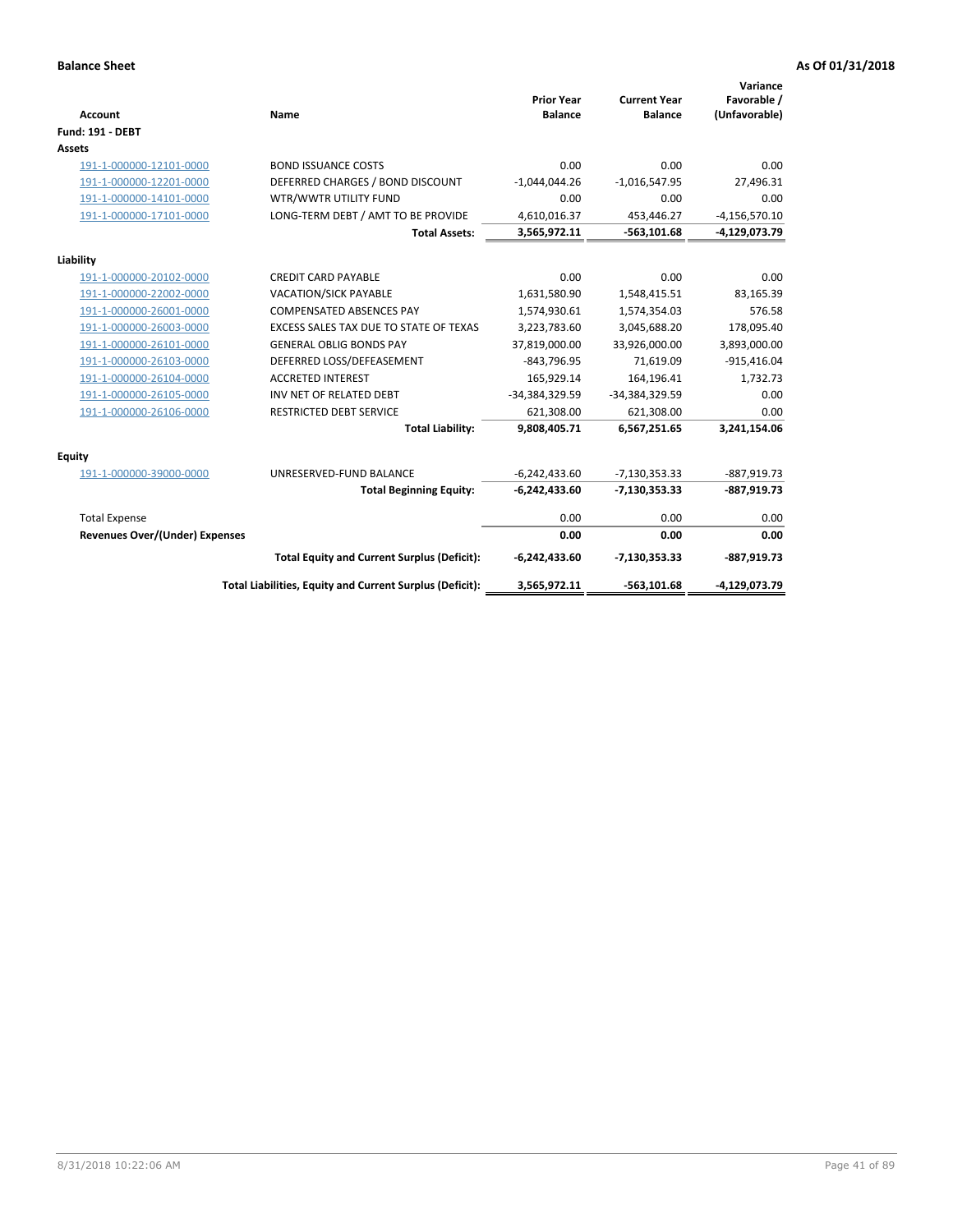| Account                               | Name                                                     | <b>Prior Year</b><br><b>Balance</b> | <b>Current Year</b><br><b>Balance</b> | Variance<br>Favorable /<br>(Unfavorable) |
|---------------------------------------|----------------------------------------------------------|-------------------------------------|---------------------------------------|------------------------------------------|
| <b>Fund: 191 - DEBT</b>               |                                                          |                                     |                                       |                                          |
| Assets                                |                                                          |                                     |                                       |                                          |
| 191-1-000000-12101-0000               | <b>BOND ISSUANCE COSTS</b>                               | 0.00                                | 0.00                                  | 0.00                                     |
| 191-1-000000-12201-0000               | DEFERRED CHARGES / BOND DISCOUNT                         | $-1,044,044.26$                     | $-1,016,547.95$                       | 27,496.31                                |
| 191-1-000000-14101-0000               | WTR/WWTR UTILITY FUND                                    | 0.00                                | 0.00                                  | 0.00                                     |
| 191-1-000000-17101-0000               | LONG-TERM DEBT / AMT TO BE PROVIDE                       | 4,610,016.37                        | 453,446.27                            | $-4, 156, 570.10$                        |
|                                       | <b>Total Assets:</b>                                     | 3,565,972.11                        | $-563,101.68$                         | -4,129,073.79                            |
| Liability                             |                                                          |                                     |                                       |                                          |
| 191-1-000000-20102-0000               | <b>CREDIT CARD PAYABLE</b>                               | 0.00                                | 0.00                                  | 0.00                                     |
| 191-1-000000-22002-0000               | <b>VACATION/SICK PAYABLE</b>                             | 1,631,580.90                        | 1,548,415.51                          | 83,165.39                                |
| 191-1-000000-26001-0000               | <b>COMPENSATED ABSENCES PAY</b>                          | 1,574,930.61                        | 1,574,354.03                          | 576.58                                   |
| 191-1-000000-26003-0000               | EXCESS SALES TAX DUE TO STATE OF TEXAS                   | 3,223,783.60                        | 3,045,688.20                          | 178,095.40                               |
| 191-1-000000-26101-0000               | <b>GENERAL OBLIG BONDS PAY</b>                           | 37,819,000.00                       | 33,926,000.00                         | 3,893,000.00                             |
| 191-1-000000-26103-0000               | DEFERRED LOSS/DEFEASEMENT                                | $-843,796.95$                       | 71,619.09                             | $-915,416.04$                            |
| 191-1-000000-26104-0000               | <b>ACCRETED INTEREST</b>                                 | 165,929.14                          | 164,196.41                            | 1,732.73                                 |
| 191-1-000000-26105-0000               | INV NET OF RELATED DEBT                                  | -34,384,329.59                      | -34,384,329.59                        | 0.00                                     |
| 191-1-000000-26106-0000               | <b>RESTRICTED DEBT SERVICE</b>                           | 621,308.00                          | 621,308.00                            | 0.00                                     |
|                                       | <b>Total Liability:</b>                                  | 9,808,405.71                        | 6,567,251.65                          | 3,241,154.06                             |
| <b>Equity</b>                         |                                                          |                                     |                                       |                                          |
| 191-1-000000-39000-0000               | UNRESERVED-FUND BALANCE                                  | $-6,242,433.60$                     | $-7,130,353.33$                       | $-887,919.73$                            |
|                                       | <b>Total Beginning Equity:</b>                           | $-6,242,433.60$                     | $-7,130,353.33$                       | $-887,919.73$                            |
| <b>Total Expense</b>                  |                                                          | 0.00                                | 0.00                                  | 0.00                                     |
| <b>Revenues Over/(Under) Expenses</b> |                                                          | 0.00                                | 0.00                                  | 0.00                                     |
|                                       | <b>Total Equity and Current Surplus (Deficit):</b>       | $-6,242,433.60$                     | $-7,130,353.33$                       | $-887,919.73$                            |
|                                       | Total Liabilities, Equity and Current Surplus (Deficit): | 3,565,972.11                        | $-563,101.68$                         | -4,129,073.79                            |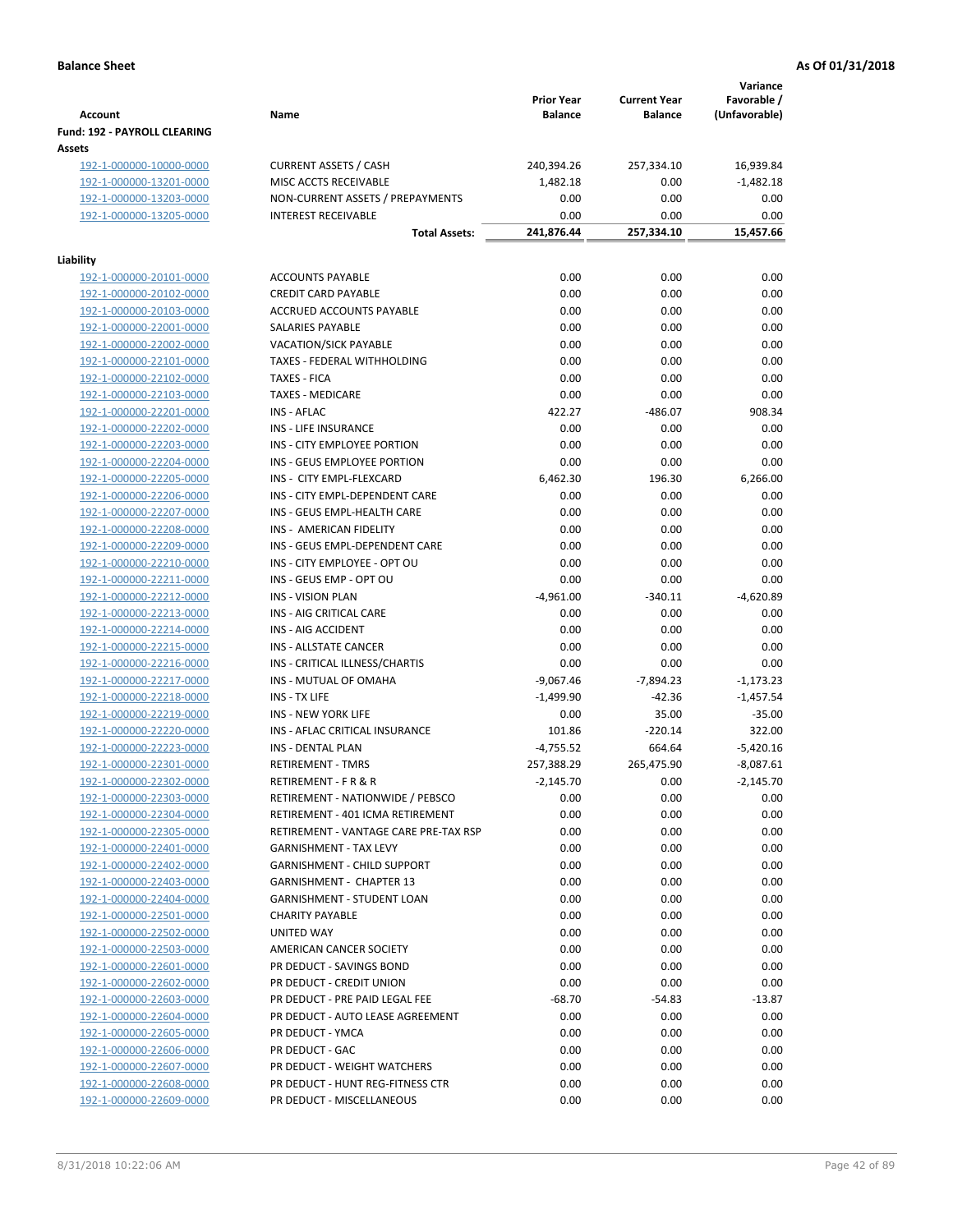|                                                    |                                             |                     |                                       | Variance           |
|----------------------------------------------------|---------------------------------------------|---------------------|---------------------------------------|--------------------|
|                                                    |                                             | <b>Prior Year</b>   | <b>Current Year</b><br><b>Balance</b> | Favorable /        |
| <b>Account</b><br>Fund: 192 - PAYROLL CLEARING     | Name                                        | <b>Balance</b>      |                                       | (Unfavorable)      |
| Assets                                             |                                             |                     |                                       |                    |
| 192-1-000000-10000-0000                            | <b>CURRENT ASSETS / CASH</b>                | 240,394.26          | 257,334.10                            | 16,939.84          |
| 192-1-000000-13201-0000                            | MISC ACCTS RECEIVABLE                       | 1,482.18            | 0.00                                  | $-1,482.18$        |
| 192-1-000000-13203-0000                            | NON-CURRENT ASSETS / PREPAYMENTS            | 0.00                | 0.00                                  | 0.00               |
| 192-1-000000-13205-0000                            | <b>INTEREST RECEIVABLE</b>                  | 0.00                | 0.00                                  | 0.00               |
|                                                    | <b>Total Assets:</b>                        | 241,876.44          | 257,334.10                            | 15,457.66          |
| Liability                                          |                                             |                     |                                       |                    |
| 192-1-000000-20101-0000                            | <b>ACCOUNTS PAYABLE</b>                     | 0.00                | 0.00                                  | 0.00               |
| 192-1-000000-20102-0000                            | <b>CREDIT CARD PAYABLE</b>                  | 0.00                | 0.00                                  | 0.00               |
| 192-1-000000-20103-0000                            | ACCRUED ACCOUNTS PAYABLE                    | 0.00                | 0.00                                  | 0.00               |
| 192-1-000000-22001-0000                            | SALARIES PAYABLE                            | 0.00                | 0.00                                  | 0.00               |
| 192-1-000000-22002-0000                            | VACATION/SICK PAYABLE                       | 0.00                | 0.00                                  | 0.00               |
| 192-1-000000-22101-0000                            | TAXES - FEDERAL WITHHOLDING                 | 0.00                | 0.00                                  | 0.00               |
| 192-1-000000-22102-0000                            | <b>TAXES - FICA</b>                         | 0.00                | 0.00                                  | 0.00               |
| 192-1-000000-22103-0000                            | <b>TAXES - MEDICARE</b>                     | 0.00                | 0.00                                  | 0.00               |
| 192-1-000000-22201-0000                            | <b>INS - AFLAC</b>                          | 422.27              | $-486.07$                             | 908.34             |
| 192-1-000000-22202-0000                            | INS - LIFE INSURANCE                        | 0.00                | 0.00                                  | 0.00               |
| 192-1-000000-22203-0000                            | INS - CITY EMPLOYEE PORTION                 | 0.00                | 0.00                                  | 0.00               |
| 192-1-000000-22204-0000                            | INS - GEUS EMPLOYEE PORTION                 | 0.00                | 0.00                                  | 0.00               |
| 192-1-000000-22205-0000                            | INS - CITY EMPL-FLEXCARD                    | 6,462.30            | 196.30                                | 6,266.00           |
| 192-1-000000-22206-0000                            | INS - CITY EMPL-DEPENDENT CARE              | 0.00                | 0.00                                  | 0.00               |
| 192-1-000000-22207-0000                            | INS - GEUS EMPL-HEALTH CARE                 | 0.00                | 0.00                                  | 0.00               |
| 192-1-000000-22208-0000                            | INS - AMERICAN FIDELITY                     | 0.00                | 0.00                                  | 0.00               |
| 192-1-000000-22209-0000                            | INS - GEUS EMPL-DEPENDENT CARE              | 0.00                | 0.00                                  | 0.00               |
| 192-1-000000-22210-0000                            | INS - CITY EMPLOYEE - OPT OU                | 0.00                | 0.00                                  | 0.00               |
| 192-1-000000-22211-0000                            | INS - GEUS EMP - OPT OU                     | 0.00                | 0.00                                  | 0.00               |
| 192-1-000000-22212-0000                            | <b>INS - VISION PLAN</b>                    | $-4,961.00$         | $-340.11$                             | $-4,620.89$        |
| 192-1-000000-22213-0000                            | INS - AIG CRITICAL CARE                     | 0.00                | 0.00                                  | 0.00               |
| 192-1-000000-22214-0000                            | INS - AIG ACCIDENT                          | 0.00                | 0.00                                  | 0.00               |
| 192-1-000000-22215-0000                            | INS - ALLSTATE CANCER                       | 0.00                | 0.00                                  | 0.00               |
| 192-1-000000-22216-0000                            | INS - CRITICAL ILLNESS/CHARTIS              | 0.00                | 0.00                                  | 0.00               |
| 192-1-000000-22217-0000                            | INS - MUTUAL OF OMAHA                       | $-9,067.46$         | $-7,894.23$                           | $-1,173.23$        |
| 192-1-000000-22218-0000                            | INS - TX LIFE<br><b>INS - NEW YORK LIFE</b> | $-1,499.90$<br>0.00 | $-42.36$                              | $-1,457.54$        |
| 192-1-000000-22219-0000<br>192-1-000000-22220-0000 | INS - AFLAC CRITICAL INSURANCE              | 101.86              | 35.00<br>$-220.14$                    | $-35.00$<br>322.00 |
| 192-1-000000-22223-0000                            | INS - DENTAL PLAN                           | $-4,755.52$         | 664.64                                | $-5,420.16$        |
| <u>192-1-000000-22301-0000</u>                     | <b>RETIREMENT - TMRS</b>                    | 257,388.29          | 265,475.90                            | $-8,087.61$        |
| 192-1-000000-22302-0000                            | RETIREMENT - F R & R                        | $-2,145.70$         | 0.00                                  | $-2,145.70$        |
| 192-1-000000-22303-0000                            | RETIREMENT - NATIONWIDE / PEBSCO            | 0.00                | 0.00                                  | 0.00               |
| 192-1-000000-22304-0000                            | RETIREMENT - 401 ICMA RETIREMENT            | 0.00                | 0.00                                  | 0.00               |
| 192-1-000000-22305-0000                            | RETIREMENT - VANTAGE CARE PRE-TAX RSP       | 0.00                | 0.00                                  | 0.00               |
| 192-1-000000-22401-0000                            | <b>GARNISHMENT - TAX LEVY</b>               | 0.00                | 0.00                                  | 0.00               |
| 192-1-000000-22402-0000                            | <b>GARNISHMENT - CHILD SUPPORT</b>          | 0.00                | 0.00                                  | 0.00               |
| 192-1-000000-22403-0000                            | <b>GARNISHMENT - CHAPTER 13</b>             | 0.00                | 0.00                                  | 0.00               |
| 192-1-000000-22404-0000                            | <b>GARNISHMENT - STUDENT LOAN</b>           | 0.00                | 0.00                                  | 0.00               |
| 192-1-000000-22501-0000                            | <b>CHARITY PAYABLE</b>                      | 0.00                | 0.00                                  | 0.00               |
| 192-1-000000-22502-0000                            | UNITED WAY                                  | 0.00                | 0.00                                  | 0.00               |
| 192-1-000000-22503-0000                            | AMERICAN CANCER SOCIETY                     | 0.00                | 0.00                                  | 0.00               |
| 192-1-000000-22601-0000                            | PR DEDUCT - SAVINGS BOND                    | 0.00                | 0.00                                  | 0.00               |
| 192-1-000000-22602-0000                            | PR DEDUCT - CREDIT UNION                    | 0.00                | 0.00                                  | 0.00               |
| 192-1-000000-22603-0000                            | PR DEDUCT - PRE PAID LEGAL FEE              | $-68.70$            | $-54.83$                              | $-13.87$           |
| 192-1-000000-22604-0000                            | PR DEDUCT - AUTO LEASE AGREEMENT            | 0.00                | 0.00                                  | 0.00               |
| 192-1-000000-22605-0000                            | PR DEDUCT - YMCA                            | 0.00                | 0.00                                  | 0.00               |
| 192-1-000000-22606-0000                            | PR DEDUCT - GAC                             | 0.00                | 0.00                                  | 0.00               |
| 192-1-000000-22607-0000                            | PR DEDUCT - WEIGHT WATCHERS                 | 0.00                | 0.00                                  | 0.00               |
| 192-1-000000-22608-0000                            | PR DEDUCT - HUNT REG-FITNESS CTR            | 0.00                | 0.00                                  | 0.00               |
| 192-1-000000-22609-0000                            | PR DEDUCT - MISCELLANEOUS                   | 0.00                | 0.00                                  | 0.00               |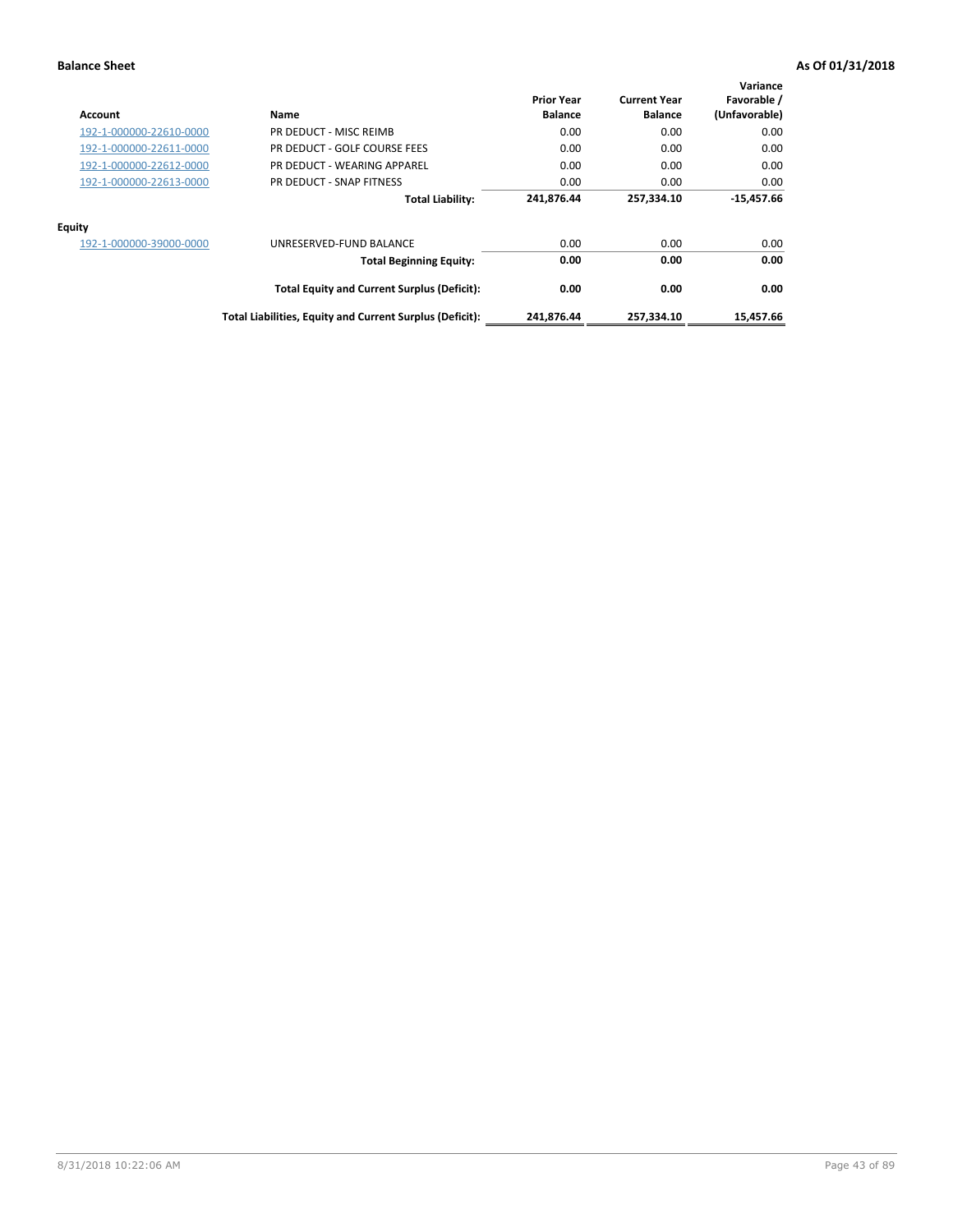| Account                 | Name                                                     | <b>Prior Year</b><br><b>Balance</b> | <b>Current Year</b><br><b>Balance</b> | Variance<br>Favorable /<br>(Unfavorable) |
|-------------------------|----------------------------------------------------------|-------------------------------------|---------------------------------------|------------------------------------------|
| 192-1-000000-22610-0000 | PR DEDUCT - MISC REIMB                                   | 0.00                                | 0.00                                  | 0.00                                     |
| 192-1-000000-22611-0000 | PR DEDUCT - GOLF COURSE FEES                             | 0.00                                | 0.00                                  | 0.00                                     |
| 192-1-000000-22612-0000 | PR DEDUCT - WEARING APPAREL                              | 0.00                                | 0.00                                  | 0.00                                     |
| 192-1-000000-22613-0000 | PR DEDUCT - SNAP FITNESS                                 | 0.00                                | 0.00                                  | 0.00                                     |
|                         | <b>Total Liability:</b>                                  | 241,876.44                          | 257,334.10                            | $-15,457.66$                             |
| <b>Equity</b>           |                                                          |                                     |                                       |                                          |
| 192-1-000000-39000-0000 | UNRESERVED-FUND BALANCE                                  | 0.00                                | 0.00                                  | 0.00                                     |
|                         | <b>Total Beginning Equity:</b>                           | 0.00                                | 0.00                                  | 0.00                                     |
|                         | <b>Total Equity and Current Surplus (Deficit):</b>       | 0.00                                | 0.00                                  | 0.00                                     |
|                         | Total Liabilities, Equity and Current Surplus (Deficit): | 241,876.44                          | 257,334.10                            | 15,457.66                                |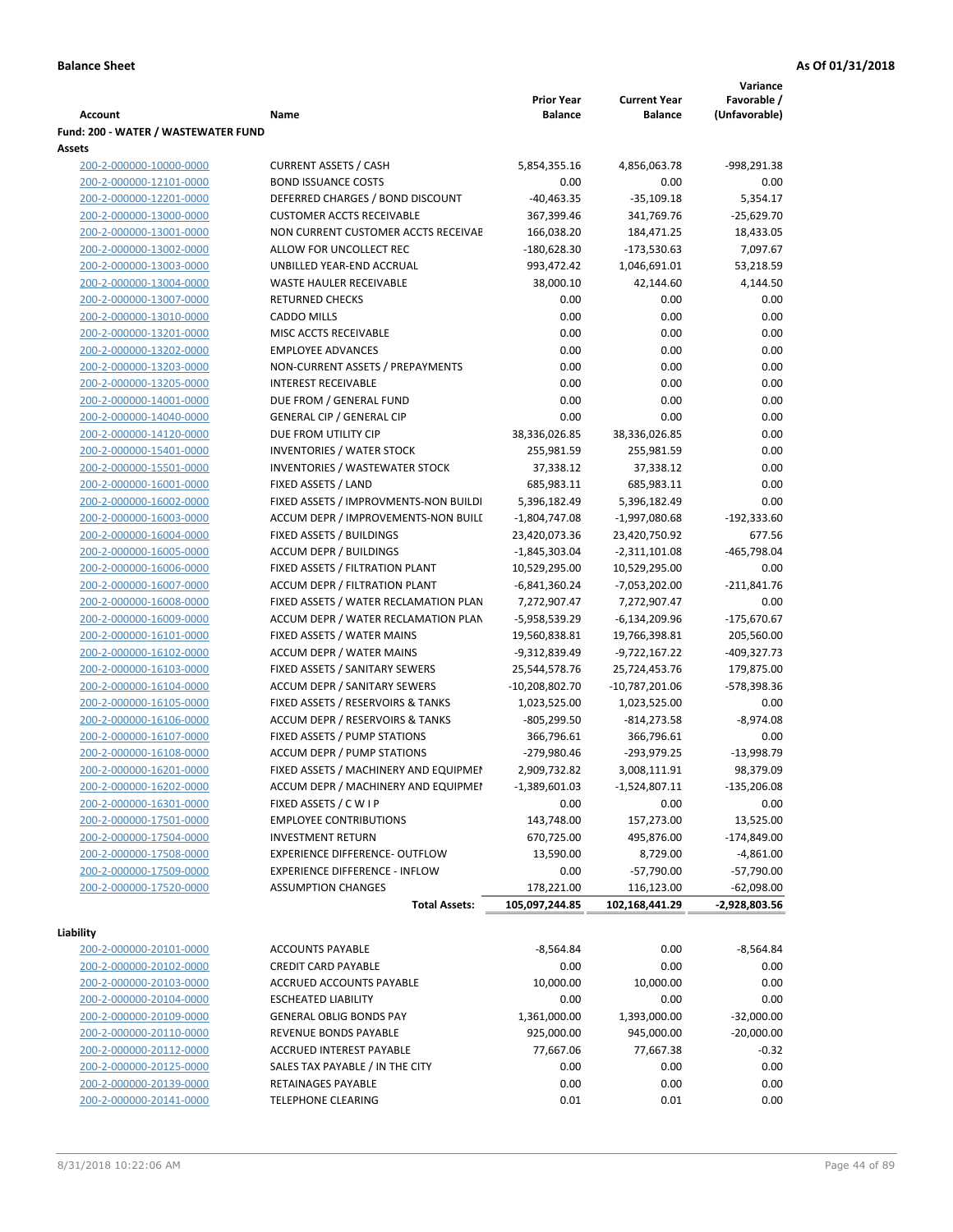|                                                    |                                                                           |                         |                                | Variance      |
|----------------------------------------------------|---------------------------------------------------------------------------|-------------------------|--------------------------------|---------------|
|                                                    |                                                                           | <b>Prior Year</b>       | <b>Current Year</b>            | Favorable /   |
| <b>Account</b>                                     | Name                                                                      | <b>Balance</b>          | <b>Balance</b>                 | (Unfavorable) |
| Fund: 200 - WATER / WASTEWATER FUND                |                                                                           |                         |                                |               |
| Assets                                             |                                                                           |                         |                                |               |
| 200-2-000000-10000-0000                            | <b>CURRENT ASSETS / CASH</b>                                              | 5,854,355.16            | 4,856,063.78                   | -998,291.38   |
| 200-2-000000-12101-0000                            | <b>BOND ISSUANCE COSTS</b>                                                | 0.00                    | 0.00                           | 0.00          |
| 200-2-000000-12201-0000                            | DEFERRED CHARGES / BOND DISCOUNT                                          | $-40,463.35$            | $-35,109.18$                   | 5,354.17      |
| 200-2-000000-13000-0000                            | <b>CUSTOMER ACCTS RECEIVABLE</b>                                          | 367,399.46              | 341,769.76                     | $-25,629.70$  |
| 200-2-000000-13001-0000                            | NON CURRENT CUSTOMER ACCTS RECEIVAE<br>ALLOW FOR UNCOLLECT REC            | 166,038.20              | 184,471.25                     | 18,433.05     |
| 200-2-000000-13002-0000                            |                                                                           | $-180,628.30$           | -173,530.63                    | 7,097.67      |
| 200-2-000000-13003-0000                            | UNBILLED YEAR-END ACCRUAL                                                 | 993,472.42              | 1,046,691.01                   | 53,218.59     |
| 200-2-000000-13004-0000                            | WASTE HAULER RECEIVABLE                                                   | 38,000.10               | 42,144.60                      | 4,144.50      |
| 200-2-000000-13007-0000                            | <b>RETURNED CHECKS</b>                                                    | 0.00                    | 0.00                           | 0.00          |
| 200-2-000000-13010-0000                            | <b>CADDO MILLS</b>                                                        | 0.00                    | 0.00                           | 0.00          |
| 200-2-000000-13201-0000                            | MISC ACCTS RECEIVABLE                                                     | 0.00                    | 0.00                           | 0.00          |
| 200-2-000000-13202-0000                            | <b>EMPLOYEE ADVANCES</b>                                                  | 0.00                    | 0.00                           | 0.00          |
| 200-2-000000-13203-0000                            | NON-CURRENT ASSETS / PREPAYMENTS                                          | 0.00                    | 0.00                           | 0.00          |
| 200-2-000000-13205-0000                            | <b>INTEREST RECEIVABLE</b>                                                | 0.00<br>0.00            | 0.00<br>0.00                   | 0.00          |
| 200-2-000000-14001-0000                            | DUE FROM / GENERAL FUND<br><b>GENERAL CIP / GENERAL CIP</b>               | 0.00                    | 0.00                           | 0.00          |
| 200-2-000000-14040-0000<br>200-2-000000-14120-0000 | DUE FROM UTILITY CIP                                                      | 38,336,026.85           |                                | 0.00          |
|                                                    |                                                                           |                         | 38,336,026.85                  | 0.00          |
| 200-2-000000-15401-0000                            | <b>INVENTORIES / WATER STOCK</b><br><b>INVENTORIES / WASTEWATER STOCK</b> | 255,981.59              | 255,981.59<br>37,338.12        | 0.00          |
| 200-2-000000-15501-0000<br>200-2-000000-16001-0000 | FIXED ASSETS / LAND                                                       | 37,338.12<br>685,983.11 | 685,983.11                     | 0.00<br>0.00  |
|                                                    | FIXED ASSETS / IMPROVMENTS-NON BUILDI                                     | 5,396,182.49            | 5,396,182.49                   | 0.00          |
| 200-2-000000-16002-0000<br>200-2-000000-16003-0000 | ACCUM DEPR / IMPROVEMENTS-NON BUILL                                       | $-1,804,747.08$         |                                | $-192,333.60$ |
| 200-2-000000-16004-0000                            | FIXED ASSETS / BUILDINGS                                                  | 23,420,073.36           | -1,997,080.68<br>23,420,750.92 | 677.56        |
| 200-2-000000-16005-0000                            | <b>ACCUM DEPR / BUILDINGS</b>                                             | $-1,845,303.04$         | $-2,311,101.08$                | -465,798.04   |
| 200-2-000000-16006-0000                            | FIXED ASSETS / FILTRATION PLANT                                           | 10,529,295.00           | 10,529,295.00                  | 0.00          |
| 200-2-000000-16007-0000                            | ACCUM DEPR / FILTRATION PLANT                                             | -6,841,360.24           | -7,053,202.00                  | $-211,841.76$ |
| 200-2-000000-16008-0000                            | FIXED ASSETS / WATER RECLAMATION PLAN                                     | 7,272,907.47            | 7,272,907.47                   | 0.00          |
| 200-2-000000-16009-0000                            | ACCUM DEPR / WATER RECLAMATION PLAN                                       | -5,958,539.29           | $-6,134,209.96$                | $-175,670.67$ |
| 200-2-000000-16101-0000                            | FIXED ASSETS / WATER MAINS                                                | 19,560,838.81           | 19,766,398.81                  | 205,560.00    |
| 200-2-000000-16102-0000                            | <b>ACCUM DEPR / WATER MAINS</b>                                           | -9,312,839.49           | -9,722,167.22                  | -409,327.73   |
| 200-2-000000-16103-0000                            | FIXED ASSETS / SANITARY SEWERS                                            | 25,544,578.76           | 25,724,453.76                  | 179,875.00    |
| 200-2-000000-16104-0000                            | ACCUM DEPR / SANITARY SEWERS                                              | $-10,208,802.70$        | $-10,787,201.06$               | -578,398.36   |
| 200-2-000000-16105-0000                            | FIXED ASSETS / RESERVOIRS & TANKS                                         | 1,023,525.00            | 1,023,525.00                   | 0.00          |
| 200-2-000000-16106-0000                            | ACCUM DEPR / RESERVOIRS & TANKS                                           | -805,299.50             | $-814,273.58$                  | $-8,974.08$   |
| 200-2-000000-16107-0000                            | FIXED ASSETS / PUMP STATIONS                                              | 366,796.61              | 366,796.61                     | 0.00          |
| 200-2-000000-16108-0000                            | <b>ACCUM DEPR / PUMP STATIONS</b>                                         | -279,980.46             | -293,979.25                    | $-13,998.79$  |
| 200-2-000000-16201-0000                            | FIXED ASSETS / MACHINERY AND EQUIPMEN                                     | 2,909,732.82            | 3,008,111.91                   | 98,379.09     |
| 200-2-000000-16202-0000                            | ACCUM DEPR / MACHINERY AND EQUIPMEI                                       | $-1,389,601.03$         | $-1,524,807.11$                | $-135,206.08$ |
| 200-2-000000-16301-0000                            | FIXED ASSETS / C W I P                                                    | 0.00                    | 0.00                           | 0.00          |
| 200-2-000000-17501-0000                            | <b>EMPLOYEE CONTRIBUTIONS</b>                                             | 143,748.00              | 157,273.00                     | 13,525.00     |
| 200-2-000000-17504-0000                            | <b>INVESTMENT RETURN</b>                                                  | 670,725.00              | 495,876.00                     | $-174,849.00$ |
| 200-2-000000-17508-0000                            | EXPERIENCE DIFFERENCE- OUTFLOW                                            | 13,590.00               | 8,729.00                       | $-4,861.00$   |
| 200-2-000000-17509-0000                            | <b>EXPERIENCE DIFFERENCE - INFLOW</b>                                     | 0.00                    | $-57,790.00$                   | $-57,790.00$  |
| 200-2-000000-17520-0000                            | <b>ASSUMPTION CHANGES</b>                                                 | 178,221.00              | 116,123.00                     | $-62,098.00$  |
|                                                    | <b>Total Assets:</b>                                                      | 105,097,244.85          | 102,168,441.29                 | -2,928,803.56 |
|                                                    |                                                                           |                         |                                |               |
| Liability                                          |                                                                           |                         |                                |               |
| 200-2-000000-20101-0000                            | <b>ACCOUNTS PAYABLE</b>                                                   | $-8,564.84$             | 0.00                           | -8,564.84     |
| 200-2-000000-20102-0000                            | <b>CREDIT CARD PAYABLE</b>                                                | 0.00                    | 0.00                           | 0.00          |
| 200-2-000000-20103-0000                            | ACCRUED ACCOUNTS PAYABLE                                                  | 10,000.00               | 10,000.00                      | 0.00          |
| 200-2-000000-20104-0000                            | <b>ESCHEATED LIABILITY</b>                                                | 0.00                    | 0.00                           | 0.00          |
| 200-2-000000-20109-0000                            | <b>GENERAL OBLIG BONDS PAY</b>                                            | 1,361,000.00            | 1,393,000.00                   | $-32,000.00$  |
| 200-2-000000-20110-0000                            | REVENUE BONDS PAYABLE                                                     | 925,000.00              | 945,000.00                     | $-20,000.00$  |
| 200-2-000000-20112-0000                            | ACCRUED INTEREST PAYABLE                                                  | 77,667.06               | 77,667.38                      | $-0.32$       |
| 200-2-000000-20125-0000                            | SALES TAX PAYABLE / IN THE CITY                                           | 0.00                    | 0.00                           | 0.00          |
| 200-2-000000-20139-0000                            | RETAINAGES PAYABLE                                                        | 0.00                    | 0.00                           | 0.00          |
| 200-2-000000-20141-0000                            | <b>TELEPHONE CLEARING</b>                                                 | 0.01                    | 0.01                           | 0.00          |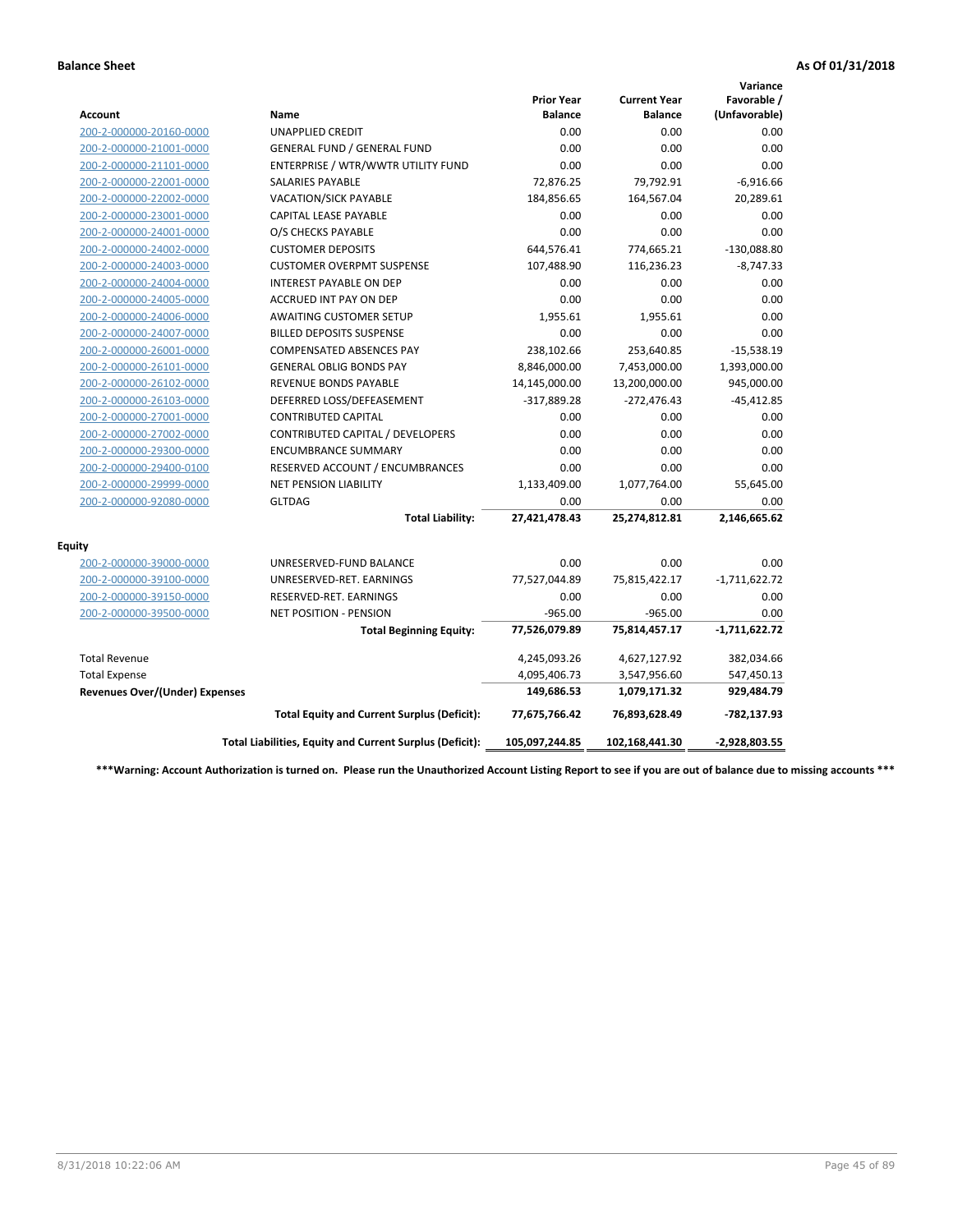|                                       |                                                          |                                     |                                       | Variance                     |
|---------------------------------------|----------------------------------------------------------|-------------------------------------|---------------------------------------|------------------------------|
| <b>Account</b>                        | Name                                                     | <b>Prior Year</b><br><b>Balance</b> | <b>Current Year</b><br><b>Balance</b> | Favorable /<br>(Unfavorable) |
| 200-2-000000-20160-0000               | <b>UNAPPLIED CREDIT</b>                                  | 0.00                                | 0.00                                  | 0.00                         |
| 200-2-000000-21001-0000               | <b>GENERAL FUND / GENERAL FUND</b>                       | 0.00                                | 0.00                                  | 0.00                         |
| 200-2-000000-21101-0000               | ENTERPRISE / WTR/WWTR UTILITY FUND                       | 0.00                                | 0.00                                  | 0.00                         |
| 200-2-000000-22001-0000               | <b>SALARIES PAYABLE</b>                                  | 72,876.25                           | 79,792.91                             | $-6,916.66$                  |
| 200-2-000000-22002-0000               | VACATION/SICK PAYABLE                                    | 184,856.65                          | 164,567.04                            | 20,289.61                    |
| 200-2-000000-23001-0000               | <b>CAPITAL LEASE PAYABLE</b>                             | 0.00                                | 0.00                                  | 0.00                         |
| 200-2-000000-24001-0000               | O/S CHECKS PAYABLE                                       | 0.00                                | 0.00                                  | 0.00                         |
| 200-2-000000-24002-0000               | <b>CUSTOMER DEPOSITS</b>                                 | 644,576.41                          | 774,665.21                            | $-130,088.80$                |
| 200-2-000000-24003-0000               | <b>CUSTOMER OVERPMT SUSPENSE</b>                         | 107,488.90                          | 116,236.23                            | $-8,747.33$                  |
| 200-2-000000-24004-0000               | <b>INTEREST PAYABLE ON DEP</b>                           | 0.00                                | 0.00                                  | 0.00                         |
| 200-2-000000-24005-0000               | <b>ACCRUED INT PAY ON DEP</b>                            | 0.00                                | 0.00                                  | 0.00                         |
| 200-2-000000-24006-0000               | <b>AWAITING CUSTOMER SETUP</b>                           | 1,955.61                            | 1,955.61                              | 0.00                         |
| 200-2-000000-24007-0000               | <b>BILLED DEPOSITS SUSPENSE</b>                          | 0.00                                | 0.00                                  | 0.00                         |
| 200-2-000000-26001-0000               | <b>COMPENSATED ABSENCES PAY</b>                          | 238,102.66                          | 253,640.85                            | $-15,538.19$                 |
| 200-2-000000-26101-0000               | <b>GENERAL OBLIG BONDS PAY</b>                           | 8,846,000.00                        | 7,453,000.00                          | 1,393,000.00                 |
| 200-2-000000-26102-0000               | <b>REVENUE BONDS PAYABLE</b>                             | 14,145,000.00                       | 13,200,000.00                         | 945,000.00                   |
| 200-2-000000-26103-0000               | DEFERRED LOSS/DEFEASEMENT                                | $-317,889.28$                       | $-272,476.43$                         | $-45,412.85$                 |
| 200-2-000000-27001-0000               | <b>CONTRIBUTED CAPITAL</b>                               | 0.00                                | 0.00                                  | 0.00                         |
| 200-2-000000-27002-0000               | CONTRIBUTED CAPITAL / DEVELOPERS                         | 0.00                                | 0.00                                  | 0.00                         |
| 200-2-000000-29300-0000               | <b>ENCUMBRANCE SUMMARY</b>                               | 0.00                                | 0.00                                  | 0.00                         |
| 200-2-000000-29400-0100               | RESERVED ACCOUNT / ENCUMBRANCES                          | 0.00                                | 0.00                                  | 0.00                         |
| 200-2-000000-29999-0000               | NET PENSION LIABILITY                                    | 1,133,409.00                        | 1,077,764.00                          | 55,645.00                    |
| 200-2-000000-92080-0000               | <b>GLTDAG</b>                                            | 0.00                                | 0.00                                  | 0.00                         |
|                                       | <b>Total Liability:</b>                                  | 27,421,478.43                       | 25,274,812.81                         | 2,146,665.62                 |
| <b>Equity</b>                         |                                                          |                                     |                                       |                              |
| 200-2-000000-39000-0000               | UNRESERVED-FUND BALANCE                                  | 0.00                                | 0.00                                  | 0.00                         |
| 200-2-000000-39100-0000               | UNRESERVED-RET. EARNINGS                                 | 77,527,044.89                       | 75,815,422.17                         | $-1,711,622.72$              |
| 200-2-000000-39150-0000               | RESERVED-RET. EARNINGS                                   | 0.00                                | 0.00                                  | 0.00                         |
| 200-2-000000-39500-0000               | <b>NET POSITION - PENSION</b>                            | $-965.00$                           | $-965.00$                             | 0.00                         |
|                                       | <b>Total Beginning Equity:</b>                           | 77,526,079.89                       | 75,814,457.17                         | $-1,711,622.72$              |
| <b>Total Revenue</b>                  |                                                          | 4,245,093.26                        | 4,627,127.92                          | 382,034.66                   |
| <b>Total Expense</b>                  |                                                          | 4,095,406.73                        | 3,547,956.60                          | 547,450.13                   |
| <b>Revenues Over/(Under) Expenses</b> |                                                          | 149,686.53                          | 1,079,171.32                          | 929,484.79                   |
|                                       | <b>Total Equity and Current Surplus (Deficit):</b>       | 77,675,766.42                       | 76,893,628.49                         | -782,137.93                  |
|                                       | Total Liabilities, Equity and Current Surplus (Deficit): | 105,097,244.85                      | 102,168,441.30                        | $-2,928,803.55$              |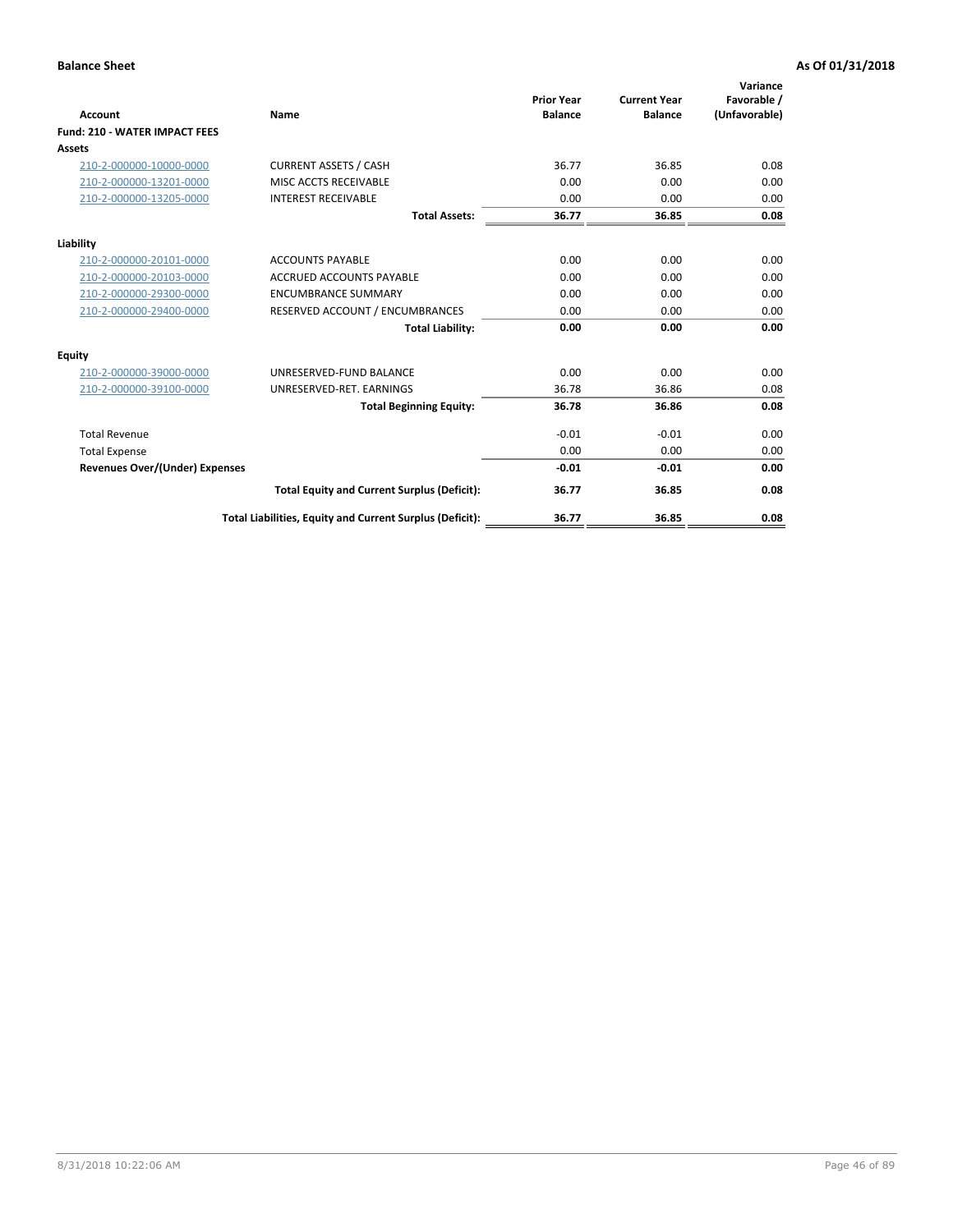| Account                               | Name                                                     | <b>Prior Year</b><br><b>Balance</b> | <b>Current Year</b><br><b>Balance</b> | Variance<br>Favorable /<br>(Unfavorable) |
|---------------------------------------|----------------------------------------------------------|-------------------------------------|---------------------------------------|------------------------------------------|
| <b>Fund: 210 - WATER IMPACT FEES</b>  |                                                          |                                     |                                       |                                          |
| Assets                                |                                                          |                                     |                                       |                                          |
| 210-2-000000-10000-0000               | <b>CURRENT ASSETS / CASH</b>                             | 36.77                               | 36.85                                 | 0.08                                     |
| 210-2-000000-13201-0000               | MISC ACCTS RECEIVABLE                                    | 0.00                                | 0.00                                  | 0.00                                     |
| 210-2-000000-13205-0000               | <b>INTEREST RECEIVABLE</b>                               | 0.00                                | 0.00                                  | 0.00                                     |
|                                       | <b>Total Assets:</b>                                     | 36.77                               | 36.85                                 | 0.08                                     |
| Liability                             |                                                          |                                     |                                       |                                          |
| 210-2-000000-20101-0000               | <b>ACCOUNTS PAYABLE</b>                                  | 0.00                                | 0.00                                  | 0.00                                     |
| 210-2-000000-20103-0000               | <b>ACCRUED ACCOUNTS PAYABLE</b>                          | 0.00                                | 0.00                                  | 0.00                                     |
| 210-2-000000-29300-0000               | <b>ENCUMBRANCE SUMMARY</b>                               | 0.00                                | 0.00                                  | 0.00                                     |
| 210-2-000000-29400-0000               | RESERVED ACCOUNT / ENCUMBRANCES                          | 0.00                                | 0.00                                  | 0.00                                     |
|                                       | <b>Total Liability:</b>                                  | 0.00                                | 0.00                                  | 0.00                                     |
| <b>Equity</b>                         |                                                          |                                     |                                       |                                          |
| 210-2-000000-39000-0000               | UNRESERVED-FUND BALANCE                                  | 0.00                                | 0.00                                  | 0.00                                     |
| 210-2-000000-39100-0000               | UNRESERVED-RET. EARNINGS                                 | 36.78                               | 36.86                                 | 0.08                                     |
|                                       | <b>Total Beginning Equity:</b>                           | 36.78                               | 36.86                                 | 0.08                                     |
| <b>Total Revenue</b>                  |                                                          | $-0.01$                             | $-0.01$                               | 0.00                                     |
| <b>Total Expense</b>                  |                                                          | 0.00                                | 0.00                                  | 0.00                                     |
| <b>Revenues Over/(Under) Expenses</b> |                                                          | $-0.01$                             | $-0.01$                               | 0.00                                     |
|                                       | <b>Total Equity and Current Surplus (Deficit):</b>       | 36.77                               | 36.85                                 | 0.08                                     |
|                                       | Total Liabilities, Equity and Current Surplus (Deficit): | 36.77                               | 36.85                                 | 0.08                                     |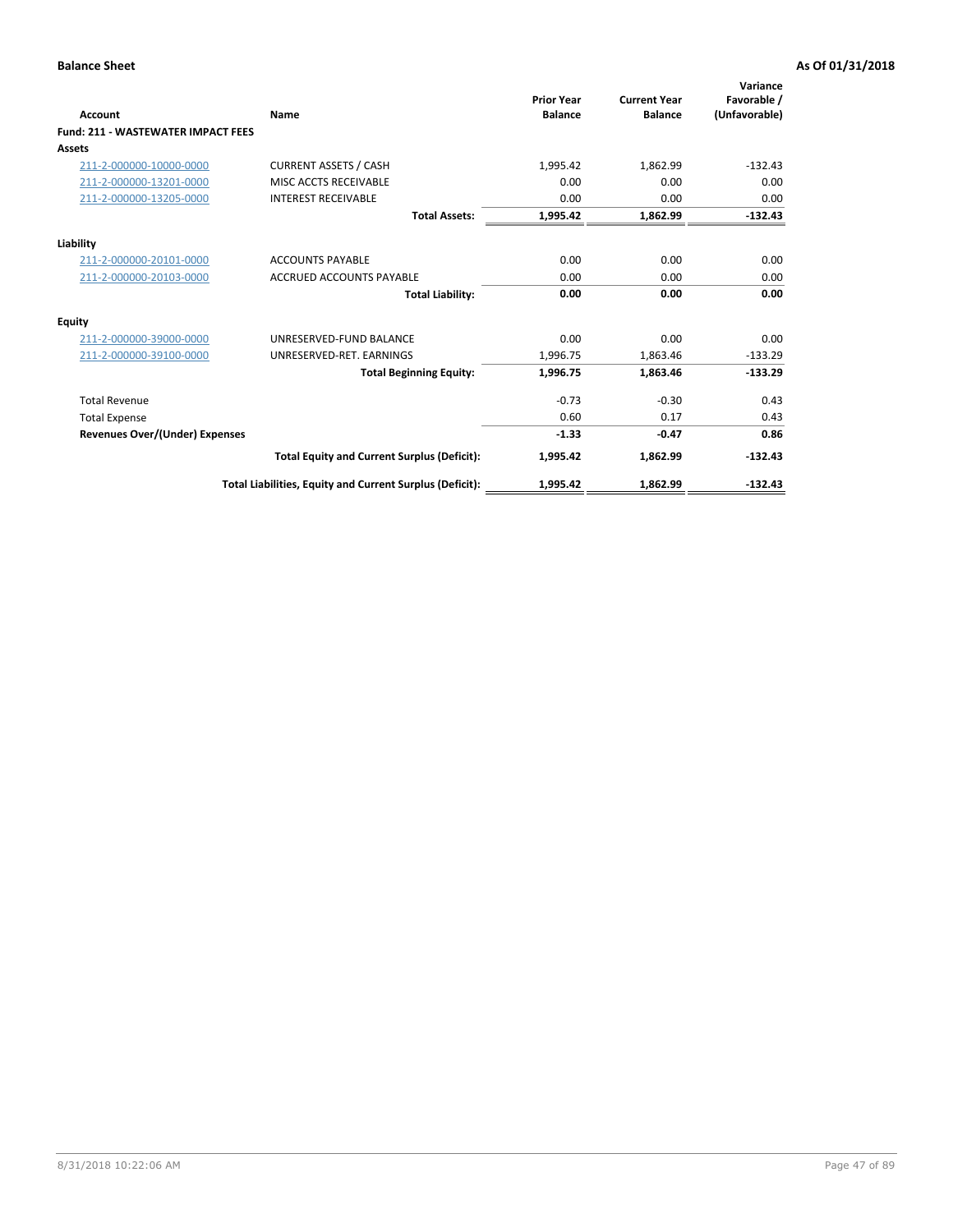| <b>Account</b>                            | Name                                                     | <b>Prior Year</b><br><b>Balance</b> | <b>Current Year</b><br><b>Balance</b> | Variance<br>Favorable /<br>(Unfavorable) |
|-------------------------------------------|----------------------------------------------------------|-------------------------------------|---------------------------------------|------------------------------------------|
| <b>Fund: 211 - WASTEWATER IMPACT FEES</b> |                                                          |                                     |                                       |                                          |
| <b>Assets</b>                             |                                                          |                                     |                                       |                                          |
| 211-2-000000-10000-0000                   | <b>CURRENT ASSETS / CASH</b>                             | 1,995.42                            | 1,862.99                              | $-132.43$                                |
| 211-2-000000-13201-0000                   | MISC ACCTS RECEIVABLE                                    | 0.00                                | 0.00                                  | 0.00                                     |
| 211-2-000000-13205-0000                   | <b>INTEREST RECEIVABLE</b>                               | 0.00                                | 0.00                                  | 0.00                                     |
|                                           | <b>Total Assets:</b>                                     | 1,995.42                            | 1,862.99                              | $-132.43$                                |
| Liability                                 |                                                          |                                     |                                       |                                          |
| 211-2-000000-20101-0000                   | <b>ACCOUNTS PAYABLE</b>                                  | 0.00                                | 0.00                                  | 0.00                                     |
| 211-2-000000-20103-0000                   | <b>ACCRUED ACCOUNTS PAYABLE</b>                          | 0.00                                | 0.00                                  | 0.00                                     |
|                                           | <b>Total Liability:</b>                                  | 0.00                                | 0.00                                  | 0.00                                     |
| Equity                                    |                                                          |                                     |                                       |                                          |
| 211-2-000000-39000-0000                   | UNRESERVED-FUND BALANCE                                  | 0.00                                | 0.00                                  | 0.00                                     |
| 211-2-000000-39100-0000                   | UNRESERVED-RET. EARNINGS                                 | 1,996.75                            | 1,863.46                              | $-133.29$                                |
|                                           | <b>Total Beginning Equity:</b>                           | 1,996.75                            | 1,863.46                              | $-133.29$                                |
| <b>Total Revenue</b>                      |                                                          | $-0.73$                             | $-0.30$                               | 0.43                                     |
| <b>Total Expense</b>                      |                                                          | 0.60                                | 0.17                                  | 0.43                                     |
| <b>Revenues Over/(Under) Expenses</b>     |                                                          | $-1.33$                             | $-0.47$                               | 0.86                                     |
|                                           | <b>Total Equity and Current Surplus (Deficit):</b>       | 1,995.42                            | 1,862.99                              | $-132.43$                                |
|                                           | Total Liabilities, Equity and Current Surplus (Deficit): | 1,995.42                            | 1,862.99                              | $-132.43$                                |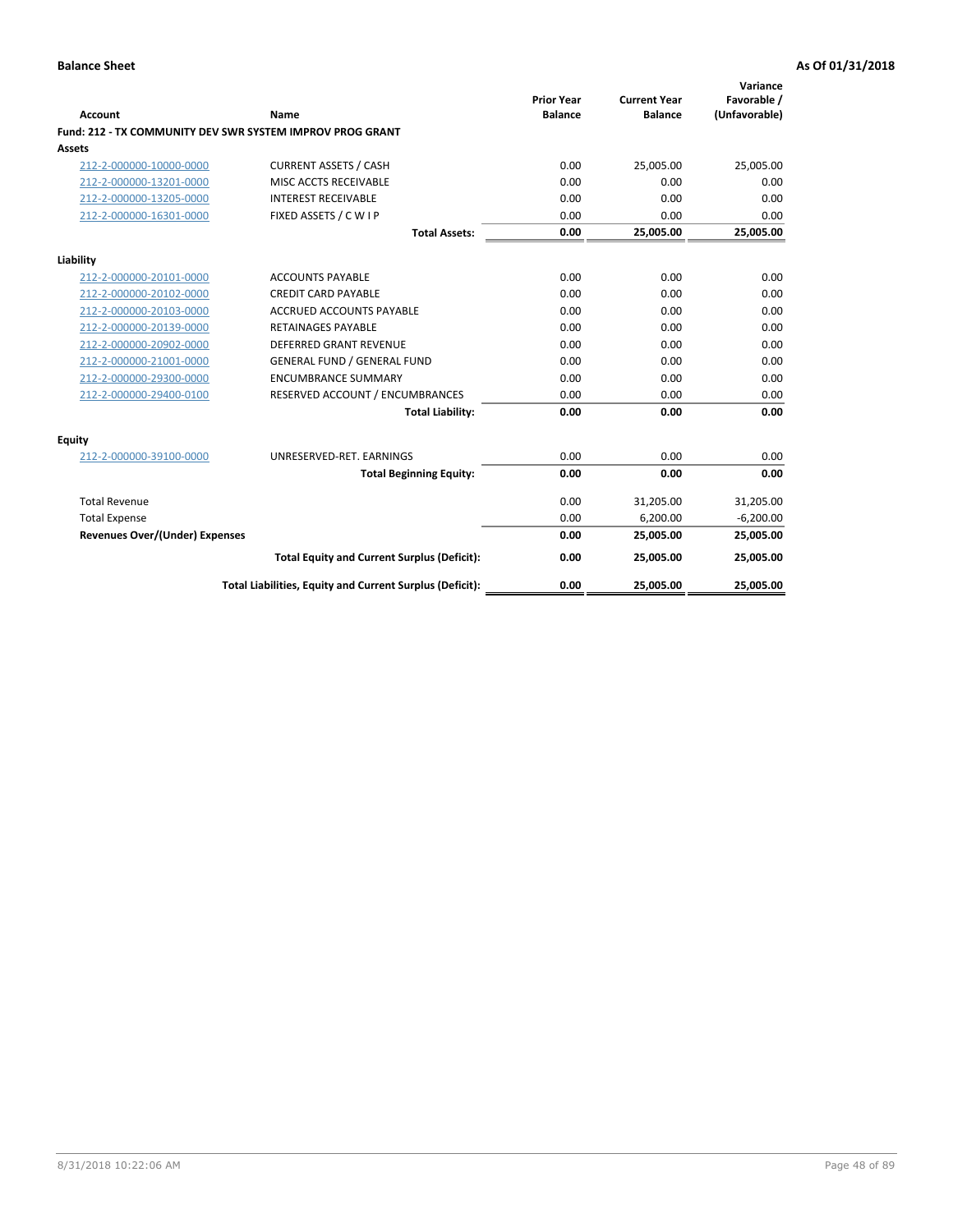| <b>Account</b>                        | Name                                                      | <b>Prior Year</b><br><b>Balance</b> | <b>Current Year</b><br><b>Balance</b> | Variance<br>Favorable /<br>(Unfavorable) |
|---------------------------------------|-----------------------------------------------------------|-------------------------------------|---------------------------------------|------------------------------------------|
|                                       | Fund: 212 - TX COMMUNITY DEV SWR SYSTEM IMPROV PROG GRANT |                                     |                                       |                                          |
| <b>Assets</b>                         |                                                           |                                     |                                       |                                          |
| 212-2-000000-10000-0000               | <b>CURRENT ASSETS / CASH</b>                              | 0.00                                | 25,005.00                             | 25,005.00                                |
| 212-2-000000-13201-0000               | MISC ACCTS RECEIVABLE                                     | 0.00                                | 0.00                                  | 0.00                                     |
| 212-2-000000-13205-0000               | <b>INTEREST RECEIVABLE</b>                                | 0.00                                | 0.00                                  | 0.00                                     |
| 212-2-000000-16301-0000               | FIXED ASSETS / C W I P                                    | 0.00                                | 0.00                                  | 0.00                                     |
|                                       | <b>Total Assets:</b>                                      | 0.00                                | 25,005.00                             | 25,005.00                                |
| Liability                             |                                                           |                                     |                                       |                                          |
| 212-2-000000-20101-0000               | <b>ACCOUNTS PAYABLE</b>                                   | 0.00                                | 0.00                                  | 0.00                                     |
| 212-2-000000-20102-0000               | <b>CREDIT CARD PAYABLE</b>                                | 0.00                                | 0.00                                  | 0.00                                     |
| 212-2-000000-20103-0000               | <b>ACCRUED ACCOUNTS PAYABLE</b>                           | 0.00                                | 0.00                                  | 0.00                                     |
| 212-2-000000-20139-0000               | <b>RETAINAGES PAYABLE</b>                                 | 0.00                                | 0.00                                  | 0.00                                     |
| 212-2-000000-20902-0000               | DEFERRED GRANT REVENUE                                    | 0.00                                | 0.00                                  | 0.00                                     |
| 212-2-000000-21001-0000               | <b>GENERAL FUND / GENERAL FUND</b>                        | 0.00                                | 0.00                                  | 0.00                                     |
| 212-2-000000-29300-0000               | <b>ENCUMBRANCE SUMMARY</b>                                | 0.00                                | 0.00                                  | 0.00                                     |
| 212-2-000000-29400-0100               | RESERVED ACCOUNT / ENCUMBRANCES                           | 0.00                                | 0.00                                  | 0.00                                     |
|                                       | <b>Total Liability:</b>                                   | 0.00                                | 0.00                                  | 0.00                                     |
| Equity                                |                                                           |                                     |                                       |                                          |
| 212-2-000000-39100-0000               | UNRESERVED-RET. EARNINGS                                  | 0.00                                | 0.00                                  | 0.00                                     |
|                                       | <b>Total Beginning Equity:</b>                            | 0.00                                | 0.00                                  | 0.00                                     |
| <b>Total Revenue</b>                  |                                                           | 0.00                                | 31,205.00                             | 31,205.00                                |
| <b>Total Expense</b>                  |                                                           | 0.00                                | 6,200.00                              | $-6,200.00$                              |
| <b>Revenues Over/(Under) Expenses</b> |                                                           | 0.00                                | 25,005.00                             | 25,005.00                                |
|                                       | <b>Total Equity and Current Surplus (Deficit):</b>        | 0.00                                | 25,005.00                             | 25,005.00                                |
|                                       | Total Liabilities, Equity and Current Surplus (Deficit):  | 0.00                                | 25,005.00                             | 25,005.00                                |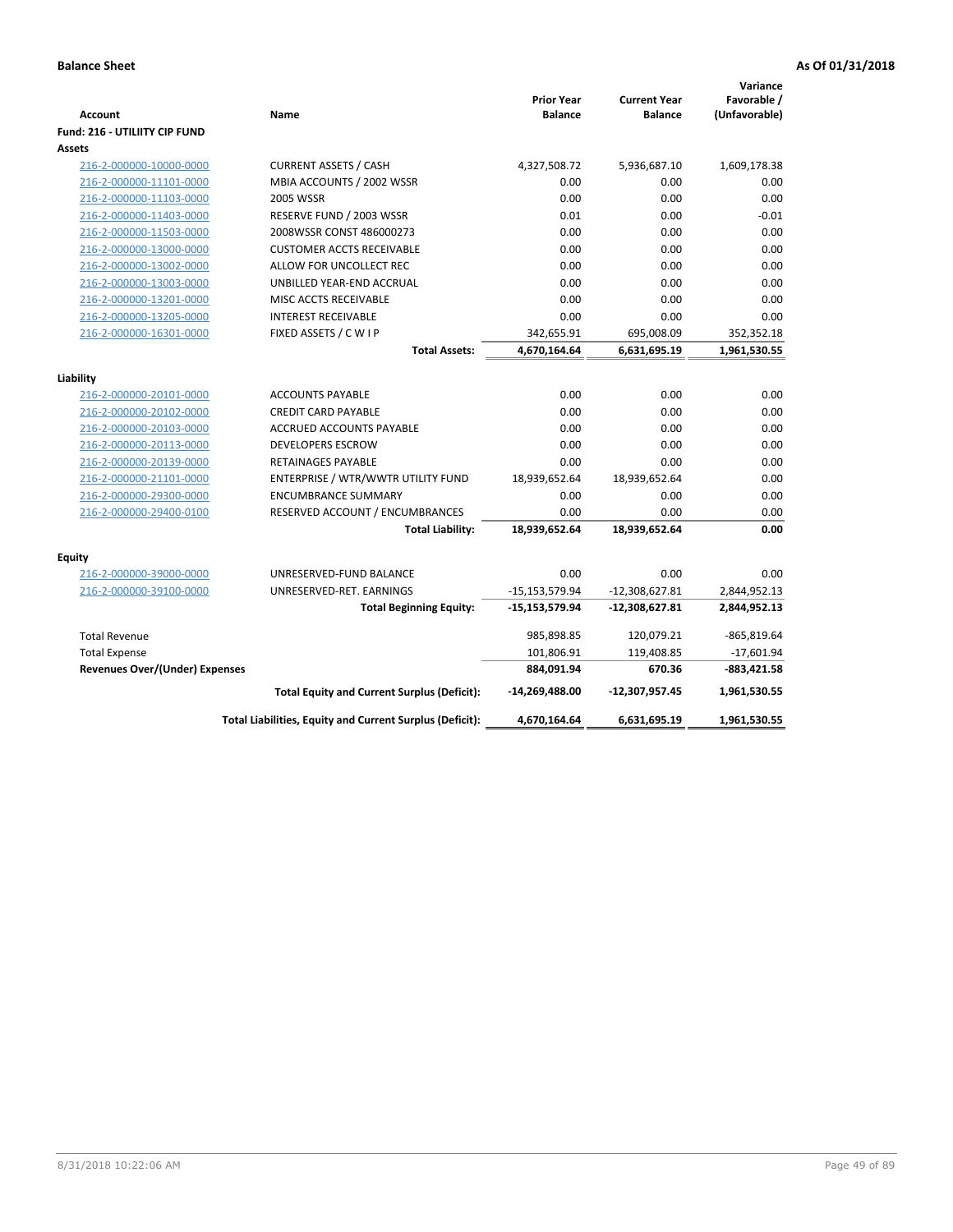| Favorable /<br><b>Prior Year</b><br><b>Current Year</b><br>(Unfavorable)<br><b>Account</b><br><b>Balance</b><br><b>Balance</b><br>Name<br><b>Fund: 216 - UTILIITY CIP FUND</b><br>Assets<br><b>CURRENT ASSETS / CASH</b><br>4,327,508.72<br>1,609,178.38<br>216-2-000000-10000-0000<br>5,936,687.10<br>216-2-000000-11101-0000<br>MBIA ACCOUNTS / 2002 WSSR<br>0.00<br>0.00<br>0.00<br>216-2-000000-11103-0000<br><b>2005 WSSR</b><br>0.00<br>0.00<br>0.00<br>216-2-000000-11403-0000<br>0.01<br>0.00<br>$-0.01$<br>RESERVE FUND / 2003 WSSR<br>0.00<br>0.00<br>0.00<br>216-2-000000-11503-0000<br>2008WSSR CONST 486000273<br>0.00<br>0.00<br>0.00<br>216-2-000000-13000-0000<br><b>CUSTOMER ACCTS RECEIVABLE</b><br>0.00<br>216-2-000000-13002-0000<br>ALLOW FOR UNCOLLECT REC<br>0.00<br>0.00<br>0.00<br>216-2-000000-13003-0000<br>UNBILLED YEAR-END ACCRUAL<br>0.00<br>0.00<br>216-2-000000-13201-0000<br>MISC ACCTS RECEIVABLE<br>0.00<br>0.00<br>0.00<br>0.00<br>216-2-000000-13205-0000<br><b>INTEREST RECEIVABLE</b><br>0.00<br>0.00<br>FIXED ASSETS / C W I P<br>695,008.09<br>216-2-000000-16301-0000<br>342,655.91<br>352,352.18<br><b>Total Assets:</b><br>4,670,164.64<br>6,631,695.19<br>1,961,530.55<br>Liability<br>0.00<br>216-2-000000-20101-0000<br><b>ACCOUNTS PAYABLE</b><br>0.00<br>0.00<br>0.00<br>216-2-000000-20102-0000<br><b>CREDIT CARD PAYABLE</b><br>0.00<br>0.00<br>0.00<br>0.00<br>0.00<br><b>ACCRUED ACCOUNTS PAYABLE</b><br>216-2-000000-20103-0000<br>0.00<br>216-2-000000-20113-0000<br><b>DEVELOPERS ESCROW</b><br>0.00<br>0.00<br>0.00<br>0.00<br>0.00<br>216-2-000000-20139-0000<br><b>RETAINAGES PAYABLE</b><br>18,939,652.64<br>18,939,652.64<br>0.00<br>216-2-000000-21101-0000<br>ENTERPRISE / WTR/WWTR UTILITY FUND<br>0.00<br>0.00<br>0.00<br>216-2-000000-29300-0000<br><b>ENCUMBRANCE SUMMARY</b><br>0.00<br>216-2-000000-29400-0100<br>RESERVED ACCOUNT / ENCUMBRANCES<br>0.00<br>0.00<br>0.00<br><b>Total Liability:</b><br>18,939,652.64<br>18,939,652.64<br><b>Equity</b><br>216-2-000000-39000-0000<br>UNRESERVED-FUND BALANCE<br>0.00<br>0.00<br>0.00<br>216-2-000000-39100-0000<br>UNRESERVED-RET. EARNINGS<br>$-15,153,579.94$<br>$-12,308,627.81$<br>2,844,952.13<br><b>Total Beginning Equity:</b><br>-15,153,579.94<br>-12,308,627.81<br>2,844,952.13<br><b>Total Revenue</b><br>985,898.85<br>120,079.21<br>$-865,819.64$<br>101,806.91<br>$-17,601.94$<br>119,408.85<br><b>Total Expense</b><br>$-883,421.58$<br><b>Revenues Over/(Under) Expenses</b><br>884,091.94<br>670.36<br>1,961,530.55<br><b>Total Equity and Current Surplus (Deficit):</b><br>-14,269,488.00<br>-12,307,957.45<br>Total Liabilities, Equity and Current Surplus (Deficit):<br>4,670,164.64<br>6,631,695.19<br>1,961,530.55 |  |  | Variance |
|-------------------------------------------------------------------------------------------------------------------------------------------------------------------------------------------------------------------------------------------------------------------------------------------------------------------------------------------------------------------------------------------------------------------------------------------------------------------------------------------------------------------------------------------------------------------------------------------------------------------------------------------------------------------------------------------------------------------------------------------------------------------------------------------------------------------------------------------------------------------------------------------------------------------------------------------------------------------------------------------------------------------------------------------------------------------------------------------------------------------------------------------------------------------------------------------------------------------------------------------------------------------------------------------------------------------------------------------------------------------------------------------------------------------------------------------------------------------------------------------------------------------------------------------------------------------------------------------------------------------------------------------------------------------------------------------------------------------------------------------------------------------------------------------------------------------------------------------------------------------------------------------------------------------------------------------------------------------------------------------------------------------------------------------------------------------------------------------------------------------------------------------------------------------------------------------------------------------------------------------------------------------------------------------------------------------------------------------------------------------------------------------------------------------------------------------------------------------------------------------------------------------------------------------------------------------------------------------------------------------------------------------------------------------------------------------------------------------------------------------------------------------|--|--|----------|
|                                                                                                                                                                                                                                                                                                                                                                                                                                                                                                                                                                                                                                                                                                                                                                                                                                                                                                                                                                                                                                                                                                                                                                                                                                                                                                                                                                                                                                                                                                                                                                                                                                                                                                                                                                                                                                                                                                                                                                                                                                                                                                                                                                                                                                                                                                                                                                                                                                                                                                                                                                                                                                                                                                                                                                   |  |  |          |
|                                                                                                                                                                                                                                                                                                                                                                                                                                                                                                                                                                                                                                                                                                                                                                                                                                                                                                                                                                                                                                                                                                                                                                                                                                                                                                                                                                                                                                                                                                                                                                                                                                                                                                                                                                                                                                                                                                                                                                                                                                                                                                                                                                                                                                                                                                                                                                                                                                                                                                                                                                                                                                                                                                                                                                   |  |  |          |
|                                                                                                                                                                                                                                                                                                                                                                                                                                                                                                                                                                                                                                                                                                                                                                                                                                                                                                                                                                                                                                                                                                                                                                                                                                                                                                                                                                                                                                                                                                                                                                                                                                                                                                                                                                                                                                                                                                                                                                                                                                                                                                                                                                                                                                                                                                                                                                                                                                                                                                                                                                                                                                                                                                                                                                   |  |  |          |
|                                                                                                                                                                                                                                                                                                                                                                                                                                                                                                                                                                                                                                                                                                                                                                                                                                                                                                                                                                                                                                                                                                                                                                                                                                                                                                                                                                                                                                                                                                                                                                                                                                                                                                                                                                                                                                                                                                                                                                                                                                                                                                                                                                                                                                                                                                                                                                                                                                                                                                                                                                                                                                                                                                                                                                   |  |  |          |
|                                                                                                                                                                                                                                                                                                                                                                                                                                                                                                                                                                                                                                                                                                                                                                                                                                                                                                                                                                                                                                                                                                                                                                                                                                                                                                                                                                                                                                                                                                                                                                                                                                                                                                                                                                                                                                                                                                                                                                                                                                                                                                                                                                                                                                                                                                                                                                                                                                                                                                                                                                                                                                                                                                                                                                   |  |  |          |
|                                                                                                                                                                                                                                                                                                                                                                                                                                                                                                                                                                                                                                                                                                                                                                                                                                                                                                                                                                                                                                                                                                                                                                                                                                                                                                                                                                                                                                                                                                                                                                                                                                                                                                                                                                                                                                                                                                                                                                                                                                                                                                                                                                                                                                                                                                                                                                                                                                                                                                                                                                                                                                                                                                                                                                   |  |  |          |
|                                                                                                                                                                                                                                                                                                                                                                                                                                                                                                                                                                                                                                                                                                                                                                                                                                                                                                                                                                                                                                                                                                                                                                                                                                                                                                                                                                                                                                                                                                                                                                                                                                                                                                                                                                                                                                                                                                                                                                                                                                                                                                                                                                                                                                                                                                                                                                                                                                                                                                                                                                                                                                                                                                                                                                   |  |  |          |
|                                                                                                                                                                                                                                                                                                                                                                                                                                                                                                                                                                                                                                                                                                                                                                                                                                                                                                                                                                                                                                                                                                                                                                                                                                                                                                                                                                                                                                                                                                                                                                                                                                                                                                                                                                                                                                                                                                                                                                                                                                                                                                                                                                                                                                                                                                                                                                                                                                                                                                                                                                                                                                                                                                                                                                   |  |  |          |
|                                                                                                                                                                                                                                                                                                                                                                                                                                                                                                                                                                                                                                                                                                                                                                                                                                                                                                                                                                                                                                                                                                                                                                                                                                                                                                                                                                                                                                                                                                                                                                                                                                                                                                                                                                                                                                                                                                                                                                                                                                                                                                                                                                                                                                                                                                                                                                                                                                                                                                                                                                                                                                                                                                                                                                   |  |  |          |
|                                                                                                                                                                                                                                                                                                                                                                                                                                                                                                                                                                                                                                                                                                                                                                                                                                                                                                                                                                                                                                                                                                                                                                                                                                                                                                                                                                                                                                                                                                                                                                                                                                                                                                                                                                                                                                                                                                                                                                                                                                                                                                                                                                                                                                                                                                                                                                                                                                                                                                                                                                                                                                                                                                                                                                   |  |  |          |
|                                                                                                                                                                                                                                                                                                                                                                                                                                                                                                                                                                                                                                                                                                                                                                                                                                                                                                                                                                                                                                                                                                                                                                                                                                                                                                                                                                                                                                                                                                                                                                                                                                                                                                                                                                                                                                                                                                                                                                                                                                                                                                                                                                                                                                                                                                                                                                                                                                                                                                                                                                                                                                                                                                                                                                   |  |  |          |
|                                                                                                                                                                                                                                                                                                                                                                                                                                                                                                                                                                                                                                                                                                                                                                                                                                                                                                                                                                                                                                                                                                                                                                                                                                                                                                                                                                                                                                                                                                                                                                                                                                                                                                                                                                                                                                                                                                                                                                                                                                                                                                                                                                                                                                                                                                                                                                                                                                                                                                                                                                                                                                                                                                                                                                   |  |  |          |
|                                                                                                                                                                                                                                                                                                                                                                                                                                                                                                                                                                                                                                                                                                                                                                                                                                                                                                                                                                                                                                                                                                                                                                                                                                                                                                                                                                                                                                                                                                                                                                                                                                                                                                                                                                                                                                                                                                                                                                                                                                                                                                                                                                                                                                                                                                                                                                                                                                                                                                                                                                                                                                                                                                                                                                   |  |  |          |
|                                                                                                                                                                                                                                                                                                                                                                                                                                                                                                                                                                                                                                                                                                                                                                                                                                                                                                                                                                                                                                                                                                                                                                                                                                                                                                                                                                                                                                                                                                                                                                                                                                                                                                                                                                                                                                                                                                                                                                                                                                                                                                                                                                                                                                                                                                                                                                                                                                                                                                                                                                                                                                                                                                                                                                   |  |  |          |
|                                                                                                                                                                                                                                                                                                                                                                                                                                                                                                                                                                                                                                                                                                                                                                                                                                                                                                                                                                                                                                                                                                                                                                                                                                                                                                                                                                                                                                                                                                                                                                                                                                                                                                                                                                                                                                                                                                                                                                                                                                                                                                                                                                                                                                                                                                                                                                                                                                                                                                                                                                                                                                                                                                                                                                   |  |  |          |
|                                                                                                                                                                                                                                                                                                                                                                                                                                                                                                                                                                                                                                                                                                                                                                                                                                                                                                                                                                                                                                                                                                                                                                                                                                                                                                                                                                                                                                                                                                                                                                                                                                                                                                                                                                                                                                                                                                                                                                                                                                                                                                                                                                                                                                                                                                                                                                                                                                                                                                                                                                                                                                                                                                                                                                   |  |  |          |
|                                                                                                                                                                                                                                                                                                                                                                                                                                                                                                                                                                                                                                                                                                                                                                                                                                                                                                                                                                                                                                                                                                                                                                                                                                                                                                                                                                                                                                                                                                                                                                                                                                                                                                                                                                                                                                                                                                                                                                                                                                                                                                                                                                                                                                                                                                                                                                                                                                                                                                                                                                                                                                                                                                                                                                   |  |  |          |
|                                                                                                                                                                                                                                                                                                                                                                                                                                                                                                                                                                                                                                                                                                                                                                                                                                                                                                                                                                                                                                                                                                                                                                                                                                                                                                                                                                                                                                                                                                                                                                                                                                                                                                                                                                                                                                                                                                                                                                                                                                                                                                                                                                                                                                                                                                                                                                                                                                                                                                                                                                                                                                                                                                                                                                   |  |  |          |
|                                                                                                                                                                                                                                                                                                                                                                                                                                                                                                                                                                                                                                                                                                                                                                                                                                                                                                                                                                                                                                                                                                                                                                                                                                                                                                                                                                                                                                                                                                                                                                                                                                                                                                                                                                                                                                                                                                                                                                                                                                                                                                                                                                                                                                                                                                                                                                                                                                                                                                                                                                                                                                                                                                                                                                   |  |  |          |
|                                                                                                                                                                                                                                                                                                                                                                                                                                                                                                                                                                                                                                                                                                                                                                                                                                                                                                                                                                                                                                                                                                                                                                                                                                                                                                                                                                                                                                                                                                                                                                                                                                                                                                                                                                                                                                                                                                                                                                                                                                                                                                                                                                                                                                                                                                                                                                                                                                                                                                                                                                                                                                                                                                                                                                   |  |  |          |
|                                                                                                                                                                                                                                                                                                                                                                                                                                                                                                                                                                                                                                                                                                                                                                                                                                                                                                                                                                                                                                                                                                                                                                                                                                                                                                                                                                                                                                                                                                                                                                                                                                                                                                                                                                                                                                                                                                                                                                                                                                                                                                                                                                                                                                                                                                                                                                                                                                                                                                                                                                                                                                                                                                                                                                   |  |  |          |
|                                                                                                                                                                                                                                                                                                                                                                                                                                                                                                                                                                                                                                                                                                                                                                                                                                                                                                                                                                                                                                                                                                                                                                                                                                                                                                                                                                                                                                                                                                                                                                                                                                                                                                                                                                                                                                                                                                                                                                                                                                                                                                                                                                                                                                                                                                                                                                                                                                                                                                                                                                                                                                                                                                                                                                   |  |  |          |
|                                                                                                                                                                                                                                                                                                                                                                                                                                                                                                                                                                                                                                                                                                                                                                                                                                                                                                                                                                                                                                                                                                                                                                                                                                                                                                                                                                                                                                                                                                                                                                                                                                                                                                                                                                                                                                                                                                                                                                                                                                                                                                                                                                                                                                                                                                                                                                                                                                                                                                                                                                                                                                                                                                                                                                   |  |  |          |
|                                                                                                                                                                                                                                                                                                                                                                                                                                                                                                                                                                                                                                                                                                                                                                                                                                                                                                                                                                                                                                                                                                                                                                                                                                                                                                                                                                                                                                                                                                                                                                                                                                                                                                                                                                                                                                                                                                                                                                                                                                                                                                                                                                                                                                                                                                                                                                                                                                                                                                                                                                                                                                                                                                                                                                   |  |  |          |
|                                                                                                                                                                                                                                                                                                                                                                                                                                                                                                                                                                                                                                                                                                                                                                                                                                                                                                                                                                                                                                                                                                                                                                                                                                                                                                                                                                                                                                                                                                                                                                                                                                                                                                                                                                                                                                                                                                                                                                                                                                                                                                                                                                                                                                                                                                                                                                                                                                                                                                                                                                                                                                                                                                                                                                   |  |  |          |
|                                                                                                                                                                                                                                                                                                                                                                                                                                                                                                                                                                                                                                                                                                                                                                                                                                                                                                                                                                                                                                                                                                                                                                                                                                                                                                                                                                                                                                                                                                                                                                                                                                                                                                                                                                                                                                                                                                                                                                                                                                                                                                                                                                                                                                                                                                                                                                                                                                                                                                                                                                                                                                                                                                                                                                   |  |  |          |
|                                                                                                                                                                                                                                                                                                                                                                                                                                                                                                                                                                                                                                                                                                                                                                                                                                                                                                                                                                                                                                                                                                                                                                                                                                                                                                                                                                                                                                                                                                                                                                                                                                                                                                                                                                                                                                                                                                                                                                                                                                                                                                                                                                                                                                                                                                                                                                                                                                                                                                                                                                                                                                                                                                                                                                   |  |  |          |
|                                                                                                                                                                                                                                                                                                                                                                                                                                                                                                                                                                                                                                                                                                                                                                                                                                                                                                                                                                                                                                                                                                                                                                                                                                                                                                                                                                                                                                                                                                                                                                                                                                                                                                                                                                                                                                                                                                                                                                                                                                                                                                                                                                                                                                                                                                                                                                                                                                                                                                                                                                                                                                                                                                                                                                   |  |  |          |
|                                                                                                                                                                                                                                                                                                                                                                                                                                                                                                                                                                                                                                                                                                                                                                                                                                                                                                                                                                                                                                                                                                                                                                                                                                                                                                                                                                                                                                                                                                                                                                                                                                                                                                                                                                                                                                                                                                                                                                                                                                                                                                                                                                                                                                                                                                                                                                                                                                                                                                                                                                                                                                                                                                                                                                   |  |  |          |
|                                                                                                                                                                                                                                                                                                                                                                                                                                                                                                                                                                                                                                                                                                                                                                                                                                                                                                                                                                                                                                                                                                                                                                                                                                                                                                                                                                                                                                                                                                                                                                                                                                                                                                                                                                                                                                                                                                                                                                                                                                                                                                                                                                                                                                                                                                                                                                                                                                                                                                                                                                                                                                                                                                                                                                   |  |  |          |
|                                                                                                                                                                                                                                                                                                                                                                                                                                                                                                                                                                                                                                                                                                                                                                                                                                                                                                                                                                                                                                                                                                                                                                                                                                                                                                                                                                                                                                                                                                                                                                                                                                                                                                                                                                                                                                                                                                                                                                                                                                                                                                                                                                                                                                                                                                                                                                                                                                                                                                                                                                                                                                                                                                                                                                   |  |  |          |
|                                                                                                                                                                                                                                                                                                                                                                                                                                                                                                                                                                                                                                                                                                                                                                                                                                                                                                                                                                                                                                                                                                                                                                                                                                                                                                                                                                                                                                                                                                                                                                                                                                                                                                                                                                                                                                                                                                                                                                                                                                                                                                                                                                                                                                                                                                                                                                                                                                                                                                                                                                                                                                                                                                                                                                   |  |  |          |
|                                                                                                                                                                                                                                                                                                                                                                                                                                                                                                                                                                                                                                                                                                                                                                                                                                                                                                                                                                                                                                                                                                                                                                                                                                                                                                                                                                                                                                                                                                                                                                                                                                                                                                                                                                                                                                                                                                                                                                                                                                                                                                                                                                                                                                                                                                                                                                                                                                                                                                                                                                                                                                                                                                                                                                   |  |  |          |
|                                                                                                                                                                                                                                                                                                                                                                                                                                                                                                                                                                                                                                                                                                                                                                                                                                                                                                                                                                                                                                                                                                                                                                                                                                                                                                                                                                                                                                                                                                                                                                                                                                                                                                                                                                                                                                                                                                                                                                                                                                                                                                                                                                                                                                                                                                                                                                                                                                                                                                                                                                                                                                                                                                                                                                   |  |  |          |
|                                                                                                                                                                                                                                                                                                                                                                                                                                                                                                                                                                                                                                                                                                                                                                                                                                                                                                                                                                                                                                                                                                                                                                                                                                                                                                                                                                                                                                                                                                                                                                                                                                                                                                                                                                                                                                                                                                                                                                                                                                                                                                                                                                                                                                                                                                                                                                                                                                                                                                                                                                                                                                                                                                                                                                   |  |  |          |
|                                                                                                                                                                                                                                                                                                                                                                                                                                                                                                                                                                                                                                                                                                                                                                                                                                                                                                                                                                                                                                                                                                                                                                                                                                                                                                                                                                                                                                                                                                                                                                                                                                                                                                                                                                                                                                                                                                                                                                                                                                                                                                                                                                                                                                                                                                                                                                                                                                                                                                                                                                                                                                                                                                                                                                   |  |  |          |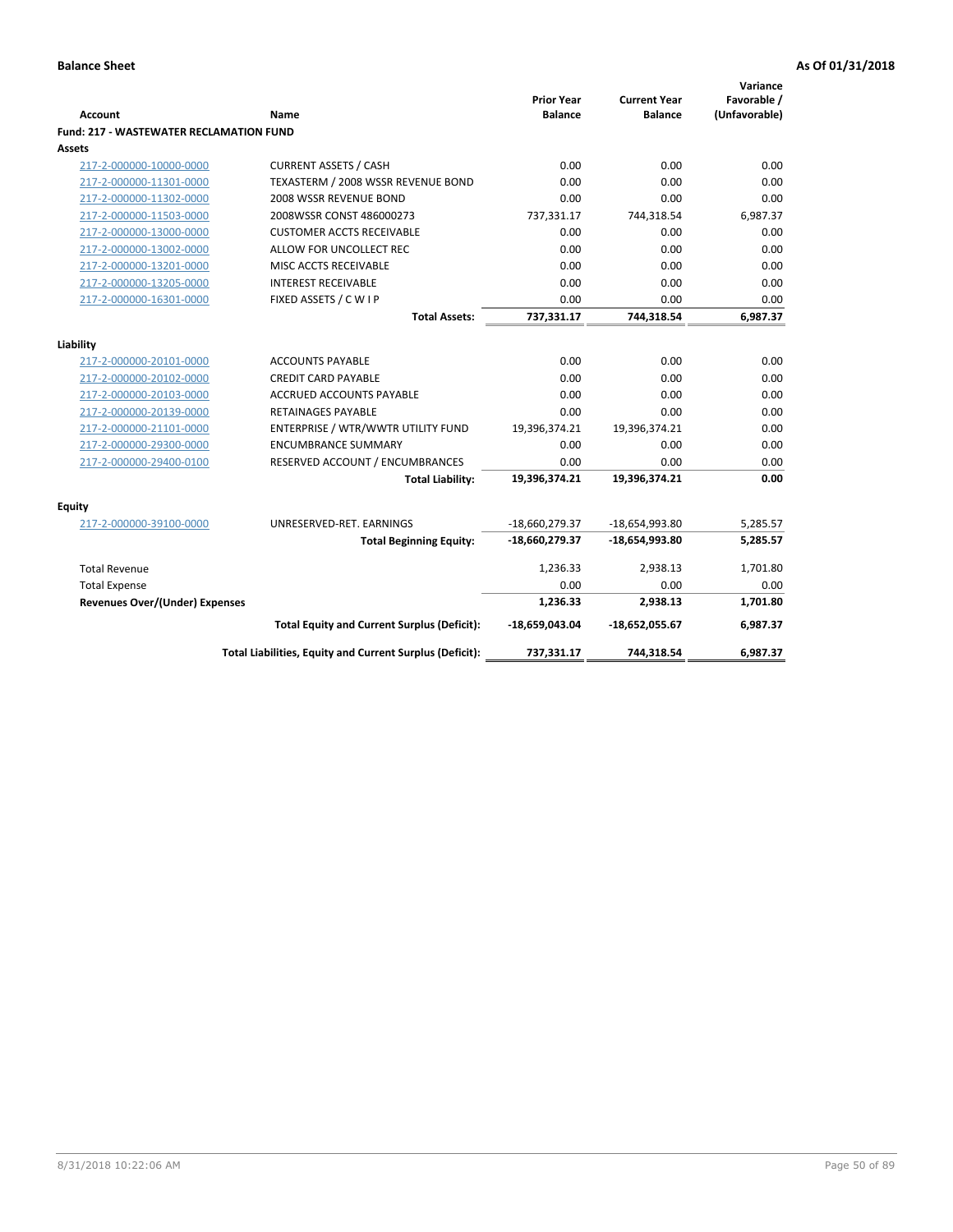|                                                |                                                               | <b>Prior Year</b>     | <b>Current Year</b> | Variance<br>Favorable / |
|------------------------------------------------|---------------------------------------------------------------|-----------------------|---------------------|-------------------------|
| <b>Account</b>                                 | Name                                                          | <b>Balance</b>        | <b>Balance</b>      | (Unfavorable)           |
| <b>Fund: 217 - WASTEWATER RECLAMATION FUND</b> |                                                               |                       |                     |                         |
| <b>Assets</b>                                  |                                                               |                       |                     |                         |
| 217-2-000000-10000-0000                        | <b>CURRENT ASSETS / CASH</b>                                  | 0.00                  | 0.00                | 0.00                    |
| 217-2-000000-11301-0000                        | TEXASTERM / 2008 WSSR REVENUE BOND                            | 0.00                  | 0.00                | 0.00                    |
| 217-2-000000-11302-0000                        | 2008 WSSR REVENUE BOND                                        | 0.00                  | 0.00                | 0.00                    |
| 217-2-000000-11503-0000                        | 2008WSSR CONST 486000273                                      | 737,331.17            | 744,318.54          | 6,987.37                |
| 217-2-000000-13000-0000                        | <b>CUSTOMER ACCTS RECEIVABLE</b>                              | 0.00                  | 0.00                | 0.00                    |
| 217-2-000000-13002-0000                        | ALLOW FOR UNCOLLECT REC                                       | 0.00                  | 0.00                | 0.00                    |
| 217-2-000000-13201-0000                        | MISC ACCTS RECEIVABLE                                         | 0.00                  | 0.00                | 0.00                    |
| 217-2-000000-13205-0000                        | <b>INTEREST RECEIVABLE</b>                                    | 0.00                  | 0.00                | 0.00                    |
| 217-2-000000-16301-0000                        | FIXED ASSETS / C W I P                                        | 0.00                  | 0.00                | 0.00                    |
|                                                | <b>Total Assets:</b>                                          | 737,331.17            | 744,318.54          | 6,987.37                |
|                                                |                                                               |                       |                     |                         |
| Liability                                      |                                                               |                       |                     |                         |
| 217-2-000000-20101-0000                        | <b>ACCOUNTS PAYABLE</b>                                       | 0.00                  | 0.00                | 0.00                    |
| 217-2-000000-20102-0000                        | <b>CREDIT CARD PAYABLE</b><br><b>ACCRUED ACCOUNTS PAYABLE</b> | 0.00                  | 0.00                | 0.00<br>0.00            |
| 217-2-000000-20103-0000                        |                                                               | 0.00                  | 0.00                |                         |
| 217-2-000000-20139-0000                        | <b>RETAINAGES PAYABLE</b>                                     | 0.00                  | 0.00                | 0.00<br>0.00            |
| 217-2-000000-21101-0000                        | ENTERPRISE / WTR/WWTR UTILITY FUND                            | 19,396,374.21         | 19,396,374.21       |                         |
| 217-2-000000-29300-0000                        | <b>ENCUMBRANCE SUMMARY</b>                                    | 0.00                  | 0.00<br>0.00        | 0.00                    |
| 217-2-000000-29400-0100                        | RESERVED ACCOUNT / ENCUMBRANCES<br><b>Total Liability:</b>    | 0.00<br>19,396,374.21 | 19,396,374.21       | 0.00<br>0.00            |
|                                                |                                                               |                       |                     |                         |
| Equity                                         |                                                               |                       |                     |                         |
| 217-2-000000-39100-0000                        | UNRESERVED-RET. EARNINGS                                      | $-18,660,279.37$      | -18,654,993.80      | 5,285.57                |
|                                                | <b>Total Beginning Equity:</b>                                | -18,660,279.37        | $-18,654,993.80$    | 5,285.57                |
| <b>Total Revenue</b>                           |                                                               | 1,236.33              | 2,938.13            | 1,701.80                |
| <b>Total Expense</b>                           |                                                               | 0.00                  | 0.00                | 0.00                    |
| <b>Revenues Over/(Under) Expenses</b>          |                                                               | 1,236.33              | 2,938.13            | 1,701.80                |
|                                                | <b>Total Equity and Current Surplus (Deficit):</b>            | -18,659,043.04        | -18,652,055.67      | 6,987.37                |
|                                                | Total Liabilities, Equity and Current Surplus (Deficit):      | 737,331.17            | 744,318.54          | 6,987.37                |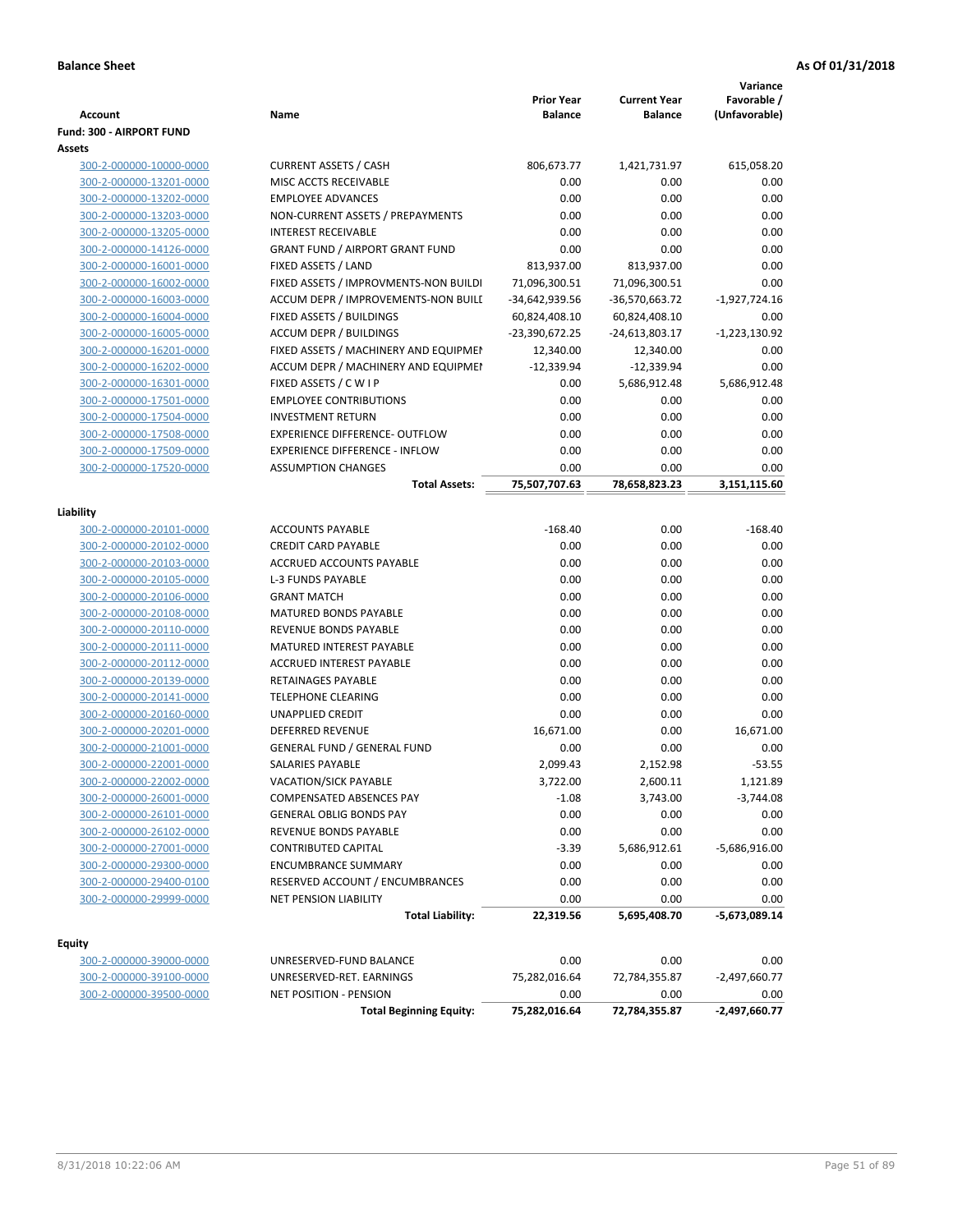|                                                   |                                        |                       |                       | Variance                |
|---------------------------------------------------|----------------------------------------|-----------------------|-----------------------|-------------------------|
|                                                   |                                        | <b>Prior Year</b>     | <b>Current Year</b>   | Favorable /             |
| <b>Account</b><br><b>Fund: 300 - AIRPORT FUND</b> | Name                                   | <b>Balance</b>        | <b>Balance</b>        | (Unfavorable)           |
| Assets                                            |                                        |                       |                       |                         |
| 300-2-000000-10000-0000                           | <b>CURRENT ASSETS / CASH</b>           | 806,673.77            | 1,421,731.97          | 615,058.20              |
| 300-2-000000-13201-0000                           | MISC ACCTS RECEIVABLE                  | 0.00                  | 0.00                  | 0.00                    |
| 300-2-000000-13202-0000                           | <b>EMPLOYEE ADVANCES</b>               | 0.00                  | 0.00                  | 0.00                    |
| 300-2-000000-13203-0000                           | NON-CURRENT ASSETS / PREPAYMENTS       | 0.00                  | 0.00                  | 0.00                    |
| 300-2-000000-13205-0000                           | <b>INTEREST RECEIVABLE</b>             | 0.00                  | 0.00                  | 0.00                    |
| 300-2-000000-14126-0000                           | <b>GRANT FUND / AIRPORT GRANT FUND</b> | 0.00                  | 0.00                  | 0.00                    |
| 300-2-000000-16001-0000                           | FIXED ASSETS / LAND                    | 813,937.00            | 813,937.00            | 0.00                    |
| 300-2-000000-16002-0000                           | FIXED ASSETS / IMPROVMENTS-NON BUILDI  | 71,096,300.51         | 71,096,300.51         | 0.00                    |
| 300-2-000000-16003-0000                           | ACCUM DEPR / IMPROVEMENTS-NON BUILI    | -34,642,939.56        | -36,570,663.72        | $-1,927,724.16$         |
| 300-2-000000-16004-0000                           | FIXED ASSETS / BUILDINGS               | 60,824,408.10         | 60,824,408.10         | 0.00                    |
| 300-2-000000-16005-0000                           | <b>ACCUM DEPR / BUILDINGS</b>          | -23,390,672.25        | $-24,613,803.17$      | $-1,223,130.92$         |
| 300-2-000000-16201-0000                           | FIXED ASSETS / MACHINERY AND EQUIPMEN  | 12,340.00             | 12,340.00             | 0.00                    |
| 300-2-000000-16202-0000                           | ACCUM DEPR / MACHINERY AND EQUIPMEI    | $-12,339.94$          | $-12,339.94$          | 0.00                    |
| 300-2-000000-16301-0000                           | FIXED ASSETS / CWIP                    | 0.00                  | 5,686,912.48          | 5,686,912.48            |
| 300-2-000000-17501-0000                           | <b>EMPLOYEE CONTRIBUTIONS</b>          | 0.00                  | 0.00                  | 0.00                    |
| 300-2-000000-17504-0000                           | <b>INVESTMENT RETURN</b>               | 0.00                  | 0.00                  | 0.00                    |
| 300-2-000000-17508-0000                           | <b>EXPERIENCE DIFFERENCE- OUTFLOW</b>  | 0.00                  | 0.00                  | 0.00                    |
| 300-2-000000-17509-0000                           | <b>EXPERIENCE DIFFERENCE - INFLOW</b>  | 0.00                  | 0.00                  | 0.00                    |
| 300-2-000000-17520-0000                           | <b>ASSUMPTION CHANGES</b>              | 0.00                  | 0.00                  | 0.00                    |
|                                                   | <b>Total Assets:</b>                   | 75,507,707.63         | 78,658,823.23         | 3,151,115.60            |
|                                                   |                                        |                       |                       |                         |
| Liability                                         |                                        |                       |                       |                         |
| 300-2-000000-20101-0000                           | <b>ACCOUNTS PAYABLE</b>                | $-168.40$             | 0.00                  | $-168.40$               |
| 300-2-000000-20102-0000                           | <b>CREDIT CARD PAYABLE</b>             | 0.00                  | 0.00                  | 0.00                    |
| 300-2-000000-20103-0000                           | ACCRUED ACCOUNTS PAYABLE               | 0.00                  | 0.00                  | 0.00                    |
| 300-2-000000-20105-0000                           | <b>L-3 FUNDS PAYABLE</b>               | 0.00                  | 0.00                  | 0.00                    |
| 300-2-000000-20106-0000                           | <b>GRANT MATCH</b>                     | 0.00                  | 0.00                  | 0.00                    |
| 300-2-000000-20108-0000                           | MATURED BONDS PAYABLE                  | 0.00                  | 0.00                  | 0.00                    |
| 300-2-000000-20110-0000                           | REVENUE BONDS PAYABLE                  | 0.00                  | 0.00                  | 0.00                    |
| 300-2-000000-20111-0000                           | MATURED INTEREST PAYABLE               | 0.00                  | 0.00                  | 0.00                    |
| 300-2-000000-20112-0000                           | <b>ACCRUED INTEREST PAYABLE</b>        | 0.00                  | 0.00                  | 0.00                    |
| 300-2-000000-20139-0000                           | RETAINAGES PAYABLE                     | 0.00                  | 0.00                  | 0.00                    |
| 300-2-000000-20141-0000                           | <b>TELEPHONE CLEARING</b>              | 0.00                  | 0.00                  | 0.00                    |
| 300-2-000000-20160-0000                           | <b>UNAPPLIED CREDIT</b>                | 0.00                  | 0.00                  | 0.00                    |
| 300-2-000000-20201-0000                           | <b>DEFERRED REVENUE</b>                | 16,671.00             | 0.00                  | 16,671.00               |
| 300-2-000000-21001-0000                           | <b>GENERAL FUND / GENERAL FUND</b>     | 0.00                  | 0.00                  | 0.00                    |
| 300-2-000000-22001-0000                           | <b>SALARIES PAYABLE</b>                | 2,099.43              | 2,152.98              | $-53.55$                |
| 300-2-000000-22002-0000                           | VACATION/SICK PAYABLE                  | 3,722.00              | 2,600.11              | 1,121.89                |
| 300-2-000000-26001-0000                           | COMPENSATED ABSENCES PAY               | $-1.08$               | 3,743.00              | $-3,744.08$             |
| 300-2-000000-26101-0000                           | <b>GENERAL OBLIG BONDS PAY</b>         | 0.00                  | 0.00                  | 0.00                    |
| 300-2-000000-26102-0000                           | REVENUE BONDS PAYABLE                  | 0.00                  | 0.00                  | 0.00                    |
| 300-2-000000-27001-0000                           | <b>CONTRIBUTED CAPITAL</b>             | $-3.39$               | 5,686,912.61          | $-5,686,916.00$         |
| 300-2-000000-29300-0000                           | <b>ENCUMBRANCE SUMMARY</b>             | 0.00                  | 0.00                  | 0.00                    |
| 300-2-000000-29400-0100                           | RESERVED ACCOUNT / ENCUMBRANCES        | 0.00                  | 0.00                  | 0.00                    |
| 300-2-000000-29999-0000                           | <b>NET PENSION LIABILITY</b>           | 0.00                  | 0.00                  | 0.00                    |
|                                                   | <b>Total Liability:</b>                | 22,319.56             | 5,695,408.70          | $-5,673,089.14$         |
|                                                   |                                        |                       |                       |                         |
| <b>Equity</b>                                     |                                        |                       |                       |                         |
| 300-2-000000-39000-0000                           | UNRESERVED-FUND BALANCE                | 0.00                  | 0.00                  | 0.00                    |
| 300-2-000000-39100-0000                           | UNRESERVED-RET. EARNINGS               | 75,282,016.64         | 72,784,355.87         | $-2,497,660.77$         |
| 300-2-000000-39500-0000                           | <b>NET POSITION - PENSION</b>          | 0.00<br>75,282,016.64 | 0.00<br>72,784,355.87 | 0.00<br>$-2,497,660.77$ |
|                                                   | <b>Total Beginning Equity:</b>         |                       |                       |                         |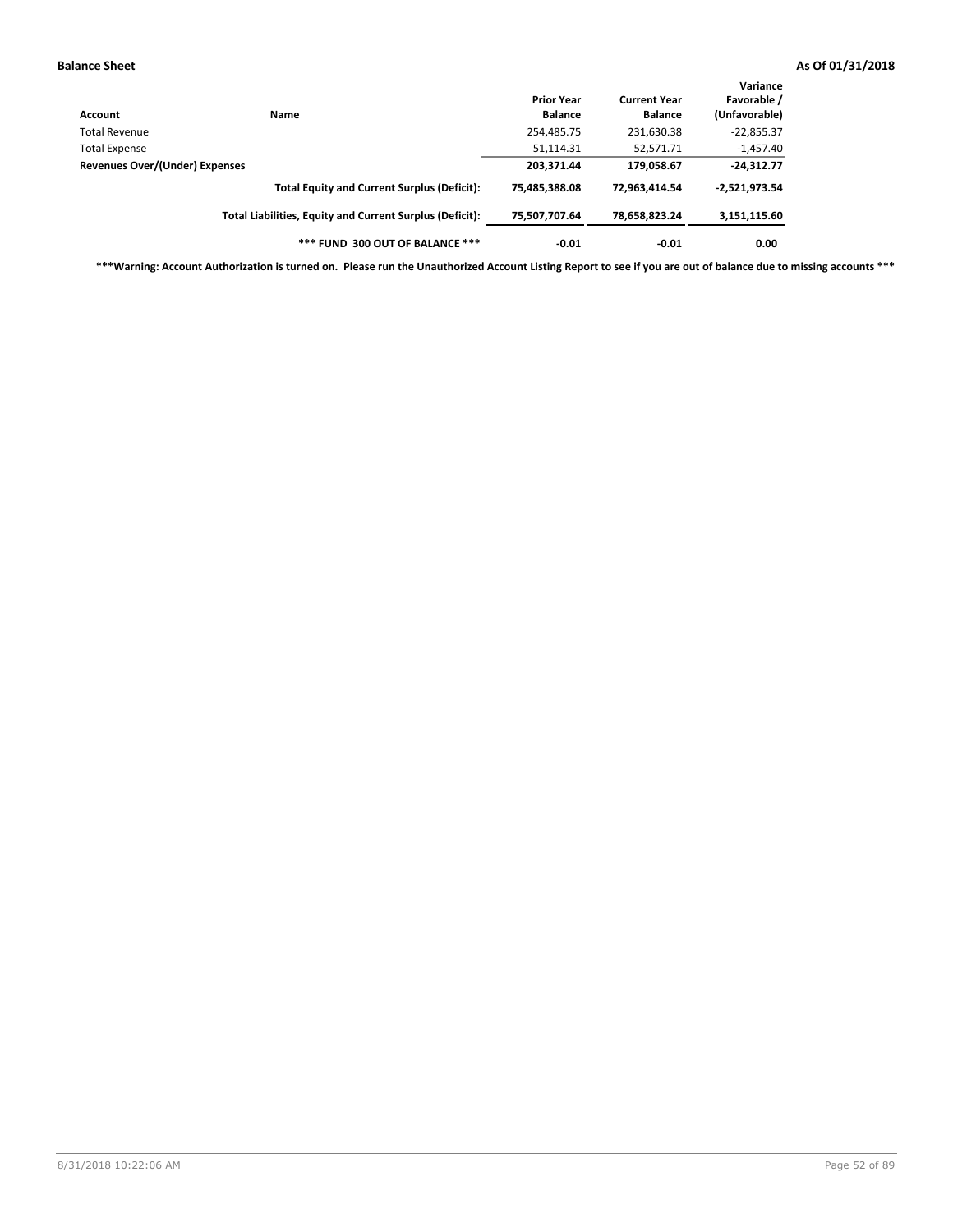| Account                        | <b>Name</b>                                              | <b>Prior Year</b><br><b>Balance</b> | <b>Current Year</b><br><b>Balance</b> | Variance<br>Favorable /<br>(Unfavorable) |
|--------------------------------|----------------------------------------------------------|-------------------------------------|---------------------------------------|------------------------------------------|
| Total Revenue                  |                                                          | 254,485.75                          | 231,630.38                            | $-22,855.37$                             |
| Total Expense                  |                                                          | 51,114.31                           | 52,571.71                             | $-1,457.40$                              |
| Revenues Over/(Under) Expenses | 203,371.44                                               | 179,058.67                          | $-24,312.77$                          |                                          |
|                                | <b>Total Equity and Current Surplus (Deficit):</b>       | 75.485.388.08                       | 72.963.414.54                         | $-2,521,973.54$                          |
|                                | Total Liabilities, Equity and Current Surplus (Deficit): | 75,507,707.64                       | 78,658,823.24                         | 3,151,115.60                             |
|                                | *** FUND 300 OUT OF BALANCE ***                          | $-0.01$                             | $-0.01$                               | 0.00                                     |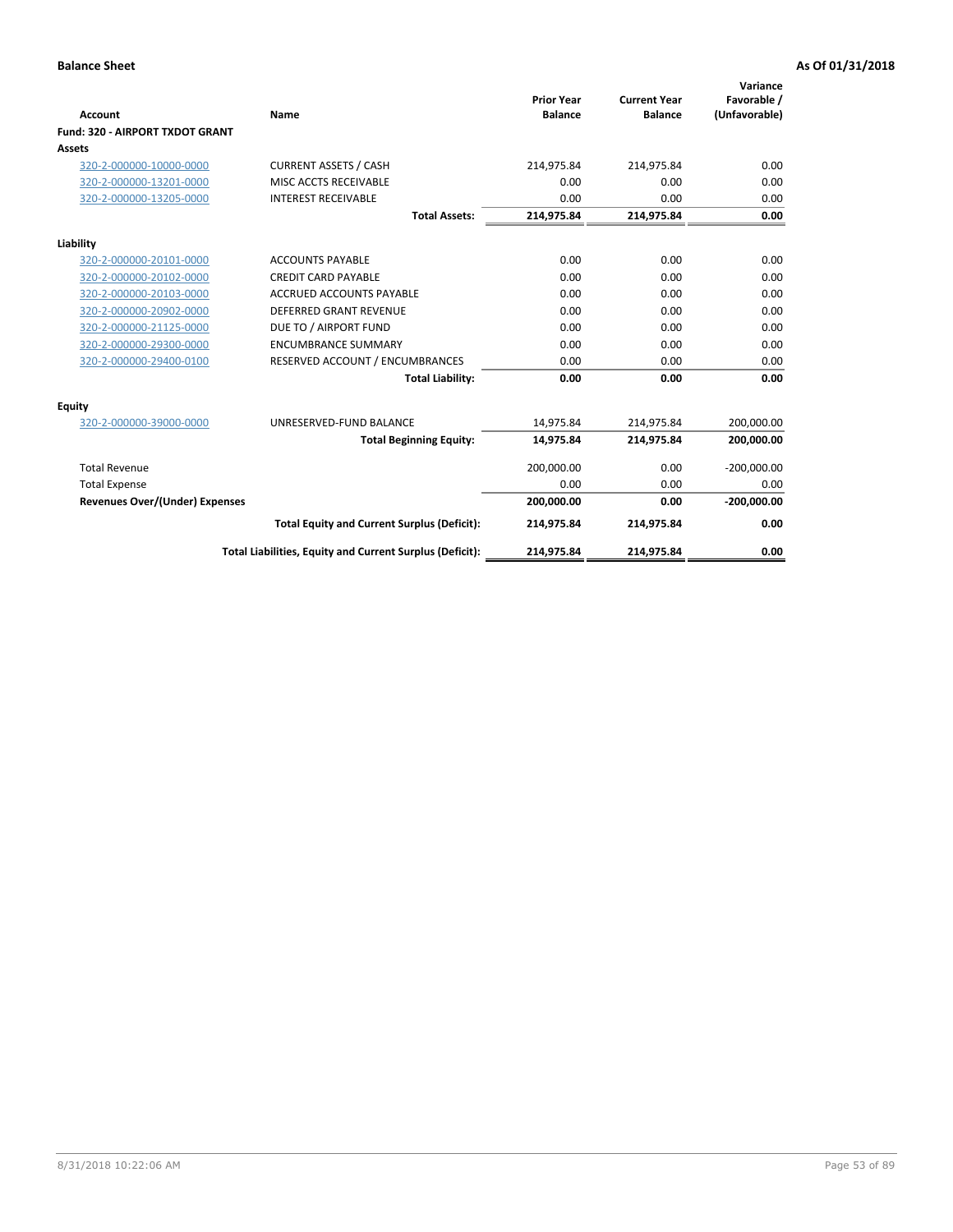|                                       |                                                          | <b>Prior Year</b> | <b>Current Year</b> | Variance<br>Favorable / |
|---------------------------------------|----------------------------------------------------------|-------------------|---------------------|-------------------------|
| <b>Account</b>                        | Name                                                     | <b>Balance</b>    | <b>Balance</b>      | (Unfavorable)           |
| Fund: 320 - AIRPORT TXDOT GRANT       |                                                          |                   |                     |                         |
| Assets                                |                                                          |                   |                     |                         |
| 320-2-000000-10000-0000               | <b>CURRENT ASSETS / CASH</b>                             | 214,975.84        | 214,975.84          | 0.00                    |
| 320-2-000000-13201-0000               | MISC ACCTS RECEIVABLE                                    | 0.00              | 0.00                | 0.00                    |
| 320-2-000000-13205-0000               | <b>INTEREST RECEIVABLE</b>                               | 0.00              | 0.00                | 0.00                    |
|                                       | <b>Total Assets:</b>                                     | 214,975.84        | 214,975.84          | 0.00                    |
| Liability                             |                                                          |                   |                     |                         |
| 320-2-000000-20101-0000               | <b>ACCOUNTS PAYABLE</b>                                  | 0.00              | 0.00                | 0.00                    |
| 320-2-000000-20102-0000               | <b>CREDIT CARD PAYABLE</b>                               | 0.00              | 0.00                | 0.00                    |
| 320-2-000000-20103-0000               | <b>ACCRUED ACCOUNTS PAYABLE</b>                          | 0.00              | 0.00                | 0.00                    |
| 320-2-000000-20902-0000               | <b>DEFERRED GRANT REVENUE</b>                            | 0.00              | 0.00                | 0.00                    |
| 320-2-000000-21125-0000               | DUE TO / AIRPORT FUND                                    | 0.00              | 0.00                | 0.00                    |
| 320-2-000000-29300-0000               | <b>ENCUMBRANCE SUMMARY</b>                               | 0.00              | 0.00                | 0.00                    |
| 320-2-000000-29400-0100               | RESERVED ACCOUNT / ENCUMBRANCES                          | 0.00              | 0.00                | 0.00                    |
|                                       | <b>Total Liability:</b>                                  | 0.00              | 0.00                | 0.00                    |
| <b>Equity</b>                         |                                                          |                   |                     |                         |
| 320-2-000000-39000-0000               | UNRESERVED-FUND BALANCE                                  | 14,975.84         | 214,975.84          | 200,000.00              |
|                                       | <b>Total Beginning Equity:</b>                           | 14,975.84         | 214,975.84          | 200,000.00              |
| <b>Total Revenue</b>                  |                                                          | 200,000.00        | 0.00                | $-200,000.00$           |
| <b>Total Expense</b>                  |                                                          | 0.00              | 0.00                | 0.00                    |
| <b>Revenues Over/(Under) Expenses</b> |                                                          | 200,000.00        | 0.00                | $-200,000.00$           |
|                                       | <b>Total Equity and Current Surplus (Deficit):</b>       | 214,975.84        | 214,975.84          | 0.00                    |
|                                       | Total Liabilities, Equity and Current Surplus (Deficit): | 214,975.84        | 214,975.84          | 0.00                    |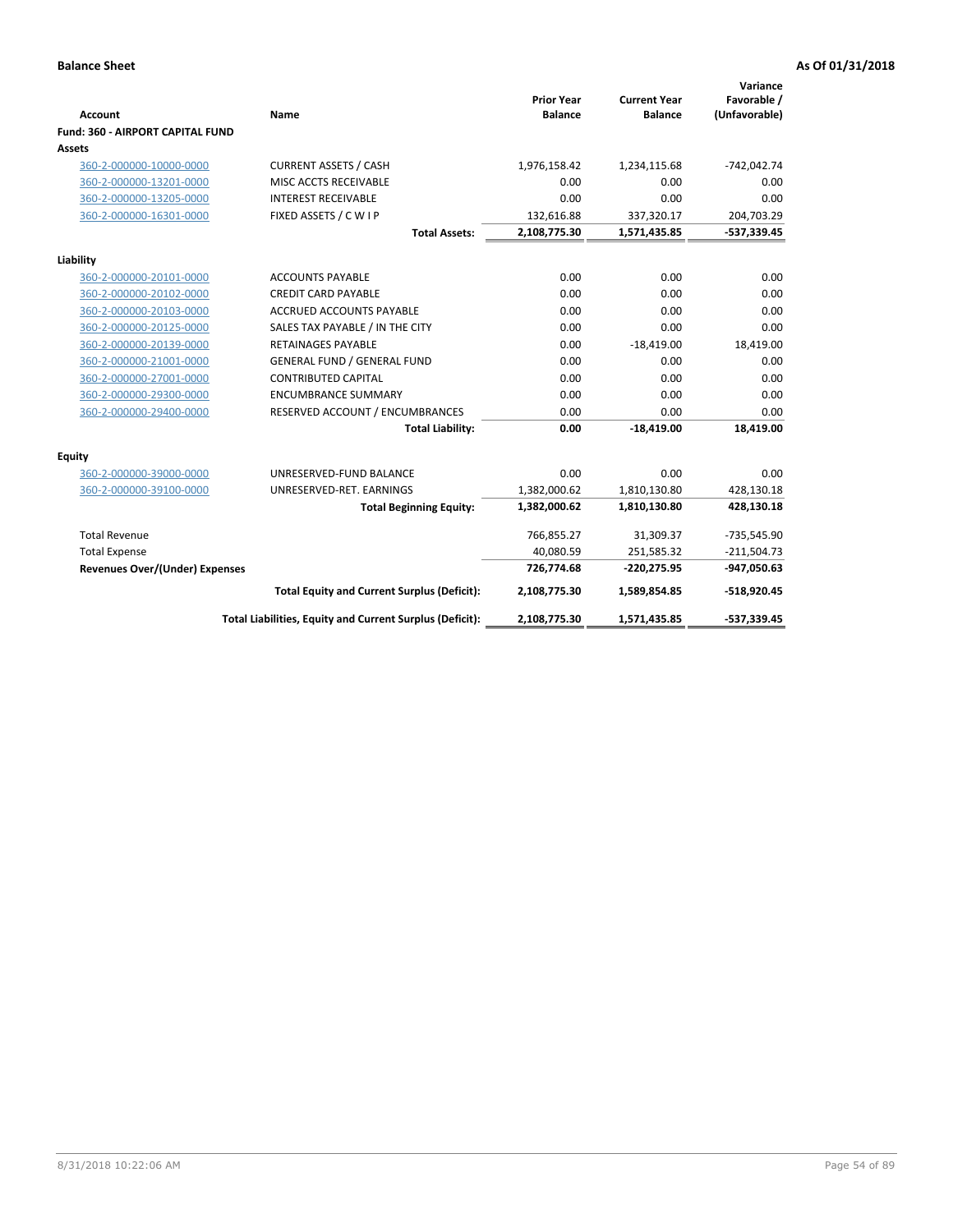| <b>Account</b>                          | <b>Name</b>                                              | <b>Prior Year</b><br><b>Balance</b> | <b>Current Year</b><br><b>Balance</b> | Variance<br>Favorable /<br>(Unfavorable) |
|-----------------------------------------|----------------------------------------------------------|-------------------------------------|---------------------------------------|------------------------------------------|
| <b>Fund: 360 - AIRPORT CAPITAL FUND</b> |                                                          |                                     |                                       |                                          |
| Assets                                  |                                                          |                                     |                                       |                                          |
| 360-2-000000-10000-0000                 | <b>CURRENT ASSETS / CASH</b>                             | 1,976,158.42                        | 1,234,115.68                          | $-742,042.74$                            |
| 360-2-000000-13201-0000                 | MISC ACCTS RECEIVABLE                                    | 0.00                                | 0.00                                  | 0.00                                     |
| 360-2-000000-13205-0000                 | <b>INTEREST RECEIVABLE</b>                               | 0.00                                | 0.00                                  | 0.00                                     |
| 360-2-000000-16301-0000                 | FIXED ASSETS / C W I P                                   | 132,616.88                          | 337,320.17                            | 204,703.29                               |
|                                         | <b>Total Assets:</b>                                     | 2,108,775.30                        | 1,571,435.85                          | $-537,339.45$                            |
| Liability                               |                                                          |                                     |                                       |                                          |
| 360-2-000000-20101-0000                 | <b>ACCOUNTS PAYABLE</b>                                  | 0.00                                | 0.00                                  | 0.00                                     |
| 360-2-000000-20102-0000                 | <b>CREDIT CARD PAYABLE</b>                               | 0.00                                | 0.00                                  | 0.00                                     |
| 360-2-000000-20103-0000                 | ACCRUED ACCOUNTS PAYABLE                                 | 0.00                                | 0.00                                  | 0.00                                     |
| 360-2-000000-20125-0000                 | SALES TAX PAYABLE / IN THE CITY                          | 0.00                                | 0.00                                  | 0.00                                     |
| 360-2-000000-20139-0000                 | <b>RETAINAGES PAYABLE</b>                                | 0.00                                | $-18,419.00$                          | 18,419.00                                |
| 360-2-000000-21001-0000                 | <b>GENERAL FUND / GENERAL FUND</b>                       | 0.00                                | 0.00                                  | 0.00                                     |
| 360-2-000000-27001-0000                 | <b>CONTRIBUTED CAPITAL</b>                               | 0.00                                | 0.00                                  | 0.00                                     |
| 360-2-000000-29300-0000                 | <b>ENCUMBRANCE SUMMARY</b>                               | 0.00                                | 0.00                                  | 0.00                                     |
| 360-2-000000-29400-0000                 | RESERVED ACCOUNT / ENCUMBRANCES                          | 0.00                                | 0.00                                  | 0.00                                     |
|                                         | <b>Total Liability:</b>                                  | 0.00                                | $-18,419.00$                          | 18,419.00                                |
| Equity                                  |                                                          |                                     |                                       |                                          |
| 360-2-000000-39000-0000                 | UNRESERVED-FUND BALANCE                                  | 0.00                                | 0.00                                  | 0.00                                     |
| 360-2-000000-39100-0000                 | UNRESERVED-RET. EARNINGS                                 | 1,382,000.62                        | 1,810,130.80                          | 428,130.18                               |
|                                         | <b>Total Beginning Equity:</b>                           | 1,382,000.62                        | 1,810,130.80                          | 428,130.18                               |
| <b>Total Revenue</b>                    |                                                          | 766,855.27                          | 31,309.37                             | $-735,545.90$                            |
| <b>Total Expense</b>                    |                                                          | 40,080.59                           | 251,585.32                            | $-211,504.73$                            |
| <b>Revenues Over/(Under) Expenses</b>   |                                                          | 726,774.68                          | $-220,275.95$                         | $-947,050.63$                            |
|                                         | <b>Total Equity and Current Surplus (Deficit):</b>       | 2,108,775.30                        | 1,589,854.85                          | $-518,920.45$                            |
|                                         | Total Liabilities, Equity and Current Surplus (Deficit): | 2,108,775.30                        | 1,571,435.85                          | $-537,339.45$                            |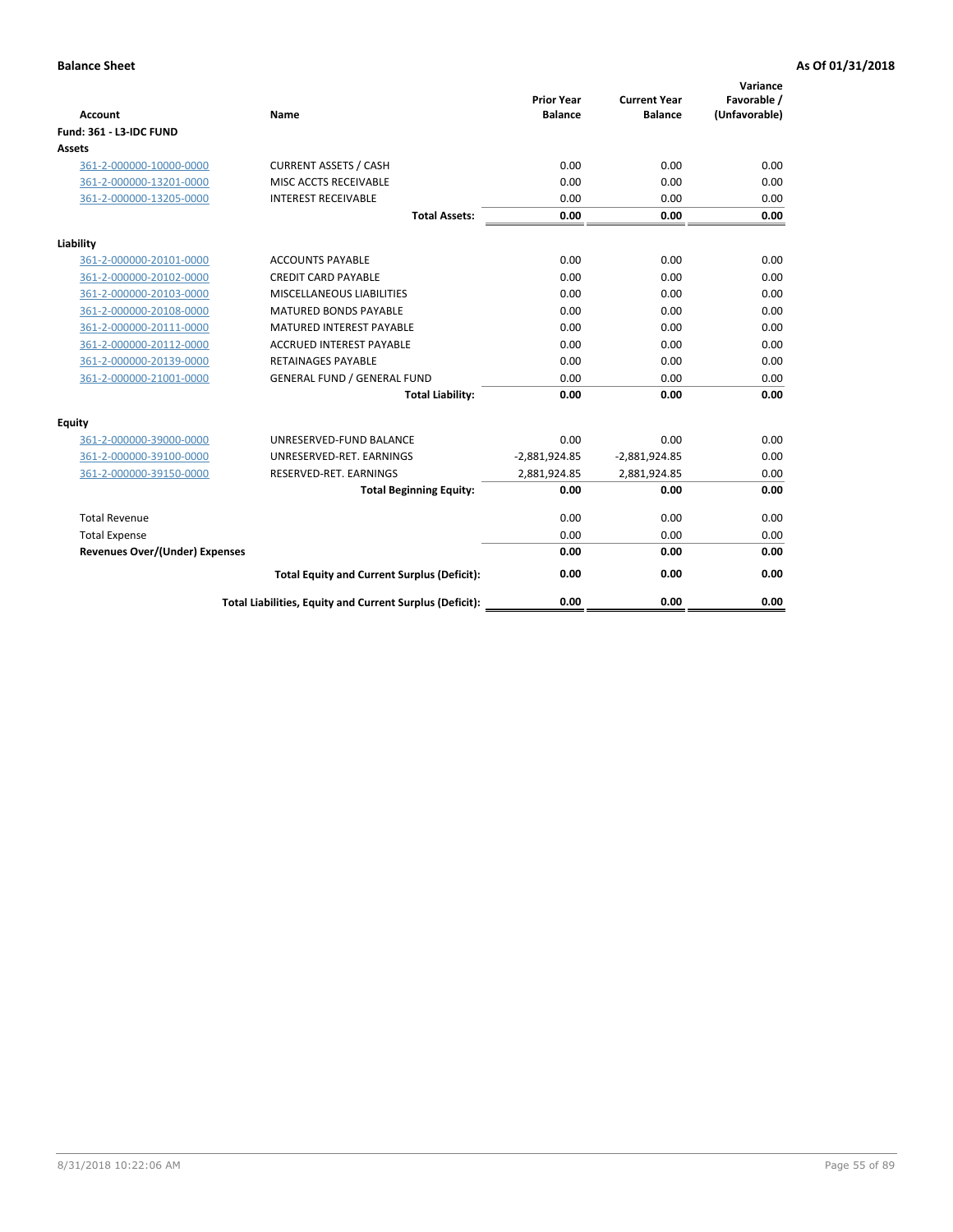| <b>Account</b>                        | Name                                                     | <b>Prior Year</b><br><b>Balance</b> | <b>Current Year</b><br><b>Balance</b> | Variance<br>Favorable /<br>(Unfavorable) |
|---------------------------------------|----------------------------------------------------------|-------------------------------------|---------------------------------------|------------------------------------------|
| <b>Fund: 361 - L3-IDC FUND</b>        |                                                          |                                     |                                       |                                          |
| Assets                                |                                                          |                                     |                                       |                                          |
| 361-2-000000-10000-0000               | <b>CURRENT ASSETS / CASH</b>                             | 0.00                                | 0.00                                  | 0.00                                     |
| 361-2-000000-13201-0000               | MISC ACCTS RECEIVABLE                                    | 0.00                                | 0.00                                  | 0.00                                     |
| 361-2-000000-13205-0000               | <b>INTEREST RECEIVABLE</b>                               | 0.00                                | 0.00                                  | 0.00                                     |
|                                       | <b>Total Assets:</b>                                     | 0.00                                | 0.00                                  | 0.00                                     |
| Liability                             |                                                          |                                     |                                       |                                          |
| 361-2-000000-20101-0000               | <b>ACCOUNTS PAYABLE</b>                                  | 0.00                                | 0.00                                  | 0.00                                     |
| 361-2-000000-20102-0000               | <b>CREDIT CARD PAYABLE</b>                               | 0.00                                | 0.00                                  | 0.00                                     |
| 361-2-000000-20103-0000               | MISCELLANEOUS LIABILITIES                                | 0.00                                | 0.00                                  | 0.00                                     |
| 361-2-000000-20108-0000               | <b>MATURED BONDS PAYABLE</b>                             | 0.00                                | 0.00                                  | 0.00                                     |
| 361-2-000000-20111-0000               | <b>MATURED INTEREST PAYABLE</b>                          | 0.00                                | 0.00                                  | 0.00                                     |
| 361-2-000000-20112-0000               | <b>ACCRUED INTEREST PAYABLE</b>                          | 0.00                                | 0.00                                  | 0.00                                     |
| 361-2-000000-20139-0000               | <b>RETAINAGES PAYABLE</b>                                | 0.00                                | 0.00                                  | 0.00                                     |
| 361-2-000000-21001-0000               | <b>GENERAL FUND / GENERAL FUND</b>                       | 0.00                                | 0.00                                  | 0.00                                     |
|                                       | <b>Total Liability:</b>                                  | 0.00                                | 0.00                                  | 0.00                                     |
| Equity                                |                                                          |                                     |                                       |                                          |
| 361-2-000000-39000-0000               | UNRESERVED-FUND BALANCE                                  | 0.00                                | 0.00                                  | 0.00                                     |
| 361-2-000000-39100-0000               | UNRESERVED-RET. EARNINGS                                 | $-2,881,924.85$                     | $-2,881,924.85$                       | 0.00                                     |
| 361-2-000000-39150-0000               | RESERVED-RET. EARNINGS                                   | 2,881,924.85                        | 2,881,924.85                          | 0.00                                     |
|                                       | <b>Total Beginning Equity:</b>                           | 0.00                                | 0.00                                  | 0.00                                     |
| <b>Total Revenue</b>                  |                                                          | 0.00                                | 0.00                                  | 0.00                                     |
| <b>Total Expense</b>                  |                                                          | 0.00                                | 0.00                                  | 0.00                                     |
| <b>Revenues Over/(Under) Expenses</b> |                                                          | 0.00                                | 0.00                                  | 0.00                                     |
|                                       | <b>Total Equity and Current Surplus (Deficit):</b>       | 0.00                                | 0.00                                  | 0.00                                     |
|                                       | Total Liabilities, Equity and Current Surplus (Deficit): | 0.00                                | 0.00                                  | 0.00                                     |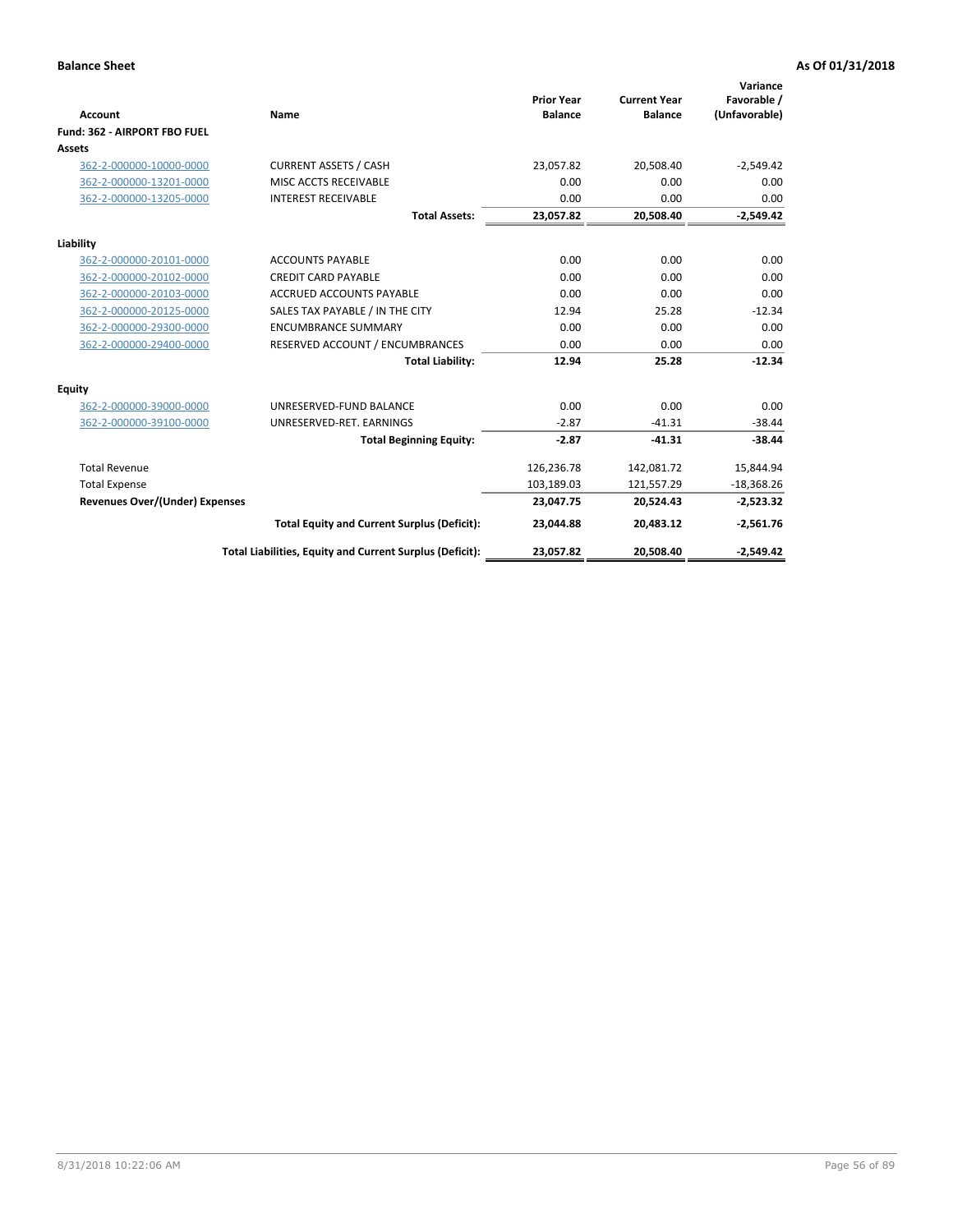|                                       |                                                          |                                     |                                       | Variance                     |
|---------------------------------------|----------------------------------------------------------|-------------------------------------|---------------------------------------|------------------------------|
| <b>Account</b>                        | Name                                                     | <b>Prior Year</b><br><b>Balance</b> | <b>Current Year</b><br><b>Balance</b> | Favorable /<br>(Unfavorable) |
| Fund: 362 - AIRPORT FBO FUEL          |                                                          |                                     |                                       |                              |
| Assets                                |                                                          |                                     |                                       |                              |
| 362-2-000000-10000-0000               | <b>CURRENT ASSETS / CASH</b>                             | 23.057.82                           | 20,508.40                             | $-2,549.42$                  |
| 362-2-000000-13201-0000               | MISC ACCTS RECEIVABLE                                    | 0.00                                | 0.00                                  | 0.00                         |
| 362-2-000000-13205-0000               | <b>INTEREST RECEIVABLE</b>                               | 0.00                                | 0.00                                  | 0.00                         |
|                                       | <b>Total Assets:</b>                                     | 23,057.82                           | 20,508.40                             | $-2,549.42$                  |
| Liability                             |                                                          |                                     |                                       |                              |
| 362-2-000000-20101-0000               | <b>ACCOUNTS PAYABLE</b>                                  | 0.00                                | 0.00                                  | 0.00                         |
| 362-2-000000-20102-0000               | <b>CREDIT CARD PAYABLE</b>                               | 0.00                                | 0.00                                  | 0.00                         |
| 362-2-000000-20103-0000               | <b>ACCRUED ACCOUNTS PAYABLE</b>                          | 0.00                                | 0.00                                  | 0.00                         |
| 362-2-000000-20125-0000               | SALES TAX PAYABLE / IN THE CITY                          | 12.94                               | 25.28                                 | $-12.34$                     |
| 362-2-000000-29300-0000               | <b>ENCUMBRANCE SUMMARY</b>                               | 0.00                                | 0.00                                  | 0.00                         |
| 362-2-000000-29400-0000               | RESERVED ACCOUNT / ENCUMBRANCES                          | 0.00                                | 0.00                                  | 0.00                         |
|                                       | <b>Total Liability:</b>                                  | 12.94                               | 25.28                                 | $-12.34$                     |
| <b>Equity</b>                         |                                                          |                                     |                                       |                              |
| 362-2-000000-39000-0000               | UNRESERVED-FUND BALANCE                                  | 0.00                                | 0.00                                  | 0.00                         |
| 362-2-000000-39100-0000               | UNRESERVED-RET. EARNINGS                                 | $-2.87$                             | $-41.31$                              | $-38.44$                     |
|                                       | <b>Total Beginning Equity:</b>                           | $-2.87$                             | $-41.31$                              | $-38.44$                     |
| <b>Total Revenue</b>                  |                                                          | 126,236.78                          | 142,081.72                            | 15,844.94                    |
| <b>Total Expense</b>                  |                                                          | 103,189.03                          | 121,557.29                            | $-18,368.26$                 |
| <b>Revenues Over/(Under) Expenses</b> |                                                          | 23,047.75                           | 20,524.43                             | $-2,523.32$                  |
|                                       | <b>Total Equity and Current Surplus (Deficit):</b>       | 23,044.88                           | 20,483.12                             | $-2,561.76$                  |
|                                       | Total Liabilities, Equity and Current Surplus (Deficit): | 23,057.82                           | 20,508.40                             | $-2,549.42$                  |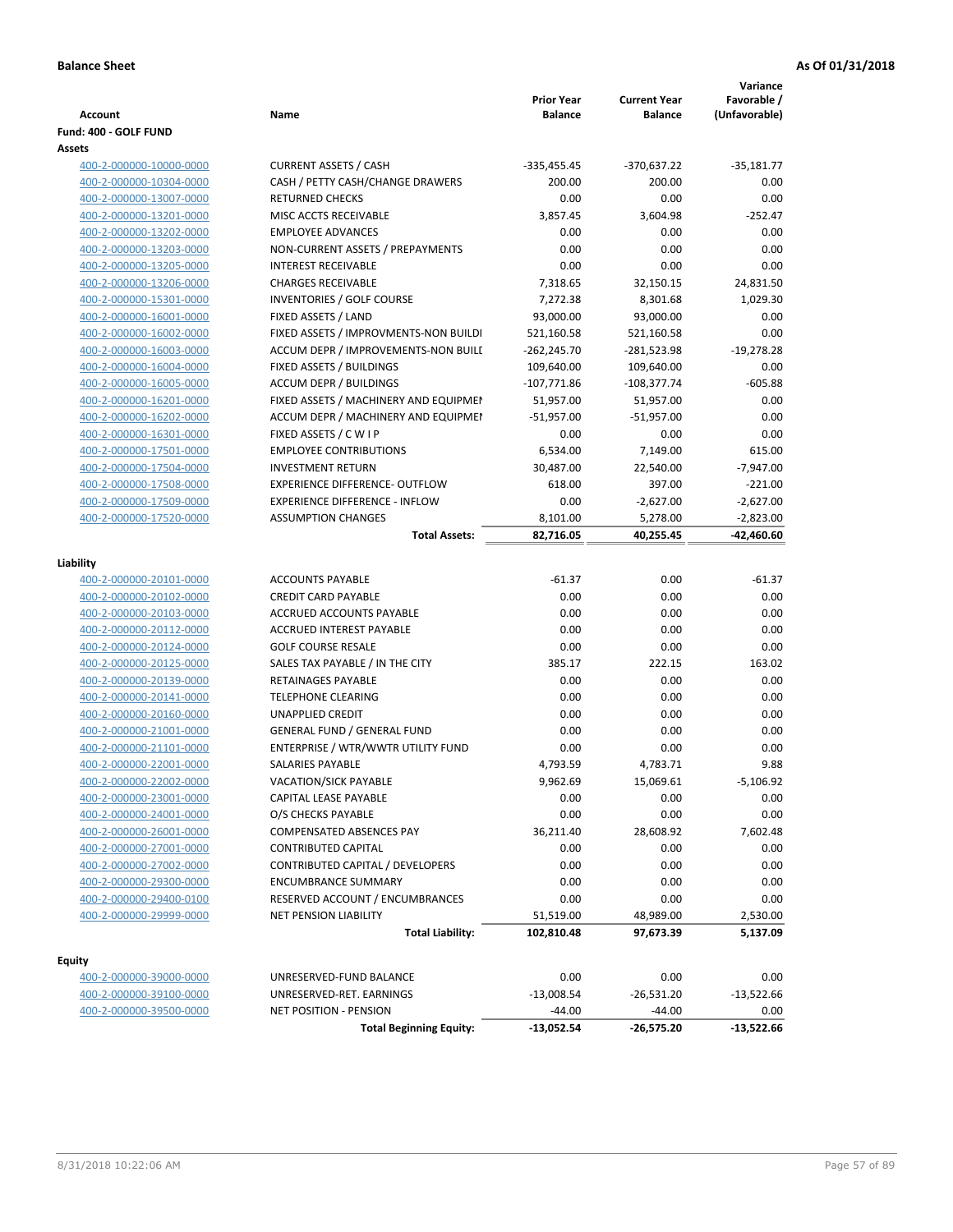| Account                                            | Name                                                         | <b>Prior Year</b><br><b>Balance</b> | <b>Current Year</b><br><b>Balance</b> | Variance<br>Favorable /<br>(Unfavorable) |
|----------------------------------------------------|--------------------------------------------------------------|-------------------------------------|---------------------------------------|------------------------------------------|
| Fund: 400 - GOLF FUND                              |                                                              |                                     |                                       |                                          |
| Assets                                             |                                                              |                                     |                                       |                                          |
| 400-2-000000-10000-0000                            | <b>CURRENT ASSETS / CASH</b>                                 | -335,455.45                         | -370,637.22                           | $-35,181.77$                             |
| 400-2-000000-10304-0000                            | CASH / PETTY CASH/CHANGE DRAWERS                             | 200.00                              | 200.00                                | 0.00                                     |
| 400-2-000000-13007-0000                            | <b>RETURNED CHECKS</b>                                       | 0.00                                | 0.00                                  | 0.00                                     |
| 400-2-000000-13201-0000                            | MISC ACCTS RECEIVABLE                                        | 3,857.45                            | 3,604.98                              | $-252.47$                                |
| 400-2-000000-13202-0000                            | <b>EMPLOYEE ADVANCES</b>                                     | 0.00                                | 0.00                                  | 0.00                                     |
| 400-2-000000-13203-0000                            | NON-CURRENT ASSETS / PREPAYMENTS                             | 0.00                                | 0.00                                  | 0.00                                     |
| 400-2-000000-13205-0000                            | <b>INTEREST RECEIVABLE</b>                                   | 0.00                                | 0.00                                  | 0.00                                     |
| 400-2-000000-13206-0000                            | <b>CHARGES RECEIVABLE</b>                                    | 7,318.65                            | 32,150.15                             | 24,831.50                                |
| 400-2-000000-15301-0000                            | <b>INVENTORIES / GOLF COURSE</b>                             | 7,272.38                            | 8,301.68                              | 1,029.30                                 |
| 400-2-000000-16001-0000                            | FIXED ASSETS / LAND                                          | 93,000.00                           | 93,000.00                             | 0.00                                     |
| 400-2-000000-16002-0000                            | FIXED ASSETS / IMPROVMENTS-NON BUILDI                        | 521,160.58                          | 521,160.58                            | 0.00                                     |
| 400-2-000000-16003-0000                            | ACCUM DEPR / IMPROVEMENTS-NON BUILI                          | $-262,245.70$                       | -281,523.98                           | $-19,278.28$                             |
| 400-2-000000-16004-0000                            | FIXED ASSETS / BUILDINGS                                     | 109,640.00                          | 109,640.00                            | 0.00                                     |
| 400-2-000000-16005-0000                            | <b>ACCUM DEPR / BUILDINGS</b>                                | $-107,771.86$                       | $-108,377.74$                         | $-605.88$                                |
| 400-2-000000-16201-0000                            | FIXED ASSETS / MACHINERY AND EQUIPMEN                        | 51,957.00                           | 51,957.00                             | 0.00                                     |
| 400-2-000000-16202-0000                            | ACCUM DEPR / MACHINERY AND EQUIPMEI                          | $-51,957.00$                        | $-51,957.00$                          | 0.00                                     |
| 400-2-000000-16301-0000                            | FIXED ASSETS / C W I P                                       | 0.00                                | 0.00                                  | 0.00                                     |
| 400-2-000000-17501-0000                            | <b>EMPLOYEE CONTRIBUTIONS</b>                                | 6,534.00                            | 7,149.00                              | 615.00                                   |
| 400-2-000000-17504-0000                            | <b>INVESTMENT RETURN</b>                                     | 30,487.00                           | 22,540.00                             | $-7,947.00$                              |
| 400-2-000000-17508-0000                            | <b>EXPERIENCE DIFFERENCE- OUTFLOW</b>                        | 618.00                              | 397.00                                | $-221.00$                                |
| 400-2-000000-17509-0000                            | <b>EXPERIENCE DIFFERENCE - INFLOW</b>                        | 0.00                                | $-2,627.00$                           | $-2,627.00$                              |
| 400-2-000000-17520-0000                            | <b>ASSUMPTION CHANGES</b>                                    | 8,101.00                            | 5,278.00                              | $-2,823.00$                              |
|                                                    | <b>Total Assets:</b>                                         | 82,716.05                           | 40,255.45                             | -42,460.60                               |
|                                                    |                                                              |                                     |                                       |                                          |
| Liability                                          |                                                              |                                     |                                       |                                          |
| 400-2-000000-20101-0000                            | <b>ACCOUNTS PAYABLE</b>                                      | $-61.37$                            | 0.00                                  | $-61.37$                                 |
| 400-2-000000-20102-0000                            | <b>CREDIT CARD PAYABLE</b>                                   | 0.00                                | 0.00                                  | 0.00                                     |
| 400-2-000000-20103-0000                            | ACCRUED ACCOUNTS PAYABLE                                     | 0.00                                | 0.00                                  | 0.00                                     |
| 400-2-000000-20112-0000                            | <b>ACCRUED INTEREST PAYABLE</b>                              | 0.00                                | 0.00                                  | 0.00                                     |
| 400-2-000000-20124-0000                            | <b>GOLF COURSE RESALE</b>                                    | 0.00                                | 0.00                                  | 0.00                                     |
| 400-2-000000-20125-0000                            | SALES TAX PAYABLE / IN THE CITY<br><b>RETAINAGES PAYABLE</b> | 385.17                              | 222.15                                | 163.02                                   |
| 400-2-000000-20139-0000                            |                                                              | 0.00                                | 0.00                                  | 0.00                                     |
| 400-2-000000-20141-0000                            | <b>TELEPHONE CLEARING</b>                                    | 0.00                                | 0.00                                  | 0.00                                     |
| 400-2-000000-20160-0000                            | <b>UNAPPLIED CREDIT</b>                                      | 0.00                                | 0.00                                  | 0.00                                     |
| 400-2-000000-21001-0000                            | <b>GENERAL FUND / GENERAL FUND</b>                           | 0.00                                | 0.00                                  | 0.00                                     |
| 400-2-000000-21101-0000                            | ENTERPRISE / WTR/WWTR UTILITY FUND                           | 0.00                                | 0.00                                  | 0.00<br>9.88                             |
| 400-2-000000-22001-0000<br>400-2-000000-22002-0000 | SALARIES PAYABLE<br>VACATION/SICK PAYABLE                    | 4,793.59<br>9,962.69                | 4,783.71                              | $-5,106.92$                              |
| 400-2-000000-23001-0000                            | CAPITAL LEASE PAYABLE                                        | 0.00                                | 15,069.61<br>0.00                     | 0.00                                     |
| 400-2-000000-24001-0000                            | O/S CHECKS PAYABLE                                           | 0.00                                | 0.00                                  | 0.00                                     |
| 400-2-000000-26001-0000                            | COMPENSATED ABSENCES PAY                                     | 36,211.40                           | 28,608.92                             | 7,602.48                                 |
| 400-2-000000-27001-0000                            | <b>CONTRIBUTED CAPITAL</b>                                   | 0.00                                | 0.00                                  | 0.00                                     |
| 400-2-000000-27002-0000                            | CONTRIBUTED CAPITAL / DEVELOPERS                             | 0.00                                | 0.00                                  | 0.00                                     |
| 400-2-000000-29300-0000                            | <b>ENCUMBRANCE SUMMARY</b>                                   | 0.00                                | 0.00                                  | 0.00                                     |
| 400-2-000000-29400-0100                            | RESERVED ACCOUNT / ENCUMBRANCES                              | 0.00                                | 0.00                                  | 0.00                                     |
| 400-2-000000-29999-0000                            | <b>NET PENSION LIABILITY</b>                                 | 51,519.00                           | 48,989.00                             | 2,530.00                                 |
|                                                    | <b>Total Liability:</b>                                      | 102,810.48                          | 97,673.39                             | 5,137.09                                 |
|                                                    |                                                              |                                     |                                       |                                          |
| <b>Equity</b>                                      |                                                              |                                     |                                       |                                          |
| 400-2-000000-39000-0000                            | UNRESERVED-FUND BALANCE                                      | 0.00                                | 0.00                                  | 0.00                                     |
| 400-2-000000-39100-0000                            | UNRESERVED-RET. EARNINGS                                     | $-13,008.54$                        | $-26,531.20$                          | $-13,522.66$                             |
| 400-2-000000-39500-0000                            | NET POSITION - PENSION                                       | $-44.00$                            | $-44.00$                              | 0.00                                     |
|                                                    | <b>Total Beginning Equity:</b>                               | $-13,052.54$                        | $-26,575.20$                          | $-13,522.66$                             |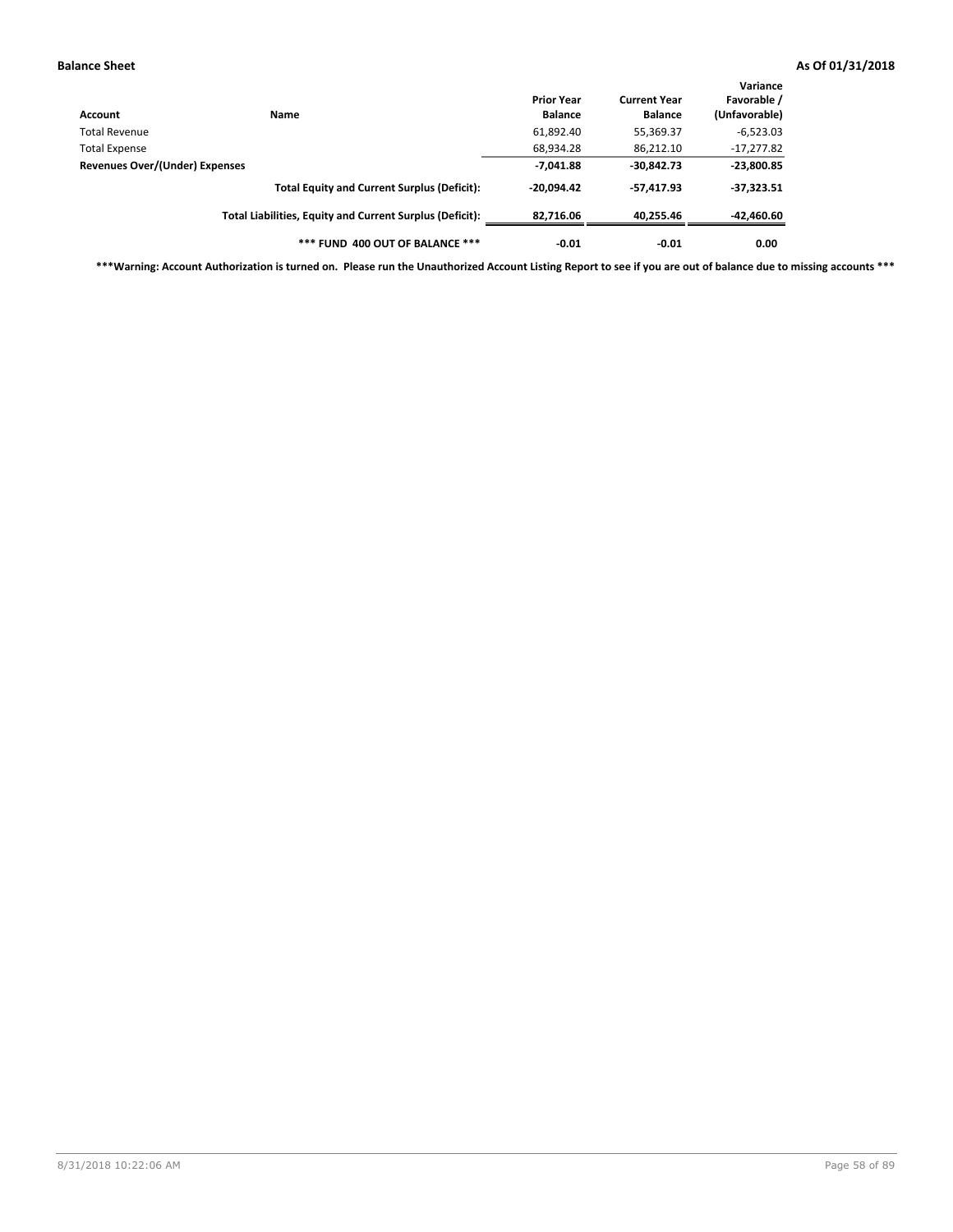| Account                        | Name                                                     | <b>Prior Year</b><br><b>Balance</b> | <b>Current Year</b><br><b>Balance</b> | Variance<br>Favorable /<br>(Unfavorable) |
|--------------------------------|----------------------------------------------------------|-------------------------------------|---------------------------------------|------------------------------------------|
| Total Revenue                  |                                                          | 61,892.40                           | 55,369.37                             | $-6,523.03$                              |
| <b>Total Expense</b>           |                                                          | 68,934.28                           | 86,212.10                             | $-17,277.82$                             |
| Revenues Over/(Under) Expenses |                                                          | $-7,041.88$                         | $-30,842.73$                          | $-23,800.85$                             |
|                                | <b>Total Equity and Current Surplus (Deficit):</b>       | $-20.094.42$                        | $-57.417.93$                          | $-37,323.51$                             |
|                                | Total Liabilities, Equity and Current Surplus (Deficit): | 82,716.06                           | 40,255.46                             | -42,460.60                               |
|                                | *** FUND 400 OUT OF BALANCE ***                          | $-0.01$                             | $-0.01$                               | 0.00                                     |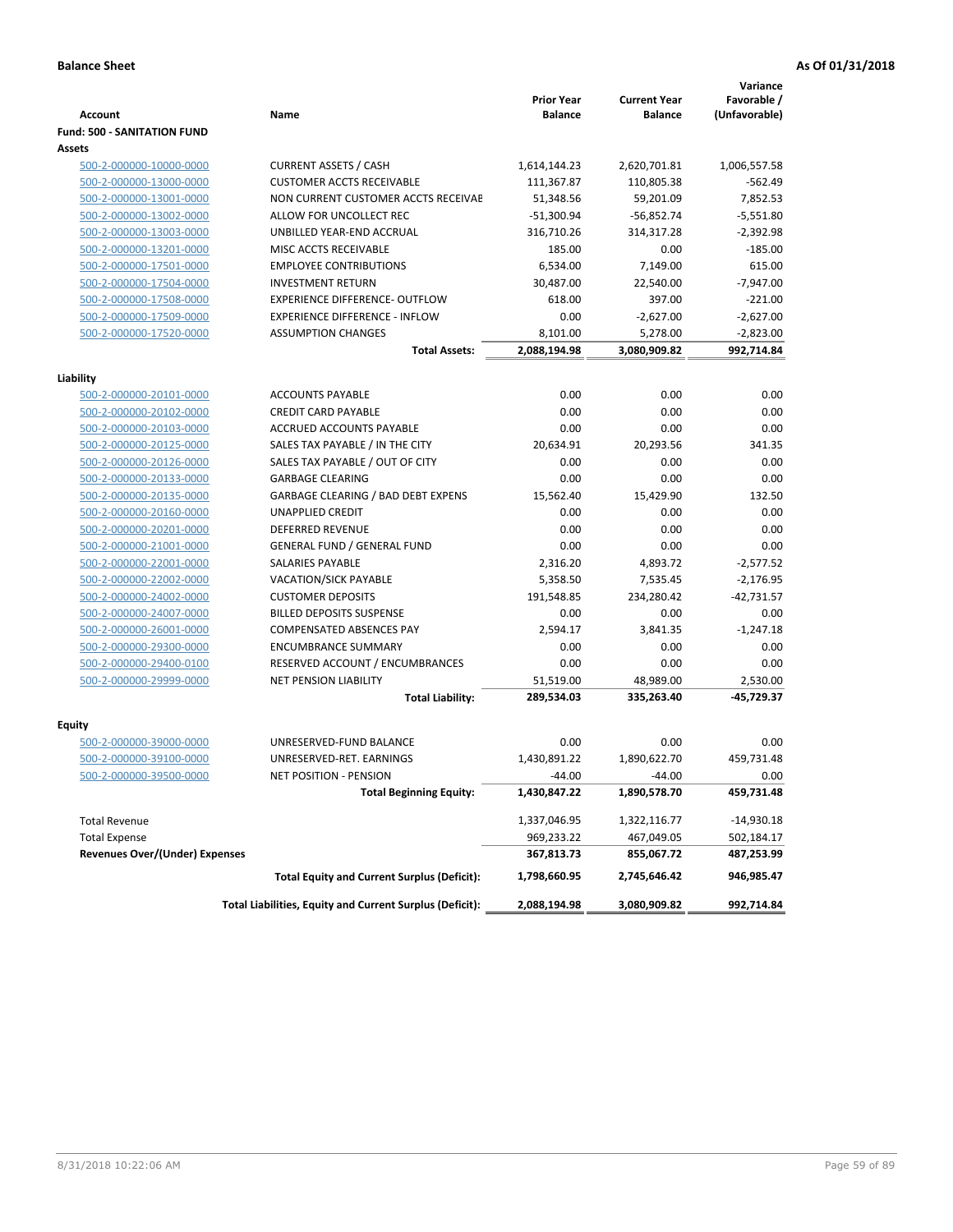|                                       |                                                          | <b>Prior Year</b> | <b>Current Year</b> | Variance<br>Favorable / |
|---------------------------------------|----------------------------------------------------------|-------------------|---------------------|-------------------------|
| <b>Account</b>                        | Name                                                     | <b>Balance</b>    | <b>Balance</b>      | (Unfavorable)           |
| <b>Fund: 500 - SANITATION FUND</b>    |                                                          |                   |                     |                         |
| <b>Assets</b>                         |                                                          |                   |                     |                         |
| 500-2-000000-10000-0000               | <b>CURRENT ASSETS / CASH</b>                             | 1,614,144.23      | 2,620,701.81        | 1,006,557.58            |
| 500-2-000000-13000-0000               | <b>CUSTOMER ACCTS RECEIVABLE</b>                         | 111,367.87        | 110,805.38          | $-562.49$               |
| 500-2-000000-13001-0000               | NON CURRENT CUSTOMER ACCTS RECEIVAE                      | 51,348.56         | 59,201.09           | 7,852.53                |
| 500-2-000000-13002-0000               | ALLOW FOR UNCOLLECT REC                                  | $-51,300.94$      | $-56,852.74$        | $-5,551.80$             |
| 500-2-000000-13003-0000               | UNBILLED YEAR-END ACCRUAL                                | 316,710.26        | 314,317.28          | $-2,392.98$             |
| 500-2-000000-13201-0000               | MISC ACCTS RECEIVABLE                                    | 185.00            | 0.00                | $-185.00$               |
| 500-2-000000-17501-0000               | <b>EMPLOYEE CONTRIBUTIONS</b>                            | 6,534.00          | 7,149.00            | 615.00                  |
| 500-2-000000-17504-0000               | <b>INVESTMENT RETURN</b>                                 | 30.487.00         | 22,540.00           | $-7,947.00$             |
| 500-2-000000-17508-0000               | <b>EXPERIENCE DIFFERENCE- OUTFLOW</b>                    | 618.00            | 397.00              | $-221.00$               |
| 500-2-000000-17509-0000               | <b>EXPERIENCE DIFFERENCE - INFLOW</b>                    | 0.00              | $-2,627.00$         | $-2,627.00$             |
| 500-2-000000-17520-0000               | <b>ASSUMPTION CHANGES</b>                                | 8,101.00          | 5,278.00            | $-2,823.00$             |
|                                       | <b>Total Assets:</b>                                     | 2,088,194.98      | 3,080,909.82        | 992,714.84              |
|                                       |                                                          |                   |                     |                         |
| Liability                             |                                                          |                   |                     |                         |
| 500-2-000000-20101-0000               | <b>ACCOUNTS PAYABLE</b>                                  | 0.00              | 0.00                | 0.00                    |
| 500-2-000000-20102-0000               | <b>CREDIT CARD PAYABLE</b>                               | 0.00              | 0.00                | 0.00                    |
| 500-2-000000-20103-0000               | <b>ACCRUED ACCOUNTS PAYABLE</b>                          | 0.00              | 0.00                | 0.00                    |
| 500-2-000000-20125-0000               | SALES TAX PAYABLE / IN THE CITY                          | 20,634.91         | 20,293.56           | 341.35                  |
| 500-2-000000-20126-0000               | SALES TAX PAYABLE / OUT OF CITY                          | 0.00              | 0.00                | 0.00                    |
| 500-2-000000-20133-0000               | <b>GARBAGE CLEARING</b>                                  | 0.00              | 0.00                | 0.00                    |
| 500-2-000000-20135-0000               | GARBAGE CLEARING / BAD DEBT EXPENS                       | 15,562.40         | 15,429.90           | 132.50                  |
| 500-2-000000-20160-0000               | <b>UNAPPLIED CREDIT</b>                                  | 0.00              | 0.00                | 0.00                    |
| 500-2-000000-20201-0000               | <b>DEFERRED REVENUE</b>                                  | 0.00              | 0.00                | 0.00                    |
| 500-2-000000-21001-0000               | <b>GENERAL FUND / GENERAL FUND</b>                       | 0.00              | 0.00                | 0.00                    |
| 500-2-000000-22001-0000               | SALARIES PAYABLE                                         | 2,316.20          | 4,893.72            | $-2,577.52$             |
| 500-2-000000-22002-0000               | <b>VACATION/SICK PAYABLE</b>                             | 5,358.50          | 7,535.45            | $-2,176.95$             |
| 500-2-000000-24002-0000               | <b>CUSTOMER DEPOSITS</b>                                 | 191,548.85        | 234,280.42          | $-42,731.57$            |
| 500-2-000000-24007-0000               | <b>BILLED DEPOSITS SUSPENSE</b>                          | 0.00              | 0.00                | 0.00                    |
| 500-2-000000-26001-0000               | <b>COMPENSATED ABSENCES PAY</b>                          | 2,594.17          | 3,841.35            | $-1,247.18$             |
| 500-2-000000-29300-0000               | <b>ENCUMBRANCE SUMMARY</b>                               | 0.00              | 0.00                | 0.00                    |
| 500-2-000000-29400-0100               | RESERVED ACCOUNT / ENCUMBRANCES                          | 0.00              | 0.00<br>48,989.00   | 0.00<br>2.530.00        |
| 500-2-000000-29999-0000               | NET PENSION LIABILITY                                    | 51,519.00         |                     |                         |
|                                       | <b>Total Liability:</b>                                  | 289,534.03        | 335,263.40          | -45,729.37              |
| Equity                                |                                                          |                   |                     |                         |
| 500-2-000000-39000-0000               | UNRESERVED-FUND BALANCE                                  | 0.00              | 0.00                | 0.00                    |
| 500-2-000000-39100-0000               | UNRESERVED-RET. EARNINGS                                 | 1,430,891.22      | 1,890,622.70        | 459.731.48              |
| <u>500-2-000000-39500-0000</u>        | NET POSITION - PENSION                                   | $-44.00$          | $-44.00$            | 0.00                    |
|                                       | <b>Total Beginning Equity:</b>                           | 1,430,847.22      | 1,890,578.70        | 459,731.48              |
| <b>Total Revenue</b>                  |                                                          | 1,337,046.95      | 1,322,116.77        | $-14,930.18$            |
| <b>Total Expense</b>                  |                                                          | 969,233.22        | 467,049.05          | 502,184.17              |
| <b>Revenues Over/(Under) Expenses</b> |                                                          | 367,813.73        | 855,067.72          | 487,253.99              |
|                                       | <b>Total Equity and Current Surplus (Deficit):</b>       | 1,798,660.95      | 2,745,646.42        | 946,985.47              |
|                                       | Total Liabilities, Equity and Current Surplus (Deficit): | 2,088,194.98      | 3,080,909.82        | 992,714.84              |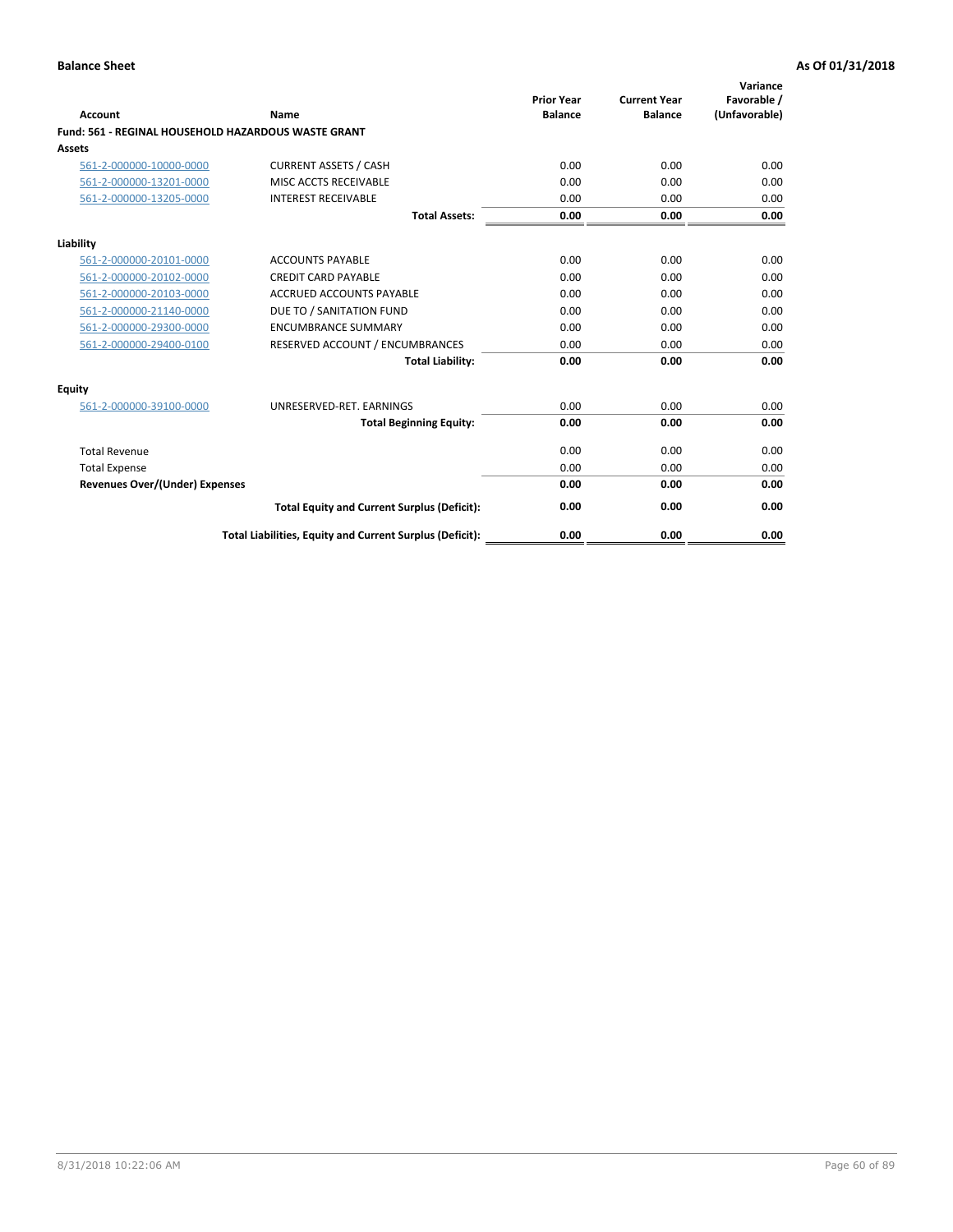| Account                               | Name                                                       | <b>Prior Year</b><br><b>Balance</b> | <b>Current Year</b><br><b>Balance</b> | Variance<br>Favorable /<br>(Unfavorable) |
|---------------------------------------|------------------------------------------------------------|-------------------------------------|---------------------------------------|------------------------------------------|
|                                       | <b>Fund: 561 - REGINAL HOUSEHOLD HAZARDOUS WASTE GRANT</b> |                                     |                                       |                                          |
| Assets                                |                                                            |                                     |                                       |                                          |
| 561-2-000000-10000-0000               | <b>CURRENT ASSETS / CASH</b>                               | 0.00                                | 0.00                                  | 0.00                                     |
| 561-2-000000-13201-0000               | MISC ACCTS RECEIVABLE                                      | 0.00                                | 0.00                                  | 0.00                                     |
| 561-2-000000-13205-0000               | <b>INTEREST RECEIVABLE</b>                                 | 0.00                                | 0.00                                  | 0.00                                     |
|                                       | <b>Total Assets:</b>                                       | 0.00                                | 0.00                                  | 0.00                                     |
| Liability                             |                                                            |                                     |                                       |                                          |
| 561-2-000000-20101-0000               | <b>ACCOUNTS PAYABLE</b>                                    | 0.00                                | 0.00                                  | 0.00                                     |
| 561-2-000000-20102-0000               | <b>CREDIT CARD PAYABLE</b>                                 | 0.00                                | 0.00                                  | 0.00                                     |
| 561-2-000000-20103-0000               | <b>ACCRUED ACCOUNTS PAYABLE</b>                            | 0.00                                | 0.00                                  | 0.00                                     |
| 561-2-000000-21140-0000               | DUE TO / SANITATION FUND                                   | 0.00                                | 0.00                                  | 0.00                                     |
| 561-2-000000-29300-0000               | <b>ENCUMBRANCE SUMMARY</b>                                 | 0.00                                | 0.00                                  | 0.00                                     |
| 561-2-000000-29400-0100               | RESERVED ACCOUNT / ENCUMBRANCES                            | 0.00                                | 0.00                                  | 0.00                                     |
|                                       | <b>Total Liability:</b>                                    | 0.00                                | 0.00                                  | 0.00                                     |
| <b>Equity</b>                         |                                                            |                                     |                                       |                                          |
| 561-2-000000-39100-0000               | UNRESERVED-RET. EARNINGS                                   | 0.00                                | 0.00                                  | 0.00                                     |
|                                       | <b>Total Beginning Equity:</b>                             | 0.00                                | 0.00                                  | 0.00                                     |
| <b>Total Revenue</b>                  |                                                            | 0.00                                | 0.00                                  | 0.00                                     |
| <b>Total Expense</b>                  |                                                            | 0.00                                | 0.00                                  | 0.00                                     |
| <b>Revenues Over/(Under) Expenses</b> |                                                            | 0.00                                | 0.00                                  | 0.00                                     |
|                                       | <b>Total Equity and Current Surplus (Deficit):</b>         | 0.00                                | 0.00                                  | 0.00                                     |
|                                       | Total Liabilities, Equity and Current Surplus (Deficit):   | 0.00                                | 0.00                                  | 0.00                                     |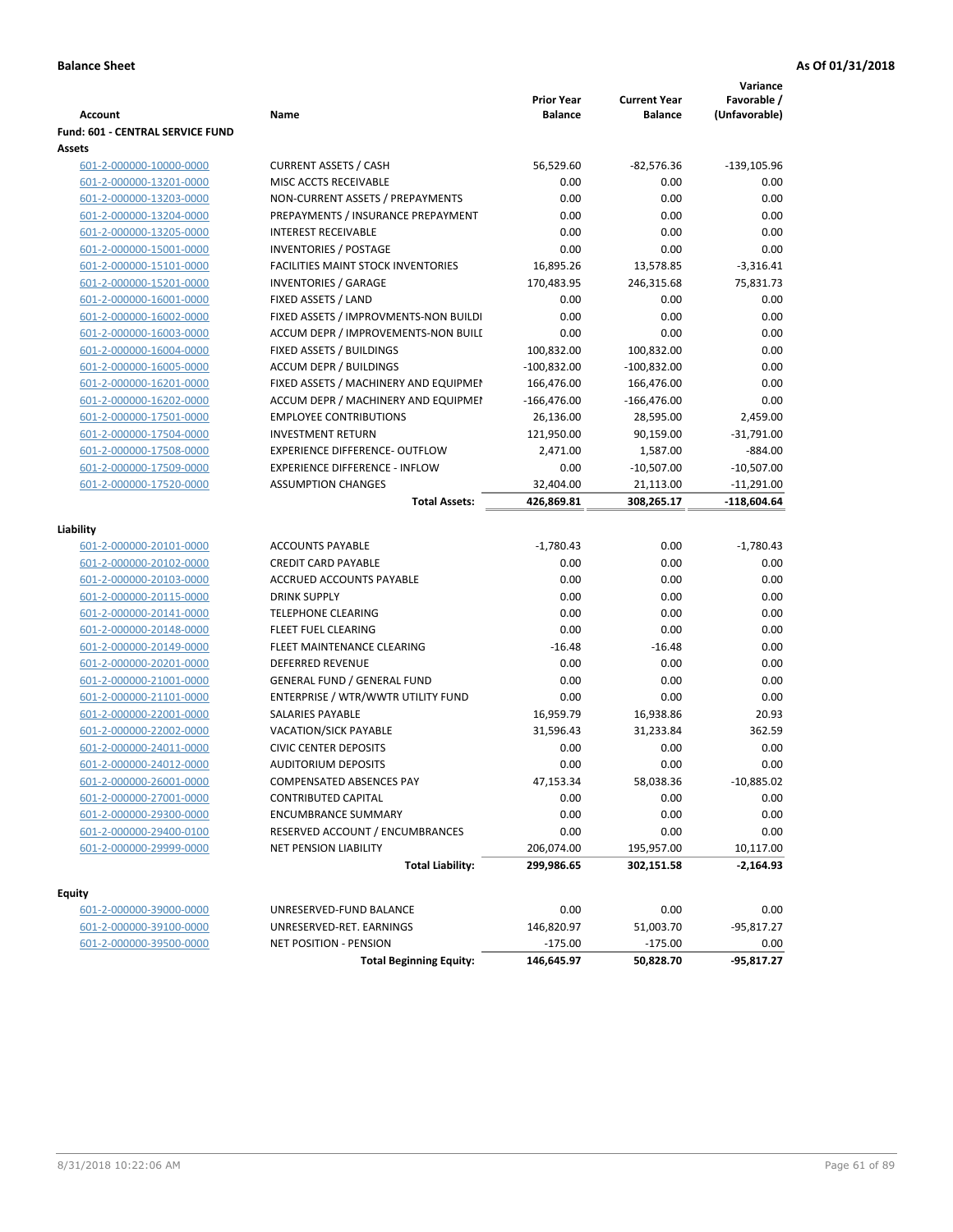|                                  |                                           |                                     |                                       | Variance                     |
|----------------------------------|-------------------------------------------|-------------------------------------|---------------------------------------|------------------------------|
| <b>Account</b>                   | Name                                      | <b>Prior Year</b><br><b>Balance</b> | <b>Current Year</b><br><b>Balance</b> | Favorable /<br>(Unfavorable) |
| Fund: 601 - CENTRAL SERVICE FUND |                                           |                                     |                                       |                              |
| Assets                           |                                           |                                     |                                       |                              |
| 601-2-000000-10000-0000          | <b>CURRENT ASSETS / CASH</b>              | 56,529.60                           | -82,576.36                            | $-139,105.96$                |
| 601-2-000000-13201-0000          | MISC ACCTS RECEIVABLE                     | 0.00                                | 0.00                                  | 0.00                         |
| 601-2-000000-13203-0000          | NON-CURRENT ASSETS / PREPAYMENTS          | 0.00                                | 0.00                                  | 0.00                         |
| 601-2-000000-13204-0000          | PREPAYMENTS / INSURANCE PREPAYMENT        | 0.00                                | 0.00                                  | 0.00                         |
| 601-2-000000-13205-0000          | <b>INTEREST RECEIVABLE</b>                | 0.00                                | 0.00                                  | 0.00                         |
| 601-2-000000-15001-0000          | <b>INVENTORIES / POSTAGE</b>              | 0.00                                | 0.00                                  | 0.00                         |
| 601-2-000000-15101-0000          | <b>FACILITIES MAINT STOCK INVENTORIES</b> | 16,895.26                           | 13,578.85                             | $-3,316.41$                  |
| 601-2-000000-15201-0000          | <b>INVENTORIES / GARAGE</b>               | 170,483.95                          | 246,315.68                            | 75,831.73                    |
| 601-2-000000-16001-0000          | FIXED ASSETS / LAND                       | 0.00                                | 0.00                                  | 0.00                         |
| 601-2-000000-16002-0000          | FIXED ASSETS / IMPROVMENTS-NON BUILDI     | 0.00                                | 0.00                                  | 0.00                         |
| 601-2-000000-16003-0000          | ACCUM DEPR / IMPROVEMENTS-NON BUILI       | 0.00                                | 0.00                                  | 0.00                         |
| 601-2-000000-16004-0000          | FIXED ASSETS / BUILDINGS                  | 100,832.00                          | 100,832.00                            | 0.00                         |
| 601-2-000000-16005-0000          | <b>ACCUM DEPR / BUILDINGS</b>             | $-100,832.00$                       | $-100,832.00$                         | 0.00                         |
| 601-2-000000-16201-0000          | FIXED ASSETS / MACHINERY AND EQUIPMEN     | 166,476.00                          | 166,476.00                            | 0.00                         |
| 601-2-000000-16202-0000          | ACCUM DEPR / MACHINERY AND EQUIPMEI       | $-166,476.00$                       | $-166,476.00$                         | 0.00                         |
| 601-2-000000-17501-0000          | <b>EMPLOYEE CONTRIBUTIONS</b>             | 26,136.00                           | 28,595.00                             | 2,459.00                     |
| 601-2-000000-17504-0000          | <b>INVESTMENT RETURN</b>                  | 121,950.00                          | 90,159.00                             | $-31,791.00$                 |
| 601-2-000000-17508-0000          | <b>EXPERIENCE DIFFERENCE- OUTFLOW</b>     | 2,471.00                            | 1,587.00                              | $-884.00$                    |
| 601-2-000000-17509-0000          | <b>EXPERIENCE DIFFERENCE - INFLOW</b>     | 0.00                                | $-10,507.00$                          | $-10,507.00$                 |
| 601-2-000000-17520-0000          | <b>ASSUMPTION CHANGES</b>                 | 32,404.00                           | 21,113.00                             | $-11,291.00$                 |
|                                  | <b>Total Assets:</b>                      | 426,869.81                          | 308,265.17                            | -118,604.64                  |
|                                  |                                           |                                     |                                       |                              |
| Liability                        |                                           |                                     |                                       |                              |
| 601-2-000000-20101-0000          | <b>ACCOUNTS PAYABLE</b>                   | $-1,780.43$                         | 0.00                                  | $-1,780.43$                  |
| 601-2-000000-20102-0000          | <b>CREDIT CARD PAYABLE</b>                | 0.00                                | 0.00                                  | 0.00                         |
| 601-2-000000-20103-0000          | ACCRUED ACCOUNTS PAYABLE                  | 0.00                                | 0.00                                  | 0.00                         |
| 601-2-000000-20115-0000          | <b>DRINK SUPPLY</b>                       | 0.00                                | 0.00                                  | 0.00                         |
| 601-2-000000-20141-0000          | <b>TELEPHONE CLEARING</b>                 | 0.00                                | 0.00                                  | 0.00                         |
| 601-2-000000-20148-0000          | <b>FLEET FUEL CLEARING</b>                | 0.00                                | 0.00                                  | 0.00                         |
| 601-2-000000-20149-0000          | FLEET MAINTENANCE CLEARING                | $-16.48$                            | $-16.48$                              | 0.00                         |
| 601-2-000000-20201-0000          | <b>DEFERRED REVENUE</b>                   | 0.00                                | 0.00                                  | 0.00                         |
| 601-2-000000-21001-0000          | <b>GENERAL FUND / GENERAL FUND</b>        | 0.00                                | 0.00                                  | 0.00                         |
| 601-2-000000-21101-0000          | ENTERPRISE / WTR/WWTR UTILITY FUND        | 0.00                                | 0.00                                  | 0.00                         |
| 601-2-000000-22001-0000          | <b>SALARIES PAYABLE</b>                   | 16,959.79                           | 16,938.86                             | 20.93                        |
| 601-2-000000-22002-0000          | VACATION/SICK PAYABLE                     | 31,596.43                           | 31,233.84                             | 362.59                       |
| 601-2-000000-24011-0000          | <b>CIVIC CENTER DEPOSITS</b>              | 0.00                                | 0.00                                  | 0.00                         |
| 601-2-000000-24012-0000          | <b>AUDITORIUM DEPOSITS</b>                | 0.00                                | 0.00                                  | 0.00                         |
| 601-2-000000-26001-0000          | COMPENSATED ABSENCES PAY                  | 47,153.34                           | 58,038.36                             | $-10,885.02$                 |
| 601-2-000000-27001-0000          | <b>CONTRIBUTED CAPITAL</b>                | 0.00                                | 0.00                                  | 0.00                         |
| 601-2-000000-29300-0000          | <b>ENCUMBRANCE SUMMARY</b>                | 0.00                                | 0.00                                  | 0.00                         |
| 601-2-000000-29400-0100          | RESERVED ACCOUNT / ENCUMBRANCES           | 0.00                                | 0.00                                  | 0.00                         |
| 601-2-000000-29999-0000          | NET PENSION LIABILITY                     | 206,074.00                          | 195,957.00                            | 10,117.00                    |
|                                  | <b>Total Liability:</b>                   | 299,986.65                          | 302,151.58                            | $-2,164.93$                  |
|                                  |                                           |                                     |                                       |                              |
| <b>Equity</b>                    |                                           |                                     |                                       |                              |
| 601-2-000000-39000-0000          | UNRESERVED-FUND BALANCE                   | 0.00                                | 0.00                                  | 0.00                         |
| 601-2-000000-39100-0000          | UNRESERVED-RET. EARNINGS                  | 146,820.97                          | 51,003.70                             | $-95,817.27$                 |
| 601-2-000000-39500-0000          | NET POSITION - PENSION                    | $-175.00$                           | $-175.00$                             | 0.00                         |
|                                  | <b>Total Beginning Equity:</b>            | 146,645.97                          | 50,828.70                             | $-95,817.27$                 |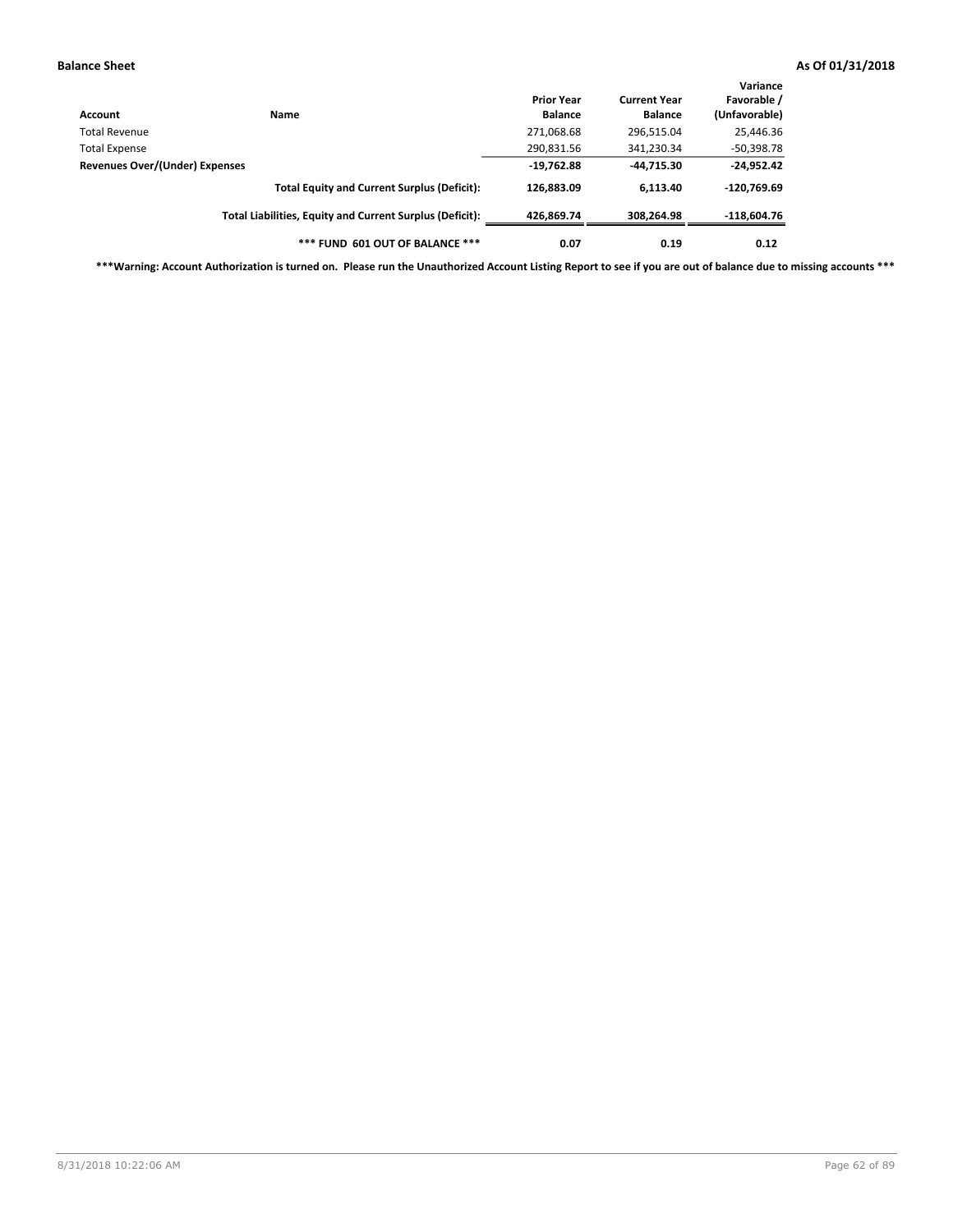| Account                                         | Name                                                     | <b>Prior Year</b><br><b>Balance</b> | <b>Current Year</b><br><b>Balance</b> | Variance<br>Favorable /<br>(Unfavorable) |
|-------------------------------------------------|----------------------------------------------------------|-------------------------------------|---------------------------------------|------------------------------------------|
| Total Revenue                                   |                                                          | 271,068.68                          | 296,515.04                            | 25,446.36                                |
|                                                 |                                                          | 290,831.56                          | 341,230.34                            | $-50,398.78$                             |
| Total Expense<br>Revenues Over/(Under) Expenses | $-19,762.88$                                             | -44,715.30                          | $-24,952.42$                          |                                          |
|                                                 | <b>Total Equity and Current Surplus (Deficit):</b>       | 126,883.09                          | 6.113.40                              | $-120,769.69$                            |
|                                                 | Total Liabilities, Equity and Current Surplus (Deficit): | 426.869.74                          | 308.264.98                            | $-118,604.76$                            |
|                                                 | *** FUND 601 OUT OF BALANCE ***                          | 0.07                                | 0.19                                  | 0.12                                     |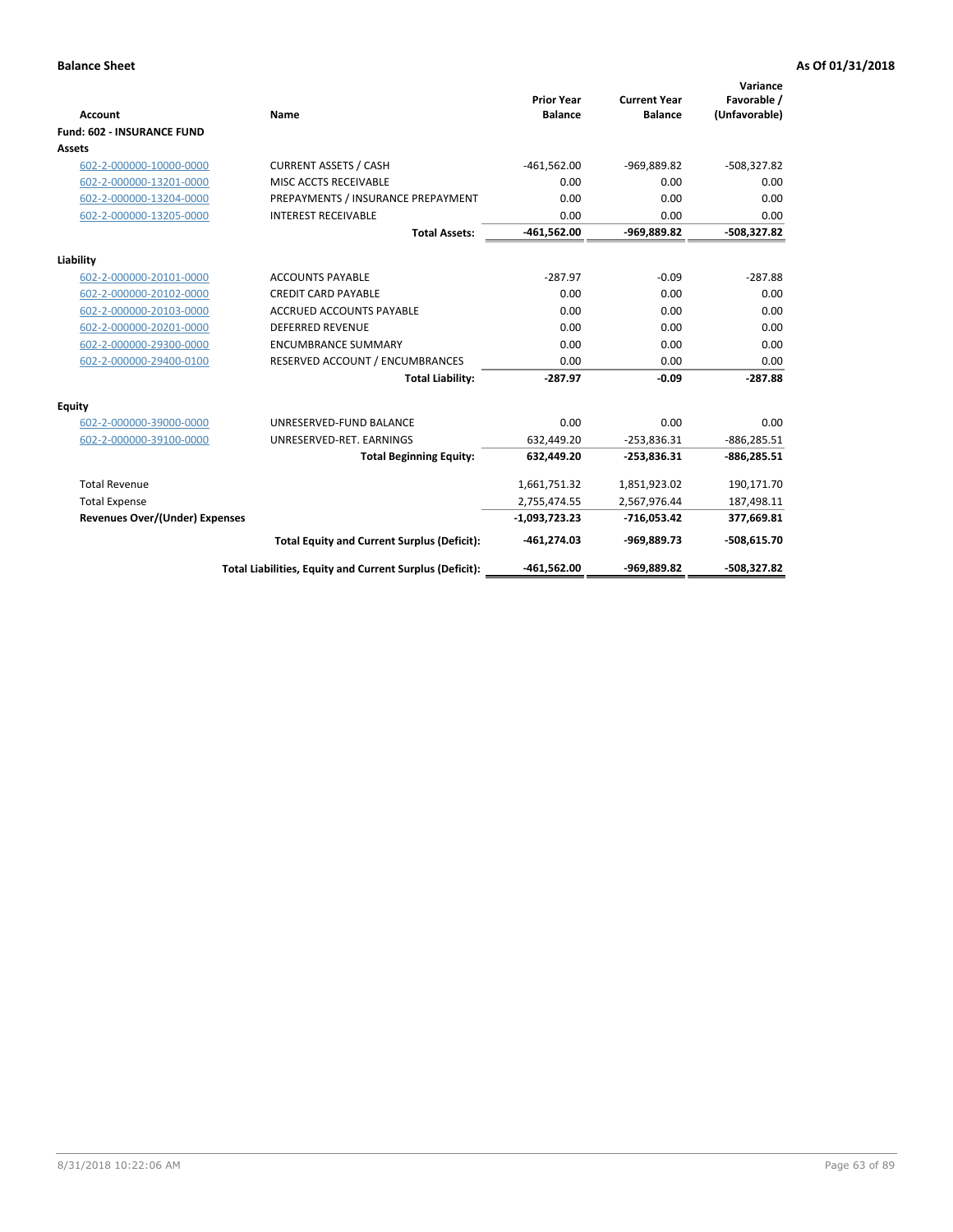| Account                               | Name                                                     | <b>Prior Year</b><br><b>Balance</b> | <b>Current Year</b><br><b>Balance</b> | Variance<br>Favorable /<br>(Unfavorable) |
|---------------------------------------|----------------------------------------------------------|-------------------------------------|---------------------------------------|------------------------------------------|
| <b>Fund: 602 - INSURANCE FUND</b>     |                                                          |                                     |                                       |                                          |
| <b>Assets</b>                         |                                                          |                                     |                                       |                                          |
| 602-2-000000-10000-0000               | <b>CURRENT ASSETS / CASH</b>                             | $-461,562.00$                       | -969,889.82                           | $-508,327.82$                            |
| 602-2-000000-13201-0000               | MISC ACCTS RECEIVABLE                                    | 0.00                                | 0.00                                  | 0.00                                     |
| 602-2-000000-13204-0000               | PREPAYMENTS / INSURANCE PREPAYMENT                       | 0.00                                | 0.00                                  | 0.00                                     |
| 602-2-000000-13205-0000               | <b>INTEREST RECEIVABLE</b>                               | 0.00                                | 0.00                                  | 0.00                                     |
|                                       | <b>Total Assets:</b>                                     | $-461,562.00$                       | -969,889.82                           | $-508,327.82$                            |
| Liability                             |                                                          |                                     |                                       |                                          |
| 602-2-000000-20101-0000               | <b>ACCOUNTS PAYABLE</b>                                  | $-287.97$                           | $-0.09$                               | $-287.88$                                |
| 602-2-000000-20102-0000               | <b>CREDIT CARD PAYABLE</b>                               | 0.00                                | 0.00                                  | 0.00                                     |
| 602-2-000000-20103-0000               | <b>ACCRUED ACCOUNTS PAYABLE</b>                          | 0.00                                | 0.00                                  | 0.00                                     |
| 602-2-000000-20201-0000               | <b>DEFERRED REVENUE</b>                                  | 0.00                                | 0.00                                  | 0.00                                     |
| 602-2-000000-29300-0000               | <b>ENCUMBRANCE SUMMARY</b>                               | 0.00                                | 0.00                                  | 0.00                                     |
| 602-2-000000-29400-0100               | RESERVED ACCOUNT / ENCUMBRANCES                          | 0.00                                | 0.00                                  | 0.00                                     |
|                                       | <b>Total Liability:</b>                                  | $-287.97$                           | $-0.09$                               | $-287.88$                                |
| <b>Equity</b>                         |                                                          |                                     |                                       |                                          |
| 602-2-000000-39000-0000               | UNRESERVED-FUND BALANCE                                  | 0.00                                | 0.00                                  | 0.00                                     |
| 602-2-000000-39100-0000               | UNRESERVED-RET. EARNINGS                                 | 632,449.20                          | $-253,836.31$                         | $-886,285.51$                            |
|                                       | <b>Total Beginning Equity:</b>                           | 632,449.20                          | $-253,836.31$                         | $-886,285.51$                            |
| <b>Total Revenue</b>                  |                                                          | 1,661,751.32                        | 1,851,923.02                          | 190,171.70                               |
| <b>Total Expense</b>                  |                                                          | 2,755,474.55                        | 2,567,976.44                          | 187,498.11                               |
| <b>Revenues Over/(Under) Expenses</b> |                                                          | $-1,093,723.23$                     | $-716,053.42$                         | 377,669.81                               |
|                                       | <b>Total Equity and Current Surplus (Deficit):</b>       | $-461,274.03$                       | -969,889.73                           | $-508,615.70$                            |
|                                       | Total Liabilities, Equity and Current Surplus (Deficit): | -461,562.00                         | -969,889.82                           | -508.327.82                              |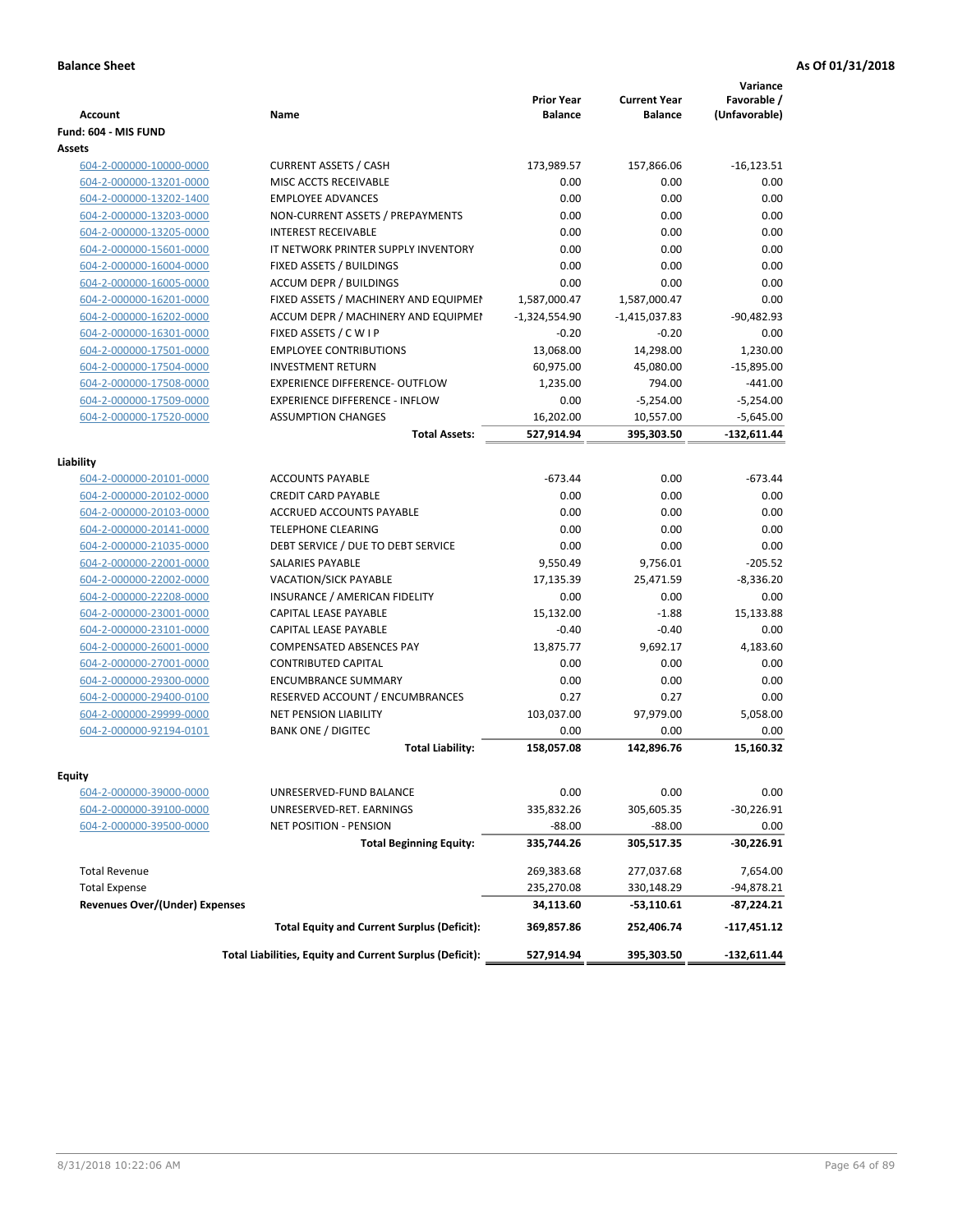| <b>Account</b>                                     | Name                                                     | <b>Prior Year</b><br><b>Balance</b> | <b>Current Year</b><br><b>Balance</b> | Variance<br>Favorable /<br>(Unfavorable) |
|----------------------------------------------------|----------------------------------------------------------|-------------------------------------|---------------------------------------|------------------------------------------|
| Fund: 604 - MIS FUND                               |                                                          |                                     |                                       |                                          |
| Assets                                             |                                                          |                                     |                                       |                                          |
| 604-2-000000-10000-0000                            | <b>CURRENT ASSETS / CASH</b>                             | 173,989.57                          | 157,866.06                            | $-16,123.51$                             |
| 604-2-000000-13201-0000                            | MISC ACCTS RECEIVABLE                                    | 0.00                                | 0.00                                  | 0.00                                     |
| 604-2-000000-13202-1400                            | <b>EMPLOYEE ADVANCES</b>                                 | 0.00                                | 0.00                                  | 0.00                                     |
| 604-2-000000-13203-0000                            | NON-CURRENT ASSETS / PREPAYMENTS                         | 0.00                                | 0.00                                  | 0.00                                     |
| 604-2-000000-13205-0000                            | <b>INTEREST RECEIVABLE</b>                               | 0.00                                | 0.00                                  | 0.00                                     |
| 604-2-000000-15601-0000                            | IT NETWORK PRINTER SUPPLY INVENTORY                      | 0.00                                | 0.00                                  | 0.00                                     |
| 604-2-000000-16004-0000                            | FIXED ASSETS / BUILDINGS                                 | 0.00                                | 0.00                                  | 0.00                                     |
| 604-2-000000-16005-0000                            | <b>ACCUM DEPR / BUILDINGS</b>                            | 0.00                                | 0.00                                  | 0.00                                     |
| 604-2-000000-16201-0000                            | FIXED ASSETS / MACHINERY AND EQUIPMEN                    | 1,587,000.47                        | 1,587,000.47                          | 0.00                                     |
| 604-2-000000-16202-0000                            | ACCUM DEPR / MACHINERY AND EQUIPMEI                      | $-1,324,554.90$                     | $-1,415,037.83$                       | $-90,482.93$                             |
| 604-2-000000-16301-0000                            | FIXED ASSETS / C W I P                                   | $-0.20$                             | $-0.20$                               | 0.00                                     |
| 604-2-000000-17501-0000                            | <b>EMPLOYEE CONTRIBUTIONS</b>                            | 13,068.00                           | 14,298.00                             | 1,230.00                                 |
| 604-2-000000-17504-0000                            | <b>INVESTMENT RETURN</b>                                 | 60,975.00                           | 45,080.00                             | $-15,895.00$                             |
| 604-2-000000-17508-0000                            | EXPERIENCE DIFFERENCE- OUTFLOW                           | 1,235.00                            | 794.00                                | $-441.00$                                |
| 604-2-000000-17509-0000                            | <b>EXPERIENCE DIFFERENCE - INFLOW</b>                    | 0.00                                | $-5,254.00$                           | $-5,254.00$                              |
| 604-2-000000-17520-0000                            | <b>ASSUMPTION CHANGES</b>                                | 16,202.00                           | 10,557.00                             | $-5,645.00$                              |
|                                                    | <b>Total Assets:</b>                                     | 527,914.94                          | 395,303.50                            | $-132.611.44$                            |
|                                                    |                                                          |                                     |                                       |                                          |
| Liability                                          |                                                          |                                     |                                       |                                          |
| 604-2-000000-20101-0000                            | <b>ACCOUNTS PAYABLE</b>                                  | $-673.44$                           | 0.00                                  | $-673.44$                                |
| 604-2-000000-20102-0000                            | <b>CREDIT CARD PAYABLE</b>                               | 0.00                                | 0.00                                  | 0.00                                     |
| 604-2-000000-20103-0000                            | ACCRUED ACCOUNTS PAYABLE                                 | 0.00                                | 0.00                                  | 0.00                                     |
| 604-2-000000-20141-0000                            | <b>TELEPHONE CLEARING</b>                                | 0.00                                | 0.00                                  | 0.00                                     |
| 604-2-000000-21035-0000                            | DEBT SERVICE / DUE TO DEBT SERVICE                       | 0.00                                | 0.00                                  | 0.00                                     |
| 604-2-000000-22001-0000                            | SALARIES PAYABLE                                         | 9,550.49                            | 9,756.01                              | $-205.52$                                |
| 604-2-000000-22002-0000                            | VACATION/SICK PAYABLE                                    | 17,135.39                           | 25,471.59                             | $-8,336.20$                              |
| 604-2-000000-22208-0000                            | INSURANCE / AMERICAN FIDELITY                            | 0.00                                | 0.00                                  | 0.00                                     |
| 604-2-000000-23001-0000                            | CAPITAL LEASE PAYABLE                                    | 15,132.00                           | $-1.88$                               | 15,133.88                                |
| 604-2-000000-23101-0000                            | CAPITAL LEASE PAYABLE                                    | $-0.40$                             | $-0.40$                               | 0.00                                     |
| 604-2-000000-26001-0000                            | <b>COMPENSATED ABSENCES PAY</b>                          | 13,875.77                           | 9,692.17                              | 4,183.60                                 |
| 604-2-000000-27001-0000                            | <b>CONTRIBUTED CAPITAL</b>                               | 0.00                                | 0.00                                  | 0.00                                     |
| 604-2-000000-29300-0000                            | <b>ENCUMBRANCE SUMMARY</b>                               | 0.00                                | 0.00                                  | 0.00                                     |
| 604-2-000000-29400-0100                            | RESERVED ACCOUNT / ENCUMBRANCES                          | 0.27                                | 0.27                                  | 0.00                                     |
| 604-2-000000-29999-0000                            | <b>NET PENSION LIABILITY</b>                             | 103,037.00                          | 97,979.00                             | 5.058.00                                 |
| 604-2-000000-92194-0101                            | <b>BANK ONE / DIGITEC</b>                                | 0.00                                | 0.00                                  | 0.00                                     |
|                                                    | <b>Total Liability:</b>                                  | 158,057.08                          | 142.896.76                            | 15,160.32                                |
|                                                    |                                                          |                                     |                                       |                                          |
| Equity                                             | UNRESERVED-FUND BALANCE                                  | 0.00                                | 0.00                                  | 0.00                                     |
| 604-2-000000-39000-0000                            | UNRESERVED-RET. EARNINGS                                 | 335,832.26                          |                                       |                                          |
| 604-2-000000-39100-0000<br>604-2-000000-39500-0000 |                                                          | $-88.00$                            | 305,605.35<br>$-88.00$                | $-30,226.91$                             |
|                                                    | NET POSITION - PENSION                                   |                                     |                                       | 0.00                                     |
|                                                    | <b>Total Beginning Equity:</b>                           | 335,744.26                          | 305,517.35                            | -30,226.91                               |
| <b>Total Revenue</b>                               |                                                          | 269,383.68                          | 277,037.68                            | 7,654.00                                 |
| <b>Total Expense</b>                               |                                                          | 235,270.08                          | 330,148.29                            | $-94,878.21$                             |
| <b>Revenues Over/(Under) Expenses</b>              |                                                          | 34,113.60                           | -53,110.61                            | -87,224.21                               |
|                                                    | <b>Total Equity and Current Surplus (Deficit):</b>       | 369,857.86                          | 252,406.74                            | $-117,451.12$                            |
|                                                    | Total Liabilities, Equity and Current Surplus (Deficit): | 527,914.94                          | 395,303.50                            | $-132,611.44$                            |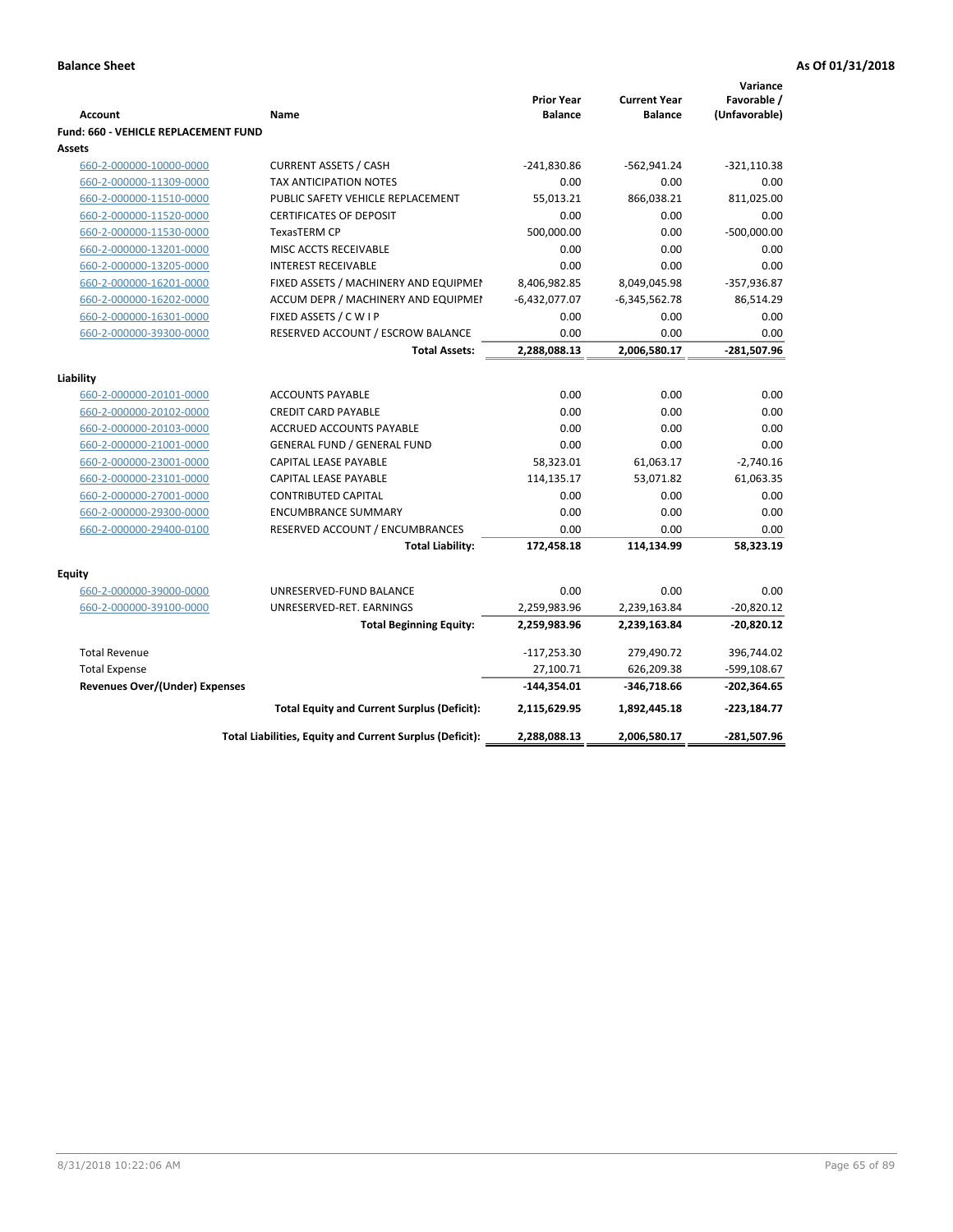| <b>Account</b>                                     | Name                                                     | <b>Prior Year</b><br><b>Balance</b> | <b>Current Year</b><br><b>Balance</b> | Variance<br>Favorable /<br>(Unfavorable) |
|----------------------------------------------------|----------------------------------------------------------|-------------------------------------|---------------------------------------|------------------------------------------|
| Fund: 660 - VEHICLE REPLACEMENT FUND               |                                                          |                                     |                                       |                                          |
| Assets                                             |                                                          |                                     |                                       |                                          |
| 660-2-000000-10000-0000                            | <b>CURRENT ASSETS / CASH</b>                             | $-241,830.86$                       | $-562,941.24$                         | $-321,110.38$                            |
| 660-2-000000-11309-0000                            | <b>TAX ANTICIPATION NOTES</b>                            | 0.00                                | 0.00                                  | 0.00                                     |
| 660-2-000000-11510-0000                            | PUBLIC SAFETY VEHICLE REPLACEMENT                        | 55,013.21                           | 866,038.21                            | 811,025.00                               |
| 660-2-000000-11520-0000                            | <b>CERTIFICATES OF DEPOSIT</b>                           | 0.00                                | 0.00                                  | 0.00                                     |
| 660-2-000000-11530-0000                            | TexasTERM CP                                             | 500,000.00                          | 0.00                                  | $-500,000.00$                            |
| 660-2-000000-13201-0000                            | MISC ACCTS RECEIVABLE                                    | 0.00                                | 0.00                                  | 0.00                                     |
| 660-2-000000-13205-0000                            | <b>INTEREST RECEIVABLE</b>                               | 0.00                                | 0.00                                  | 0.00                                     |
| 660-2-000000-16201-0000                            | FIXED ASSETS / MACHINERY AND EQUIPMEN                    | 8,406,982.85                        | 8,049,045.98                          | $-357,936.87$                            |
| 660-2-000000-16202-0000                            | ACCUM DEPR / MACHINERY AND EQUIPMEI                      | $-6,432,077.07$                     | $-6,345,562.78$                       | 86,514.29                                |
| 660-2-000000-16301-0000                            | FIXED ASSETS / C W I P                                   | 0.00                                | 0.00                                  | 0.00                                     |
| 660-2-000000-39300-0000                            | RESERVED ACCOUNT / ESCROW BALANCE                        | 0.00                                | 0.00                                  | 0.00                                     |
|                                                    | <b>Total Assets:</b>                                     | 2,288,088.13                        | 2,006,580.17                          | -281,507.96                              |
|                                                    |                                                          |                                     |                                       |                                          |
| Liability                                          | <b>ACCOUNTS PAYABLE</b>                                  | 0.00                                | 0.00                                  | 0.00                                     |
| 660-2-000000-20101-0000                            |                                                          | 0.00                                | 0.00                                  | 0.00                                     |
| 660-2-000000-20102-0000                            | <b>CREDIT CARD PAYABLE</b><br>ACCRUED ACCOUNTS PAYABLE   | 0.00                                | 0.00                                  | 0.00                                     |
| 660-2-000000-20103-0000<br>660-2-000000-21001-0000 | <b>GENERAL FUND / GENERAL FUND</b>                       | 0.00                                | 0.00                                  | 0.00                                     |
| 660-2-000000-23001-0000                            | <b>CAPITAL LEASE PAYABLE</b>                             | 58,323.01                           | 61,063.17                             | $-2,740.16$                              |
| 660-2-000000-23101-0000                            | CAPITAL LEASE PAYABLE                                    | 114,135.17                          | 53,071.82                             | 61,063.35                                |
| 660-2-000000-27001-0000                            | <b>CONTRIBUTED CAPITAL</b>                               | 0.00                                | 0.00                                  | 0.00                                     |
| 660-2-000000-29300-0000                            | <b>ENCUMBRANCE SUMMARY</b>                               | 0.00                                | 0.00                                  | 0.00                                     |
| 660-2-000000-29400-0100                            | RESERVED ACCOUNT / ENCUMBRANCES                          | 0.00                                | 0.00                                  | 0.00                                     |
|                                                    | <b>Total Liability:</b>                                  | 172,458.18                          | 114,134.99                            | 58,323.19                                |
|                                                    |                                                          |                                     |                                       |                                          |
| <b>Equity</b>                                      |                                                          |                                     |                                       |                                          |
| 660-2-000000-39000-0000                            | UNRESERVED-FUND BALANCE                                  | 0.00                                | 0.00                                  | 0.00                                     |
| 660-2-000000-39100-0000                            | UNRESERVED-RET. EARNINGS                                 | 2,259,983.96                        | 2,239,163.84                          | $-20,820.12$                             |
|                                                    | <b>Total Beginning Equity:</b>                           | 2,259,983.96                        | 2,239,163.84                          | $-20,820.12$                             |
| <b>Total Revenue</b>                               |                                                          | $-117,253.30$                       | 279,490.72                            | 396,744.02                               |
| <b>Total Expense</b>                               |                                                          | 27,100.71                           | 626,209.38                            | -599,108.67                              |
| <b>Revenues Over/(Under) Expenses</b>              |                                                          | $-144,354.01$                       | -346,718.66                           | $-202,364.65$                            |
|                                                    | <b>Total Equity and Current Surplus (Deficit):</b>       | 2,115,629.95                        | 1,892,445.18                          | $-223,184.77$                            |
|                                                    | Total Liabilities, Equity and Current Surplus (Deficit): | 2,288,088.13                        | 2,006,580.17                          | -281,507.96                              |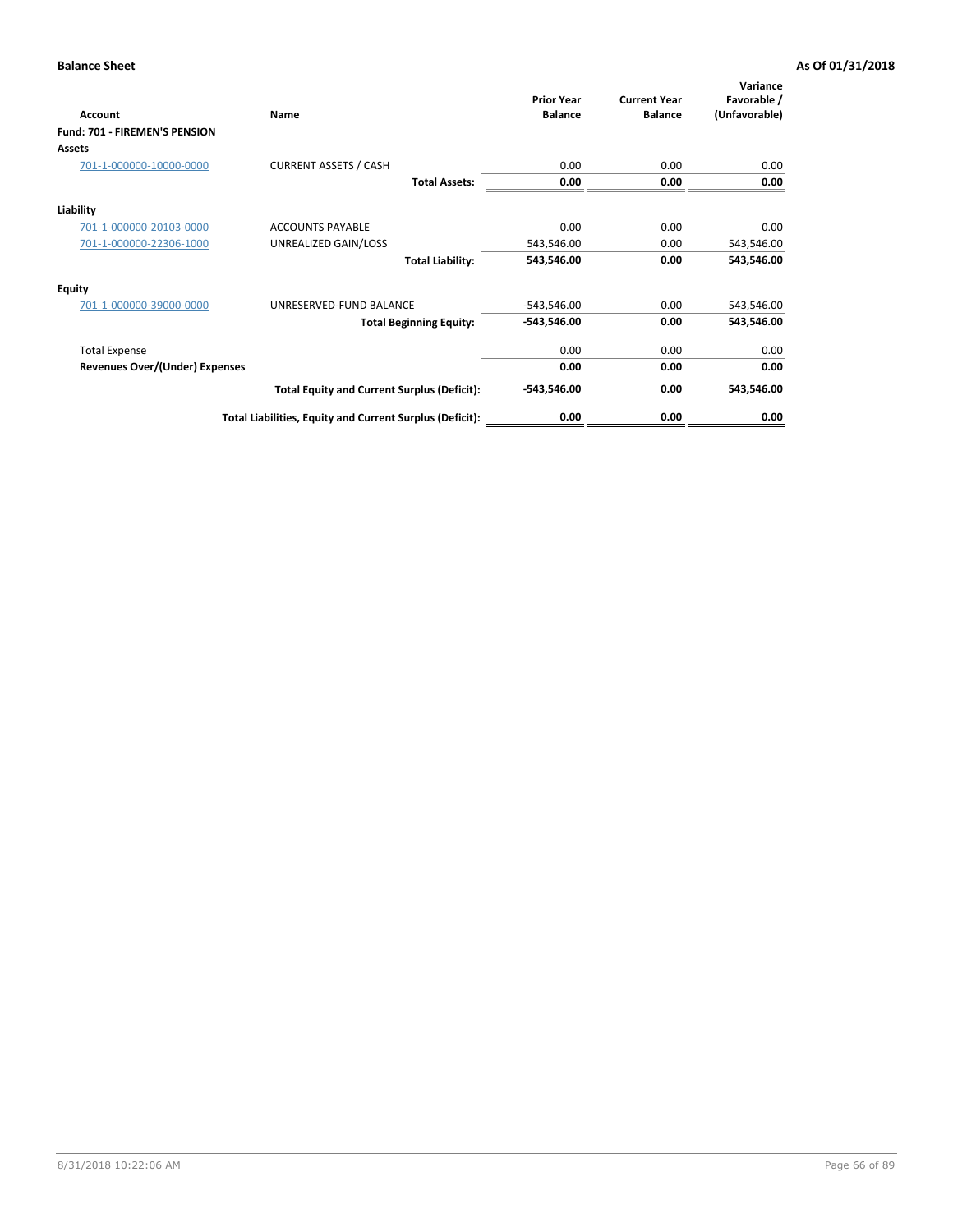| <b>Account</b>                 | Name                                                     | <b>Prior Year</b><br><b>Balance</b> | <b>Current Year</b><br><b>Balance</b> | Variance<br>Favorable /<br>(Unfavorable) |
|--------------------------------|----------------------------------------------------------|-------------------------------------|---------------------------------------|------------------------------------------|
| Fund: 701 - FIREMEN'S PENSION  |                                                          |                                     |                                       |                                          |
| <b>Assets</b>                  |                                                          |                                     |                                       |                                          |
| 701-1-000000-10000-0000        | <b>CURRENT ASSETS / CASH</b>                             | 0.00                                | 0.00                                  | 0.00                                     |
|                                | <b>Total Assets:</b>                                     | 0.00                                | 0.00                                  | 0.00                                     |
| Liability                      |                                                          |                                     |                                       |                                          |
| 701-1-000000-20103-0000        | <b>ACCOUNTS PAYABLE</b>                                  | 0.00                                | 0.00                                  | 0.00                                     |
| 701-1-000000-22306-1000        | UNREALIZED GAIN/LOSS                                     | 543,546.00                          | 0.00                                  | 543,546.00                               |
|                                | <b>Total Liability:</b>                                  | 543,546.00                          | 0.00                                  | 543,546.00                               |
| <b>Equity</b>                  |                                                          |                                     |                                       |                                          |
| 701-1-000000-39000-0000        | UNRESERVED-FUND BALANCE                                  | $-543,546.00$                       | 0.00                                  | 543,546.00                               |
|                                | <b>Total Beginning Equity:</b>                           | $-543,546.00$                       | 0.00                                  | 543,546.00                               |
| <b>Total Expense</b>           |                                                          | 0.00                                | 0.00                                  | 0.00                                     |
| Revenues Over/(Under) Expenses |                                                          | 0.00                                | 0.00                                  | 0.00                                     |
|                                | <b>Total Equity and Current Surplus (Deficit):</b>       | $-543,546.00$                       | 0.00                                  | 543,546.00                               |
|                                | Total Liabilities, Equity and Current Surplus (Deficit): | 0.00                                | 0.00                                  | 0.00                                     |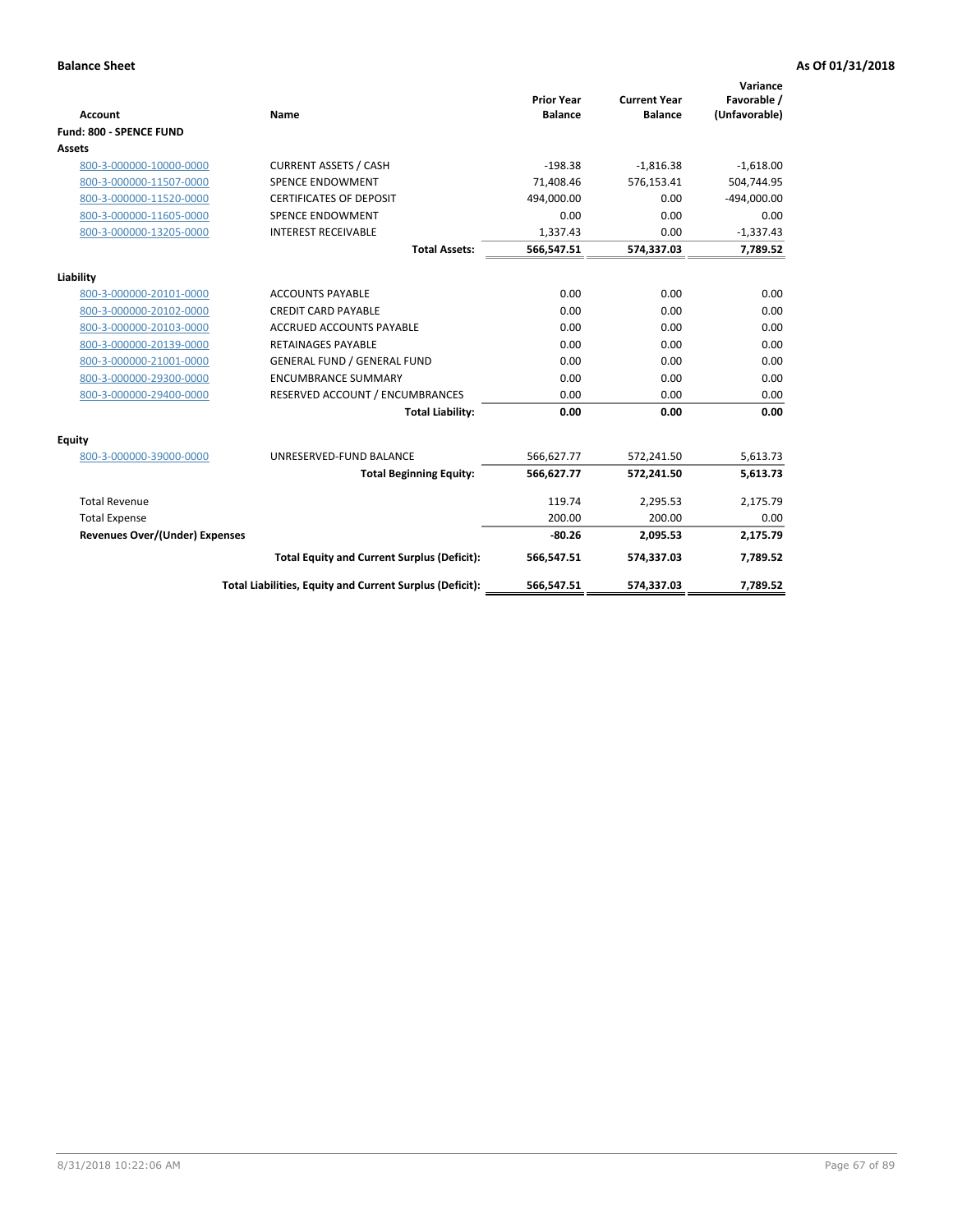| <b>Account</b>                        | Name                                                     | <b>Prior Year</b><br><b>Balance</b> | <b>Current Year</b><br><b>Balance</b> | Variance<br>Favorable /<br>(Unfavorable) |
|---------------------------------------|----------------------------------------------------------|-------------------------------------|---------------------------------------|------------------------------------------|
| Fund: 800 - SPENCE FUND               |                                                          |                                     |                                       |                                          |
| Assets                                |                                                          |                                     |                                       |                                          |
| 800-3-000000-10000-0000               | <b>CURRENT ASSETS / CASH</b>                             | $-198.38$                           | $-1,816.38$                           | $-1,618.00$                              |
| 800-3-000000-11507-0000               | <b>SPENCE ENDOWMENT</b>                                  | 71,408.46                           | 576,153.41                            | 504,744.95                               |
| 800-3-000000-11520-0000               | <b>CERTIFICATES OF DEPOSIT</b>                           | 494,000.00                          | 0.00                                  | $-494,000.00$                            |
| 800-3-000000-11605-0000               | <b>SPENCE ENDOWMENT</b>                                  | 0.00                                | 0.00                                  | 0.00                                     |
| 800-3-000000-13205-0000               | <b>INTEREST RECEIVABLE</b>                               | 1,337.43                            | 0.00                                  | $-1,337.43$                              |
|                                       | <b>Total Assets:</b>                                     | 566,547.51                          | 574,337.03                            | 7,789.52                                 |
| Liability                             |                                                          |                                     |                                       |                                          |
| 800-3-000000-20101-0000               | <b>ACCOUNTS PAYABLE</b>                                  | 0.00                                | 0.00                                  | 0.00                                     |
| 800-3-000000-20102-0000               | <b>CREDIT CARD PAYABLE</b>                               | 0.00                                | 0.00                                  | 0.00                                     |
| 800-3-000000-20103-0000               | <b>ACCRUED ACCOUNTS PAYABLE</b>                          | 0.00                                | 0.00                                  | 0.00                                     |
| 800-3-000000-20139-0000               | <b>RETAINAGES PAYABLE</b>                                | 0.00                                | 0.00                                  | 0.00                                     |
| 800-3-000000-21001-0000               | <b>GENERAL FUND / GENERAL FUND</b>                       | 0.00                                | 0.00                                  | 0.00                                     |
| 800-3-000000-29300-0000               | <b>ENCUMBRANCE SUMMARY</b>                               | 0.00                                | 0.00                                  | 0.00                                     |
| 800-3-000000-29400-0000               | RESERVED ACCOUNT / ENCUMBRANCES                          | 0.00                                | 0.00                                  | 0.00                                     |
|                                       | <b>Total Liability:</b>                                  | 0.00                                | 0.00                                  | 0.00                                     |
| <b>Equity</b>                         |                                                          |                                     |                                       |                                          |
| 800-3-000000-39000-0000               | UNRESERVED-FUND BALANCE                                  | 566,627.77                          | 572,241.50                            | 5,613.73                                 |
|                                       | <b>Total Beginning Equity:</b>                           | 566,627.77                          | 572,241.50                            | 5,613.73                                 |
| <b>Total Revenue</b>                  |                                                          | 119.74                              | 2,295.53                              | 2,175.79                                 |
| <b>Total Expense</b>                  |                                                          | 200.00                              | 200.00                                | 0.00                                     |
| <b>Revenues Over/(Under) Expenses</b> |                                                          | $-80.26$                            | 2,095.53                              | 2,175.79                                 |
|                                       | <b>Total Equity and Current Surplus (Deficit):</b>       | 566,547.51                          | 574,337.03                            | 7,789.52                                 |
|                                       | Total Liabilities, Equity and Current Surplus (Deficit): | 566,547.51                          | 574,337.03                            | 7,789.52                                 |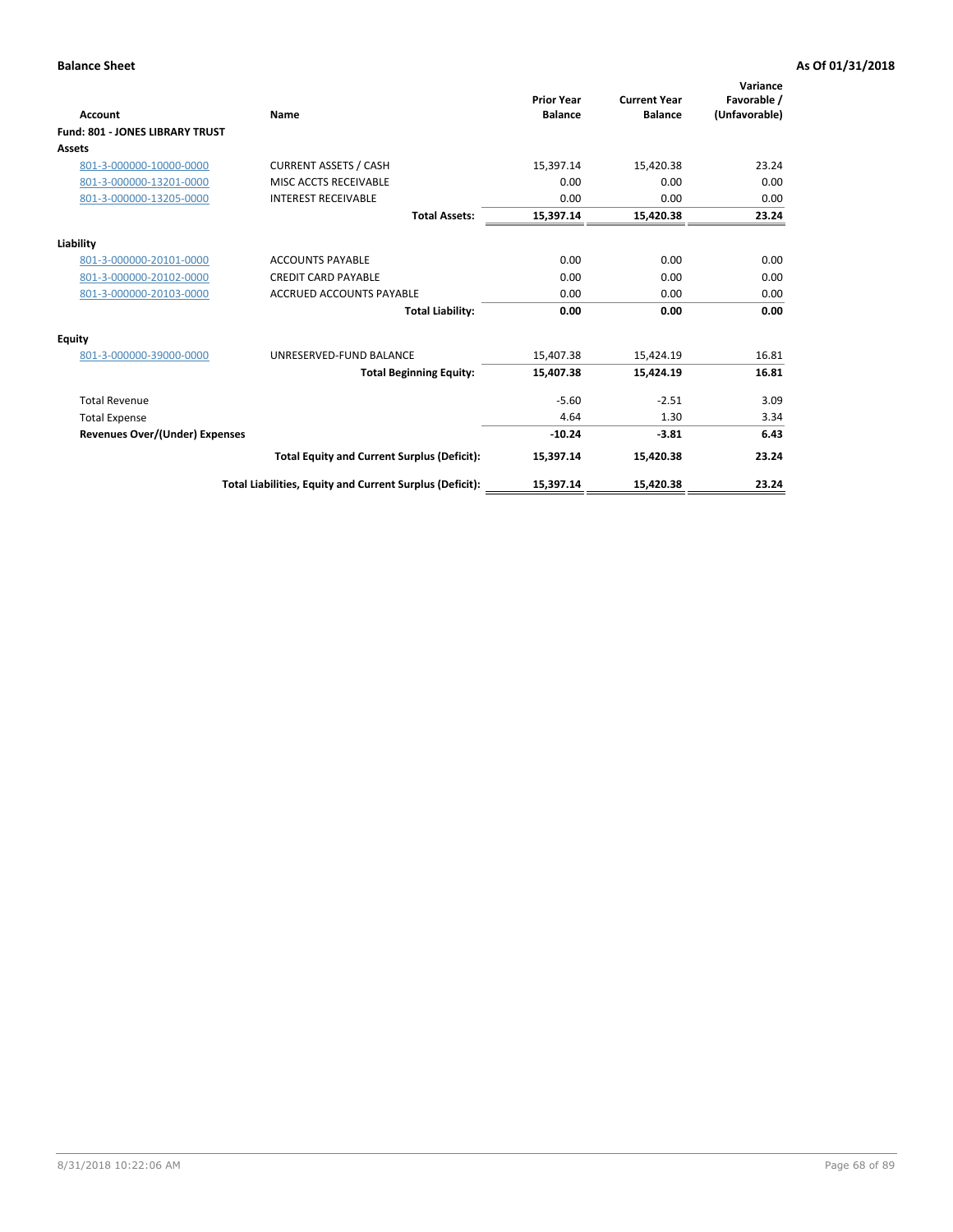| <b>Account</b>                        | Name                                                     | <b>Prior Year</b><br><b>Balance</b> | <b>Current Year</b><br><b>Balance</b> | Variance<br>Favorable /<br>(Unfavorable) |
|---------------------------------------|----------------------------------------------------------|-------------------------------------|---------------------------------------|------------------------------------------|
| Fund: 801 - JONES LIBRARY TRUST       |                                                          |                                     |                                       |                                          |
| Assets                                |                                                          |                                     |                                       |                                          |
| 801-3-000000-10000-0000               | <b>CURRENT ASSETS / CASH</b>                             | 15,397.14                           | 15,420.38                             | 23.24                                    |
| 801-3-000000-13201-0000               | MISC ACCTS RECEIVABLE                                    | 0.00                                | 0.00                                  | 0.00                                     |
| 801-3-000000-13205-0000               | <b>INTEREST RECEIVABLE</b>                               | 0.00                                | 0.00                                  | 0.00                                     |
|                                       | <b>Total Assets:</b>                                     | 15,397.14                           | 15,420.38                             | 23.24                                    |
| Liability                             |                                                          |                                     |                                       |                                          |
| 801-3-000000-20101-0000               | <b>ACCOUNTS PAYABLE</b>                                  | 0.00                                | 0.00                                  | 0.00                                     |
| 801-3-000000-20102-0000               | <b>CREDIT CARD PAYABLE</b>                               | 0.00                                | 0.00                                  | 0.00                                     |
| 801-3-000000-20103-0000               | <b>ACCRUED ACCOUNTS PAYABLE</b>                          | 0.00                                | 0.00                                  | 0.00                                     |
|                                       | <b>Total Liability:</b>                                  | 0.00                                | 0.00                                  | 0.00                                     |
| Equity                                |                                                          |                                     |                                       |                                          |
| 801-3-000000-39000-0000               | UNRESERVED-FUND BALANCE                                  | 15,407.38                           | 15,424.19                             | 16.81                                    |
|                                       | <b>Total Beginning Equity:</b>                           | 15,407.38                           | 15,424.19                             | 16.81                                    |
| <b>Total Revenue</b>                  |                                                          | $-5.60$                             | $-2.51$                               | 3.09                                     |
| <b>Total Expense</b>                  |                                                          | 4.64                                | 1.30                                  | 3.34                                     |
| <b>Revenues Over/(Under) Expenses</b> |                                                          | $-10.24$                            | $-3.81$                               | 6.43                                     |
|                                       | <b>Total Equity and Current Surplus (Deficit):</b>       | 15,397.14                           | 15,420.38                             | 23.24                                    |
|                                       | Total Liabilities, Equity and Current Surplus (Deficit): | 15,397.14                           | 15,420.38                             | 23.24                                    |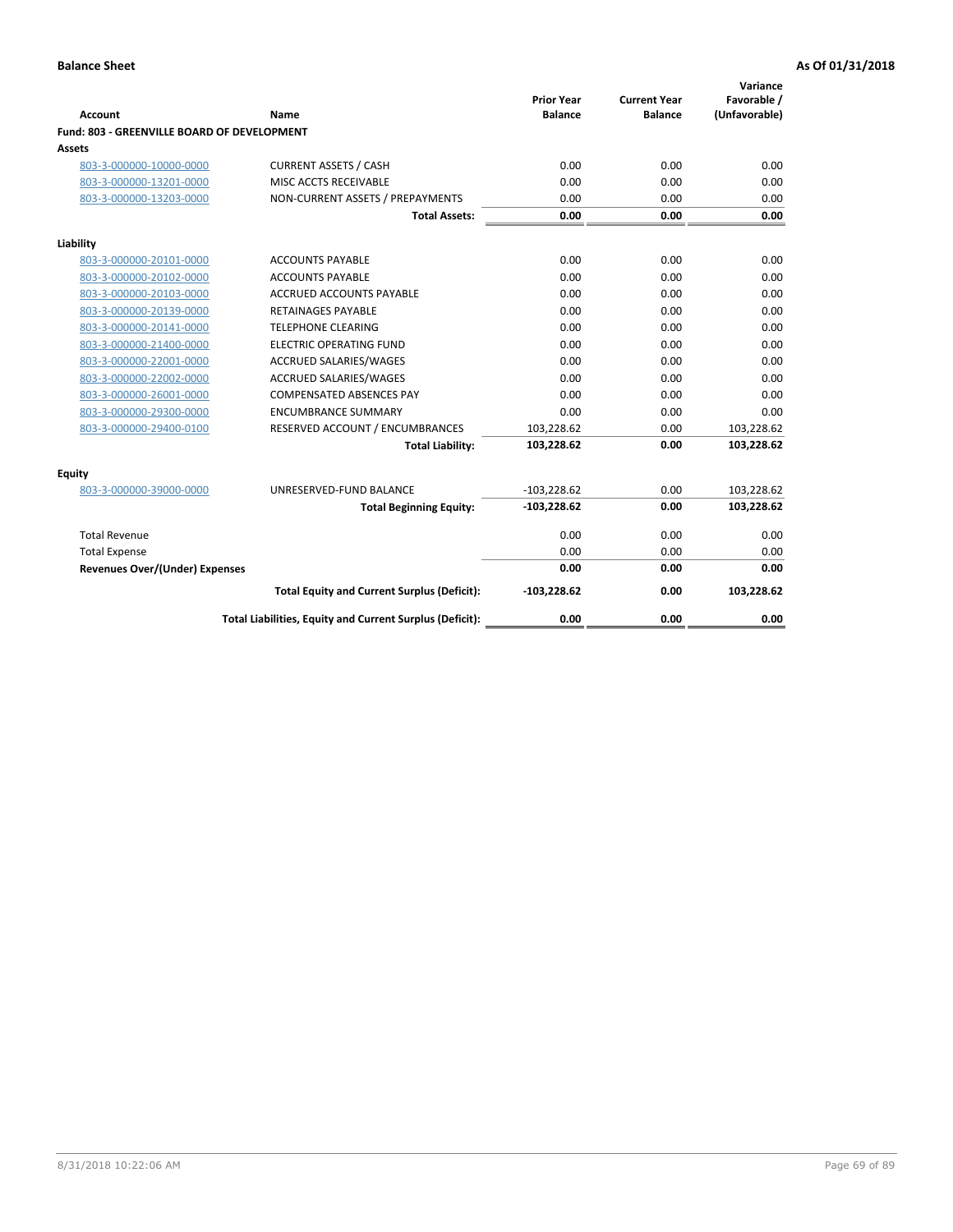| <b>Account</b>                              | Name                                                     | <b>Prior Year</b><br><b>Balance</b> | <b>Current Year</b><br><b>Balance</b> | Variance<br>Favorable /<br>(Unfavorable) |
|---------------------------------------------|----------------------------------------------------------|-------------------------------------|---------------------------------------|------------------------------------------|
| Fund: 803 - GREENVILLE BOARD OF DEVELOPMENT |                                                          |                                     |                                       |                                          |
| Assets                                      |                                                          |                                     |                                       |                                          |
| 803-3-000000-10000-0000                     | <b>CURRENT ASSETS / CASH</b>                             | 0.00                                | 0.00                                  | 0.00                                     |
| 803-3-000000-13201-0000                     | MISC ACCTS RECEIVABLE                                    | 0.00                                | 0.00                                  | 0.00                                     |
| 803-3-000000-13203-0000                     | NON-CURRENT ASSETS / PREPAYMENTS                         | 0.00                                | 0.00                                  | 0.00                                     |
|                                             | <b>Total Assets:</b>                                     | 0.00                                | 0.00                                  | 0.00                                     |
| Liability                                   |                                                          |                                     |                                       |                                          |
| 803-3-000000-20101-0000                     | <b>ACCOUNTS PAYABLE</b>                                  | 0.00                                | 0.00                                  | 0.00                                     |
| 803-3-000000-20102-0000                     | <b>ACCOUNTS PAYABLE</b>                                  | 0.00                                | 0.00                                  | 0.00                                     |
| 803-3-000000-20103-0000                     | <b>ACCRUED ACCOUNTS PAYABLE</b>                          | 0.00                                | 0.00                                  | 0.00                                     |
| 803-3-000000-20139-0000                     | RETAINAGES PAYABLE                                       | 0.00                                | 0.00                                  | 0.00                                     |
| 803-3-000000-20141-0000                     | <b>TELEPHONE CLEARING</b>                                | 0.00                                | 0.00                                  | 0.00                                     |
| 803-3-000000-21400-0000                     | <b>ELECTRIC OPERATING FUND</b>                           | 0.00                                | 0.00                                  | 0.00                                     |
| 803-3-000000-22001-0000                     | ACCRUED SALARIES/WAGES                                   | 0.00                                | 0.00                                  | 0.00                                     |
| 803-3-000000-22002-0000                     | ACCRUED SALARIES/WAGES                                   | 0.00                                | 0.00                                  | 0.00                                     |
| 803-3-000000-26001-0000                     | <b>COMPENSATED ABSENCES PAY</b>                          | 0.00                                | 0.00                                  | 0.00                                     |
| 803-3-000000-29300-0000                     | <b>ENCUMBRANCE SUMMARY</b>                               | 0.00                                | 0.00                                  | 0.00                                     |
| 803-3-000000-29400-0100                     | RESERVED ACCOUNT / ENCUMBRANCES                          | 103,228.62                          | 0.00                                  | 103,228.62                               |
|                                             | <b>Total Liability:</b>                                  | 103,228.62                          | 0.00                                  | 103,228.62                               |
| Equity                                      |                                                          |                                     |                                       |                                          |
| 803-3-000000-39000-0000                     | UNRESERVED-FUND BALANCE                                  | $-103,228.62$                       | 0.00                                  | 103,228.62                               |
|                                             | <b>Total Beginning Equity:</b>                           | $-103,228.62$                       | 0.00                                  | 103,228.62                               |
| <b>Total Revenue</b>                        |                                                          | 0.00                                | 0.00                                  | 0.00                                     |
| <b>Total Expense</b>                        |                                                          | 0.00                                | 0.00                                  | 0.00                                     |
| <b>Revenues Over/(Under) Expenses</b>       |                                                          | 0.00                                | 0.00                                  | 0.00                                     |
|                                             | <b>Total Equity and Current Surplus (Deficit):</b>       | $-103,228.62$                       | 0.00                                  | 103,228.62                               |
|                                             | Total Liabilities, Equity and Current Surplus (Deficit): | 0.00                                | 0.00                                  | 0.00                                     |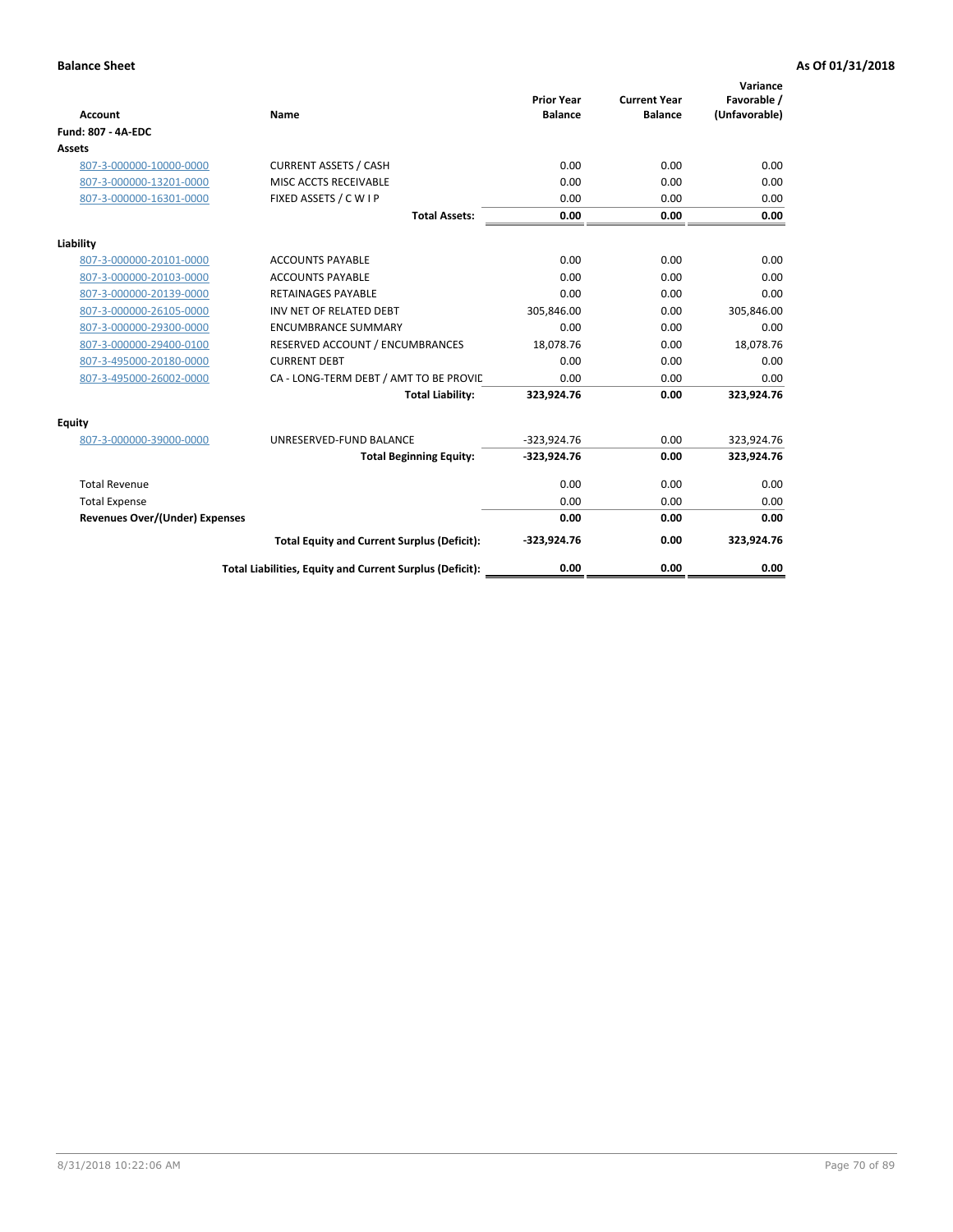| <b>Account</b>                        | Name                                                     | <b>Prior Year</b><br><b>Balance</b> | <b>Current Year</b><br><b>Balance</b> | Variance<br>Favorable /<br>(Unfavorable) |
|---------------------------------------|----------------------------------------------------------|-------------------------------------|---------------------------------------|------------------------------------------|
| <b>Fund: 807 - 4A-EDC</b>             |                                                          |                                     |                                       |                                          |
| <b>Assets</b>                         |                                                          |                                     |                                       |                                          |
| 807-3-000000-10000-0000               | <b>CURRENT ASSETS / CASH</b>                             | 0.00                                | 0.00                                  | 0.00                                     |
| 807-3-000000-13201-0000               | MISC ACCTS RECEIVABLE                                    | 0.00                                | 0.00                                  | 0.00                                     |
| 807-3-000000-16301-0000               | FIXED ASSETS / C W I P                                   | 0.00                                | 0.00                                  | 0.00                                     |
|                                       | <b>Total Assets:</b>                                     | 0.00                                | 0.00                                  | 0.00                                     |
| Liability                             |                                                          |                                     |                                       |                                          |
| 807-3-000000-20101-0000               | <b>ACCOUNTS PAYABLE</b>                                  | 0.00                                | 0.00                                  | 0.00                                     |
| 807-3-000000-20103-0000               | <b>ACCOUNTS PAYABLE</b>                                  | 0.00                                | 0.00                                  | 0.00                                     |
| 807-3-000000-20139-0000               | <b>RETAINAGES PAYABLE</b>                                | 0.00                                | 0.00                                  | 0.00                                     |
| 807-3-000000-26105-0000               | INV NET OF RELATED DEBT                                  | 305,846.00                          | 0.00                                  | 305,846.00                               |
| 807-3-000000-29300-0000               | <b>ENCUMBRANCE SUMMARY</b>                               | 0.00                                | 0.00                                  | 0.00                                     |
| 807-3-000000-29400-0100               | RESERVED ACCOUNT / ENCUMBRANCES                          | 18,078.76                           | 0.00                                  | 18,078.76                                |
| 807-3-495000-20180-0000               | <b>CURRENT DEBT</b>                                      | 0.00                                | 0.00                                  | 0.00                                     |
| 807-3-495000-26002-0000               | CA - LONG-TERM DEBT / AMT TO BE PROVIL                   | 0.00                                | 0.00                                  | 0.00                                     |
|                                       | <b>Total Liability:</b>                                  | 323,924.76                          | 0.00                                  | 323,924.76                               |
| Equity                                |                                                          |                                     |                                       |                                          |
| 807-3-000000-39000-0000               | UNRESERVED-FUND BALANCE                                  | $-323,924.76$                       | 0.00                                  | 323,924.76                               |
|                                       | <b>Total Beginning Equity:</b>                           | $-323,924.76$                       | 0.00                                  | 323,924.76                               |
| <b>Total Revenue</b>                  |                                                          | 0.00                                | 0.00                                  | 0.00                                     |
| <b>Total Expense</b>                  |                                                          | 0.00                                | 0.00                                  | 0.00                                     |
| <b>Revenues Over/(Under) Expenses</b> |                                                          | 0.00                                | 0.00                                  | 0.00                                     |
|                                       | <b>Total Equity and Current Surplus (Deficit):</b>       | $-323,924.76$                       | 0.00                                  | 323,924.76                               |
|                                       | Total Liabilities, Equity and Current Surplus (Deficit): | 0.00                                | 0.00                                  | 0.00                                     |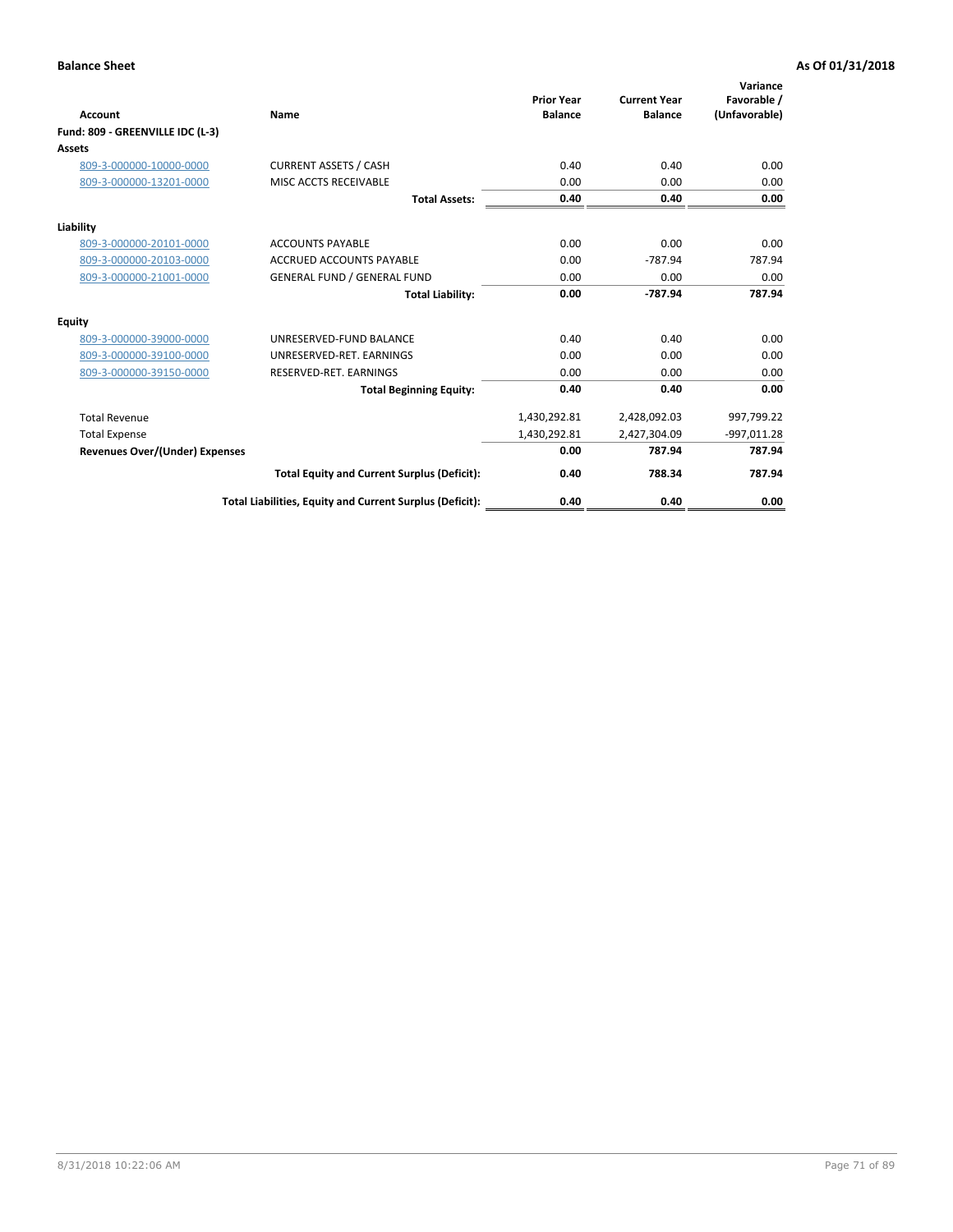| <b>Account</b>                        | Name                                                     | <b>Prior Year</b><br><b>Balance</b> | <b>Current Year</b><br><b>Balance</b> | Variance<br>Favorable /<br>(Unfavorable) |
|---------------------------------------|----------------------------------------------------------|-------------------------------------|---------------------------------------|------------------------------------------|
| Fund: 809 - GREENVILLE IDC (L-3)      |                                                          |                                     |                                       |                                          |
| Assets                                |                                                          |                                     |                                       |                                          |
| 809-3-000000-10000-0000               | <b>CURRENT ASSETS / CASH</b>                             | 0.40                                | 0.40                                  | 0.00                                     |
| 809-3-000000-13201-0000               | MISC ACCTS RECEIVABLE                                    | 0.00                                | 0.00                                  | 0.00                                     |
|                                       | <b>Total Assets:</b>                                     | 0.40                                | 0.40                                  | 0.00                                     |
| Liability                             |                                                          |                                     |                                       |                                          |
| 809-3-000000-20101-0000               | <b>ACCOUNTS PAYABLE</b>                                  | 0.00                                | 0.00                                  | 0.00                                     |
| 809-3-000000-20103-0000               | <b>ACCRUED ACCOUNTS PAYABLE</b>                          | 0.00                                | $-787.94$                             | 787.94                                   |
| 809-3-000000-21001-0000               | <b>GENERAL FUND / GENERAL FUND</b>                       | 0.00                                | 0.00                                  | 0.00                                     |
|                                       | <b>Total Liability:</b>                                  | 0.00                                | $-787.94$                             | 787.94                                   |
| Equity                                |                                                          |                                     |                                       |                                          |
| 809-3-000000-39000-0000               | UNRESERVED-FUND BALANCE                                  | 0.40                                | 0.40                                  | 0.00                                     |
| 809-3-000000-39100-0000               | UNRESERVED-RET, EARNINGS                                 | 0.00                                | 0.00                                  | 0.00                                     |
| 809-3-000000-39150-0000               | RESERVED-RET. EARNINGS                                   | 0.00                                | 0.00                                  | 0.00                                     |
|                                       | <b>Total Beginning Equity:</b>                           | 0.40                                | 0.40                                  | 0.00                                     |
| <b>Total Revenue</b>                  |                                                          | 1,430,292.81                        | 2,428,092.03                          | 997,799.22                               |
| <b>Total Expense</b>                  |                                                          | 1,430,292.81                        | 2,427,304.09                          | $-997,011.28$                            |
| <b>Revenues Over/(Under) Expenses</b> |                                                          | 0.00                                | 787.94                                | 787.94                                   |
|                                       | <b>Total Equity and Current Surplus (Deficit):</b>       | 0.40                                | 788.34                                | 787.94                                   |
|                                       | Total Liabilities, Equity and Current Surplus (Deficit): | 0.40                                | 0.40                                  | 0.00                                     |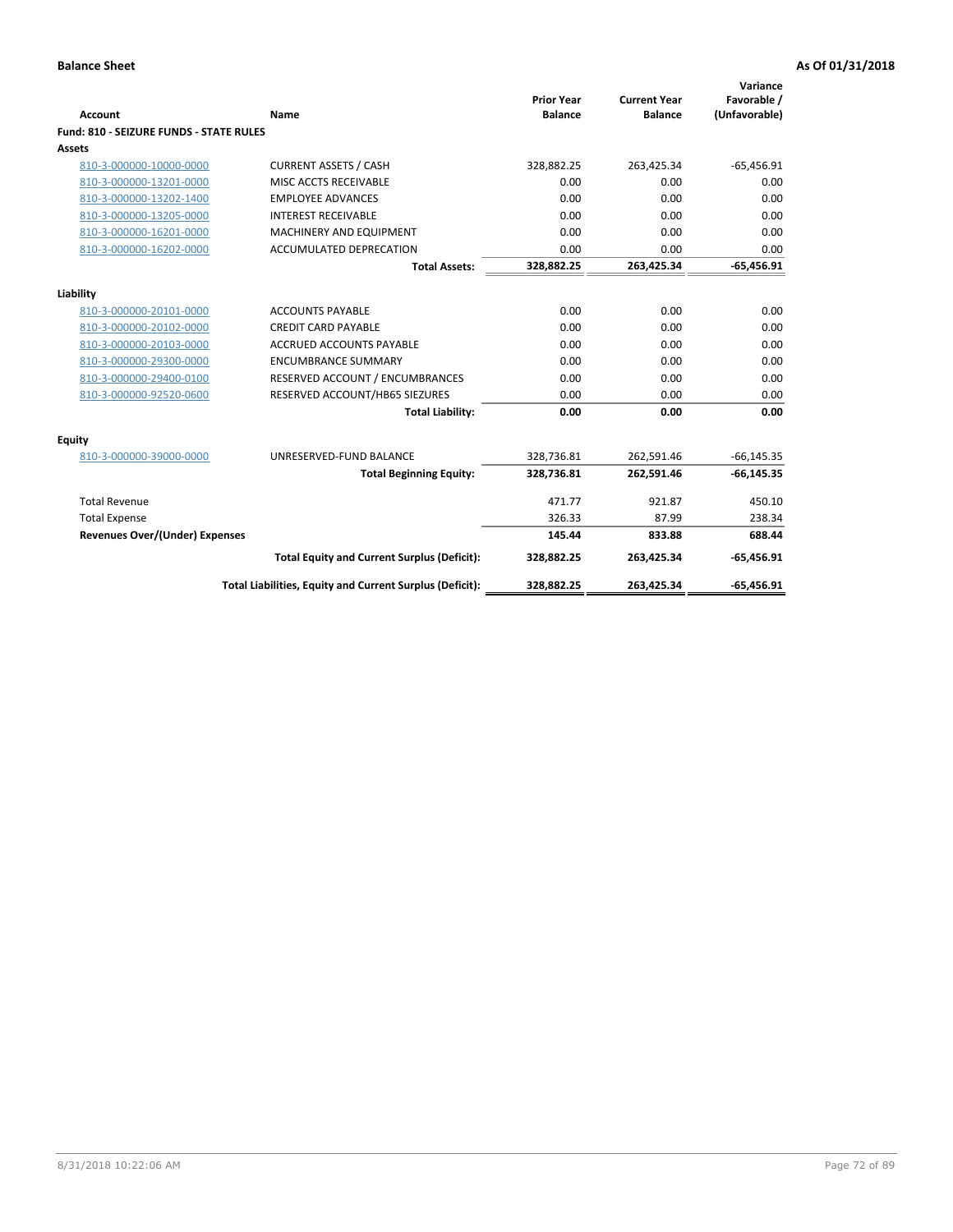| <b>Account</b>                          | Name                                                          | <b>Prior Year</b><br><b>Balance</b> | <b>Current Year</b><br><b>Balance</b> | Variance<br>Favorable /<br>(Unfavorable) |
|-----------------------------------------|---------------------------------------------------------------|-------------------------------------|---------------------------------------|------------------------------------------|
| Fund: 810 - SEIZURE FUNDS - STATE RULES |                                                               |                                     |                                       |                                          |
| Assets                                  |                                                               |                                     |                                       |                                          |
| 810-3-000000-10000-0000                 | <b>CURRENT ASSETS / CASH</b>                                  | 328,882.25                          | 263,425.34                            | $-65,456.91$                             |
| 810-3-000000-13201-0000                 | MISC ACCTS RECEIVABLE                                         | 0.00                                | 0.00                                  | 0.00                                     |
| 810-3-000000-13202-1400                 | <b>EMPLOYEE ADVANCES</b>                                      | 0.00                                | 0.00                                  | 0.00                                     |
| 810-3-000000-13205-0000                 | <b>INTEREST RECEIVABLE</b>                                    | 0.00                                | 0.00                                  | 0.00                                     |
| 810-3-000000-16201-0000                 | MACHINERY AND EQUIPMENT                                       | 0.00                                | 0.00                                  | 0.00                                     |
| 810-3-000000-16202-0000                 | ACCUMULATED DEPRECATION                                       | 0.00                                | 0.00                                  | 0.00                                     |
|                                         | <b>Total Assets:</b>                                          | 328,882.25                          | 263,425.34                            | $-65,456.91$                             |
|                                         |                                                               |                                     |                                       |                                          |
| Liability                               |                                                               | 0.00                                |                                       |                                          |
| 810-3-000000-20101-0000                 | <b>ACCOUNTS PAYABLE</b>                                       |                                     | 0.00                                  | 0.00                                     |
| 810-3-000000-20102-0000                 | <b>CREDIT CARD PAYABLE</b><br><b>ACCRUED ACCOUNTS PAYABLE</b> | 0.00<br>0.00                        | 0.00<br>0.00                          | 0.00<br>0.00                             |
| 810-3-000000-20103-0000                 |                                                               |                                     |                                       |                                          |
| 810-3-000000-29300-0000                 | <b>ENCUMBRANCE SUMMARY</b>                                    | 0.00                                | 0.00                                  | 0.00                                     |
| 810-3-000000-29400-0100                 | RESERVED ACCOUNT / ENCUMBRANCES                               | 0.00                                | 0.00                                  | 0.00                                     |
| 810-3-000000-92520-0600                 | RESERVED ACCOUNT/HB65 SIEZURES                                | 0.00                                | 0.00                                  | 0.00                                     |
|                                         | <b>Total Liability:</b>                                       | 0.00                                | 0.00                                  | 0.00                                     |
| <b>Equity</b>                           |                                                               |                                     |                                       |                                          |
| 810-3-000000-39000-0000                 | UNRESERVED-FUND BALANCE                                       | 328,736.81                          | 262,591.46                            | $-66, 145.35$                            |
|                                         | <b>Total Beginning Equity:</b>                                | 328,736.81                          | 262,591.46                            | $-66, 145.35$                            |
| <b>Total Revenue</b>                    |                                                               | 471.77                              | 921.87                                | 450.10                                   |
| <b>Total Expense</b>                    |                                                               | 326.33                              | 87.99                                 | 238.34                                   |
| <b>Revenues Over/(Under) Expenses</b>   |                                                               | 145.44                              | 833.88                                | 688.44                                   |
|                                         | <b>Total Equity and Current Surplus (Deficit):</b>            | 328,882.25                          | 263,425.34                            | $-65,456.91$                             |
|                                         | Total Liabilities, Equity and Current Surplus (Deficit):      | 328,882.25                          | 263,425.34                            | $-65,456.91$                             |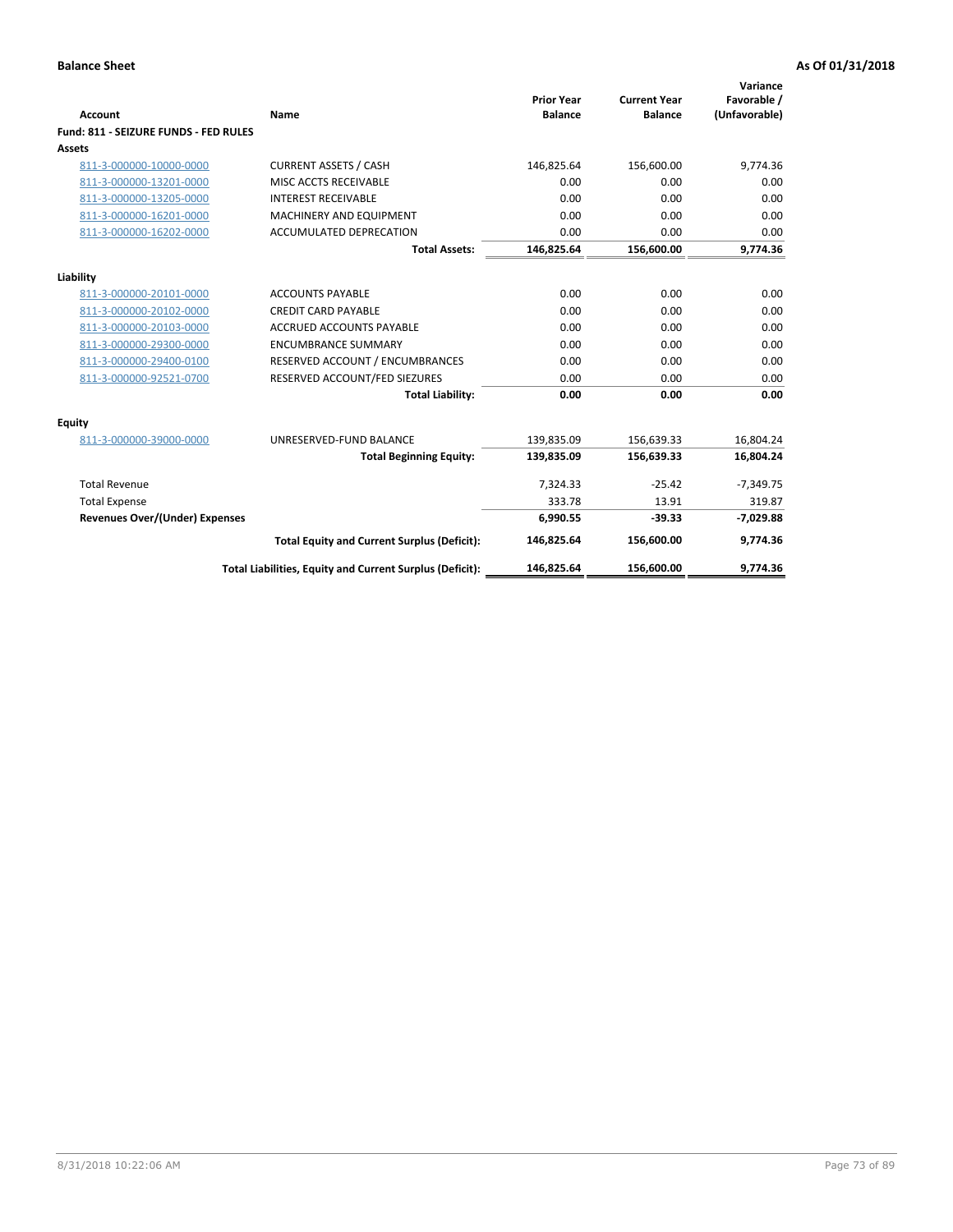| <b>Account</b>                        | Name                                                     | <b>Prior Year</b><br><b>Balance</b> | <b>Current Year</b><br><b>Balance</b> | Variance<br>Favorable /<br>(Unfavorable) |
|---------------------------------------|----------------------------------------------------------|-------------------------------------|---------------------------------------|------------------------------------------|
| Fund: 811 - SEIZURE FUNDS - FED RULES |                                                          |                                     |                                       |                                          |
| <b>Assets</b>                         |                                                          |                                     |                                       |                                          |
| 811-3-000000-10000-0000               | <b>CURRENT ASSETS / CASH</b>                             | 146,825.64                          | 156,600.00                            | 9,774.36                                 |
| 811-3-000000-13201-0000               | MISC ACCTS RECEIVABLE                                    | 0.00                                | 0.00                                  | 0.00                                     |
| 811-3-000000-13205-0000               | <b>INTEREST RECEIVABLE</b>                               | 0.00                                | 0.00                                  | 0.00                                     |
| 811-3-000000-16201-0000               | <b>MACHINERY AND EQUIPMENT</b>                           | 0.00                                | 0.00                                  | 0.00                                     |
| 811-3-000000-16202-0000               | <b>ACCUMULATED DEPRECATION</b>                           | 0.00                                | 0.00                                  | 0.00                                     |
|                                       | <b>Total Assets:</b>                                     | 146,825.64                          | 156,600.00                            | 9,774.36                                 |
| Liability                             |                                                          |                                     |                                       |                                          |
| 811-3-000000-20101-0000               | <b>ACCOUNTS PAYABLE</b>                                  | 0.00                                | 0.00                                  | 0.00                                     |
| 811-3-000000-20102-0000               | <b>CREDIT CARD PAYABLE</b>                               | 0.00                                | 0.00                                  | 0.00                                     |
| 811-3-000000-20103-0000               | <b>ACCRUED ACCOUNTS PAYABLE</b>                          | 0.00                                | 0.00                                  | 0.00                                     |
| 811-3-000000-29300-0000               | <b>ENCUMBRANCE SUMMARY</b>                               | 0.00                                | 0.00                                  | 0.00                                     |
| 811-3-000000-29400-0100               | RESERVED ACCOUNT / ENCUMBRANCES                          | 0.00                                | 0.00                                  | 0.00                                     |
| 811-3-000000-92521-0700               | RESERVED ACCOUNT/FED SIEZURES                            | 0.00                                | 0.00                                  | 0.00                                     |
|                                       | <b>Total Liability:</b>                                  | 0.00                                | 0.00                                  | 0.00                                     |
| Equity                                |                                                          |                                     |                                       |                                          |
| 811-3-000000-39000-0000               | UNRESERVED-FUND BALANCE                                  | 139,835.09                          | 156,639.33                            | 16,804.24                                |
|                                       | <b>Total Beginning Equity:</b>                           | 139,835.09                          | 156,639.33                            | 16,804.24                                |
| <b>Total Revenue</b>                  |                                                          | 7,324.33                            | $-25.42$                              | $-7,349.75$                              |
| <b>Total Expense</b>                  |                                                          | 333.78                              | 13.91                                 | 319.87                                   |
| Revenues Over/(Under) Expenses        |                                                          | 6,990.55                            | $-39.33$                              | $-7,029.88$                              |
|                                       | <b>Total Equity and Current Surplus (Deficit):</b>       | 146,825.64                          | 156,600.00                            | 9,774.36                                 |
|                                       | Total Liabilities, Equity and Current Surplus (Deficit): | 146,825.64                          | 156.600.00                            | 9.774.36                                 |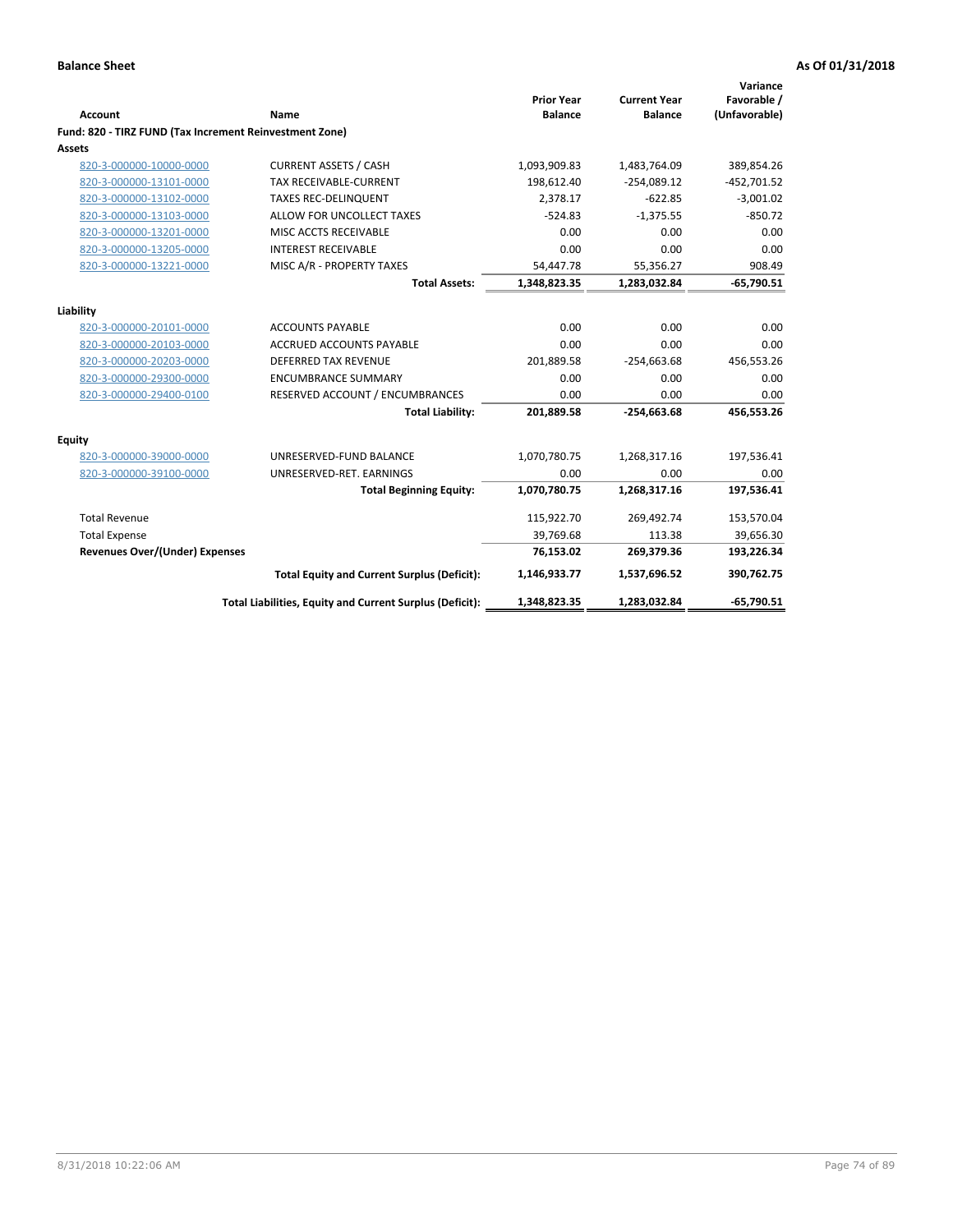| <b>Account</b>                                          | Name                                                     | <b>Prior Year</b><br><b>Balance</b> | <b>Current Year</b><br><b>Balance</b> | Variance<br>Favorable /<br>(Unfavorable) |
|---------------------------------------------------------|----------------------------------------------------------|-------------------------------------|---------------------------------------|------------------------------------------|
| Fund: 820 - TIRZ FUND (Tax Increment Reinvestment Zone) |                                                          |                                     |                                       |                                          |
| <b>Assets</b>                                           |                                                          |                                     |                                       |                                          |
| 820-3-000000-10000-0000                                 | <b>CURRENT ASSETS / CASH</b>                             | 1,093,909.83                        | 1,483,764.09                          | 389,854.26                               |
| 820-3-000000-13101-0000                                 | <b>TAX RECEIVABLE-CURRENT</b>                            | 198,612.40                          | $-254,089.12$                         | $-452,701.52$                            |
| 820-3-000000-13102-0000                                 | <b>TAXES REC-DELINQUENT</b>                              | 2,378.17                            | $-622.85$                             | $-3,001.02$                              |
| 820-3-000000-13103-0000                                 | ALLOW FOR UNCOLLECT TAXES                                | $-524.83$                           | $-1,375.55$                           | $-850.72$                                |
| 820-3-000000-13201-0000                                 | MISC ACCTS RECEIVABLE                                    | 0.00                                | 0.00                                  | 0.00                                     |
| 820-3-000000-13205-0000                                 | <b>INTEREST RECEIVABLE</b>                               | 0.00                                | 0.00                                  | 0.00                                     |
| 820-3-000000-13221-0000                                 | MISC A/R - PROPERTY TAXES                                | 54,447.78                           | 55,356.27                             | 908.49                                   |
|                                                         | <b>Total Assets:</b>                                     | 1,348,823.35                        | 1,283,032.84                          | $-65,790.51$                             |
| Liability                                               |                                                          |                                     |                                       |                                          |
| 820-3-000000-20101-0000                                 | <b>ACCOUNTS PAYABLE</b>                                  | 0.00                                | 0.00                                  | 0.00                                     |
| 820-3-000000-20103-0000                                 | ACCRUED ACCOUNTS PAYABLE                                 | 0.00                                | 0.00                                  | 0.00                                     |
| 820-3-000000-20203-0000                                 | <b>DEFERRED TAX REVENUE</b>                              | 201,889.58                          | $-254,663.68$                         | 456,553.26                               |
| 820-3-000000-29300-0000                                 | <b>ENCUMBRANCE SUMMARY</b>                               | 0.00                                | 0.00                                  | 0.00                                     |
| 820-3-000000-29400-0100                                 | RESERVED ACCOUNT / ENCUMBRANCES                          | 0.00                                | 0.00                                  | 0.00                                     |
|                                                         | <b>Total Liability:</b>                                  | 201,889.58                          | $-254,663.68$                         | 456,553.26                               |
| Equity                                                  |                                                          |                                     |                                       |                                          |
| 820-3-000000-39000-0000                                 | UNRESERVED-FUND BALANCE                                  | 1,070,780.75                        | 1,268,317.16                          | 197,536.41                               |
| 820-3-000000-39100-0000                                 | UNRESERVED-RET. EARNINGS                                 | 0.00                                | 0.00                                  | 0.00                                     |
|                                                         | <b>Total Beginning Equity:</b>                           | 1,070,780.75                        | 1,268,317.16                          | 197,536.41                               |
| <b>Total Revenue</b>                                    |                                                          | 115,922.70                          | 269,492.74                            | 153,570.04                               |
| <b>Total Expense</b>                                    |                                                          | 39,769.68                           | 113.38                                | 39,656.30                                |
| <b>Revenues Over/(Under) Expenses</b>                   |                                                          | 76,153.02                           | 269,379.36                            | 193,226.34                               |
|                                                         | <b>Total Equity and Current Surplus (Deficit):</b>       | 1,146,933.77                        | 1,537,696.52                          | 390,762.75                               |
|                                                         | Total Liabilities, Equity and Current Surplus (Deficit): | 1,348,823.35                        | 1,283,032.84                          | $-65,790.51$                             |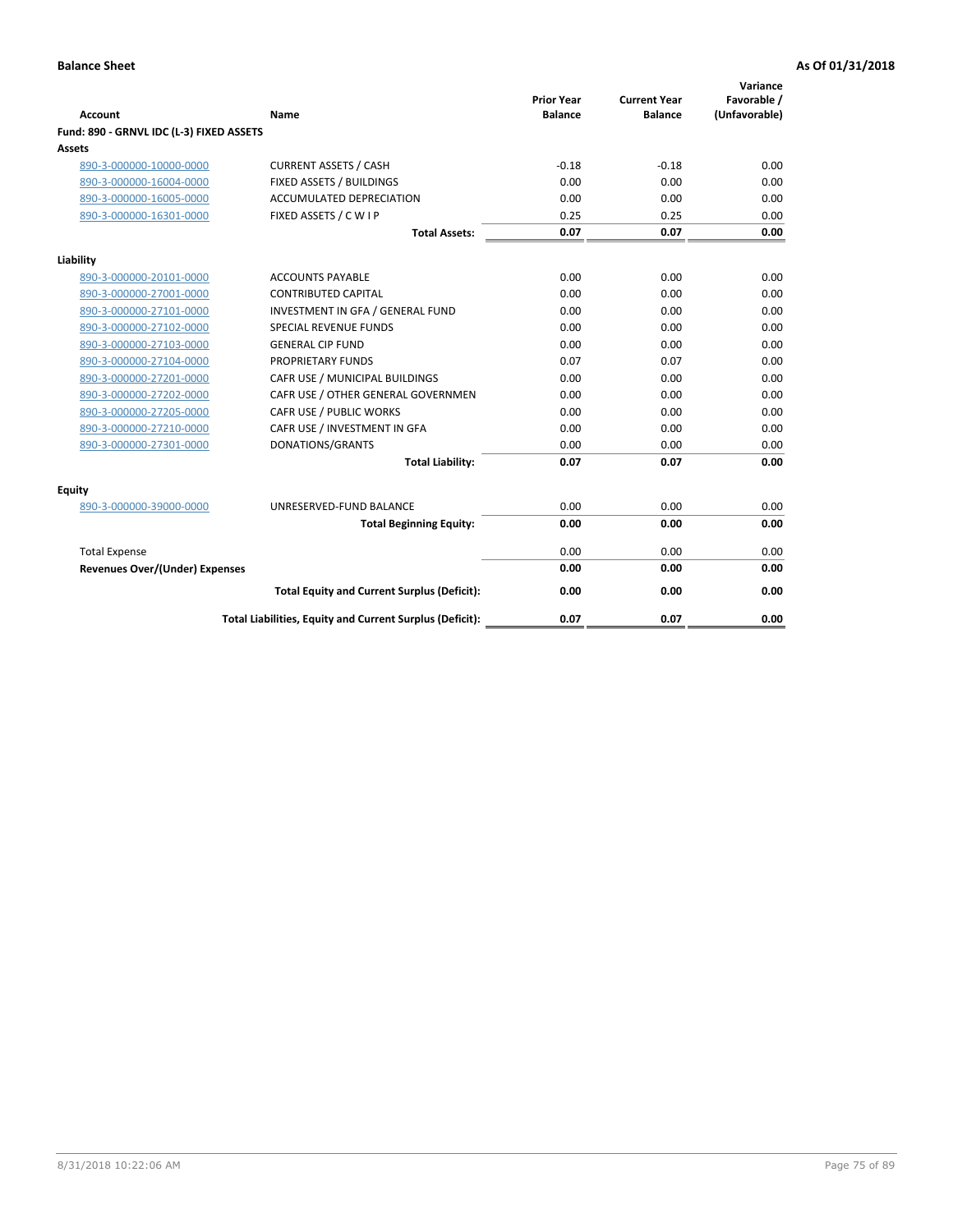| <b>Account</b>                           | Name                                                     | <b>Prior Year</b><br><b>Balance</b> | <b>Current Year</b><br><b>Balance</b> | Variance<br>Favorable /<br>(Unfavorable) |
|------------------------------------------|----------------------------------------------------------|-------------------------------------|---------------------------------------|------------------------------------------|
| Fund: 890 - GRNVL IDC (L-3) FIXED ASSETS |                                                          |                                     |                                       |                                          |
| <b>Assets</b>                            |                                                          |                                     |                                       |                                          |
| 890-3-000000-10000-0000                  | <b>CURRENT ASSETS / CASH</b>                             | $-0.18$                             | $-0.18$                               | 0.00                                     |
| 890-3-000000-16004-0000                  | FIXED ASSETS / BUILDINGS                                 | 0.00                                | 0.00                                  | 0.00                                     |
| 890-3-000000-16005-0000                  | <b>ACCUMULATED DEPRECIATION</b>                          | 0.00                                | 0.00                                  | 0.00                                     |
| 890-3-000000-16301-0000                  | FIXED ASSETS / C W I P                                   | 0.25                                | 0.25                                  | 0.00                                     |
|                                          | <b>Total Assets:</b>                                     | 0.07                                | 0.07                                  | 0.00                                     |
| Liability                                |                                                          |                                     |                                       |                                          |
| 890-3-000000-20101-0000                  | <b>ACCOUNTS PAYABLE</b>                                  | 0.00                                | 0.00                                  | 0.00                                     |
| 890-3-000000-27001-0000                  | <b>CONTRIBUTED CAPITAL</b>                               | 0.00                                | 0.00                                  | 0.00                                     |
| 890-3-000000-27101-0000                  | INVESTMENT IN GFA / GENERAL FUND                         | 0.00                                | 0.00                                  | 0.00                                     |
| 890-3-000000-27102-0000                  | <b>SPECIAL REVENUE FUNDS</b>                             | 0.00                                | 0.00                                  | 0.00                                     |
| 890-3-000000-27103-0000                  | <b>GENERAL CIP FUND</b>                                  | 0.00                                | 0.00                                  | 0.00                                     |
| 890-3-000000-27104-0000                  | PROPRIETARY FUNDS                                        | 0.07                                | 0.07                                  | 0.00                                     |
| 890-3-000000-27201-0000                  | CAFR USE / MUNICIPAL BUILDINGS                           | 0.00                                | 0.00                                  | 0.00                                     |
| 890-3-000000-27202-0000                  | CAFR USE / OTHER GENERAL GOVERNMEN                       | 0.00                                | 0.00                                  | 0.00                                     |
| 890-3-000000-27205-0000                  | CAFR USE / PUBLIC WORKS                                  | 0.00                                | 0.00                                  | 0.00                                     |
| 890-3-000000-27210-0000                  | CAFR USE / INVESTMENT IN GFA                             | 0.00                                | 0.00                                  | 0.00                                     |
| 890-3-000000-27301-0000                  | DONATIONS/GRANTS                                         | 0.00                                | 0.00                                  | 0.00                                     |
|                                          | <b>Total Liability:</b>                                  | 0.07                                | 0.07                                  | 0.00                                     |
| Equity                                   |                                                          |                                     |                                       |                                          |
| 890-3-000000-39000-0000                  | UNRESERVED-FUND BALANCE                                  | 0.00                                | 0.00                                  | 0.00                                     |
|                                          | <b>Total Beginning Equity:</b>                           | 0.00                                | 0.00                                  | 0.00                                     |
| <b>Total Expense</b>                     |                                                          | 0.00                                | 0.00                                  | 0.00                                     |
| Revenues Over/(Under) Expenses           |                                                          | 0.00                                | 0.00                                  | 0.00                                     |
|                                          |                                                          |                                     |                                       |                                          |
|                                          | <b>Total Equity and Current Surplus (Deficit):</b>       | 0.00                                | 0.00                                  | 0.00                                     |
|                                          | Total Liabilities, Equity and Current Surplus (Deficit): | 0.07                                | 0.07                                  | 0.00                                     |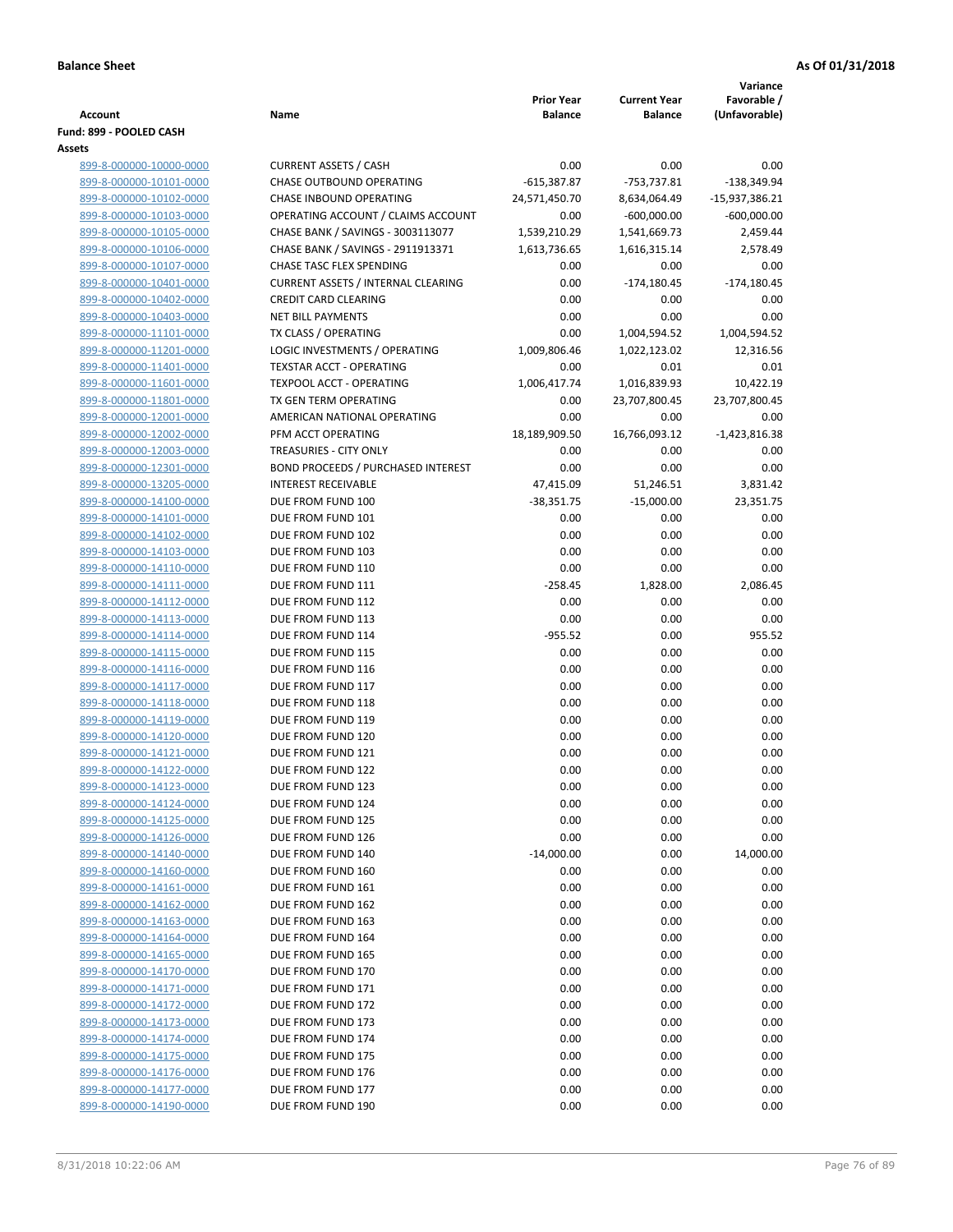|                                                    |                                                 |                                     |                                       | Variance                     |
|----------------------------------------------------|-------------------------------------------------|-------------------------------------|---------------------------------------|------------------------------|
| <b>Account</b>                                     | Name                                            | <b>Prior Year</b><br><b>Balance</b> | <b>Current Year</b><br><b>Balance</b> | Favorable /<br>(Unfavorable) |
| Fund: 899 - POOLED CASH                            |                                                 |                                     |                                       |                              |
| Assets                                             |                                                 |                                     |                                       |                              |
| 899-8-000000-10000-0000                            | <b>CURRENT ASSETS / CASH</b>                    | 0.00                                | 0.00                                  | 0.00                         |
| 899-8-000000-10101-0000                            | CHASE OUTBOUND OPERATING                        | $-615,387.87$                       | $-753,737.81$                         | $-138,349.94$                |
| 899-8-000000-10102-0000                            | CHASE INBOUND OPERATING                         | 24,571,450.70                       | 8,634,064.49                          | -15,937,386.21               |
| 899-8-000000-10103-0000                            | OPERATING ACCOUNT / CLAIMS ACCOUNT              | 0.00                                | $-600,000.00$                         | $-600,000.00$                |
| 899-8-000000-10105-0000                            | CHASE BANK / SAVINGS - 3003113077               | 1,539,210.29                        | 1,541,669.73                          | 2,459.44                     |
| 899-8-000000-10106-0000                            | CHASE BANK / SAVINGS - 2911913371               | 1,613,736.65                        | 1,616,315.14                          | 2,578.49                     |
| 899-8-000000-10107-0000                            | CHASE TASC FLEX SPENDING                        | 0.00                                | 0.00                                  | 0.00                         |
| 899-8-000000-10401-0000                            | <b>CURRENT ASSETS / INTERNAL CLEARING</b>       | 0.00                                | $-174,180.45$                         | $-174,180.45$                |
| 899-8-000000-10402-0000                            | <b>CREDIT CARD CLEARING</b>                     | 0.00                                | 0.00                                  | 0.00                         |
| 899-8-000000-10403-0000                            | <b>NET BILL PAYMENTS</b>                        | 0.00                                | 0.00                                  | 0.00                         |
| 899-8-000000-11101-0000                            | TX CLASS / OPERATING                            | 0.00                                | 1,004,594.52                          | 1,004,594.52                 |
| 899-8-000000-11201-0000                            | LOGIC INVESTMENTS / OPERATING                   | 1,009,806.46                        | 1,022,123.02                          | 12,316.56                    |
| 899-8-000000-11401-0000                            | <b>TEXSTAR ACCT - OPERATING</b>                 | 0.00                                | 0.01                                  | 0.01                         |
| 899-8-000000-11601-0000                            | <b>TEXPOOL ACCT - OPERATING</b>                 | 1,006,417.74                        | 1,016,839.93                          | 10,422.19                    |
| 899-8-000000-11801-0000                            | TX GEN TERM OPERATING                           | 0.00                                | 23,707,800.45                         | 23,707,800.45                |
| 899-8-000000-12001-0000                            | AMERICAN NATIONAL OPERATING                     | 0.00                                | 0.00                                  | 0.00                         |
| 899-8-000000-12002-0000                            | PFM ACCT OPERATING                              | 18,189,909.50                       | 16,766,093.12                         | $-1,423,816.38$              |
| 899-8-000000-12003-0000                            | <b>TREASURIES - CITY ONLY</b>                   | 0.00                                | 0.00                                  | 0.00                         |
| 899-8-000000-12301-0000                            | <b>BOND PROCEEDS / PURCHASED INTEREST</b>       | 0.00                                | 0.00                                  | 0.00                         |
| 899-8-000000-13205-0000                            | <b>INTEREST RECEIVABLE</b><br>DUE FROM FUND 100 | 47,415.09                           | 51,246.51<br>$-15,000.00$             | 3,831.42<br>23,351.75        |
| 899-8-000000-14100-0000<br>899-8-000000-14101-0000 | DUE FROM FUND 101                               | $-38,351.75$<br>0.00                | 0.00                                  | 0.00                         |
| 899-8-000000-14102-0000                            | DUE FROM FUND 102                               | 0.00                                | 0.00                                  | 0.00                         |
| 899-8-000000-14103-0000                            | DUE FROM FUND 103                               | 0.00                                | 0.00                                  | 0.00                         |
| 899-8-000000-14110-0000                            | DUE FROM FUND 110                               | 0.00                                | 0.00                                  | 0.00                         |
| 899-8-000000-14111-0000                            | DUE FROM FUND 111                               | $-258.45$                           | 1,828.00                              | 2,086.45                     |
| 899-8-000000-14112-0000                            | DUE FROM FUND 112                               | 0.00                                | 0.00                                  | 0.00                         |
| 899-8-000000-14113-0000                            | DUE FROM FUND 113                               | 0.00                                | 0.00                                  | 0.00                         |
| 899-8-000000-14114-0000                            | DUE FROM FUND 114                               | $-955.52$                           | 0.00                                  | 955.52                       |
| 899-8-000000-14115-0000                            | DUE FROM FUND 115                               | 0.00                                | 0.00                                  | 0.00                         |
| 899-8-000000-14116-0000                            | DUE FROM FUND 116                               | 0.00                                | 0.00                                  | 0.00                         |
| 899-8-000000-14117-0000                            | DUE FROM FUND 117                               | 0.00                                | 0.00                                  | 0.00                         |
| 899-8-000000-14118-0000                            | DUE FROM FUND 118                               | 0.00                                | 0.00                                  | 0.00                         |
| 899-8-000000-14119-0000                            | DUE FROM FUND 119                               | 0.00                                | 0.00                                  | 0.00                         |
| 899-8-000000-14120-0000                            | DUE FROM FUND 120                               | 0.00                                | 0.00                                  | 0.00                         |
| 899-8-000000-14121-0000                            | DUE FROM FUND 121                               | 0.00                                | 0.00                                  | 0.00                         |
| 899-8-000000-14122-0000                            | DUE FROM FUND 122                               | 0.00                                | 0.00                                  | 0.00                         |
| 899-8-000000-14123-0000                            | DUE FROM FUND 123                               | 0.00                                | 0.00                                  | 0.00                         |
| 899-8-000000-14124-0000                            | DUE FROM FUND 124                               | 0.00                                | 0.00                                  | 0.00                         |
| 899-8-000000-14125-0000                            | DUE FROM FUND 125                               | 0.00                                | 0.00                                  | 0.00                         |
| 899-8-000000-14126-0000                            | DUE FROM FUND 126                               | 0.00                                | 0.00                                  | 0.00                         |
| 899-8-000000-14140-0000                            | DUE FROM FUND 140                               | $-14,000.00$                        | 0.00                                  | 14,000.00                    |
| 899-8-000000-14160-0000                            | DUE FROM FUND 160                               | 0.00                                | 0.00                                  | 0.00                         |
| 899-8-000000-14161-0000<br>899-8-000000-14162-0000 | DUE FROM FUND 161<br>DUE FROM FUND 162          | 0.00<br>0.00                        | 0.00<br>0.00                          | 0.00<br>0.00                 |
| 899-8-000000-14163-0000                            | DUE FROM FUND 163                               | 0.00                                | 0.00                                  | 0.00                         |
| 899-8-000000-14164-0000                            | DUE FROM FUND 164                               | 0.00                                | 0.00                                  | 0.00                         |
| 899-8-000000-14165-0000                            | DUE FROM FUND 165                               | 0.00                                | 0.00                                  | 0.00                         |
| 899-8-000000-14170-0000                            | DUE FROM FUND 170                               | 0.00                                | 0.00                                  | 0.00                         |
| 899-8-000000-14171-0000                            | DUE FROM FUND 171                               | 0.00                                | 0.00                                  | 0.00                         |
| 899-8-000000-14172-0000                            | DUE FROM FUND 172                               | 0.00                                | 0.00                                  | 0.00                         |
| 899-8-000000-14173-0000                            | DUE FROM FUND 173                               | 0.00                                | 0.00                                  | 0.00                         |
| 899-8-000000-14174-0000                            | DUE FROM FUND 174                               | 0.00                                | 0.00                                  | 0.00                         |
| 899-8-000000-14175-0000                            | DUE FROM FUND 175                               | 0.00                                | 0.00                                  | 0.00                         |
| 899-8-000000-14176-0000                            | DUE FROM FUND 176                               | 0.00                                | 0.00                                  | 0.00                         |
| 899-8-000000-14177-0000                            | DUE FROM FUND 177                               | 0.00                                | 0.00                                  | 0.00                         |
| 899-8-000000-14190-0000                            | DUE FROM FUND 190                               | 0.00                                | 0.00                                  | 0.00                         |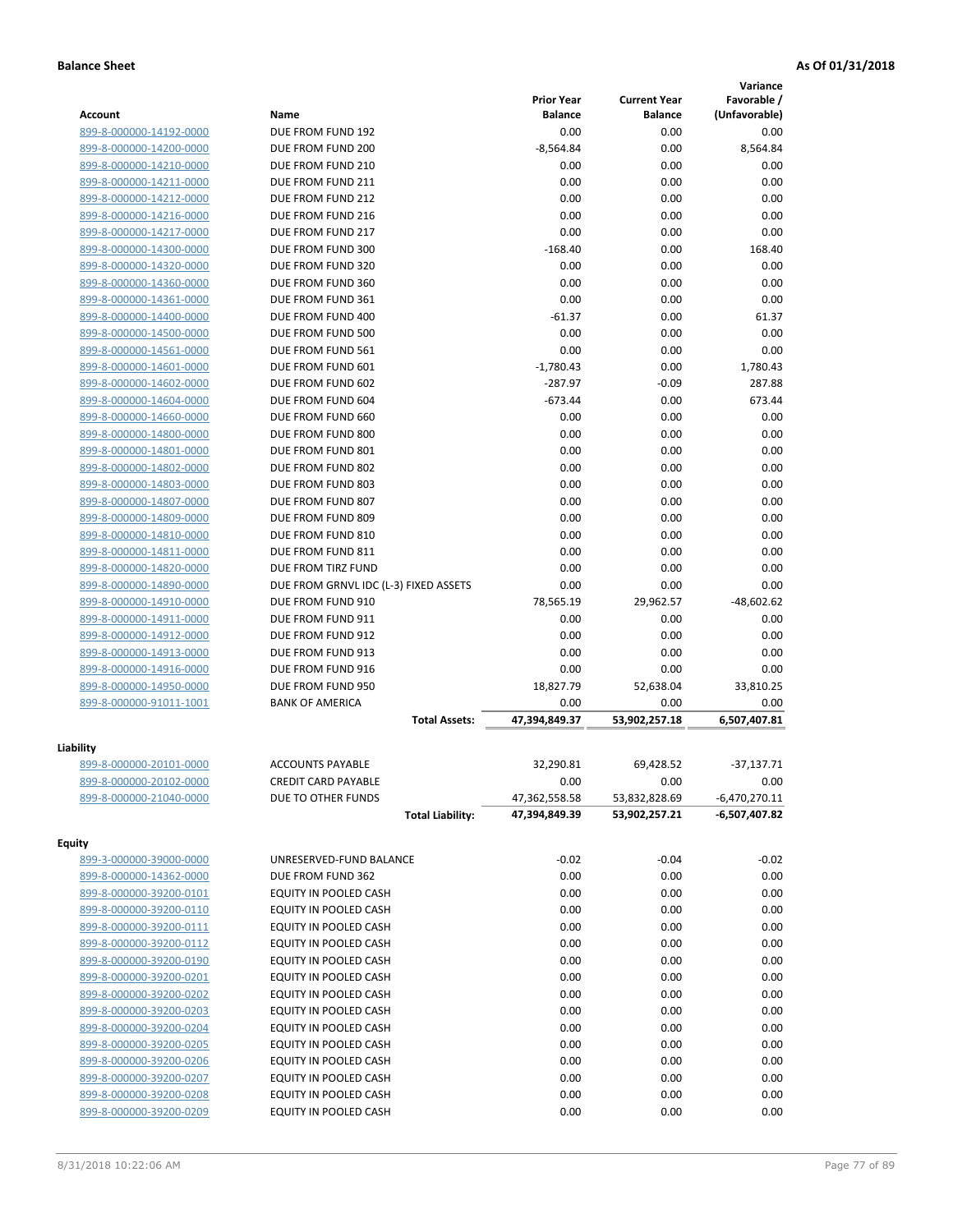|                                                    |                                         |                   |                     | Variance        |
|----------------------------------------------------|-----------------------------------------|-------------------|---------------------|-----------------|
|                                                    |                                         | <b>Prior Year</b> | <b>Current Year</b> | Favorable /     |
| Account                                            | Name                                    | <b>Balance</b>    | <b>Balance</b>      | (Unfavorable)   |
| 899-8-000000-14192-0000                            | DUE FROM FUND 192                       | 0.00              | 0.00                | 0.00            |
| 899-8-000000-14200-0000                            | DUE FROM FUND 200                       | $-8,564.84$       | 0.00                | 8,564.84        |
| 899-8-000000-14210-0000                            | DUE FROM FUND 210                       | 0.00              | 0.00                | 0.00            |
| 899-8-000000-14211-0000                            | DUE FROM FUND 211                       | 0.00              | 0.00                | 0.00            |
| 899-8-000000-14212-0000                            | DUE FROM FUND 212                       | 0.00              | 0.00                | 0.00            |
| 899-8-000000-14216-0000                            | DUE FROM FUND 216                       | 0.00              | 0.00                | 0.00            |
| 899-8-000000-14217-0000                            | DUE FROM FUND 217                       | 0.00              | 0.00                | 0.00            |
| 899-8-000000-14300-0000                            | DUE FROM FUND 300                       | $-168.40$         | 0.00                | 168.40          |
| 899-8-000000-14320-0000                            | DUE FROM FUND 320                       | 0.00              | 0.00                | 0.00            |
| 899-8-000000-14360-0000                            | DUE FROM FUND 360                       | 0.00              | 0.00                | 0.00            |
| 899-8-000000-14361-0000                            | DUE FROM FUND 361                       | 0.00              | 0.00                | 0.00            |
| 899-8-000000-14400-0000                            | DUE FROM FUND 400                       | $-61.37$          | 0.00                | 61.37           |
| 899-8-000000-14500-0000                            | DUE FROM FUND 500                       | 0.00              | 0.00                | 0.00            |
| 899-8-000000-14561-0000                            | DUE FROM FUND 561                       | 0.00              | 0.00                | 0.00            |
| 899-8-000000-14601-0000                            | DUE FROM FUND 601                       | $-1,780.43$       | 0.00                | 1,780.43        |
| 899-8-000000-14602-0000                            | DUE FROM FUND 602                       | $-287.97$         | $-0.09$             | 287.88          |
| 899-8-000000-14604-0000                            | DUE FROM FUND 604                       | $-673.44$         | 0.00                | 673.44          |
| 899-8-000000-14660-0000                            | DUE FROM FUND 660                       | 0.00              | 0.00                | 0.00            |
| 899-8-000000-14800-0000                            | DUE FROM FUND 800                       | 0.00              | 0.00                | 0.00            |
| 899-8-000000-14801-0000                            | DUE FROM FUND 801                       | 0.00              | 0.00                | 0.00            |
| 899-8-000000-14802-0000                            | DUE FROM FUND 802                       | 0.00              | 0.00                | 0.00            |
| 899-8-000000-14803-0000                            | DUE FROM FUND 803                       | 0.00              | 0.00                | 0.00            |
| 899-8-000000-14807-0000                            | DUE FROM FUND 807                       | 0.00              | 0.00                | 0.00            |
| 899-8-000000-14809-0000                            | DUE FROM FUND 809                       | 0.00              | 0.00                | 0.00            |
| 899-8-000000-14810-0000                            | DUE FROM FUND 810                       | 0.00              | 0.00                | 0.00            |
| 899-8-000000-14811-0000<br>899-8-000000-14820-0000 | DUE FROM FUND 811<br>DUE FROM TIRZ FUND | 0.00<br>0.00      | 0.00<br>0.00        | 0.00<br>0.00    |
|                                                    | DUE FROM GRNVL IDC (L-3) FIXED ASSETS   | 0.00              | 0.00                | 0.00            |
| 899-8-000000-14890-0000                            | DUE FROM FUND 910                       | 78,565.19         | 29,962.57           | $-48,602.62$    |
| 899-8-000000-14910-0000<br>899-8-000000-14911-0000 | DUE FROM FUND 911                       | 0.00              | 0.00                | 0.00            |
| 899-8-000000-14912-0000                            | DUE FROM FUND 912                       | 0.00              | 0.00                | 0.00            |
| 899-8-000000-14913-0000                            | DUE FROM FUND 913                       | 0.00              | 0.00                | 0.00            |
| 899-8-000000-14916-0000                            | DUE FROM FUND 916                       | 0.00              | 0.00                | 0.00            |
| 899-8-000000-14950-0000                            | DUE FROM FUND 950                       | 18,827.79         | 52,638.04           | 33,810.25       |
| 899-8-000000-91011-1001                            | <b>BANK OF AMERICA</b>                  | 0.00              | 0.00                | 0.00            |
|                                                    | <b>Total Assets:</b>                    | 47,394,849.37     | 53,902,257.18       | 6,507,407.81    |
|                                                    |                                         |                   |                     |                 |
| Liability                                          |                                         |                   |                     |                 |
| 899-8-000000-20101-0000                            | <b>ACCOUNTS PAYABLE</b>                 | 32,290.81         | 69,428.52           | $-37,137.71$    |
| 899-8-000000-20102-0000                            | CREDIT CARD PAYABLE                     | 0.00              | 0.00                | 0.00            |
| 899-8-000000-21040-0000                            | DUE TO OTHER FUNDS                      | 47,362,558.58     | 53,832,828.69       | $-6,470,270.11$ |
|                                                    | <b>Total Liability:</b>                 | 47,394,849.39     | 53,902,257.21       | -6,507,407.82   |
| <b>Equity</b>                                      |                                         |                   |                     |                 |
| 899-3-000000-39000-0000                            | UNRESERVED-FUND BALANCE                 | $-0.02$           | $-0.04$             | $-0.02$         |
| 899-8-000000-14362-0000                            | DUE FROM FUND 362                       | 0.00              | 0.00                | 0.00            |
| 899-8-000000-39200-0101                            | EQUITY IN POOLED CASH                   | 0.00              | 0.00                | 0.00            |
| 899-8-000000-39200-0110                            | EQUITY IN POOLED CASH                   | 0.00              | 0.00                | 0.00            |
| 899-8-000000-39200-0111                            | EQUITY IN POOLED CASH                   | 0.00              | 0.00                | 0.00            |
| 899-8-000000-39200-0112                            | EQUITY IN POOLED CASH                   | 0.00              | 0.00                | 0.00            |
| 899-8-000000-39200-0190                            | EQUITY IN POOLED CASH                   | 0.00              | 0.00                | 0.00            |
| 899-8-000000-39200-0201                            | EQUITY IN POOLED CASH                   | 0.00              | 0.00                | 0.00            |
| 899-8-000000-39200-0202                            | EQUITY IN POOLED CASH                   | 0.00              | 0.00                | 0.00            |
| 899-8-000000-39200-0203                            | EQUITY IN POOLED CASH                   | 0.00              | 0.00                | 0.00            |
| 899-8-000000-39200-0204                            | EQUITY IN POOLED CASH                   | 0.00              | 0.00                | 0.00            |
| 899-8-000000-39200-0205                            | EQUITY IN POOLED CASH                   | 0.00              | 0.00                | 0.00            |
| 899-8-000000-39200-0206                            | EQUITY IN POOLED CASH                   | 0.00              | 0.00                | 0.00            |
| 899-8-000000-39200-0207                            | EQUITY IN POOLED CASH                   | 0.00              | 0.00                | 0.00            |
| 899-8-000000-39200-0208                            | EQUITY IN POOLED CASH                   | 0.00              | 0.00                | 0.00            |
| 899-8-000000-39200-0209                            | EQUITY IN POOLED CASH                   | 0.00              | 0.00                | 0.00            |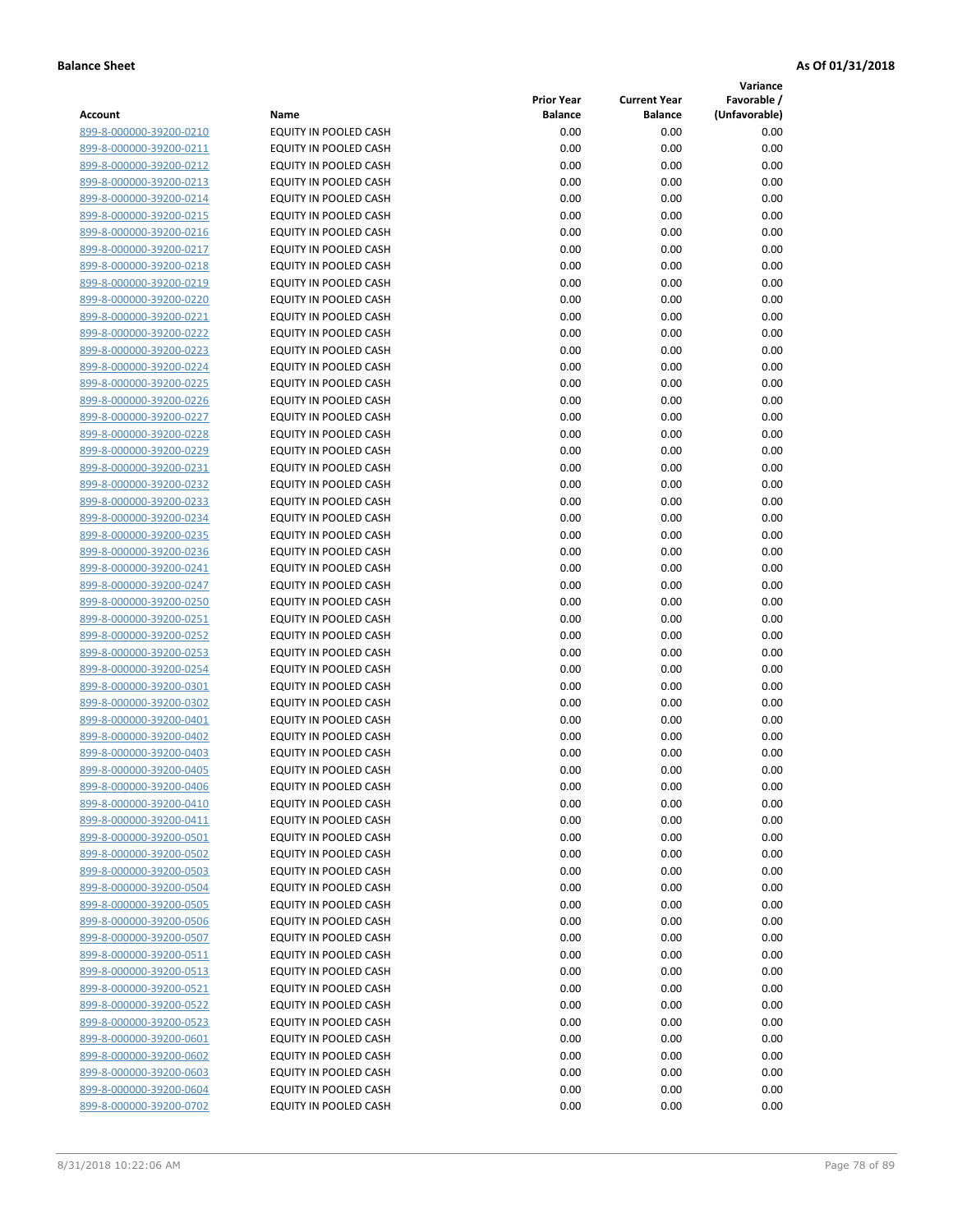**Variance**

| Account                                            | Name                                           | <b>Prior Year</b><br><b>Balance</b> | <b>Current Year</b><br><b>Balance</b> | Favorable /<br>(Unfavorable) |
|----------------------------------------------------|------------------------------------------------|-------------------------------------|---------------------------------------|------------------------------|
| 899-8-000000-39200-0210                            | EQUITY IN POOLED CASH                          | 0.00                                | 0.00                                  | 0.00                         |
| 899-8-000000-39200-0211                            | EQUITY IN POOLED CASH                          | 0.00                                | 0.00                                  | 0.00                         |
| 899-8-000000-39200-0212                            | EQUITY IN POOLED CASH                          | 0.00                                | 0.00                                  | 0.00                         |
| 899-8-000000-39200-0213                            | EQUITY IN POOLED CASH                          | 0.00                                | 0.00                                  | 0.00                         |
| 899-8-000000-39200-0214                            | <b>EQUITY IN POOLED CASH</b>                   | 0.00                                | 0.00                                  | 0.00                         |
| 899-8-000000-39200-0215                            | EQUITY IN POOLED CASH                          | 0.00                                | 0.00                                  | 0.00                         |
| 899-8-000000-39200-0216                            | EQUITY IN POOLED CASH                          | 0.00                                | 0.00                                  | 0.00                         |
| 899-8-000000-39200-0217                            | EQUITY IN POOLED CASH                          | 0.00                                | 0.00                                  | 0.00                         |
| 899-8-000000-39200-0218                            | EQUITY IN POOLED CASH                          | 0.00                                | 0.00                                  | 0.00                         |
| 899-8-000000-39200-0219                            | EQUITY IN POOLED CASH                          | 0.00                                | 0.00                                  | 0.00                         |
| 899-8-000000-39200-0220                            | EQUITY IN POOLED CASH                          | 0.00                                | 0.00                                  | 0.00                         |
| 899-8-000000-39200-0221                            | EQUITY IN POOLED CASH                          | 0.00                                | 0.00                                  | 0.00                         |
| 899-8-000000-39200-0222                            | EQUITY IN POOLED CASH                          | 0.00                                | 0.00                                  | 0.00                         |
| 899-8-000000-39200-0223                            | EQUITY IN POOLED CASH                          | 0.00                                | 0.00                                  | 0.00                         |
| 899-8-000000-39200-0224                            | EQUITY IN POOLED CASH                          | 0.00                                | 0.00                                  | 0.00                         |
| 899-8-000000-39200-0225                            | EQUITY IN POOLED CASH                          | 0.00                                | 0.00                                  | 0.00                         |
| 899-8-000000-39200-0226                            | EQUITY IN POOLED CASH                          | 0.00                                | 0.00                                  | 0.00                         |
| 899-8-000000-39200-0227                            | EQUITY IN POOLED CASH                          | 0.00                                | 0.00                                  | 0.00                         |
| 899-8-000000-39200-0228                            | EQUITY IN POOLED CASH                          | 0.00                                | 0.00                                  | 0.00                         |
| 899-8-000000-39200-0229                            | <b>EQUITY IN POOLED CASH</b>                   | 0.00                                | 0.00                                  | 0.00                         |
| 899-8-000000-39200-0231                            | <b>EQUITY IN POOLED CASH</b>                   | 0.00                                | 0.00                                  | 0.00                         |
| 899-8-000000-39200-0232                            | EQUITY IN POOLED CASH                          | 0.00                                | 0.00                                  | 0.00                         |
| 899-8-000000-39200-0233                            | <b>EQUITY IN POOLED CASH</b>                   | 0.00                                | 0.00                                  | 0.00                         |
| 899-8-000000-39200-0234                            | EQUITY IN POOLED CASH                          | 0.00                                | 0.00                                  | 0.00                         |
| 899-8-000000-39200-0235                            | EQUITY IN POOLED CASH                          | 0.00                                | 0.00                                  | 0.00                         |
| 899-8-000000-39200-0236                            | EQUITY IN POOLED CASH                          | 0.00                                | 0.00                                  | 0.00                         |
| 899-8-000000-39200-0241                            | EQUITY IN POOLED CASH                          | 0.00                                | 0.00                                  | 0.00                         |
| 899-8-000000-39200-0247                            | EQUITY IN POOLED CASH                          | 0.00                                | 0.00                                  | 0.00                         |
| 899-8-000000-39200-0250                            | EQUITY IN POOLED CASH                          | 0.00                                | 0.00                                  | 0.00                         |
| 899-8-000000-39200-0251                            | EQUITY IN POOLED CASH                          | 0.00                                | 0.00                                  | 0.00                         |
| 899-8-000000-39200-0252                            | EQUITY IN POOLED CASH                          | 0.00                                | 0.00                                  | 0.00                         |
| 899-8-000000-39200-0253                            | EQUITY IN POOLED CASH                          | 0.00                                | 0.00                                  | 0.00                         |
| 899-8-000000-39200-0254                            | EQUITY IN POOLED CASH                          | 0.00                                | 0.00                                  | 0.00                         |
| 899-8-000000-39200-0301<br>899-8-000000-39200-0302 | EQUITY IN POOLED CASH                          | 0.00<br>0.00                        | 0.00                                  | 0.00                         |
| 899-8-000000-39200-0401                            | EQUITY IN POOLED CASH<br>EQUITY IN POOLED CASH | 0.00                                | 0.00<br>0.00                          | 0.00<br>0.00                 |
| 899-8-000000-39200-0402                            | EQUITY IN POOLED CASH                          | 0.00                                | 0.00                                  | 0.00                         |
| 899-8-000000-39200-0403                            | EQUITY IN POOLED CASH                          | 0.00                                | 0.00                                  | 0.00                         |
| 899-8-000000-39200-0405                            | <b>EQUITY IN POOLED CASH</b>                   | 0.00                                | 0.00                                  | 0.00                         |
| 899-8-000000-39200-0406                            | EQUITY IN POOLED CASH                          | 0.00                                | 0.00                                  | 0.00                         |
| 899-8-000000-39200-0410                            | <b>EQUITY IN POOLED CASH</b>                   | 0.00                                | 0.00                                  | 0.00                         |
| 899-8-000000-39200-0411                            | EQUITY IN POOLED CASH                          | 0.00                                | 0.00                                  | 0.00                         |
| 899-8-000000-39200-0501                            | EQUITY IN POOLED CASH                          | 0.00                                | 0.00                                  | 0.00                         |
| 899-8-000000-39200-0502                            | EQUITY IN POOLED CASH                          | 0.00                                | 0.00                                  | 0.00                         |
| 899-8-000000-39200-0503                            | EQUITY IN POOLED CASH                          | 0.00                                | 0.00                                  | 0.00                         |
| 899-8-000000-39200-0504                            | <b>EQUITY IN POOLED CASH</b>                   | 0.00                                | 0.00                                  | 0.00                         |
| 899-8-000000-39200-0505                            | EQUITY IN POOLED CASH                          | 0.00                                | 0.00                                  | 0.00                         |
| 899-8-000000-39200-0506                            | EQUITY IN POOLED CASH                          | 0.00                                | 0.00                                  | 0.00                         |
| 899-8-000000-39200-0507                            | EQUITY IN POOLED CASH                          | 0.00                                | 0.00                                  | 0.00                         |
| 899-8-000000-39200-0511                            | <b>EQUITY IN POOLED CASH</b>                   | 0.00                                | 0.00                                  | 0.00                         |
| 899-8-000000-39200-0513                            | EQUITY IN POOLED CASH                          | 0.00                                | 0.00                                  | 0.00                         |
| 899-8-000000-39200-0521                            | EQUITY IN POOLED CASH                          | 0.00                                | 0.00                                  | 0.00                         |
| 899-8-000000-39200-0522                            | EQUITY IN POOLED CASH                          | 0.00                                | 0.00                                  | 0.00                         |
| 899-8-000000-39200-0523                            | EQUITY IN POOLED CASH                          | 0.00                                | 0.00                                  | 0.00                         |
| 899-8-000000-39200-0601                            | EQUITY IN POOLED CASH                          | 0.00                                | 0.00                                  | 0.00                         |
| 899-8-000000-39200-0602                            | EQUITY IN POOLED CASH                          | 0.00                                | 0.00                                  | 0.00                         |
| 899-8-000000-39200-0603                            | EQUITY IN POOLED CASH                          | 0.00                                | 0.00                                  | 0.00                         |
| 899-8-000000-39200-0604                            | EQUITY IN POOLED CASH                          | 0.00                                | 0.00                                  | 0.00                         |
| 899-8-000000-39200-0702                            | EQUITY IN POOLED CASH                          | 0.00                                | 0.00                                  | 0.00                         |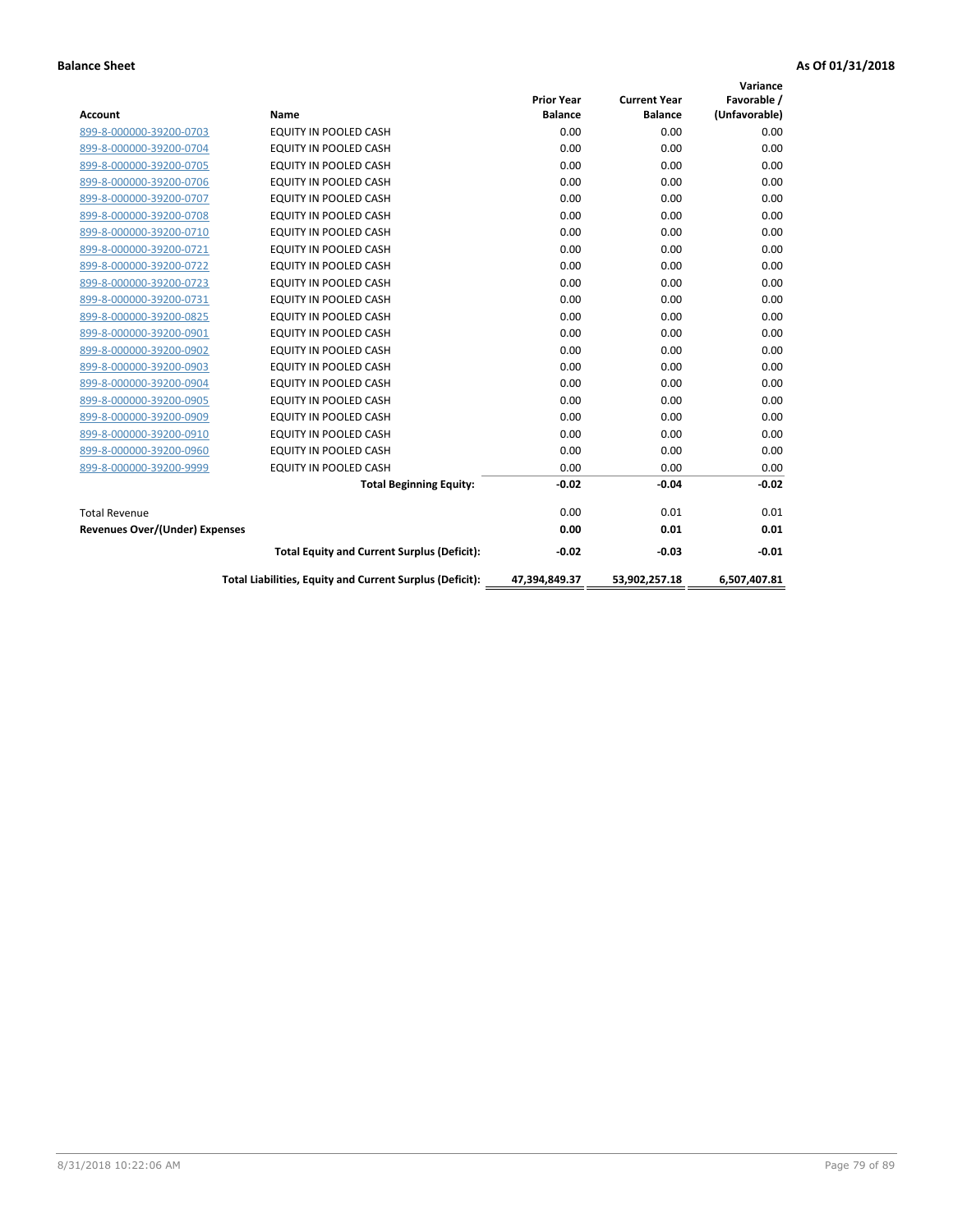| <b>Account</b>                        | Name                                                     | <b>Prior Year</b><br><b>Balance</b> | <b>Current Year</b><br><b>Balance</b> | Variance<br>Favorable /<br>(Unfavorable) |
|---------------------------------------|----------------------------------------------------------|-------------------------------------|---------------------------------------|------------------------------------------|
| 899-8-000000-39200-0703               | <b>EQUITY IN POOLED CASH</b>                             | 0.00                                | 0.00                                  | 0.00                                     |
| 899-8-000000-39200-0704               | <b>EQUITY IN POOLED CASH</b>                             | 0.00                                | 0.00                                  | 0.00                                     |
| 899-8-000000-39200-0705               | EQUITY IN POOLED CASH                                    | 0.00                                | 0.00                                  | 0.00                                     |
| 899-8-000000-39200-0706               | EQUITY IN POOLED CASH                                    | 0.00                                | 0.00                                  | 0.00                                     |
| 899-8-000000-39200-0707               | EQUITY IN POOLED CASH                                    | 0.00                                | 0.00                                  | 0.00                                     |
| 899-8-000000-39200-0708               | <b>EQUITY IN POOLED CASH</b>                             | 0.00                                | 0.00                                  | 0.00                                     |
| 899-8-000000-39200-0710               | EQUITY IN POOLED CASH                                    | 0.00                                | 0.00                                  | 0.00                                     |
| 899-8-000000-39200-0721               | <b>EQUITY IN POOLED CASH</b>                             | 0.00                                | 0.00                                  | 0.00                                     |
| 899-8-000000-39200-0722               | <b>EQUITY IN POOLED CASH</b>                             | 0.00                                | 0.00                                  | 0.00                                     |
| 899-8-000000-39200-0723               | <b>EQUITY IN POOLED CASH</b>                             | 0.00                                | 0.00                                  | 0.00                                     |
| 899-8-000000-39200-0731               | <b>EQUITY IN POOLED CASH</b>                             | 0.00                                | 0.00                                  | 0.00                                     |
| 899-8-000000-39200-0825               | EQUITY IN POOLED CASH                                    | 0.00                                | 0.00                                  | 0.00                                     |
| 899-8-000000-39200-0901               | EQUITY IN POOLED CASH                                    | 0.00                                | 0.00                                  | 0.00                                     |
| 899-8-000000-39200-0902               | EQUITY IN POOLED CASH                                    | 0.00                                | 0.00                                  | 0.00                                     |
| 899-8-000000-39200-0903               | <b>EQUITY IN POOLED CASH</b>                             | 0.00                                | 0.00                                  | 0.00                                     |
| 899-8-000000-39200-0904               | <b>EQUITY IN POOLED CASH</b>                             | 0.00                                | 0.00                                  | 0.00                                     |
| 899-8-000000-39200-0905               | EQUITY IN POOLED CASH                                    | 0.00                                | 0.00                                  | 0.00                                     |
| 899-8-000000-39200-0909               | EQUITY IN POOLED CASH                                    | 0.00                                | 0.00                                  | 0.00                                     |
| 899-8-000000-39200-0910               | <b>EQUITY IN POOLED CASH</b>                             | 0.00                                | 0.00                                  | 0.00                                     |
| 899-8-000000-39200-0960               | <b>EQUITY IN POOLED CASH</b>                             | 0.00                                | 0.00                                  | 0.00                                     |
| 899-8-000000-39200-9999               | EQUITY IN POOLED CASH                                    | 0.00                                | 0.00                                  | 0.00                                     |
|                                       | <b>Total Beginning Equity:</b>                           | $-0.02$                             | $-0.04$                               | $-0.02$                                  |
| <b>Total Revenue</b>                  |                                                          | 0.00                                | 0.01                                  | 0.01                                     |
| <b>Revenues Over/(Under) Expenses</b> |                                                          | 0.00                                | 0.01                                  | 0.01                                     |
|                                       | <b>Total Equity and Current Surplus (Deficit):</b>       | $-0.02$                             | $-0.03$                               | $-0.01$                                  |
|                                       | Total Liabilities, Equity and Current Surplus (Deficit): | 47,394,849.37                       | 53,902,257.18                         | 6,507,407.81                             |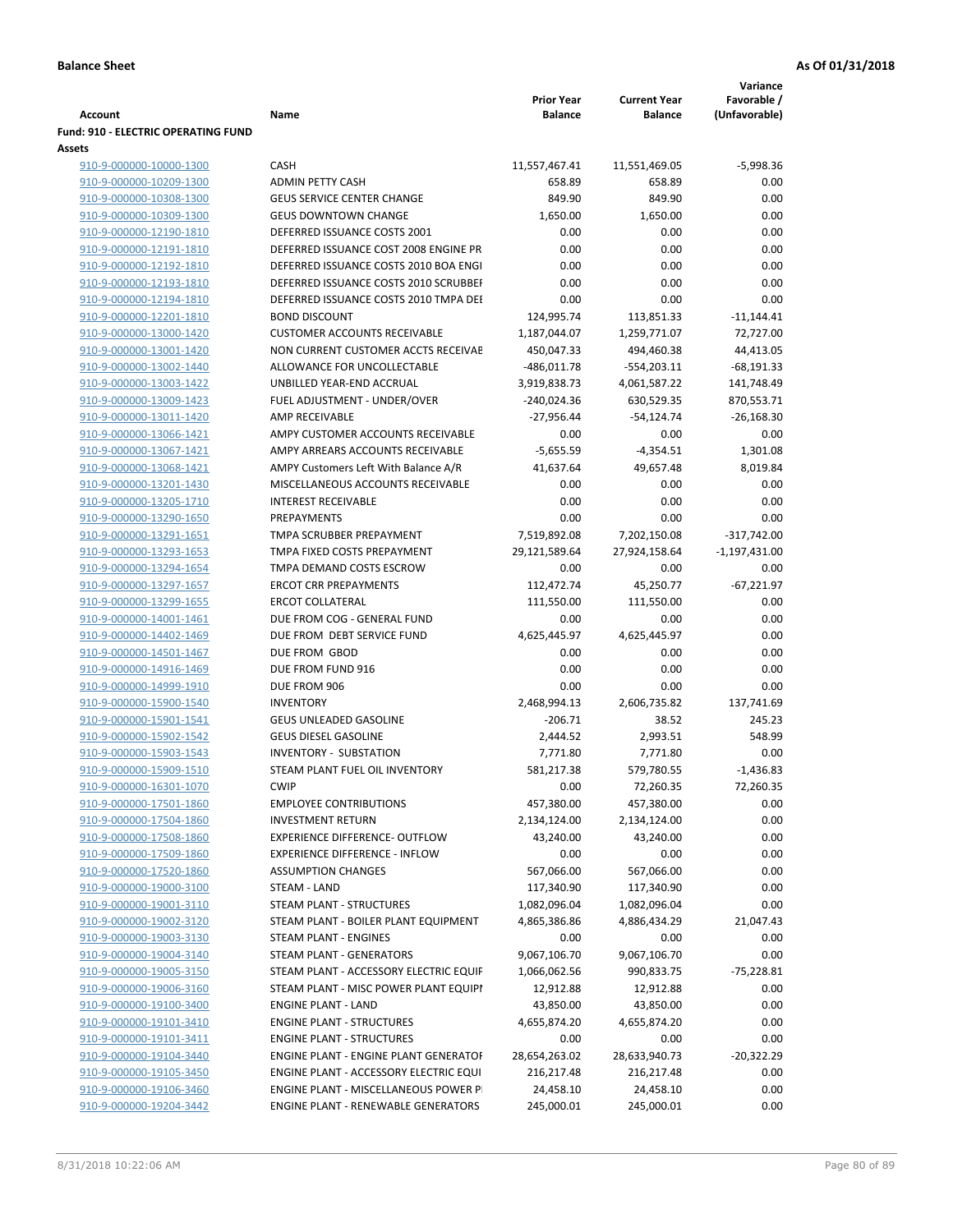| <b>Account</b>                                     | Name                                                    | <b>Prior Year</b><br><b>Balance</b> | <b>Current Year</b><br><b>Balance</b> | Variance<br>Favorable /<br>(Unfavorable) |
|----------------------------------------------------|---------------------------------------------------------|-------------------------------------|---------------------------------------|------------------------------------------|
| <b>Fund: 910 - ELECTRIC OPERATING FUND</b>         |                                                         |                                     |                                       |                                          |
| Assets                                             |                                                         |                                     |                                       |                                          |
| 910-9-000000-10000-1300                            | CASH                                                    | 11,557,467.41                       | 11,551,469.05                         | $-5,998.36$                              |
| 910-9-000000-10209-1300                            | <b>ADMIN PETTY CASH</b>                                 | 658.89                              | 658.89                                | 0.00                                     |
| 910-9-000000-10308-1300                            | <b>GEUS SERVICE CENTER CHANGE</b>                       | 849.90                              | 849.90                                | 0.00                                     |
| 910-9-000000-10309-1300                            | <b>GEUS DOWNTOWN CHANGE</b>                             | 1,650.00                            | 1,650.00                              | 0.00                                     |
| 910-9-000000-12190-1810                            | DEFERRED ISSUANCE COSTS 2001                            | 0.00                                | 0.00                                  | 0.00                                     |
| 910-9-000000-12191-1810                            | DEFERRED ISSUANCE COST 2008 ENGINE PR                   | 0.00                                | 0.00                                  | 0.00                                     |
| 910-9-000000-12192-1810                            | DEFERRED ISSUANCE COSTS 2010 BOA ENGI                   | 0.00                                | 0.00                                  | 0.00                                     |
| 910-9-000000-12193-1810                            | DEFERRED ISSUANCE COSTS 2010 SCRUBBEF                   | 0.00                                | 0.00                                  | 0.00                                     |
| 910-9-000000-12194-1810                            | DEFERRED ISSUANCE COSTS 2010 TMPA DEI                   | 0.00                                | 0.00                                  | 0.00                                     |
| 910-9-000000-12201-1810                            | <b>BOND DISCOUNT</b>                                    | 124,995.74                          | 113,851.33                            | $-11,144.41$                             |
| 910-9-000000-13000-1420                            | <b>CUSTOMER ACCOUNTS RECEIVABLE</b>                     | 1,187,044.07                        | 1,259,771.07                          | 72,727.00                                |
| 910-9-000000-13001-1420                            | NON CURRENT CUSTOMER ACCTS RECEIVAE                     | 450,047.33                          | 494,460.38                            | 44,413.05                                |
| 910-9-000000-13002-1440                            | ALLOWANCE FOR UNCOLLECTABLE                             | $-486,011.78$                       | $-554,203.11$                         | $-68,191.33$                             |
| 910-9-000000-13003-1422                            | UNBILLED YEAR-END ACCRUAL                               | 3,919,838.73                        | 4,061,587.22                          | 141,748.49                               |
| 910-9-000000-13009-1423                            | FUEL ADJUSTMENT - UNDER/OVER                            | $-240,024.36$                       | 630,529.35                            | 870,553.71                               |
| 910-9-000000-13011-1420                            | AMP RECEIVABLE                                          | -27,956.44                          | $-54,124.74$                          | $-26,168.30$                             |
| 910-9-000000-13066-1421                            | AMPY CUSTOMER ACCOUNTS RECEIVABLE                       | 0.00                                | 0.00                                  | 0.00                                     |
| 910-9-000000-13067-1421                            | AMPY ARREARS ACCOUNTS RECEIVABLE                        | $-5,655.59$                         | $-4,354.51$                           | 1,301.08                                 |
| 910-9-000000-13068-1421                            | AMPY Customers Left With Balance A/R                    | 41,637.64                           | 49,657.48                             | 8,019.84                                 |
| 910-9-000000-13201-1430                            | MISCELLANEOUS ACCOUNTS RECEIVABLE                       | 0.00                                | 0.00                                  | 0.00                                     |
| 910-9-000000-13205-1710                            | <b>INTEREST RECEIVABLE</b>                              | 0.00                                | 0.00                                  | 0.00                                     |
| 910-9-000000-13290-1650                            | <b>PREPAYMENTS</b>                                      | 0.00                                | 0.00                                  | 0.00                                     |
| 910-9-000000-13291-1651                            | TMPA SCRUBBER PREPAYMENT                                | 7,519,892.08                        | 7,202,150.08                          | $-317,742.00$                            |
| 910-9-000000-13293-1653<br>910-9-000000-13294-1654 | TMPA FIXED COSTS PREPAYMENT<br>TMPA DEMAND COSTS ESCROW | 29,121,589.64<br>0.00               | 27,924,158.64<br>0.00                 | $-1,197,431.00$<br>0.00                  |
| 910-9-000000-13297-1657                            | <b>ERCOT CRR PREPAYMENTS</b>                            | 112,472.74                          | 45,250.77                             | $-67,221.97$                             |
| 910-9-000000-13299-1655                            | <b>ERCOT COLLATERAL</b>                                 | 111,550.00                          | 111,550.00                            | 0.00                                     |
| 910-9-000000-14001-1461                            | DUE FROM COG - GENERAL FUND                             | 0.00                                | 0.00                                  | 0.00                                     |
| 910-9-000000-14402-1469                            | DUE FROM DEBT SERVICE FUND                              | 4,625,445.97                        | 4,625,445.97                          | 0.00                                     |
| 910-9-000000-14501-1467                            | DUE FROM GBOD                                           | 0.00                                | 0.00                                  | 0.00                                     |
| 910-9-000000-14916-1469                            | DUE FROM FUND 916                                       | 0.00                                | 0.00                                  | 0.00                                     |
| 910-9-000000-14999-1910                            | DUE FROM 906                                            | 0.00                                | 0.00                                  | 0.00                                     |
| 910-9-000000-15900-1540                            | <b>INVENTORY</b>                                        | 2,468,994.13                        | 2,606,735.82                          | 137,741.69                               |
| 910-9-000000-15901-1541                            | GEUS UNLEADED GASOLINE                                  | $-206.71$                           | 38.52                                 | 245.23                                   |
| 910-9-000000-15902-1542                            | <b>GEUS DIESEL GASOLINE</b>                             | 2,444.52                            | 2,993.51                              | 548.99                                   |
| 910-9-000000-15903-1543                            | <b>INVENTORY - SUBSTATION</b>                           | 7,771.80                            | 7,771.80                              | 0.00                                     |
| 910-9-000000-15909-1510                            | STEAM PLANT FUEL OIL INVENTORY                          | 581,217.38                          | 579,780.55                            | $-1,436.83$                              |
| 910-9-000000-16301-1070                            | <b>CWIP</b>                                             | 0.00                                | 72,260.35                             | 72,260.35                                |
| 910-9-000000-17501-1860                            | <b>EMPLOYEE CONTRIBUTIONS</b>                           | 457,380.00                          | 457,380.00                            | 0.00                                     |
| 910-9-000000-17504-1860                            | <b>INVESTMENT RETURN</b>                                | 2,134,124.00                        | 2,134,124.00                          | 0.00                                     |
| 910-9-000000-17508-1860                            | <b>EXPERIENCE DIFFERENCE- OUTFLOW</b>                   | 43,240.00                           | 43,240.00                             | 0.00                                     |
| 910-9-000000-17509-1860                            | <b>EXPERIENCE DIFFERENCE - INFLOW</b>                   | 0.00                                | 0.00                                  | 0.00                                     |
| 910-9-000000-17520-1860                            | <b>ASSUMPTION CHANGES</b>                               | 567,066.00                          | 567,066.00                            | 0.00                                     |
| 910-9-000000-19000-3100                            | <b>STEAM - LAND</b>                                     | 117,340.90                          | 117,340.90                            | 0.00                                     |
| 910-9-000000-19001-3110                            | STEAM PLANT - STRUCTURES                                | 1,082,096.04                        | 1,082,096.04                          | 0.00                                     |
| 910-9-000000-19002-3120                            | STEAM PLANT - BOILER PLANT EQUIPMENT                    | 4,865,386.86                        | 4,886,434.29                          | 21,047.43                                |
| 910-9-000000-19003-3130                            | STEAM PLANT - ENGINES                                   | 0.00                                | 0.00                                  | 0.00                                     |
| 910-9-000000-19004-3140                            | STEAM PLANT - GENERATORS                                | 9,067,106.70                        | 9,067,106.70                          | 0.00                                     |
| 910-9-000000-19005-3150                            | STEAM PLANT - ACCESSORY ELECTRIC EQUIF                  | 1,066,062.56                        | 990,833.75                            | $-75,228.81$                             |
| 910-9-000000-19006-3160                            | STEAM PLANT - MISC POWER PLANT EQUIPI                   | 12,912.88                           | 12,912.88                             | 0.00                                     |
| 910-9-000000-19100-3400                            | <b>ENGINE PLANT - LAND</b>                              | 43,850.00                           | 43,850.00                             | 0.00                                     |
| 910-9-000000-19101-3410                            | <b>ENGINE PLANT - STRUCTURES</b>                        | 4,655,874.20                        | 4,655,874.20                          | 0.00                                     |
| 910-9-000000-19101-3411                            | <b>ENGINE PLANT - STRUCTURES</b>                        | 0.00                                | 0.00                                  | 0.00                                     |
| 910-9-000000-19104-3440                            | ENGINE PLANT - ENGINE PLANT GENERATOF                   | 28,654,263.02                       | 28,633,940.73                         | $-20,322.29$                             |
| 910-9-000000-19105-3450                            | ENGINE PLANT - ACCESSORY ELECTRIC EQUI                  | 216,217.48                          | 216,217.48                            | 0.00                                     |
| 910-9-000000-19106-3460                            | ENGINE PLANT - MISCELLANEOUS POWER P                    | 24,458.10                           | 24,458.10                             | 0.00                                     |
| 910-9-000000-19204-3442                            | ENGINE PLANT - RENEWABLE GENERATORS                     | 245,000.01                          | 245,000.01                            | 0.00                                     |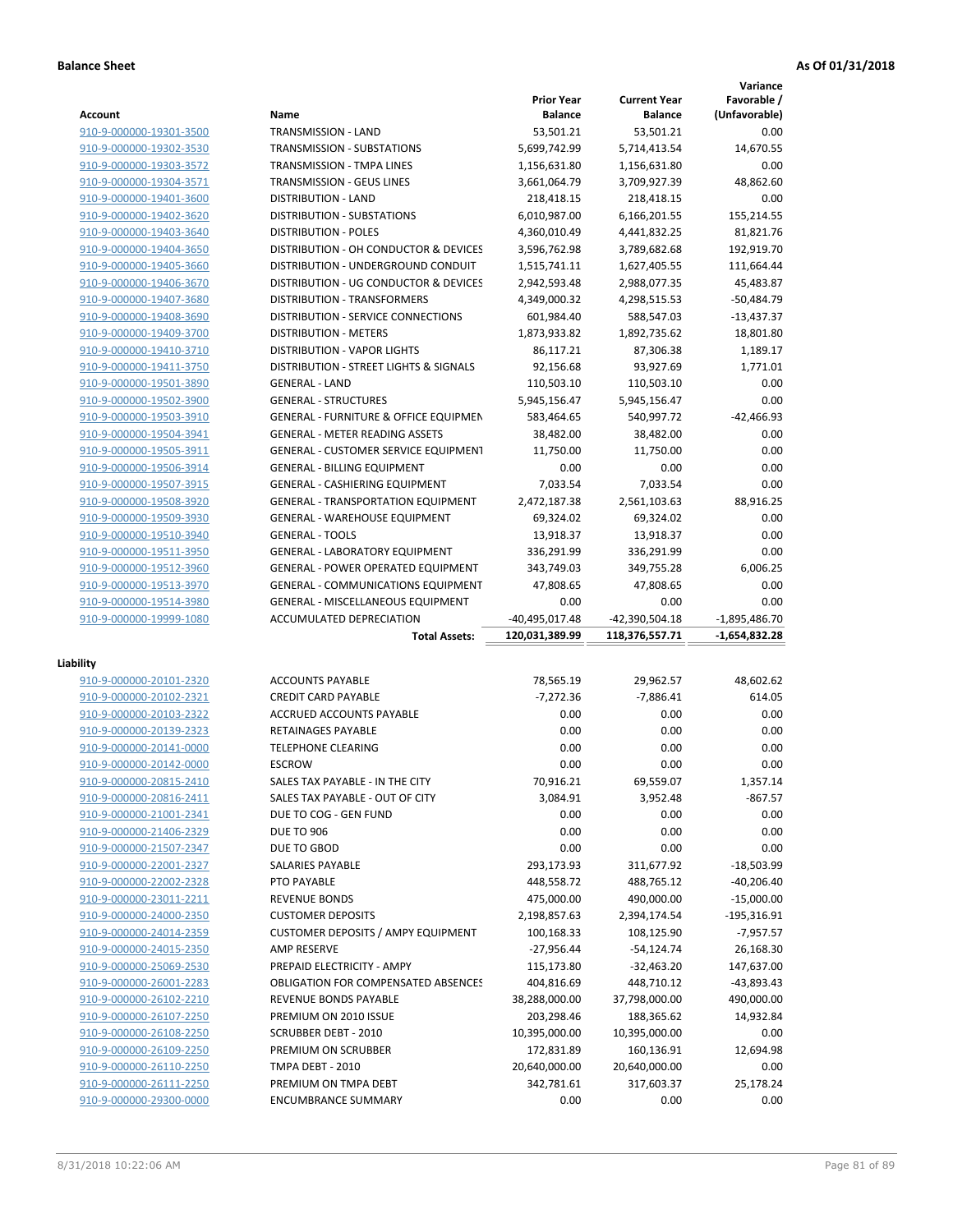**Variance**

|                                                    |                                                    | <b>Prior Year</b>  | <b>Current Year</b> | Favorable /       |
|----------------------------------------------------|----------------------------------------------------|--------------------|---------------------|-------------------|
| Account                                            | Name                                               | <b>Balance</b>     | <b>Balance</b>      | (Unfavorable)     |
| 910-9-000000-19301-3500                            | TRANSMISSION - LAND                                | 53,501.21          | 53,501.21           | 0.00              |
| 910-9-000000-19302-3530                            | TRANSMISSION - SUBSTATIONS                         | 5,699,742.99       | 5,714,413.54        | 14,670.55         |
| 910-9-000000-19303-3572                            | TRANSMISSION - TMPA LINES                          | 1,156,631.80       | 1,156,631.80        | 0.00              |
| 910-9-000000-19304-3571                            | TRANSMISSION - GEUS LINES                          | 3,661,064.79       | 3,709,927.39        | 48,862.60         |
| 910-9-000000-19401-3600                            | <b>DISTRIBUTION - LAND</b>                         | 218,418.15         | 218,418.15          | 0.00              |
| 910-9-000000-19402-3620                            | DISTRIBUTION - SUBSTATIONS                         | 6,010,987.00       | 6,166,201.55        | 155,214.55        |
| 910-9-000000-19403-3640                            | <b>DISTRIBUTION - POLES</b>                        | 4,360,010.49       | 4,441,832.25        | 81,821.76         |
| 910-9-000000-19404-3650                            | DISTRIBUTION - OH CONDUCTOR & DEVICES              | 3,596,762.98       | 3,789,682.68        | 192,919.70        |
| 910-9-000000-19405-3660                            | DISTRIBUTION - UNDERGROUND CONDUIT                 | 1,515,741.11       | 1,627,405.55        | 111,664.44        |
| 910-9-000000-19406-3670                            | DISTRIBUTION - UG CONDUCTOR & DEVICES              | 2,942,593.48       | 2,988,077.35        | 45,483.87         |
| 910-9-000000-19407-3680                            | <b>DISTRIBUTION - TRANSFORMERS</b>                 | 4,349,000.32       | 4,298,515.53        | $-50,484.79$      |
| 910-9-000000-19408-3690                            | DISTRIBUTION - SERVICE CONNECTIONS                 | 601,984.40         | 588,547.03          | $-13,437.37$      |
| 910-9-000000-19409-3700                            | <b>DISTRIBUTION - METERS</b>                       | 1,873,933.82       | 1,892,735.62        | 18,801.80         |
| 910-9-000000-19410-3710                            | <b>DISTRIBUTION - VAPOR LIGHTS</b>                 | 86,117.21          | 87,306.38           | 1,189.17          |
| 910-9-000000-19411-3750                            | DISTRIBUTION - STREET LIGHTS & SIGNALS             | 92,156.68          | 93,927.69           | 1,771.01          |
| 910-9-000000-19501-3890                            | <b>GENERAL - LAND</b>                              | 110,503.10         | 110,503.10          | 0.00              |
| 910-9-000000-19502-3900                            | <b>GENERAL - STRUCTURES</b>                        | 5,945,156.47       | 5,945,156.47        | 0.00              |
| 910-9-000000-19503-3910                            | <b>GENERAL - FURNITURE &amp; OFFICE EQUIPMEN</b>   | 583,464.65         | 540,997.72          | $-42,466.93$      |
|                                                    |                                                    |                    |                     |                   |
| 910-9-000000-19504-3941                            | <b>GENERAL - METER READING ASSETS</b>              | 38,482.00          | 38,482.00           | 0.00              |
| 910-9-000000-19505-3911                            | GENERAL - CUSTOMER SERVICE EQUIPMENT               | 11,750.00          | 11,750.00           | 0.00              |
| 910-9-000000-19506-3914                            | <b>GENERAL - BILLING EQUIPMENT</b>                 | 0.00               | 0.00                | 0.00              |
| 910-9-000000-19507-3915                            | GENERAL - CASHIERING EQUIPMENT                     | 7,033.54           | 7,033.54            | 0.00              |
| 910-9-000000-19508-3920                            | <b>GENERAL - TRANSPORTATION EQUIPMENT</b>          | 2,472,187.38       | 2,561,103.63        | 88,916.25         |
| 910-9-000000-19509-3930                            | <b>GENERAL - WAREHOUSE EQUIPMENT</b>               | 69,324.02          | 69,324.02           | 0.00              |
| 910-9-000000-19510-3940                            | <b>GENERAL - TOOLS</b>                             | 13,918.37          | 13,918.37           | 0.00              |
| 910-9-000000-19511-3950                            | <b>GENERAL - LABORATORY EQUIPMENT</b>              | 336,291.99         | 336,291.99          | 0.00              |
| 910-9-000000-19512-3960                            | <b>GENERAL - POWER OPERATED EQUIPMENT</b>          | 343,749.03         | 349,755.28          | 6,006.25          |
| 910-9-000000-19513-3970                            | <b>GENERAL - COMMUNICATIONS EQUIPMENT</b>          | 47,808.65          | 47,808.65           | 0.00              |
| 910-9-000000-19514-3980                            | <b>GENERAL - MISCELLANEOUS EQUIPMENT</b>           | 0.00               | 0.00                | 0.00              |
| 910-9-000000-19999-1080                            | ACCUMULATED DEPRECIATION                           | -40,495,017.48     | -42,390,504.18      | $-1,895,486.70$   |
|                                                    | <b>Total Assets:</b>                               | 120,031,389.99     | 118,376,557.71      | -1,654,832.28     |
|                                                    |                                                    |                    |                     |                   |
|                                                    |                                                    |                    |                     |                   |
| Liability                                          |                                                    |                    |                     |                   |
| 910-9-000000-20101-2320                            | <b>ACCOUNTS PAYABLE</b>                            | 78,565.19          | 29,962.57           | 48,602.62         |
| 910-9-000000-20102-2321                            | <b>CREDIT CARD PAYABLE</b>                         | $-7,272.36$        | $-7,886.41$         | 614.05            |
| 910-9-000000-20103-2322                            | ACCRUED ACCOUNTS PAYABLE                           | 0.00               | 0.00                | 0.00              |
| 910-9-000000-20139-2323                            | <b>RETAINAGES PAYABLE</b>                          | 0.00               | 0.00                | 0.00              |
| 910-9-000000-20141-0000                            | <b>TELEPHONE CLEARING</b>                          | 0.00               | 0.00                | 0.00              |
| 910-9-000000-20142-0000                            | <b>ESCROW</b>                                      | 0.00               | 0.00                | 0.00              |
| 910-9-000000-20815-2410                            | SALES TAX PAYABLE - IN THE CITY                    | 70,916.21          | 69,559.07           | 1,357.14          |
| 910-9-000000-20816-2411                            | SALES TAX PAYABLE - OUT OF CITY                    | 3,084.91           | 3,952.48            | $-867.57$         |
| 910-9-000000-21001-2341                            | DUE TO COG - GEN FUND                              | 0.00               | 0.00                | 0.00              |
| 910-9-000000-21406-2329                            | <b>DUE TO 906</b>                                  | 0.00               | 0.00                | 0.00              |
| 910-9-000000-21507-2347                            | DUE TO GBOD                                        | 0.00               | 0.00                | 0.00              |
| 910-9-000000-22001-2327                            | SALARIES PAYABLE                                   | 293,173.93         | 311,677.92          | $-18,503.99$      |
| 910-9-000000-22002-2328                            | PTO PAYABLE                                        | 448,558.72         | 488,765.12          | $-40,206.40$      |
| 910-9-000000-23011-2211                            | <b>REVENUE BONDS</b>                               | 475,000.00         | 490,000.00          | $-15,000.00$      |
| 910-9-000000-24000-2350                            | <b>CUSTOMER DEPOSITS</b>                           | 2,198,857.63       | 2,394,174.54        | $-195,316.91$     |
|                                                    | <b>CUSTOMER DEPOSITS / AMPY EQUIPMENT</b>          | 100,168.33         |                     | $-7,957.57$       |
| 910-9-000000-24014-2359                            | <b>AMP RESERVE</b>                                 |                    | 108,125.90          |                   |
| 910-9-000000-24015-2350                            |                                                    | $-27,956.44$       | $-54,124.74$        | 26,168.30         |
| 910-9-000000-25069-2530                            | PREPAID ELECTRICITY - AMPY                         | 115,173.80         | $-32,463.20$        | 147,637.00        |
| 910-9-000000-26001-2283                            | <b>OBLIGATION FOR COMPENSATED ABSENCES</b>         | 404,816.69         | 448,710.12          | -43,893.43        |
| 910-9-000000-26102-2210                            | REVENUE BONDS PAYABLE                              | 38,288,000.00      | 37,798,000.00       | 490,000.00        |
| 910-9-000000-26107-2250                            | PREMIUM ON 2010 ISSUE                              | 203,298.46         | 188,365.62          | 14,932.84         |
| 910-9-000000-26108-2250                            | SCRUBBER DEBT - 2010                               | 10,395,000.00      | 10,395,000.00       | 0.00              |
| 910-9-000000-26109-2250                            | PREMIUM ON SCRUBBER                                | 172,831.89         | 160,136.91          | 12,694.98         |
| 910-9-000000-26110-2250                            | TMPA DEBT - 2010                                   | 20,640,000.00      | 20,640,000.00       | 0.00              |
| 910-9-000000-26111-2250<br>910-9-000000-29300-0000 | PREMIUM ON TMPA DEBT<br><b>ENCUMBRANCE SUMMARY</b> | 342,781.61<br>0.00 | 317,603.37<br>0.00  | 25,178.24<br>0.00 |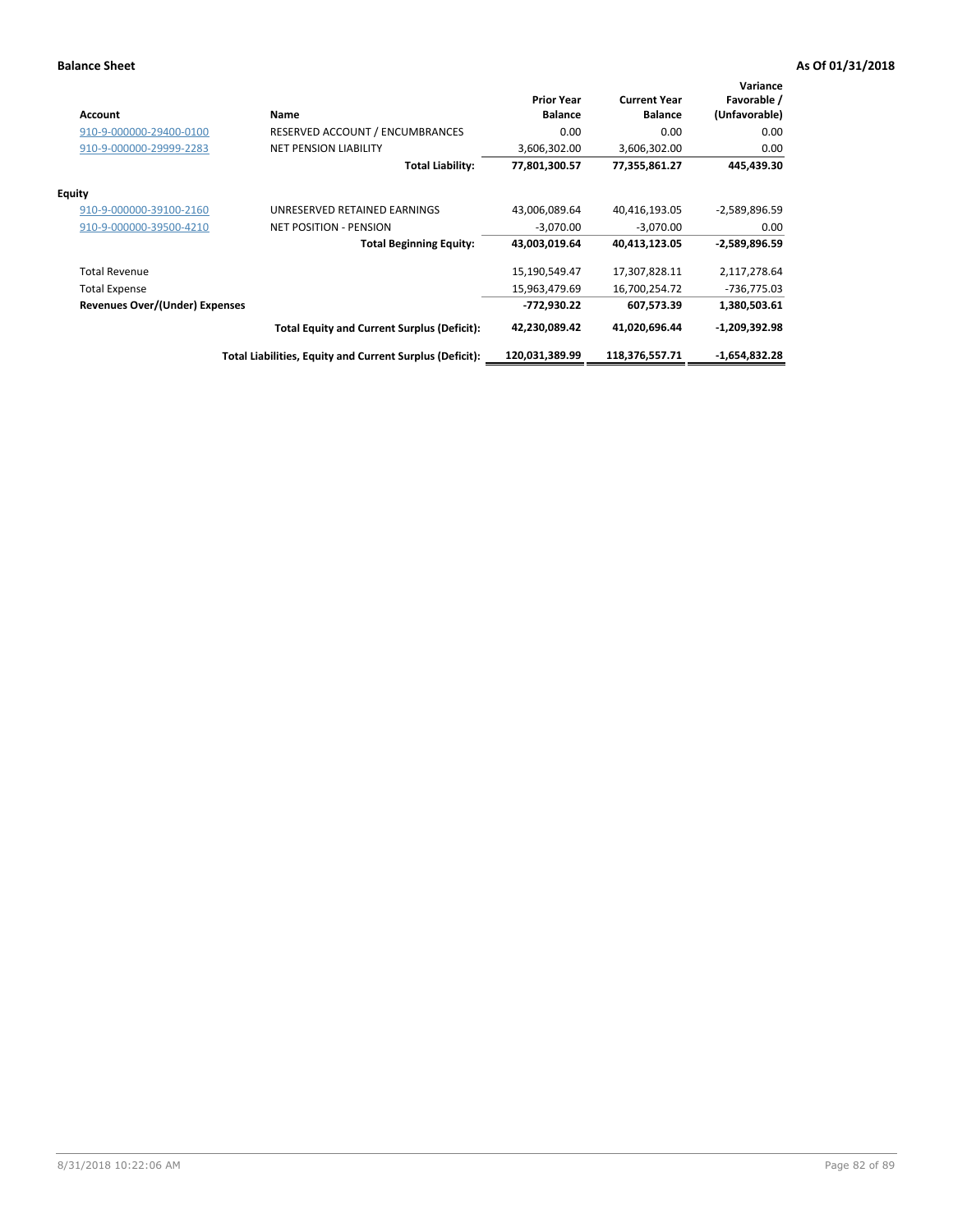| <b>Account</b>                        | Name                                                     | <b>Prior Year</b><br><b>Balance</b> | <b>Current Year</b><br><b>Balance</b> | Variance<br>Favorable /<br>(Unfavorable) |
|---------------------------------------|----------------------------------------------------------|-------------------------------------|---------------------------------------|------------------------------------------|
| 910-9-000000-29400-0100               | <b>RESERVED ACCOUNT / ENCUMBRANCES</b>                   | 0.00                                | 0.00                                  | 0.00                                     |
| 910-9-000000-29999-2283               | <b>NET PENSION LIABILITY</b>                             | 3,606,302.00                        | 3,606,302.00                          | 0.00                                     |
|                                       | <b>Total Liability:</b>                                  | 77,801,300.57                       | 77,355,861.27                         | 445,439.30                               |
| Equity                                |                                                          |                                     |                                       |                                          |
| 910-9-000000-39100-2160               | UNRESERVED RETAINED EARNINGS                             | 43,006,089.64                       | 40,416,193.05                         | -2,589,896.59                            |
| 910-9-000000-39500-4210               | <b>NET POSITION - PENSION</b>                            | $-3,070.00$                         | $-3,070.00$                           | 0.00                                     |
|                                       | <b>Total Beginning Equity:</b>                           | 43,003,019.64                       | 40,413,123.05                         | -2,589,896.59                            |
| <b>Total Revenue</b>                  |                                                          | 15,190,549.47                       | 17,307,828.11                         | 2,117,278.64                             |
| <b>Total Expense</b>                  |                                                          | 15,963,479.69                       | 16,700,254.72                         | $-736,775.03$                            |
| <b>Revenues Over/(Under) Expenses</b> |                                                          | -772,930.22                         | 607,573.39                            | 1,380,503.61                             |
|                                       | <b>Total Equity and Current Surplus (Deficit):</b>       | 42,230,089.42                       | 41,020,696.44                         | $-1,209,392.98$                          |
|                                       | Total Liabilities, Equity and Current Surplus (Deficit): | 120,031,389.99                      | 118,376,557.71                        | $-1,654,832.28$                          |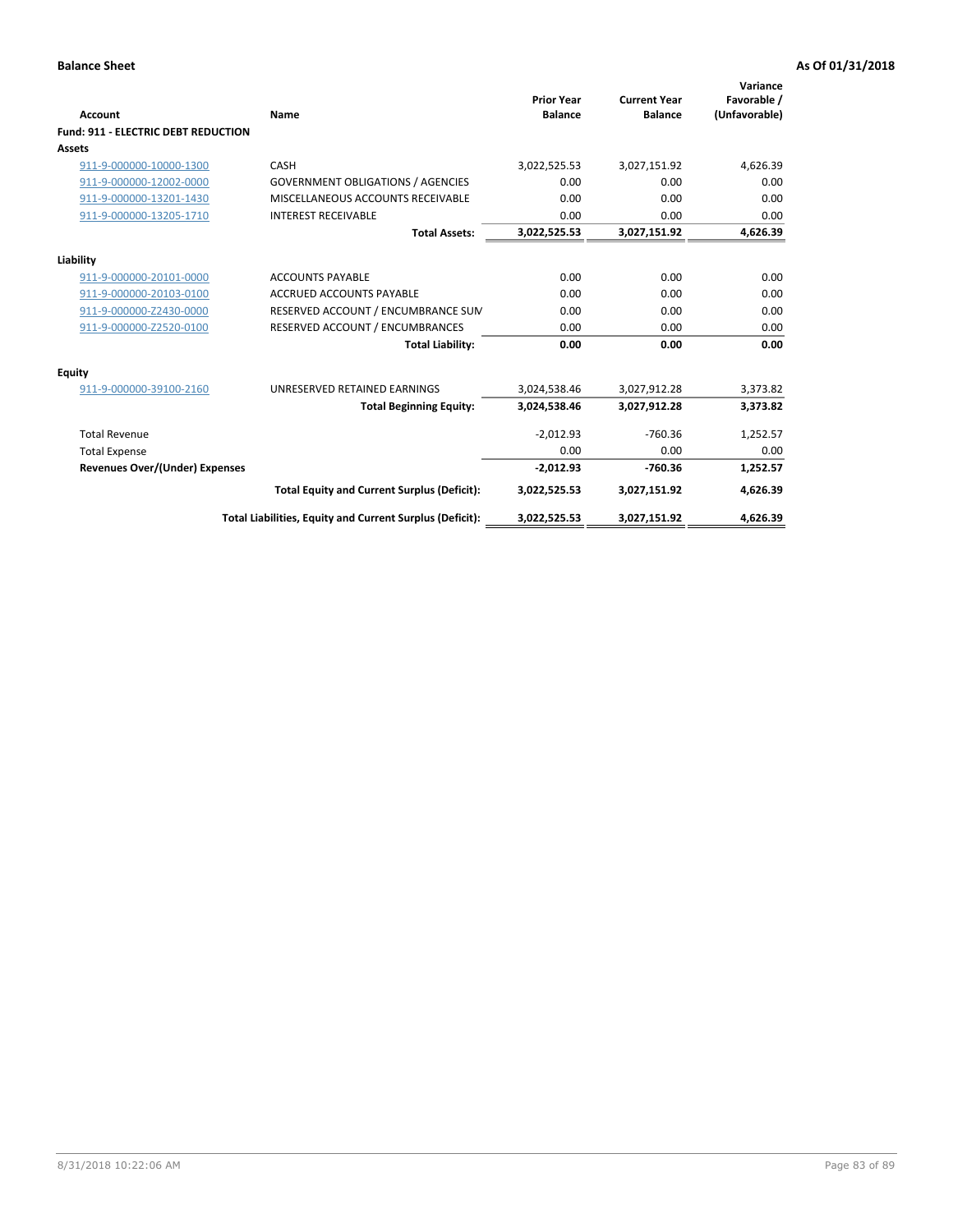| Account                                    | Name                                                     | <b>Prior Year</b><br><b>Balance</b> | <b>Current Year</b><br><b>Balance</b> | Variance<br>Favorable /<br>(Unfavorable) |
|--------------------------------------------|----------------------------------------------------------|-------------------------------------|---------------------------------------|------------------------------------------|
| <b>Fund: 911 - ELECTRIC DEBT REDUCTION</b> |                                                          |                                     |                                       |                                          |
| Assets                                     |                                                          |                                     |                                       |                                          |
| 911-9-000000-10000-1300                    | CASH                                                     | 3,022,525.53                        | 3,027,151.92                          | 4,626.39                                 |
| 911-9-000000-12002-0000                    | <b>GOVERNMENT OBLIGATIONS / AGENCIES</b>                 | 0.00                                | 0.00                                  | 0.00                                     |
| 911-9-000000-13201-1430                    | MISCELLANEOUS ACCOUNTS RECEIVABLE                        | 0.00                                | 0.00                                  | 0.00                                     |
| 911-9-000000-13205-1710                    | <b>INTEREST RECEIVABLE</b>                               | 0.00                                | 0.00                                  | 0.00                                     |
|                                            | <b>Total Assets:</b>                                     | 3,022,525.53                        | 3,027,151.92                          | 4,626.39                                 |
| Liability                                  |                                                          |                                     |                                       |                                          |
| 911-9-000000-20101-0000                    | <b>ACCOUNTS PAYABLE</b>                                  | 0.00                                | 0.00                                  | 0.00                                     |
| 911-9-000000-20103-0100                    | <b>ACCRUED ACCOUNTS PAYABLE</b>                          | 0.00                                | 0.00                                  | 0.00                                     |
| 911-9-000000-Z2430-0000                    | RESERVED ACCOUNT / ENCUMBRANCE SUM                       | 0.00                                | 0.00                                  | 0.00                                     |
| 911-9-000000-Z2520-0100                    | RESERVED ACCOUNT / ENCUMBRANCES                          | 0.00                                | 0.00                                  | 0.00                                     |
|                                            | <b>Total Liability:</b>                                  | 0.00                                | 0.00                                  | 0.00                                     |
| Equity                                     |                                                          |                                     |                                       |                                          |
| 911-9-000000-39100-2160                    | UNRESERVED RETAINED EARNINGS                             | 3,024,538.46                        | 3,027,912.28                          | 3,373.82                                 |
|                                            | <b>Total Beginning Equity:</b>                           | 3,024,538.46                        | 3,027,912.28                          | 3,373.82                                 |
| <b>Total Revenue</b>                       |                                                          | $-2,012.93$                         | $-760.36$                             | 1,252.57                                 |
| <b>Total Expense</b>                       |                                                          | 0.00                                | 0.00                                  | 0.00                                     |
| <b>Revenues Over/(Under) Expenses</b>      |                                                          | $-2,012.93$                         | $-760.36$                             | 1,252.57                                 |
|                                            | <b>Total Equity and Current Surplus (Deficit):</b>       | 3,022,525.53                        | 3,027,151.92                          | 4,626.39                                 |
|                                            | Total Liabilities, Equity and Current Surplus (Deficit): | 3,022,525.53                        | 3,027,151.92                          | 4,626.39                                 |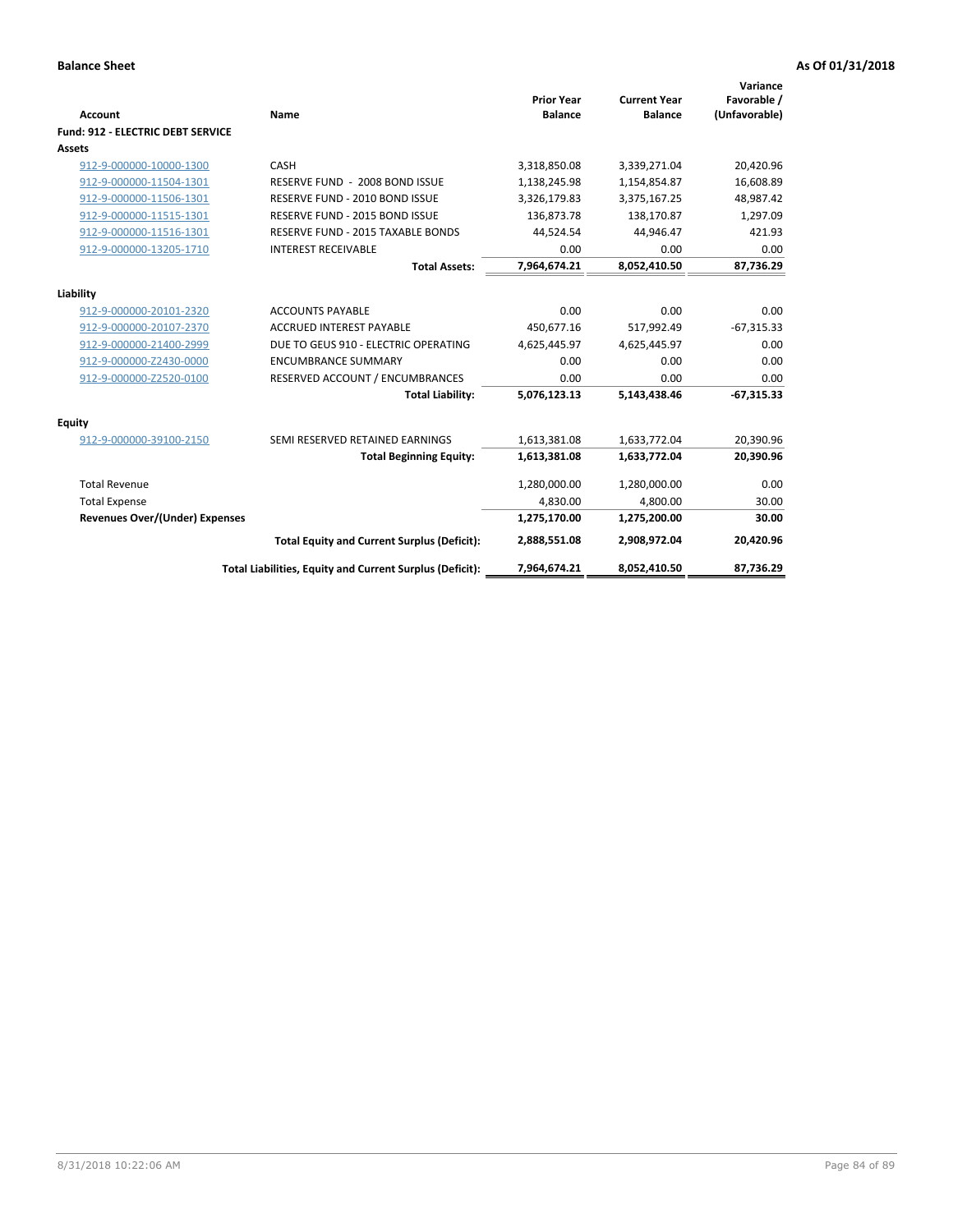| Account                                  | Name                                                     | <b>Prior Year</b><br><b>Balance</b> | <b>Current Year</b><br><b>Balance</b> | Variance<br>Favorable /<br>(Unfavorable) |
|------------------------------------------|----------------------------------------------------------|-------------------------------------|---------------------------------------|------------------------------------------|
| <b>Fund: 912 - ELECTRIC DEBT SERVICE</b> |                                                          |                                     |                                       |                                          |
| <b>Assets</b>                            |                                                          |                                     |                                       |                                          |
| 912-9-000000-10000-1300                  | CASH                                                     | 3,318,850.08                        | 3,339,271.04                          | 20,420.96                                |
| 912-9-000000-11504-1301                  | RESERVE FUND - 2008 BOND ISSUE                           | 1,138,245.98                        | 1,154,854.87                          | 16,608.89                                |
| 912-9-000000-11506-1301                  | RESERVE FUND - 2010 BOND ISSUE                           | 3,326,179.83                        | 3,375,167.25                          | 48,987.42                                |
| 912-9-000000-11515-1301                  | RESERVE FUND - 2015 BOND ISSUE                           | 136,873.78                          | 138,170.87                            | 1,297.09                                 |
| 912-9-000000-11516-1301                  | <b>RESERVE FUND - 2015 TAXABLE BONDS</b>                 | 44,524.54                           | 44,946.47                             | 421.93                                   |
| 912-9-000000-13205-1710                  | <b>INTEREST RECEIVABLE</b>                               | 0.00                                | 0.00                                  | 0.00                                     |
|                                          | <b>Total Assets:</b>                                     | 7,964,674.21                        | 8,052,410.50                          | 87,736.29                                |
| Liability                                |                                                          |                                     |                                       |                                          |
| 912-9-000000-20101-2320                  | <b>ACCOUNTS PAYABLE</b>                                  | 0.00                                | 0.00                                  | 0.00                                     |
| 912-9-000000-20107-2370                  | <b>ACCRUED INTEREST PAYABLE</b>                          | 450,677.16                          | 517,992.49                            | $-67,315.33$                             |
| 912-9-000000-21400-2999                  | DUE TO GEUS 910 - ELECTRIC OPERATING                     | 4,625,445.97                        | 4,625,445.97                          | 0.00                                     |
| 912-9-000000-Z2430-0000                  | <b>ENCUMBRANCE SUMMARY</b>                               | 0.00                                | 0.00                                  | 0.00                                     |
| 912-9-000000-Z2520-0100                  | RESERVED ACCOUNT / ENCUMBRANCES                          | 0.00                                | 0.00                                  | 0.00                                     |
|                                          | <b>Total Liability:</b>                                  | 5,076,123.13                        | 5,143,438.46                          | $-67,315.33$                             |
| Equity                                   |                                                          |                                     |                                       |                                          |
| 912-9-000000-39100-2150                  | SEMI RESERVED RETAINED EARNINGS                          | 1,613,381.08                        | 1,633,772.04                          | 20,390.96                                |
|                                          | <b>Total Beginning Equity:</b>                           | 1,613,381.08                        | 1,633,772.04                          | 20,390.96                                |
| <b>Total Revenue</b>                     |                                                          | 1,280,000.00                        | 1,280,000.00                          | 0.00                                     |
| <b>Total Expense</b>                     |                                                          | 4,830.00                            | 4,800.00                              | 30.00                                    |
| <b>Revenues Over/(Under) Expenses</b>    |                                                          | 1,275,170.00                        | 1,275,200.00                          | 30.00                                    |
|                                          | <b>Total Equity and Current Surplus (Deficit):</b>       | 2,888,551.08                        | 2,908,972.04                          | 20,420.96                                |
|                                          | Total Liabilities, Equity and Current Surplus (Deficit): | 7,964,674.21                        | 8,052,410.50                          | 87.736.29                                |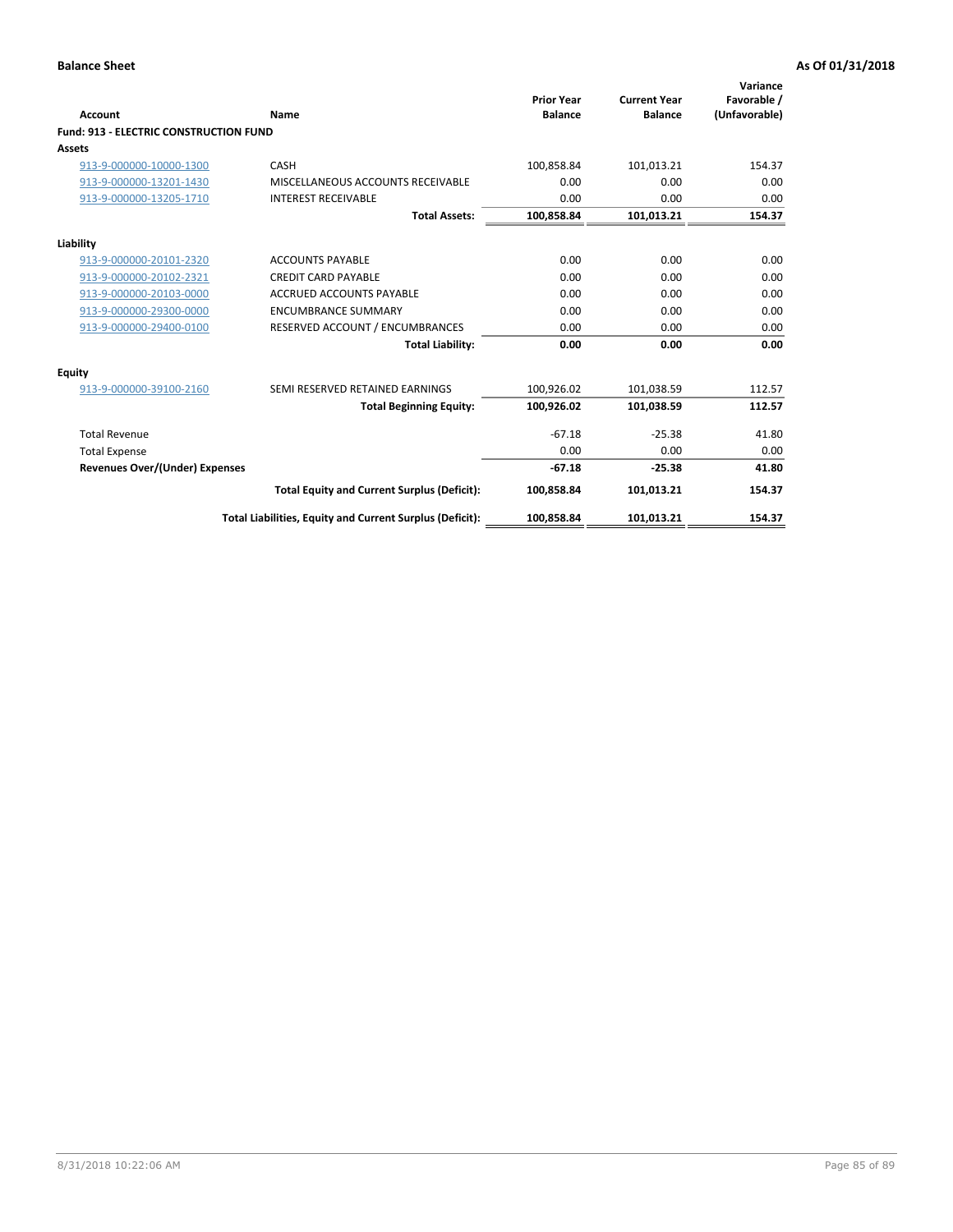| Account                                       | Name                                                     | <b>Prior Year</b><br><b>Balance</b> | <b>Current Year</b><br><b>Balance</b> | Variance<br>Favorable /<br>(Unfavorable) |
|-----------------------------------------------|----------------------------------------------------------|-------------------------------------|---------------------------------------|------------------------------------------|
| <b>Fund: 913 - ELECTRIC CONSTRUCTION FUND</b> |                                                          |                                     |                                       |                                          |
| Assets                                        |                                                          |                                     |                                       |                                          |
| 913-9-000000-10000-1300                       | CASH                                                     | 100,858.84                          | 101,013.21                            | 154.37                                   |
| 913-9-000000-13201-1430                       | MISCELLANEOUS ACCOUNTS RECEIVABLE                        | 0.00                                | 0.00                                  | 0.00                                     |
| 913-9-000000-13205-1710                       | <b>INTEREST RECEIVABLE</b>                               | 0.00                                | 0.00                                  | 0.00                                     |
|                                               | <b>Total Assets:</b>                                     | 100,858.84                          | 101,013.21                            | 154.37                                   |
| Liability                                     |                                                          |                                     |                                       |                                          |
| 913-9-000000-20101-2320                       | <b>ACCOUNTS PAYABLE</b>                                  | 0.00                                | 0.00                                  | 0.00                                     |
| 913-9-000000-20102-2321                       | <b>CREDIT CARD PAYABLE</b>                               | 0.00                                | 0.00                                  | 0.00                                     |
| 913-9-000000-20103-0000                       | <b>ACCRUED ACCOUNTS PAYABLE</b>                          | 0.00                                | 0.00                                  | 0.00                                     |
| 913-9-000000-29300-0000                       | <b>ENCUMBRANCE SUMMARY</b>                               | 0.00                                | 0.00                                  | 0.00                                     |
| 913-9-000000-29400-0100                       | RESERVED ACCOUNT / ENCUMBRANCES                          | 0.00                                | 0.00                                  | 0.00                                     |
|                                               | <b>Total Liability:</b>                                  | 0.00                                | 0.00                                  | 0.00                                     |
| <b>Equity</b>                                 |                                                          |                                     |                                       |                                          |
| 913-9-000000-39100-2160                       | SEMI RESERVED RETAINED EARNINGS                          | 100,926.02                          | 101,038.59                            | 112.57                                   |
|                                               | <b>Total Beginning Equity:</b>                           | 100,926.02                          | 101,038.59                            | 112.57                                   |
| <b>Total Revenue</b>                          |                                                          | $-67.18$                            | $-25.38$                              | 41.80                                    |
| <b>Total Expense</b>                          |                                                          | 0.00                                | 0.00                                  | 0.00                                     |
| <b>Revenues Over/(Under) Expenses</b>         |                                                          | $-67.18$                            | $-25.38$                              | 41.80                                    |
|                                               | <b>Total Equity and Current Surplus (Deficit):</b>       | 100,858.84                          | 101,013.21                            | 154.37                                   |
|                                               | Total Liabilities, Equity and Current Surplus (Deficit): | 100,858.84                          | 101,013.21                            | 154.37                                   |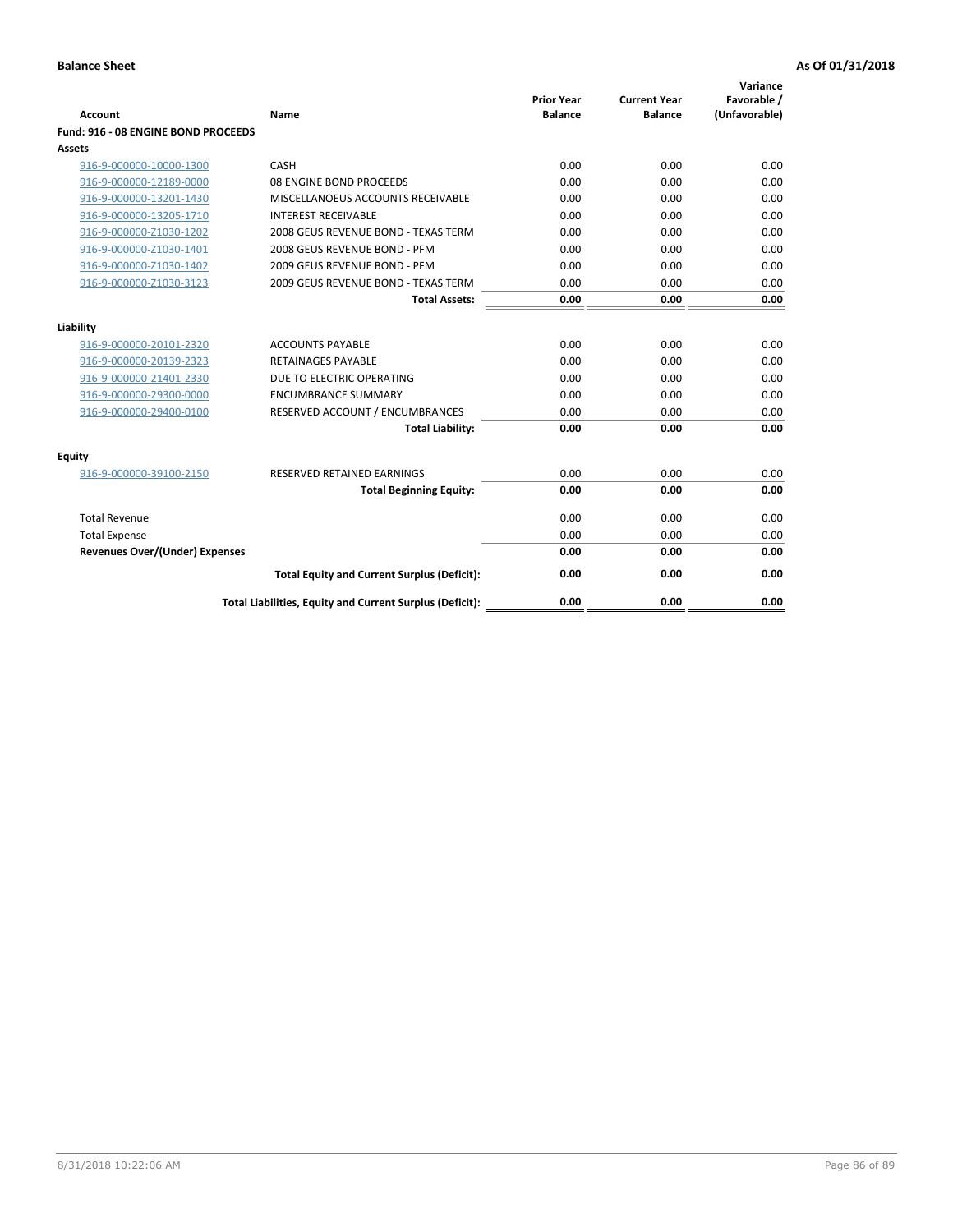| <b>Account</b>                        | Name                                                     | <b>Prior Year</b><br><b>Balance</b> | <b>Current Year</b><br><b>Balance</b> | Variance<br>Favorable /<br>(Unfavorable) |
|---------------------------------------|----------------------------------------------------------|-------------------------------------|---------------------------------------|------------------------------------------|
| Fund: 916 - 08 ENGINE BOND PROCEEDS   |                                                          |                                     |                                       |                                          |
| Assets                                |                                                          |                                     |                                       |                                          |
| 916-9-000000-10000-1300               | CASH                                                     | 0.00                                | 0.00                                  | 0.00                                     |
| 916-9-000000-12189-0000               | 08 ENGINE BOND PROCEEDS                                  | 0.00                                | 0.00                                  | 0.00                                     |
| 916-9-000000-13201-1430               | MISCELLANOEUS ACCOUNTS RECEIVABLE                        | 0.00                                | 0.00                                  | 0.00                                     |
| 916-9-000000-13205-1710               | <b>INTEREST RECEIVABLE</b>                               | 0.00                                | 0.00                                  | 0.00                                     |
| 916-9-000000-Z1030-1202               | 2008 GEUS REVENUE BOND - TEXAS TERM                      | 0.00                                | 0.00                                  | 0.00                                     |
| 916-9-000000-Z1030-1401               | 2008 GEUS REVENUE BOND - PFM                             | 0.00                                | 0.00                                  | 0.00                                     |
| 916-9-000000-Z1030-1402               | 2009 GEUS REVENUE BOND - PFM                             | 0.00                                | 0.00                                  | 0.00                                     |
| 916-9-000000-Z1030-3123               | 2009 GEUS REVENUE BOND - TEXAS TERM                      | 0.00                                | 0.00                                  | 0.00                                     |
|                                       | <b>Total Assets:</b>                                     | 0.00                                | 0.00                                  | 0.00                                     |
| Liability                             |                                                          |                                     |                                       |                                          |
| 916-9-000000-20101-2320               | <b>ACCOUNTS PAYABLE</b>                                  | 0.00                                | 0.00                                  | 0.00                                     |
| 916-9-000000-20139-2323               | <b>RETAINAGES PAYABLE</b>                                | 0.00                                | 0.00                                  | 0.00                                     |
| 916-9-000000-21401-2330               | DUE TO ELECTRIC OPERATING                                | 0.00                                | 0.00                                  | 0.00                                     |
| 916-9-000000-29300-0000               | <b>ENCUMBRANCE SUMMARY</b>                               | 0.00                                | 0.00                                  | 0.00                                     |
| 916-9-000000-29400-0100               | RESERVED ACCOUNT / ENCUMBRANCES                          | 0.00                                | 0.00                                  | 0.00                                     |
|                                       | <b>Total Liability:</b>                                  | 0.00                                | 0.00                                  | 0.00                                     |
| Equity                                |                                                          |                                     |                                       |                                          |
| 916-9-000000-39100-2150               | <b>RESERVED RETAINED EARNINGS</b>                        | 0.00                                | 0.00                                  | 0.00                                     |
|                                       | <b>Total Beginning Equity:</b>                           | 0.00                                | 0.00                                  | 0.00                                     |
| <b>Total Revenue</b>                  |                                                          | 0.00                                | 0.00                                  | 0.00                                     |
| <b>Total Expense</b>                  |                                                          | 0.00                                | 0.00                                  | 0.00                                     |
| <b>Revenues Over/(Under) Expenses</b> |                                                          | 0.00                                | 0.00                                  | 0.00                                     |
|                                       | <b>Total Equity and Current Surplus (Deficit):</b>       | 0.00                                | 0.00                                  | 0.00                                     |
|                                       | Total Liabilities, Equity and Current Surplus (Deficit): | 0.00                                | 0.00                                  | 0.00                                     |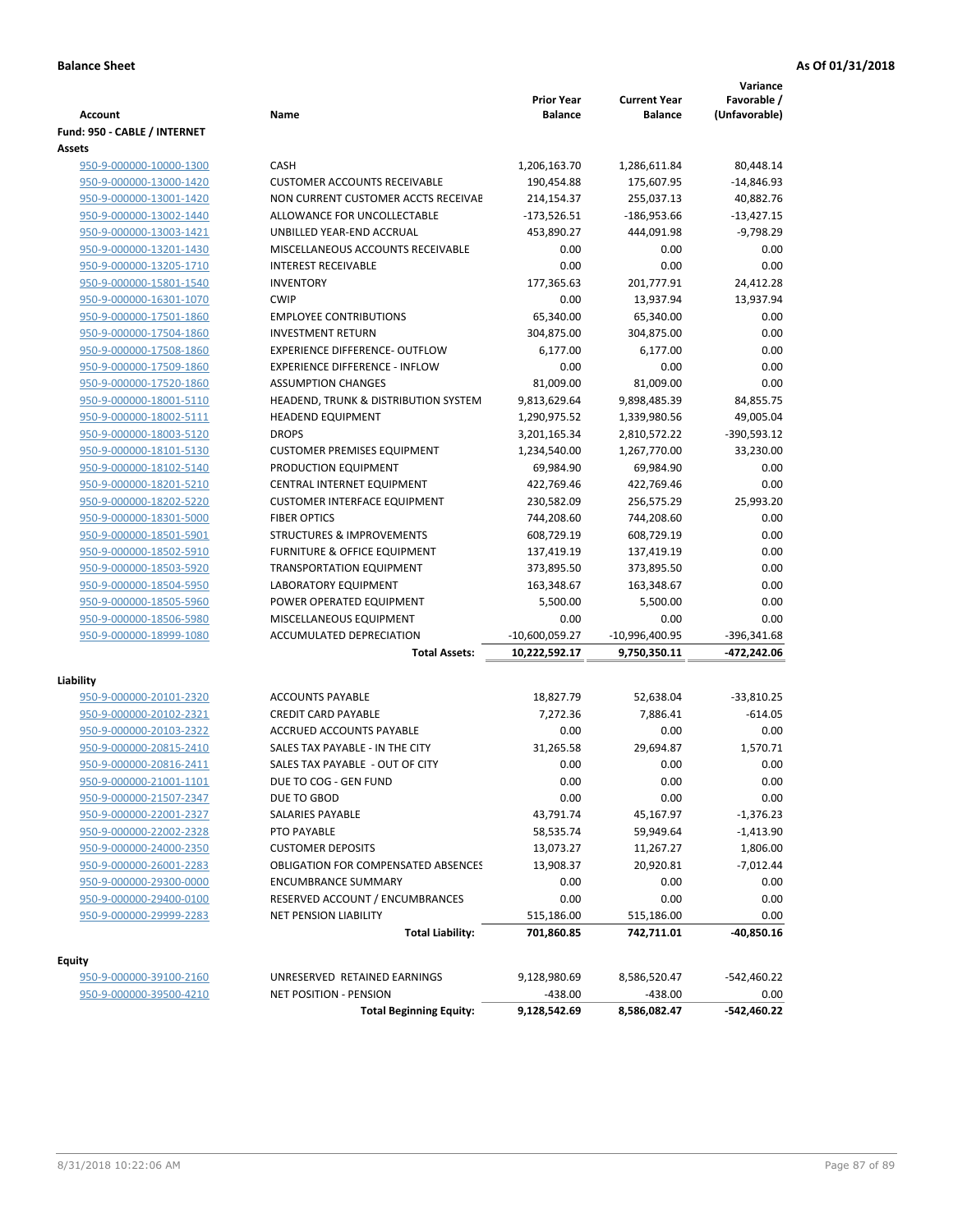| <b>Account</b>                       | Name                                                    | <b>Prior Year</b><br><b>Balance</b> | <b>Current Year</b><br><b>Balance</b> | Variance<br>Favorable /<br>(Unfavorable) |
|--------------------------------------|---------------------------------------------------------|-------------------------------------|---------------------------------------|------------------------------------------|
| Fund: 950 - CABLE / INTERNET         |                                                         |                                     |                                       |                                          |
| Assets                               |                                                         |                                     |                                       |                                          |
| 950-9-000000-10000-1300              | CASH                                                    | 1,206,163.70                        | 1,286,611.84                          | 80,448.14                                |
| 950-9-000000-13000-1420              | <b>CUSTOMER ACCOUNTS RECEIVABLE</b>                     | 190,454.88                          | 175,607.95                            | $-14,846.93$                             |
| 950-9-000000-13001-1420              | NON CURRENT CUSTOMER ACCTS RECEIVAE                     | 214,154.37                          | 255,037.13                            | 40,882.76                                |
| 950-9-000000-13002-1440              | ALLOWANCE FOR UNCOLLECTABLE                             | $-173,526.51$                       | $-186,953.66$                         | $-13,427.15$                             |
| 950-9-000000-13003-1421              | UNBILLED YEAR-END ACCRUAL                               | 453,890.27                          | 444,091.98                            | $-9,798.29$                              |
| 950-9-000000-13201-1430              | MISCELLANEOUS ACCOUNTS RECEIVABLE                       | 0.00                                | 0.00                                  | 0.00                                     |
| 950-9-000000-13205-1710              | <b>INTEREST RECEIVABLE</b>                              | 0.00                                | 0.00                                  | 0.00                                     |
| 950-9-000000-15801-1540              | <b>INVENTORY</b>                                        | 177,365.63                          | 201,777.91                            | 24,412.28                                |
| 950-9-000000-16301-1070              | <b>CWIP</b>                                             | 0.00                                | 13,937.94                             | 13,937.94                                |
| 950-9-000000-17501-1860              | <b>EMPLOYEE CONTRIBUTIONS</b>                           | 65,340.00                           | 65,340.00                             | 0.00                                     |
| 950-9-000000-17504-1860              | <b>INVESTMENT RETURN</b>                                | 304,875.00                          | 304,875.00                            | 0.00                                     |
| 950-9-000000-17508-1860              | <b>EXPERIENCE DIFFERENCE- OUTFLOW</b>                   | 6,177.00                            | 6,177.00                              | 0.00                                     |
| 950-9-000000-17509-1860              | <b>EXPERIENCE DIFFERENCE - INFLOW</b>                   | 0.00                                | 0.00                                  | 0.00                                     |
| 950-9-000000-17520-1860              | <b>ASSUMPTION CHANGES</b>                               | 81,009.00                           | 81,009.00                             | 0.00                                     |
| 950-9-000000-18001-5110              | HEADEND, TRUNK & DISTRIBUTION SYSTEM                    | 9,813,629.64                        | 9,898,485.39                          | 84,855.75                                |
| 950-9-000000-18002-5111              | <b>HEADEND EQUIPMENT</b>                                | 1,290,975.52                        | 1,339,980.56                          | 49,005.04                                |
| 950-9-000000-18003-5120              | <b>DROPS</b>                                            | 3,201,165.34                        | 2,810,572.22                          | $-390,593.12$                            |
| 950-9-000000-18101-5130              | <b>CUSTOMER PREMISES EQUIPMENT</b>                      | 1,234,540.00                        | 1,267,770.00                          | 33,230.00                                |
| 950-9-000000-18102-5140              | PRODUCTION EQUIPMENT                                    | 69,984.90                           | 69,984.90                             | 0.00                                     |
| 950-9-000000-18201-5210              | CENTRAL INTERNET EQUIPMENT                              | 422,769.46                          | 422,769.46                            | 0.00                                     |
| 950-9-000000-18202-5220              | <b>CUSTOMER INTERFACE EQUIPMENT</b>                     | 230,582.09                          | 256,575.29                            | 25,993.20                                |
| 950-9-000000-18301-5000              | <b>FIBER OPTICS</b>                                     | 744,208.60                          | 744,208.60                            | 0.00                                     |
| 950-9-000000-18501-5901              | <b>STRUCTURES &amp; IMPROVEMENTS</b>                    | 608,729.19                          | 608,729.19                            | 0.00                                     |
| 950-9-000000-18502-5910              | <b>FURNITURE &amp; OFFICE EQUIPMENT</b>                 | 137,419.19                          | 137,419.19                            | 0.00                                     |
| 950-9-000000-18503-5920              | <b>TRANSPORTATION EQUIPMENT</b>                         | 373,895.50                          | 373,895.50                            | 0.00                                     |
| 950-9-000000-18504-5950              | LABORATORY EQUIPMENT                                    | 163,348.67                          | 163,348.67                            | 0.00                                     |
| 950-9-000000-18505-5960              | POWER OPERATED EQUIPMENT                                | 5,500.00                            | 5,500.00                              | 0.00                                     |
| 950-9-000000-18506-5980              | MISCELLANEOUS EQUIPMENT                                 | 0.00                                | 0.00                                  | 0.00                                     |
| 950-9-000000-18999-1080              | ACCUMULATED DEPRECIATION                                | $-10,600,059.27$                    | $-10,996,400.95$                      | -396,341.68                              |
|                                      | <b>Total Assets:</b>                                    | 10,222,592.17                       | 9,750,350.11                          | -472,242.06                              |
|                                      |                                                         |                                     |                                       |                                          |
| Liability<br>950-9-000000-20101-2320 | <b>ACCOUNTS PAYABLE</b>                                 | 18,827.79                           | 52,638.04                             | $-33,810.25$                             |
| 950-9-000000-20102-2321              | <b>CREDIT CARD PAYABLE</b>                              | 7,272.36                            | 7,886.41                              | $-614.05$                                |
| 950-9-000000-20103-2322              | ACCRUED ACCOUNTS PAYABLE                                | 0.00                                | 0.00                                  | 0.00                                     |
| 950-9-000000-20815-2410              | SALES TAX PAYABLE - IN THE CITY                         | 31,265.58                           | 29,694.87                             | 1,570.71                                 |
| 950-9-000000-20816-2411              | SALES TAX PAYABLE - OUT OF CITY                         | 0.00                                | 0.00                                  | 0.00                                     |
| 950-9-000000-21001-1101              | DUE TO COG - GEN FUND                                   | 0.00                                | 0.00                                  | 0.00                                     |
|                                      | DUE TO GBOD                                             | 0.00                                | 0.00                                  | 0.00                                     |
| 950-9-000000-21507-2347              | <b>SALARIES PAYABLE</b>                                 | 43,791.74                           |                                       |                                          |
| 950-9-000000-22001-2327              |                                                         |                                     | 45,167.97                             | -1,376.23                                |
| 950-9-000000-22002-2328              | PTO PAYABLE                                             | 58,535.74                           | 59,949.64                             | $-1,413.90$                              |
| 950-9-000000-24000-2350              | <b>CUSTOMER DEPOSITS</b>                                | 13,073.27                           | 11,267.27                             | 1,806.00                                 |
| 950-9-000000-26001-2283              | <b>OBLIGATION FOR COMPENSATED ABSENCES</b>              | 13,908.37                           | 20,920.81                             | $-7,012.44$                              |
| 950-9-000000-29300-0000              | <b>ENCUMBRANCE SUMMARY</b>                              | 0.00                                | 0.00                                  | 0.00                                     |
| 950-9-000000-29400-0100              | RESERVED ACCOUNT / ENCUMBRANCES                         | 0.00                                | 0.00                                  | 0.00                                     |
| 950-9-000000-29999-2283              | <b>NET PENSION LIABILITY</b><br><b>Total Liability:</b> | 515,186.00<br>701,860.85            | 515,186.00<br>742,711.01              | 0.00<br>-40,850.16                       |
|                                      |                                                         |                                     |                                       |                                          |
| Equity                               |                                                         |                                     |                                       |                                          |
| 950-9-000000-39100-2160              | UNRESERVED RETAINED EARNINGS                            | 9,128,980.69                        | 8,586,520.47                          | -542,460.22                              |
| 950-9-000000-39500-4210              | NET POSITION - PENSION                                  | $-438.00$                           | $-438.00$                             | 0.00                                     |
|                                      | <b>Total Beginning Equity:</b>                          | 9,128,542.69                        | 8,586,082.47                          | -542,460.22                              |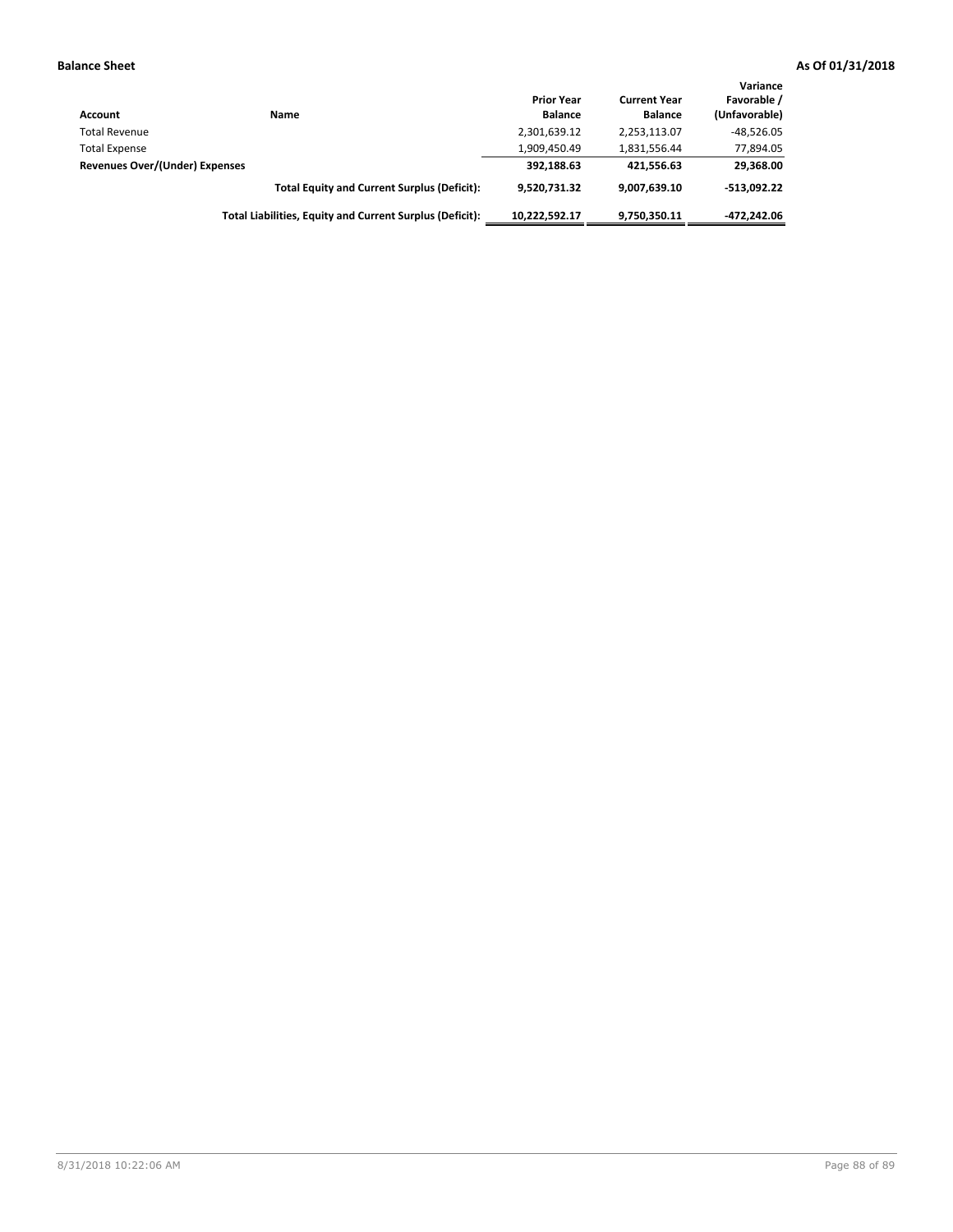| Account                        | <b>Name</b>                                              | <b>Prior Year</b><br><b>Balance</b> | <b>Current Year</b><br><b>Balance</b> | Variance<br>Favorable /<br>(Unfavorable) |
|--------------------------------|----------------------------------------------------------|-------------------------------------|---------------------------------------|------------------------------------------|
| <b>Total Revenue</b>           |                                                          | 2,301,639.12                        | 2,253,113.07                          | $-48,526.05$                             |
| <b>Total Expense</b>           |                                                          | 1,909,450.49                        | 1,831,556.44                          | 77,894.05                                |
| Revenues Over/(Under) Expenses |                                                          | 392,188.63                          | 421.556.63                            | 29,368.00                                |
|                                | <b>Total Equity and Current Surplus (Deficit):</b>       | 9.520.731.32                        | 9,007,639.10                          | $-513.092.22$                            |
|                                | Total Liabilities, Equity and Current Surplus (Deficit): | 10,222,592.17                       | 9,750,350.11                          | $-472.242.06$                            |